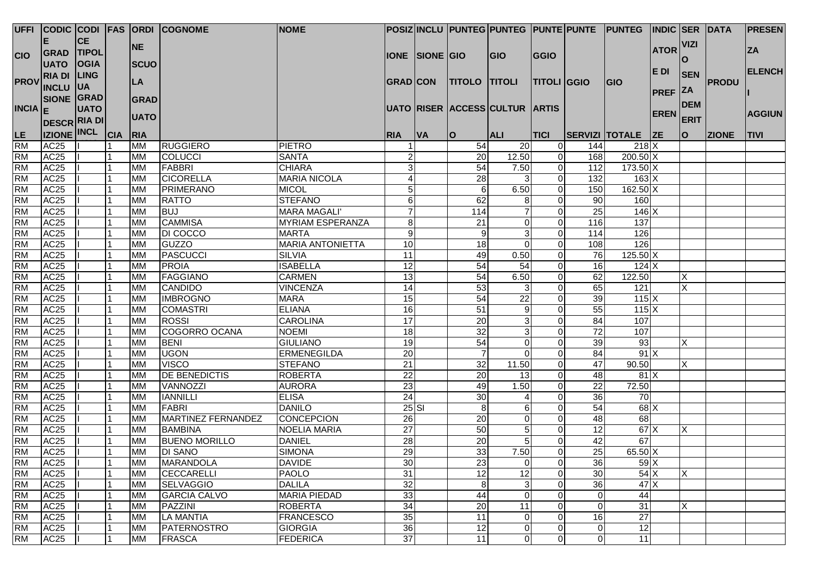|                     |                     |              |                |             | UFFI CODIC CODI FAS ORDI COGNOME | <b>NOME</b>             |                 |                |                      | POSIZ INCLU PUNTEG PUNTEG PUNTE PUNTE PUNTEG |                    |                 |                    | <b>INDIC SER DATA</b> |             |              | <b>PRESEN</b> |
|---------------------|---------------------|--------------|----------------|-------------|----------------------------------|-------------------------|-----------------|----------------|----------------------|----------------------------------------------|--------------------|-----------------|--------------------|-----------------------|-------------|--------------|---------------|
|                     | Е                   | <b>CE</b>    |                |             |                                  |                         |                 |                |                      |                                              |                    |                 |                    |                       | <b>VIZI</b> |              |               |
| <b>CIO</b>          | <b>GRAD</b>         | <b>TIPOL</b> |                | <b>NE</b>   |                                  |                         |                 | IONE SIONE GIO |                      | <b>GIO</b>                                   | <b>GGIO</b>        |                 |                    | <b>ATOR</b>           |             |              | <b>ZA</b>     |
|                     | <b>UATO</b>         | <b>OGIA</b>  |                | <b>SCUO</b> |                                  |                         |                 |                |                      |                                              |                    |                 |                    |                       | l O         |              |               |
|                     | <b>RIA DI</b>       | <b>LING</b>  |                |             |                                  |                         |                 |                |                      |                                              |                    |                 |                    | E DI                  | <b>SEN</b>  |              | <b>ELENCH</b> |
| <b>PROV</b>         | <b>INCLU</b>        | <b>UA</b>    |                | <b>LA</b>   |                                  |                         | <b>GRAD CON</b> |                | <b>TITOLO TITOLI</b> |                                              | <b>TITOLI GGIO</b> |                 | <b>IGIO</b>        |                       |             | <b>PRODU</b> |               |
|                     | <b>SIONE</b>        | GRAD         |                | GRAD        |                                  |                         |                 |                |                      |                                              |                    |                 |                    | <b>PREF ZA</b>        |             |              |               |
| INCIA  <sub>F</sub> |                     | <b>UATO</b>  |                |             |                                  |                         |                 |                |                      | UATO RISER ACCESS CULTUR ARTIS               |                    |                 |                    |                       | <b>DEM</b>  |              |               |
|                     | <b>DESCR RIA DI</b> |              |                | <b>UATO</b> |                                  |                         |                 |                |                      |                                              |                    |                 |                    | <b>EREN</b>           | <b>ERIT</b> |              | <b>AGGIUN</b> |
| LE                  | <b>IZIONE INCL</b>  |              | <sub>CIA</sub> | RIA         |                                  |                         | <b>RIA</b>      | <b>VA</b>      | O                    | <b>ALI</b>                                   | <b>TICI</b>        |                 | SERVIZI TOTALE ZE  |                       | O           | <b>ZIONE</b> | <b>TIVI</b>   |
| <b>RM</b>           | AC <sub>25</sub>    |              |                | <b>MM</b>   | <b>RUGGIERO</b>                  | <b>PIETRO</b>           |                 |                | 54                   | 20                                           | $\Omega$           | 144             | 218 X              |                       |             |              |               |
| <b>RM</b>           | AC <sub>25</sub>    |              |                | <b>MM</b>   | <b>COLUCCI</b>                   | <b>SANTA</b>            | $\overline{a}$  |                | 20                   | 12.50                                        | $\overline{0}$     | 168             | $200.50$ X         |                       |             |              |               |
| <b>RM</b>           | AC <sub>25</sub>    |              |                | <b>MM</b>   | FABBRI                           | <b>CHIARA</b>           | 3               |                | 54                   | 7.50                                         | $\overline{0}$     | 112             | $173.50$ X         |                       |             |              |               |
| <b>RM</b>           | AC <sub>25</sub>    |              |                | <b>MM</b>   | <b>CICORELLA</b>                 | <b>MARIA NICOLA</b>     | 4               |                | 28                   |                                              | $\overline{0}$     | 132             | $163 \mid X$       |                       |             |              |               |
| <b>RM</b>           | AC <sub>25</sub>    |              |                | <b>MM</b>   | PRIMERANO                        | <b>MICOL</b>            | 5               |                | $\,6$                | 6.50                                         | $\overline{0}$     | 150             | $162.50 \text{ X}$ |                       |             |              |               |
| <b>RM</b>           | AC <sub>25</sub>    |              |                | <b>MM</b>   | <b>RATTO</b>                     | <b>STEFANO</b>          | 6               |                | 62                   | 8                                            | $\Omega$           | 90              | 160                |                       |             |              |               |
| <b>RM</b>           | AC <sub>25</sub>    |              |                | <b>MM</b>   | <b>BUJ</b>                       | <b>MARA MAGALI'</b>     | $\overline{7}$  |                | 114                  |                                              | $\Omega$           | 25              | 146X               |                       |             |              |               |
| <b>RM</b>           | AC <sub>25</sub>    |              |                | <b>MM</b>   | <b>CAMMISA</b>                   | <b>MYRIAM ESPERANZA</b> | 8               |                | 21                   | $\Omega$                                     | $\Omega$           | 116             | 137                |                       |             |              |               |
| <b>RM</b>           | AC <sub>25</sub>    |              |                | <b>MM</b>   | DI COCCO                         | <b>MARTA</b>            | $9\,$           |                | 9                    | 3                                            | $\Omega$           | 114             | 126                |                       |             |              |               |
| <b>RM</b>           | AC <sub>25</sub>    |              |                | <b>MM</b>   | <b>GUZZO</b>                     | <b>MARIA ANTONIETTA</b> | 10              |                | $\overline{18}$      | $\Omega$                                     | $\overline{0}$     | 108             | 126                |                       |             |              |               |
| <b>RM</b>           | AC <sub>25</sub>    |              |                | <b>MM</b>   | <b>PASCUCCI</b>                  | <b>SILVIA</b>           | 11              |                | 49                   | 0.50                                         | $\overline{0}$     | 76              | $125.50 \times$    |                       |             |              |               |
| <b>RM</b>           | AC <sub>25</sub>    |              |                | <b>MM</b>   | <b>PROIA</b>                     | <b>ISABELLA</b>         | $\overline{12}$ |                | 54                   | $\overline{54}$                              | $\Omega$           | 16              | 124X               |                       |             |              |               |
| <b>RM</b>           | AC <sub>25</sub>    |              |                | <b>MM</b>   | <b>FAGGIANO</b>                  | <b>CARMEN</b>           | 13              |                | 54                   | 6.50                                         | $\Omega$           | 62              | 122.50             |                       | X           |              |               |
| <b>RM</b>           | AC <sub>25</sub>    |              |                | <b>MM</b>   | <b>CANDIDO</b>                   | <b>VINCENZA</b>         | 14              |                | 53                   | 3                                            | $\overline{0}$     | 65              | 121                |                       | X           |              |               |
| <b>RM</b>           | AC <sub>25</sub>    |              |                | <b>MM</b>   | <b>IMBROGNO</b>                  | <b>MARA</b>             | 15              |                | $\overline{54}$      | 22                                           | $\Omega$           | 39              | $115$ X            |                       |             |              |               |
| <b>RM</b>           | AC <sub>25</sub>    |              |                | <b>MM</b>   | <b>COMASTRI</b>                  | <b>ELIANA</b>           | 16              |                | 51                   | 9                                            | $\Omega$           | 55              | 115X               |                       |             |              |               |
| <b>RM</b>           | AC <sub>25</sub>    |              |                | <b>MM</b>   | <b>ROSSI</b>                     | <b>CAROLINA</b>         | 17              |                | 20                   | 3                                            | $\Omega$           | 84              | 107                |                       |             |              |               |
| <b>RM</b>           | AC <sub>25</sub>    |              |                | <b>MM</b>   | COGORRO OCANA                    | <b>NOEMI</b>            | 18              |                | 32                   | 3                                            | $\overline{0}$     | 72              | 107                |                       |             |              |               |
| <b>RM</b>           | AC <sub>25</sub>    |              |                | <b>MM</b>   | <b>BENI</b>                      | <b>GIULIANO</b>         | 19              |                | 54                   | $\mathbf 0$                                  | $\Omega$           | 39              | 93                 |                       | X           |              |               |
| <b>RM</b>           | AC <sub>25</sub>    |              |                | <b>MM</b>   | <b>UGON</b>                      | <b>ERMENEGILDA</b>      | 20              |                | $\overline{7}$       | $\Omega$                                     | $\Omega$           | 84              | 91X                |                       |             |              |               |
| <b>RM</b>           | AC <sub>25</sub>    |              |                | <b>MM</b>   | <b>VISCO</b>                     | <b>STEFANO</b>          | 21              |                | 32                   | 11.50                                        | $\Omega$           | 47              | 90.50              |                       | X           |              |               |
| <b>RM</b>           | AC <sub>25</sub>    |              |                | <b>MM</b>   | <b>DE BENEDICTIS</b>             | <b>ROBERTA</b>          | 22              |                | 20                   | 13                                           | $\overline{0}$     | 48              | 81 X               |                       |             |              |               |
| <b>RM</b>           | AC <sub>25</sub>    |              |                | <b>MM</b>   | VANNOZZI                         | <b>AURORA</b>           | 23              |                | 49                   | 1.50                                         | $\overline{0}$     | $\overline{22}$ | 72.50              |                       |             |              |               |
| <b>RM</b>           | AC <sub>25</sub>    |              |                | <b>MM</b>   | <b>IANNILLI</b>                  | <b>ELISA</b>            | $\overline{24}$ |                | 30                   | 4                                            | $\Omega$           | 36              | $\overline{70}$    |                       |             |              |               |
| <b>RM</b>           | AC <sub>25</sub>    |              |                | <b>MM</b>   | <b>FABRI</b>                     | <b>DANILO</b>           |                 | $25$ $SI$      | 8                    | 6                                            | $\Omega$           | 54              | $68$ $\times$      |                       |             |              |               |
| <b>RM</b>           | AC <sub>25</sub>    |              |                | <b>MM</b>   | MARTINEZ FERNANDEZ               | <b>CONCEPCION</b>       | $\overline{26}$ |                | 20                   | $\Omega$                                     | $\Omega$           | $\overline{48}$ | 68                 |                       |             |              |               |
| <b>RM</b>           | AC <sub>25</sub>    |              |                | <b>MM</b>   | <b>BAMBINA</b>                   | <b>NOELIA MARIA</b>     | $\overline{27}$ |                | 50                   | 5                                            | $\overline{0}$     | 12              | 67X                |                       | X           |              |               |
| <b>RM</b>           | AC <sub>25</sub>    |              |                | <b>MM</b>   | <b>BUENO MORILLO</b>             | <b>DANIEL</b>           | 28              |                | 20                   | 5                                            | $\overline{0}$     | 42              | 67                 |                       |             |              |               |
| <b>RM</b>           | AC <sub>25</sub>    |              |                | <b>MM</b>   | <b>DI SANO</b>                   | <b>SIMONA</b>           | 29              |                | 33                   | 7.50                                         | $\overline{0}$     | 25              | 65.50 X            |                       |             |              |               |
| <b>RM</b>           | AC <sub>25</sub>    | $\mathbf{H}$ | $\vert$ 1      | <b>MM</b>   | <b>MARANDOLA</b>                 | <b>DAVIDE</b>           | 30              |                | 23                   | $\overline{0}$                               | $\overline{0}$     | 36              | $59$ $X$           |                       |             |              |               |
| <b>RM</b>           | AC <sub>25</sub>    |              |                | <b>MM</b>   | CECCARELLI                       | <b>PAOLO</b>            | 31              |                | 12                   | 12                                           | $\Omega$           | 30              | 54X                |                       | X           |              |               |
| <b>RM</b>           | AC <sub>25</sub>    |              |                | <b>MM</b>   | <b>SELVAGGIO</b>                 | <b>DALILA</b>           | 32              |                | 8                    | 3                                            | $\overline{0}$     | 36              | 47X                |                       |             |              |               |
| <b>RM</b>           | AC <sub>25</sub>    |              |                | <b>MM</b>   | <b>GARCIA CALVO</b>              | <b>MARIA PIEDAD</b>     | 33              |                | 44                   | 0                                            | $\overline{0}$     | $\overline{0}$  | 44                 |                       |             |              |               |
| <b>RM</b>           | AC <sub>25</sub>    |              |                | <b>MM</b>   | PAZZINI                          | <b>ROBERTA</b>          | 34              |                | 20                   | 11                                           | $\overline{0}$     | $\overline{0}$  | $\overline{31}$    |                       | X           |              |               |
| <b>RM</b>           | AC <sub>25</sub>    |              |                | <b>MM</b>   | <b>LA MANTIA</b>                 | <b>FRANCESCO</b>        | 35              |                | $\overline{11}$      | $\mathbf 0$                                  | $\overline{0}$     | 16              | $\overline{27}$    |                       |             |              |               |
| <b>RM</b>           | AC <sub>25</sub>    |              |                | <b>MM</b>   | PATERNOSTRO                      | <b>GIORGIA</b>          | 36              |                | $\overline{12}$      | $\mathbf 0$                                  | $\overline{0}$     | $\overline{0}$  | 12                 |                       |             |              |               |
| <b>RM</b>           | AC <sub>25</sub>    |              |                | <b>MM</b>   | <b>FRASCA</b>                    | <b>FEDERICA</b>         | 37              |                | 11                   | 0                                            | $\overline{0}$     | $\overline{0}$  | 11                 |                       |             |              |               |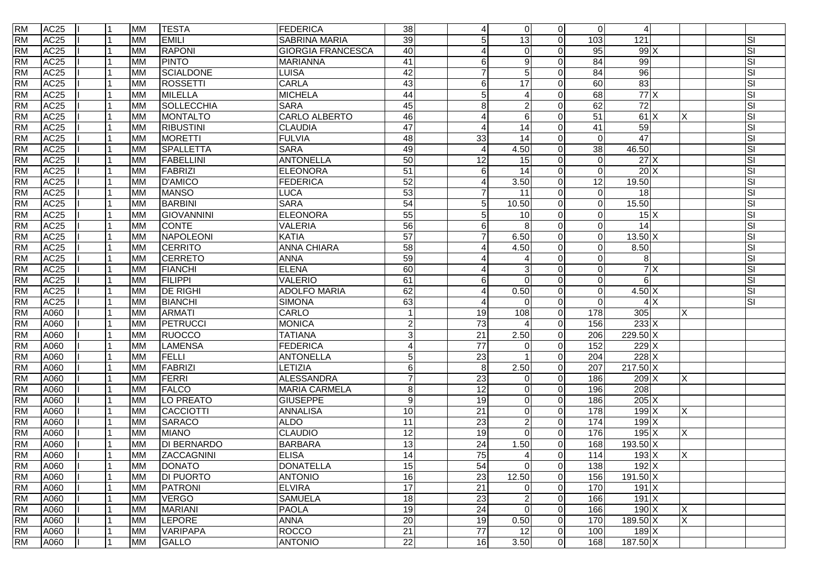| 39<br><b>RM</b><br>AC <sub>25</sub><br><b>EMILI</b><br><b>SABRINA MARIA</b><br>5<br>$\overline{13}$<br>103<br>121<br><b>MM</b><br>$\Omega$<br><b>RM</b><br>AC <sub>25</sub><br><b>RAPONI</b><br><b>GIORGIA FRANCESCA</b><br>40<br>95<br>99X<br><b>MM</b><br>$\Omega$<br>4<br>AC <sub>25</sub><br><b>PINTO</b><br><b>RM</b><br>41<br>99<br><b>MM</b><br><b>MARIANNA</b><br>6<br>9<br>84<br>AC <sub>25</sub><br>42<br>96<br><b>RM</b><br><b>MM</b><br>SCIALDONE<br><b>LUISA</b><br>5<br>84<br>83<br><b>RM</b><br>AC <sub>25</sub><br><b>CARLA</b><br>43<br><b>ROSSETTI</b><br>6<br>17<br>60<br><b>MM</b><br>$\Omega$<br>77X<br><b>RM</b><br>AC <sub>25</sub><br><b>MILELLA</b><br><b>MICHELA</b><br>44<br>5<br>68<br><b>MM</b><br>$\boldsymbol{\Lambda}$<br>45<br>62<br>72<br><b>RM</b><br>AC <sub>25</sub><br>SOLLECCHIA<br>8<br>$\overline{2}$<br><b>MM</b><br><b>SARA</b> |                  | SI<br>SI<br>SI<br>SI<br>SI<br>SI<br>SI<br>SI |
|----------------------------------------------------------------------------------------------------------------------------------------------------------------------------------------------------------------------------------------------------------------------------------------------------------------------------------------------------------------------------------------------------------------------------------------------------------------------------------------------------------------------------------------------------------------------------------------------------------------------------------------------------------------------------------------------------------------------------------------------------------------------------------------------------------------------------------------------------------------------------|------------------|----------------------------------------------|
|                                                                                                                                                                                                                                                                                                                                                                                                                                                                                                                                                                                                                                                                                                                                                                                                                                                                            |                  |                                              |
|                                                                                                                                                                                                                                                                                                                                                                                                                                                                                                                                                                                                                                                                                                                                                                                                                                                                            |                  |                                              |
|                                                                                                                                                                                                                                                                                                                                                                                                                                                                                                                                                                                                                                                                                                                                                                                                                                                                            |                  |                                              |
|                                                                                                                                                                                                                                                                                                                                                                                                                                                                                                                                                                                                                                                                                                                                                                                                                                                                            |                  |                                              |
|                                                                                                                                                                                                                                                                                                                                                                                                                                                                                                                                                                                                                                                                                                                                                                                                                                                                            |                  |                                              |
|                                                                                                                                                                                                                                                                                                                                                                                                                                                                                                                                                                                                                                                                                                                                                                                                                                                                            |                  |                                              |
|                                                                                                                                                                                                                                                                                                                                                                                                                                                                                                                                                                                                                                                                                                                                                                                                                                                                            |                  |                                              |
| AC <sub>25</sub><br><b>RM</b><br>46<br>6<br>51<br><b>MM</b><br><b>MONTALTO</b><br>CARLO ALBERTO<br>61X<br>4                                                                                                                                                                                                                                                                                                                                                                                                                                                                                                                                                                                                                                                                                                                                                                |                  |                                              |
| <b>RM</b><br>AC <sub>25</sub><br>$\overline{47}$<br><b>RIBUSTINI</b><br>14<br>41<br>59<br><b>CLAUDIA</b><br><b>MM</b><br>$\boldsymbol{\Lambda}$                                                                                                                                                                                                                                                                                                                                                                                                                                                                                                                                                                                                                                                                                                                            |                  | SI                                           |
| $\overline{47}$<br><b>RM</b><br>AC <sub>25</sub><br><b>FULVIA</b><br>48<br>33<br>14<br><b>MORETTI</b><br><b>MM</b><br>$\Omega$                                                                                                                                                                                                                                                                                                                                                                                                                                                                                                                                                                                                                                                                                                                                             |                  | SI                                           |
| AC <sub>25</sub><br>49<br><b>RM</b><br>SPALLETTA<br><b>SARA</b><br>4.50<br>46.50<br><b>MM</b><br>38<br>$\overline{A}$                                                                                                                                                                                                                                                                                                                                                                                                                                                                                                                                                                                                                                                                                                                                                      |                  | SI                                           |
| <b>RM</b><br>AC <sub>25</sub><br><b>ANTONELLA</b><br>50<br>15<br>27X<br><b>MM</b><br><b>FABELLINI</b><br>12<br>$\Omega$<br>$\Omega$                                                                                                                                                                                                                                                                                                                                                                                                                                                                                                                                                                                                                                                                                                                                        |                  | SI                                           |
| $\overline{51}$<br><b>RM</b><br>AC <sub>25</sub><br>20X<br><b>FABRIZI</b><br>ELEONORA<br>14<br>$\Omega$<br><b>MM</b><br>6<br>$\Omega$                                                                                                                                                                                                                                                                                                                                                                                                                                                                                                                                                                                                                                                                                                                                      |                  | SI                                           |
| 52<br><b>RM</b><br><b>D'AMICO</b><br>3.50<br>12<br>19.50<br><b>AC25</b><br><b>MM</b><br><b>FEDERICA</b><br>4<br>$\Omega$                                                                                                                                                                                                                                                                                                                                                                                                                                                                                                                                                                                                                                                                                                                                                   |                  | SI                                           |
| 53<br>AC <sub>25</sub><br><b>MANSO</b><br><b>RM</b><br><b>MM</b><br>$\overline{7}$<br>11<br>18<br><b>LUCA</b><br>$\Omega$                                                                                                                                                                                                                                                                                                                                                                                                                                                                                                                                                                                                                                                                                                                                                  |                  | SI                                           |
| 54<br>AC <sub>25</sub><br><b>BARBINI</b><br><b>SARA</b><br>10.50<br>15.50<br><b>RM</b><br><b>MM</b><br>5<br>$\overline{0}$<br>$\Omega$                                                                                                                                                                                                                                                                                                                                                                                                                                                                                                                                                                                                                                                                                                                                     |                  | SI                                           |
| 55<br><b>RM</b><br>AC <sub>25</sub><br><b>ELEONORA</b><br>$15\overline{\mathrm{X}}$<br>GIOVANNINI<br>5<br>10<br>$\mathbf 0$<br><b>MM</b>                                                                                                                                                                                                                                                                                                                                                                                                                                                                                                                                                                                                                                                                                                                                   |                  | SI                                           |
| 56<br><b>RM</b><br><b>CONTE</b><br>AC <sub>25</sub><br><b>VALERIA</b><br>8<br>14<br>6<br>$\Omega$<br><b>MM</b>                                                                                                                                                                                                                                                                                                                                                                                                                                                                                                                                                                                                                                                                                                                                                             |                  | SI                                           |
| $\overline{57}$<br><b>RM</b><br>AC <sub>25</sub><br>NAPOLEONI<br>$\overline{7}$<br>6.50<br>$13.50$ X<br>KATIA<br>$\Omega$<br><b>MM</b>                                                                                                                                                                                                                                                                                                                                                                                                                                                                                                                                                                                                                                                                                                                                     |                  | SI                                           |
| AC <sub>25</sub><br>$\overline{58}$<br><b>RM</b><br><b>CERRITO</b><br><b>ANNA CHIARA</b><br>4.50<br>8.50<br><b>MM</b><br>$\Omega$<br>4<br>0                                                                                                                                                                                                                                                                                                                                                                                                                                                                                                                                                                                                                                                                                                                                |                  | SI                                           |
| <b>RM</b><br>AC <sub>25</sub><br>59<br>8 <sup>1</sup><br><b>MM</b><br><b>CERRETO</b><br><b>ANNA</b><br>$\Omega$<br>4                                                                                                                                                                                                                                                                                                                                                                                                                                                                                                                                                                                                                                                                                                                                                       |                  | SI                                           |
| <b>RM</b><br>AC <sub>25</sub><br>$\overline{60}$<br><b>FIANCHI</b><br><b>ELENA</b><br><b>MM</b><br>3<br>$\Omega$<br>4                                                                                                                                                                                                                                                                                                                                                                                                                                                                                                                                                                                                                                                                                                                                                      | 7X               | SI                                           |
| <b>RM</b><br>AC <sub>25</sub><br><b>FILIPPI</b><br><b>VALERIO</b><br>61<br><b>MM</b><br>6<br>6<br>$\Omega$<br>$\Omega$                                                                                                                                                                                                                                                                                                                                                                                                                                                                                                                                                                                                                                                                                                                                                     |                  | SI                                           |
| 62<br>0.50<br>4.50X<br><b>RM</b><br>AC <sub>25</sub><br><b>DE RIGHI</b><br><b>ADOLFO MARIA</b><br><b>MM</b><br>$\mathbf{0}$<br>4<br>$\Omega$                                                                                                                                                                                                                                                                                                                                                                                                                                                                                                                                                                                                                                                                                                                               |                  | SI                                           |
| 63<br>AC <sub>25</sub><br><b>BIANCHI</b><br><b>SIMONA</b><br><b>RM</b><br>$\Omega$<br>$\Omega$<br><b>MM</b><br>$\Omega$<br>4                                                                                                                                                                                                                                                                                                                                                                                                                                                                                                                                                                                                                                                                                                                                               | $\overline{4}$ X | SI                                           |
| <b>RM</b><br>A060<br><b>ARMATI</b><br>CARLO<br>108<br>178<br>305<br>$\mathbf{1}$<br>19<br><b>MM</b><br>$\Omega$                                                                                                                                                                                                                                                                                                                                                                                                                                                                                                                                                                                                                                                                                                                                                            | X                |                                              |
| <b>RM</b><br>PETRUCCI<br>$\overline{2}$<br>$\overline{73}$<br>233X<br>A060<br><b>MONICA</b><br>156<br><b>MM</b><br>$\Omega$                                                                                                                                                                                                                                                                                                                                                                                                                                                                                                                                                                                                                                                                                                                                                |                  |                                              |
| <b>RM</b><br><b>RUOCCO</b><br>ω<br>$229.50 \times$<br>A060<br><b>TATIANA</b><br>21<br>2.50<br><b>MM</b><br>206<br>$\Omega$                                                                                                                                                                                                                                                                                                                                                                                                                                                                                                                                                                                                                                                                                                                                                 |                  |                                              |
| <b>RM</b><br><b>LAMENSA</b><br>FEDERICA<br>$\overline{4}$<br>$\overline{77}$<br>152<br>229X<br>A060<br><b>MM</b><br>$\Omega$<br>$\Omega$                                                                                                                                                                                                                                                                                                                                                                                                                                                                                                                                                                                                                                                                                                                                   |                  |                                              |
| 5 <sup>1</sup><br>$228$ X<br><b>RM</b><br>23<br>A060<br><b>FELLI</b><br><b>ANTONELLA</b><br>204<br><b>MM</b><br>$\Omega$                                                                                                                                                                                                                                                                                                                                                                                                                                                                                                                                                                                                                                                                                                                                                   |                  |                                              |
| $217.50 \times$<br><b>RM</b><br>FABRIZI<br>$6 \overline{6}$<br>2.50<br>A060<br><b>MM</b><br>LETIZIA<br>8<br>207<br>$\Omega$                                                                                                                                                                                                                                                                                                                                                                                                                                                                                                                                                                                                                                                                                                                                                |                  |                                              |
| $\overline{7}$<br><b>RM</b><br>A060<br>FERRI<br><b>ALESSANDRA</b><br>23<br>209 X<br><b>MM</b><br>186<br>$\Omega$<br>$\Omega$                                                                                                                                                                                                                                                                                                                                                                                                                                                                                                                                                                                                                                                                                                                                               |                  |                                              |
| $\bf{8}$<br>$\overline{12}$<br>208<br><b>RM</b><br>A060<br><b>FALCO</b><br>$\mathbf 0$<br><b>MM</b><br><b>MARIA CARMELA</b><br>196<br>$\Omega$                                                                                                                                                                                                                                                                                                                                                                                                                                                                                                                                                                                                                                                                                                                             |                  |                                              |
| $\overline{9}$<br>205X<br><b>RM</b><br>A060<br>LO PREATO<br>$\overline{19}$<br><b>GIUSEPPE</b><br>$\Omega$<br>186<br><b>MM</b><br>$\Omega$                                                                                                                                                                                                                                                                                                                                                                                                                                                                                                                                                                                                                                                                                                                                 |                  |                                              |
| $\overline{21}$<br><b>RM</b><br>CACCIOTTI<br><b>ANNALISA</b><br>$\overline{10}$<br>178<br>199X<br>A060<br>$\overline{0}$<br><b>MM</b><br>$\Omega$                                                                                                                                                                                                                                                                                                                                                                                                                                                                                                                                                                                                                                                                                                                          | х                |                                              |
| <b>RM</b><br><b>SARACO</b><br><b>ALDO</b><br>11<br>$\overline{23}$<br>$\overline{2}$<br>174<br>199X<br>A060<br><b>MM</b><br>$\Omega$                                                                                                                                                                                                                                                                                                                                                                                                                                                                                                                                                                                                                                                                                                                                       |                  |                                              |
| <b>RM</b><br><b>MIANO</b><br><b>CLAUDIO</b><br>$\overline{12}$<br>$\overline{19}$<br>$195$ X<br>A060<br><b>MM</b><br>$\Omega$<br>176<br>$\Omega$                                                                                                                                                                                                                                                                                                                                                                                                                                                                                                                                                                                                                                                                                                                           | X                |                                              |
| <b>RM</b><br><b>DI BERNARDO</b><br>13<br>$\overline{24}$<br>A060<br><b>BARBARA</b><br>1.50<br>168<br>$193.50 \times X$<br><b>MM</b><br>$\Omega$                                                                                                                                                                                                                                                                                                                                                                                                                                                                                                                                                                                                                                                                                                                            |                  |                                              |
| <b>RM</b><br>14<br>A060<br><b>ELISA</b><br>75<br>114<br>$193$ X<br><b>MM</b><br>ZACCAGNINI<br>$\Omega$<br>4                                                                                                                                                                                                                                                                                                                                                                                                                                                                                                                                                                                                                                                                                                                                                                | <b>X</b>         |                                              |
| <b>RM</b><br>15<br>54<br>$\mathbf 0$<br>A060<br><b>MM</b><br><b>DONATO</b><br>$\Omega$<br>138<br>192 X<br>1<br>DONATELLA                                                                                                                                                                                                                                                                                                                                                                                                                                                                                                                                                                                                                                                                                                                                                   |                  |                                              |
| 16<br>$\overline{23}$<br>$191.50$ X<br><b>RM</b><br>12.50<br>A060<br><b>MM</b><br><b>DI PUORTO</b><br><b>ANTONIO</b><br>156<br>$\Omega$                                                                                                                                                                                                                                                                                                                                                                                                                                                                                                                                                                                                                                                                                                                                    |                  |                                              |
| 17<br><b>RM</b><br>21<br>170<br>191X<br>A060<br><b>MM</b><br><b>PATRONI</b><br><b>ELVIRA</b><br>$\pmb{0}$<br>$\Omega$                                                                                                                                                                                                                                                                                                                                                                                                                                                                                                                                                                                                                                                                                                                                                      |                  |                                              |
| <b>RM</b><br>18<br>$\overline{23}$<br>191X<br><b>SAMUELA</b><br>$\overline{2}$<br>A060<br><b>VERGO</b><br>$\Omega$<br>166<br><b>MM</b>                                                                                                                                                                                                                                                                                                                                                                                                                                                                                                                                                                                                                                                                                                                                     |                  |                                              |
| 19<br>24<br>$\Omega$<br>190X<br><b>RM</b><br><b>MARIANI</b><br>PAOLA<br>$\Omega$<br>166<br>A060<br><b>MM</b>                                                                                                                                                                                                                                                                                                                                                                                                                                                                                                                                                                                                                                                                                                                                                               | Χ                |                                              |
| <b>RM</b><br>LEPORE<br><b>ANNA</b><br>20<br>189.50 X<br>A060<br><b>MM</b><br>19<br>0.50<br>$\Omega$<br>170                                                                                                                                                                                                                                                                                                                                                                                                                                                                                                                                                                                                                                                                                                                                                                 | $\overline{X}$   |                                              |
| <b>RM</b><br>ROCCO<br>$\overline{21}$<br>A060<br><b>VARIPAPA</b><br>$77 \,$<br>12<br>$\Omega$<br>100<br>189X<br><b>MM</b>                                                                                                                                                                                                                                                                                                                                                                                                                                                                                                                                                                                                                                                                                                                                                  |                  |                                              |
| 22<br><b>RM</b><br><b>ANTONIO</b><br>3.50<br>168<br>A060<br>GALLO<br>16<br>$\overline{0}$<br>187.50 X<br>1<br><b>MM</b>                                                                                                                                                                                                                                                                                                                                                                                                                                                                                                                                                                                                                                                                                                                                                    |                  |                                              |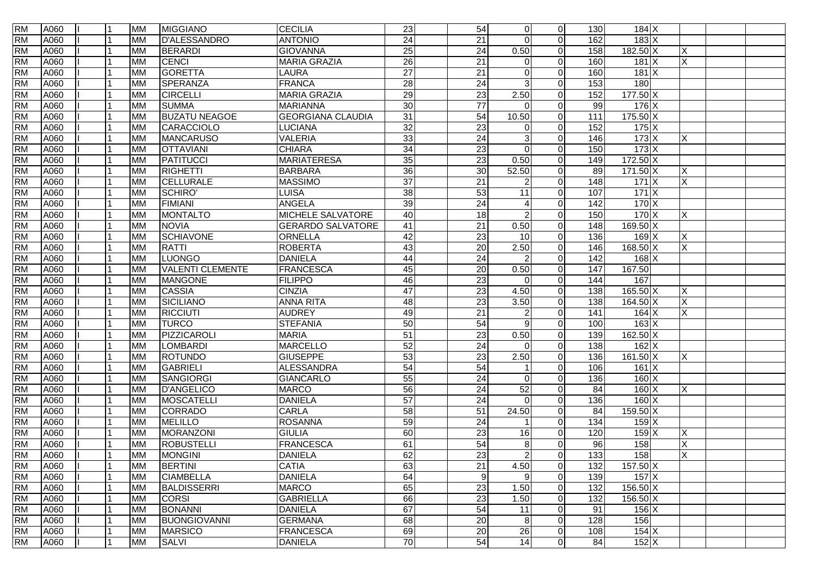| <b>RM</b> | A060 |  | <b>MM</b> | <b>MIGGIANO</b>         | <b>CECILIA</b>           | 23              | 54              | $\overline{0}$         | $\overline{0}$ | 130              | $184$ X              |                         |  |
|-----------|------|--|-----------|-------------------------|--------------------------|-----------------|-----------------|------------------------|----------------|------------------|----------------------|-------------------------|--|
| <b>RM</b> | A060 |  | <b>MM</b> | <b>D'ALESSANDRO</b>     | <b>ANTONIO</b>           | $\overline{24}$ | $\overline{21}$ | $\Omega$               | $\Omega$       | 162              | 183X                 |                         |  |
| <b>RM</b> | A060 |  | <b>MM</b> | <b>BERARDI</b>          | <b>GIOVANNA</b>          | 25              | 24              | 0.50                   | $\Omega$       | 158              | $182.50 \text{ X}$   | X                       |  |
| <b>RM</b> | A060 |  | <b>MM</b> | CENCI                   | <b>MARIA GRAZIA</b>      | $\overline{26}$ | 21              | $\Omega$               | $\Omega$       | 160              | $181 \times$         | $\overline{\mathsf{x}}$ |  |
| <b>RM</b> | A060 |  | <b>MM</b> | GORETTA                 | LAURA                    | $\overline{27}$ | 21              | $\Omega$               | $\Omega$       | 160              | $181 \times$         |                         |  |
| <b>RM</b> | A060 |  | <b>MM</b> | SPERANZA                | <b>FRANCA</b>            | 28              | $\overline{24}$ | 3                      | $\Omega$       | 153              | 180                  |                         |  |
| <b>RM</b> | A060 |  | <b>MM</b> | <b>CIRCELLI</b>         | <b>MARIA GRAZIA</b>      | 29              | 23              | 2.50                   | $\Omega$       | 152              | $177.50 \times$      |                         |  |
| <b>RM</b> | A060 |  | <b>MM</b> | <b>SUMMA</b>            | <b>MARIANNA</b>          | 30              | $\overline{77}$ | $\Omega$               | $\Omega$       | 99               | $176$ X              |                         |  |
| <b>RM</b> | A060 |  | <b>MM</b> | <b>BUZATU NEAGOE</b>    | <b>GEORGIANA CLAUDIA</b> | 31              | 54              | 10.50                  | $\overline{0}$ | 111              | 175.50 X             |                         |  |
| <b>RM</b> | A060 |  | <b>MM</b> | CARACCIOLO              | <b>LUCIANA</b>           | 32              | 23              | $\Omega$               | $\Omega$       | 152              | $175$ X              |                         |  |
| <b>RM</b> | A060 |  | <b>MM</b> | <b>MANCARUSO</b>        | <b>VALERIA</b>           | 33              | 24              | 3                      | $\Omega$       | 146              | $173 \times$         | X                       |  |
| <b>RM</b> | A060 |  | <b>MM</b> | <b>OTTAVIANI</b>        | <b>CHIARA</b>            | $\overline{34}$ | 23              | $\Omega$               | $\Omega$       | 150              | $173 \mathrm{X}$     |                         |  |
| <b>RM</b> | A060 |  | <b>MM</b> | PATITUCCI               | <b>MARIATERESA</b>       | 35              | 23              | 0.50                   | $\Omega$       | 149              | $172.50 \times$      |                         |  |
| <b>RM</b> | A060 |  | <b>MM</b> | <b>RIGHETTI</b>         | <b>BARBARA</b>           | 36              | 30              | 52.50                  | $\Omega$       | 89               | $171.50 \times$      | X                       |  |
| <b>RM</b> | A060 |  | <b>MM</b> | <b>CELLURALE</b>        | <b>MASSIMO</b>           | $\overline{37}$ | 21              |                        | $\Omega$       | 148              | 171X                 | X                       |  |
| <b>RM</b> | A060 |  | <b>MM</b> | SCHIRO'                 | LUISA                    | 38              | 53              | 11                     | $\Omega$       | 107              | 171X                 |                         |  |
| <b>RM</b> | A060 |  | <b>MM</b> | <b>FIMIANI</b>          | <b>ANGELA</b>            | 39              | 24              | $\boldsymbol{\Lambda}$ | $\Omega$       | $\frac{142}{2}$  | 170X                 |                         |  |
| <b>RM</b> | A060 |  | <b>MM</b> | <b>MONTALTO</b>         | MICHELE SALVATORE        | 40              | 18              | $\overline{2}$         | $\Omega$       | 150              | 170X                 | X                       |  |
| <b>RM</b> | A060 |  | <b>MM</b> | <b>NOVIA</b>            | <b>GERARDO SALVATORE</b> | 41              | $\overline{21}$ | 0.50                   | $\overline{0}$ | 148              | 169.50 X             |                         |  |
| <b>RM</b> | A060 |  | <b>MM</b> | <b>SCHIAVONE</b>        | <b>ORNELLA</b>           | 42              | 23              | 10                     | $\Omega$       | 136              | $169$ $X$            | X                       |  |
| <b>RM</b> | A060 |  | <b>MM</b> | RATTI                   | <b>ROBERTA</b>           | 43              | 20              | 2.50                   | $\overline{0}$ | 146              | 168.50 X             | X                       |  |
| <b>RM</b> | A060 |  | <b>MM</b> | <b>LUONGO</b>           | <b>DANIELA</b>           | 44              | 24              | 2                      | $\Omega$       | 142              | $168$ $X$            |                         |  |
| <b>RM</b> | A060 |  | <b>MM</b> | <b>VALENTI CLEMENTE</b> | <b>FRANCESCA</b>         | 45              | 20              | 0.50                   | $\Omega$       | 147              | 167.50               |                         |  |
| <b>RM</b> | A060 |  | <b>MM</b> | <b>MANGONE</b>          | <b>FILIPPO</b>           | 46              | 23              | $\Omega$               | $\Omega$       | 144              | 167                  |                         |  |
| <b>RM</b> | A060 |  | <b>MM</b> | <b>CASSIA</b>           | <b>CINZIA</b>            | 47              | 23              | 4.50                   | $\Omega$       | 138              | $165.50 \text{ X}$   | X                       |  |
| <b>RM</b> | A060 |  | <b>MM</b> | SICILIANO               | <b>ANNA RITA</b>         | 48              | 23              | 3.50                   | $\Omega$       | 138              | $164.50\overline{X}$ | X                       |  |
| <b>RM</b> | A060 |  | <b>MM</b> | <b>RICCIUTI</b>         | <b>AUDREY</b>            | 49              | $\overline{21}$ |                        | $\Omega$       | 141              | $164$ X              | X                       |  |
| <b>RM</b> | A060 |  | <b>MM</b> | <b>TURCO</b>            | <b>STEFANIA</b>          | 50              | 54              | 9                      | $\Omega$       | 100              | $163 \mid X$         |                         |  |
| <b>RM</b> | A060 |  | <b>MM</b> | PIZZICAROLI             | <b>MARIA</b>             | $\overline{51}$ | 23              | 0.50                   | $\Omega$       | 139              | $162.50 \times$      |                         |  |
| <b>RM</b> | A060 |  | <b>MM</b> | <b>LOMBARDI</b>         | <b>MARCELLO</b>          | 52              | 24              | $\Omega$               | $\Omega$       | 138              | $162$ X              |                         |  |
| <b>RM</b> | A060 |  | <b>MM</b> | <b>ROTUNDO</b>          | <b>GIUSEPPE</b>          | 53              | 23              | 2.50                   | $\Omega$       | 136              | 161.50 X             | X                       |  |
| <b>RM</b> | A060 |  | <b>MM</b> | GABRIELI                | <b>ALESSANDRA</b>        | 54              | 54              |                        | $\Omega$       | 106              | 161 X                |                         |  |
| <b>RM</b> | A060 |  | <b>MM</b> | SANGIORGI               | <b>GIANCARLO</b>         | 55              | $\overline{24}$ | $\Omega$               | $\Omega$       | 136              | $160 \times$         |                         |  |
| <b>RM</b> | A060 |  | <b>MM</b> | <b>D'ANGELICO</b>       | <b>MARCO</b>             | 56              | $\overline{24}$ | 52                     | $\Omega$       | 84               | $160 \times$         | X                       |  |
| <b>RM</b> | A060 |  | <b>MM</b> | MOSCATELLI              | <b>DANIELA</b>           | 57              | 24              | $\Omega$               | $\Omega$       | 136              | 160X                 |                         |  |
| <b>RM</b> | A060 |  | <b>MM</b> | CORRADO                 | <b>CARLA</b>             | 58              | 51              | 24.50                  | $\Omega$       | 84               | $159.50 \times$      |                         |  |
| <b>RM</b> | A060 |  | <b>MM</b> | <b>MELILLO</b>          | <b>ROSANNA</b>           | 59              | $\overline{24}$ |                        | $\Omega$       | 134              | $159$ X              |                         |  |
| <b>RM</b> | A060 |  | <b>MM</b> | <b>MORANZONI</b>        | <b>GIULIA</b>            | 60              | 23              | 16                     | $\Omega$       | 120              | $159$ X              | X                       |  |
| <b>RM</b> | A060 |  | <b>MM</b> | <b>ROBUSTELLI</b>       | <b>FRANCESCA</b>         | 61              | 54              | 8                      | $\Omega$       | 96               | 158                  | X                       |  |
| <b>RM</b> | A060 |  | МM        | <b>MONGINI</b>          | <b>DANIELA</b>           | 62              | 23              | $\overline{2}$         | $\Omega$       | $\overline{133}$ | 158                  | $\times$                |  |
| <b>RM</b> | A060 |  | <b>MM</b> | <b>BERTINI</b>          | <b>CATIA</b>             | 63              | $\overline{21}$ | 4.50                   | $\overline{0}$ | 132              | 157.50 X             |                         |  |
| <b>RM</b> | A060 |  | <b>MM</b> | <b>CIAMBELLA</b>        | <b>DANIELA</b>           | 64              | 9               | 9                      | $\overline{0}$ | 139              | $157$ X              |                         |  |
| <b>RM</b> | A060 |  | <b>MM</b> | <b>BALDISSERRI</b>      | <b>MARCO</b>             | 65              | 23              | 1.50                   | $\overline{0}$ | 132              | 156.50 X             |                         |  |
| <b>RM</b> | A060 |  | <b>MM</b> | <b>CORSI</b>            | <b>GABRIELLA</b>         | 66              | $\overline{23}$ | 1.50                   | $\overline{0}$ | 132              | 156.50 X             |                         |  |
| <b>RM</b> | A060 |  | <b>MM</b> | <b>BONANNI</b>          | <b>DANIELA</b>           | 67              | 54              | 11                     | $\overline{0}$ | 91               | $156$ X              |                         |  |
| <b>RM</b> | A060 |  | <b>MM</b> | <b>BUONGIOVANNI</b>     | <b>GERMANA</b>           | 68              | 20              | 8                      | $\overline{0}$ | 128              | 156                  |                         |  |
| <b>RM</b> | A060 |  | <b>MM</b> | <b>MARSICO</b>          | <b>FRANCESCA</b>         | 69              | 20              | 26                     | $\overline{0}$ | 108              | $154$ X              |                         |  |
| <b>RM</b> | A060 |  | <b>MM</b> | <b>SALVI</b>            | <b>DANIELA</b>           | 70              | 54              | 14                     | $\overline{0}$ | 84               | $152$ X              |                         |  |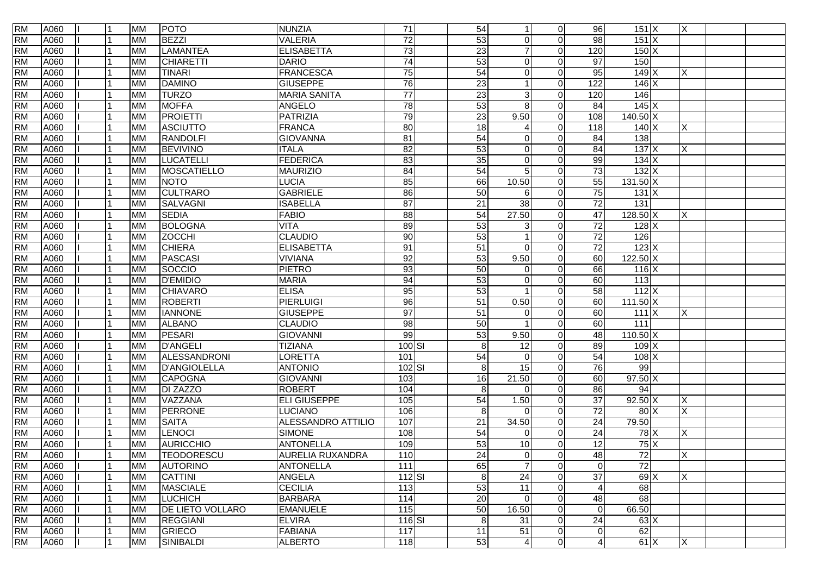| <b>RM</b> | A060 |  | <b>MM</b> | <b>POTO</b>             | <b>NUNZIA</b>             | $\overline{71}$   | 54               |                | $\overline{0}$ | 96                     | $151$ $X$                                 | ΙX  |  |
|-----------|------|--|-----------|-------------------------|---------------------------|-------------------|------------------|----------------|----------------|------------------------|-------------------------------------------|-----|--|
| <b>RM</b> | A060 |  | <b>MM</b> | <b>BEZZI</b>            | <b>VALERIA</b>            | $\overline{72}$   | 53               | $\Omega$       | $\Omega$       | $\overline{98}$        | 151X                                      |     |  |
| <b>RM</b> | A060 |  | <b>MM</b> | <b>LAMANTEA</b>         | <b>ELISABETTA</b>         | 73                | 23               |                | $\Omega$       | 120                    | 150X                                      |     |  |
| <b>RM</b> | A060 |  | <b>MM</b> | <b>CHIARETTI</b>        | <b>DARIO</b>              | 74                | 53               | $\Omega$       | $\Omega$       | $\overline{97}$        | 150                                       |     |  |
| <b>RM</b> | A060 |  | <b>MM</b> | TINARI                  | <b>FRANCESCA</b>          | 75                | 54               | 0              | $\Omega$       | 95                     | 149X                                      | X   |  |
| <b>RM</b> | A060 |  | <b>MM</b> | <b>DAMINO</b>           | <b>GIUSEPPE</b>           | 76                | 23               |                | $\Omega$       | 122                    | 146X                                      |     |  |
| <b>RM</b> | A060 |  | <b>MM</b> | <b>TURZO</b>            | <b>MARIA SANITA</b>       | 77                | 23               | 3              | $\Omega$       | 120                    | 146                                       |     |  |
| <b>RM</b> | A060 |  | <b>MM</b> | <b>MOFFA</b>            | ANGELO                    | 78                | 53               | 8              | $\Omega$       | 84                     | $145 \times$                              |     |  |
| <b>RM</b> | A060 |  | <b>MM</b> | <b>PROIETTI</b>         | PATRIZIA                  | 79                | $\overline{23}$  | 9.50           | $\Omega$       | 108                    | 140.50 X                                  |     |  |
| <b>RM</b> | A060 |  | <b>MM</b> | <b>ASCIUTTO</b>         | <b>FRANCA</b>             | 80                | 18               |                | $\Omega$       | 118                    | 140 X                                     | X   |  |
| <b>RM</b> | A060 |  | <b>MM</b> | <b>RANDOLFI</b>         | <b>GIOVANNA</b>           | 81                | 54               | $\Omega$       | $\Omega$       | 84                     | 138                                       |     |  |
| <b>RM</b> | A060 |  | <b>MM</b> | <b>BEVIVINO</b>         | <b>ITALA</b>              | $\overline{82}$   | 53               | $\Omega$       | $\Omega$       | 84                     | 137X                                      | X   |  |
| <b>RM</b> | A060 |  | <b>MM</b> | <b>LUCATELLI</b>        | <b>FEDERICA</b>           | $\overline{83}$   | 35               | $\Omega$       | $\Omega$       | 99                     | $134$ X                                   |     |  |
| <b>RM</b> | A060 |  | <b>MM</b> | MOSCATIELLO             | <b>MAURIZIO</b>           | 84                | 54               | 5              | $\Omega$       | 73                     | 132X                                      |     |  |
| <b>RM</b> | A060 |  | <b>MM</b> | <b>NOTO</b>             | LUCIA                     | 85                | 66               | 10.50          | $\Omega$       | 55                     | $131.50 \times$                           |     |  |
| <b>RM</b> | A060 |  | <b>MM</b> | <b>CULTRARO</b>         | <b>GABRIELE</b>           | 86                | 50               | 6              | $\Omega$       | 75                     | 131 X                                     |     |  |
| <b>RM</b> | A060 |  | <b>MM</b> | <b>SALVAGNI</b>         | <b>ISABELLA</b>           | 87                | $\overline{21}$  | 38             | $\overline{0}$ | 72                     | 131                                       |     |  |
| <b>RM</b> | A060 |  | <b>MM</b> | <b>SEDIA</b>            | <b>FABIO</b>              | 88                | 54               | 27.50          | $\overline{0}$ | 47                     | $128.50 \times$                           | X   |  |
| <b>RM</b> | A060 |  | <b>MM</b> | <b>BOLOGNA</b>          | <b>VITA</b>               | 89                | 53               | 3              | $\Omega$       | 72                     | $128$ $\overline{\overline{\phantom{X}}}$ |     |  |
| <b>RM</b> | A060 |  | <b>MM</b> | <b>ZOCCHI</b>           | <b>CLAUDIO</b>            | 90                | 53               |                | $\Omega$       | $\overline{72}$        | 126                                       |     |  |
| <b>RM</b> | A060 |  | <b>MM</b> | <b>CHIERA</b>           | <b>ELISABETTA</b>         | 91                | 51               | $\Omega$       | $\Omega$       | $\overline{72}$        | $123$ X                                   |     |  |
| <b>RM</b> | A060 |  | <b>MM</b> | <b>PASCASI</b>          | <b>VIVIANA</b>            | 92                | 53               | 9.50           | $\Omega$       | 60                     | $122.50 \times$                           |     |  |
| <b>RM</b> | A060 |  | <b>MM</b> | SOCCIO                  | <b>PIETRO</b>             | 93                | 50               | $\Omega$       | $\Omega$       | 66                     | $116$ X                                   |     |  |
| <b>RM</b> | A060 |  | <b>MM</b> | <b>D'EMIDIO</b>         | <b>MARIA</b>              | 94                | 53               | $\Omega$       | $\Omega$       | 60                     | $\overline{113}$                          |     |  |
| <b>RM</b> | A060 |  | <b>MM</b> | <b>CHIAVARO</b>         | <b>ELISA</b>              | 95                | 53               |                | $\Omega$       | $\overline{58}$        | 112X                                      |     |  |
| <b>RM</b> | A060 |  | <b>MM</b> | ROBERTI                 | <b>PIERLUIGI</b>          | 96                | 51               | 0.50           | $\Omega$       | 60                     | $111.50 \times$                           |     |  |
| <b>RM</b> | A060 |  | <b>MM</b> | <b>IANNONE</b>          | <b>GIUSEPPE</b>           | $\overline{97}$   | $\overline{51}$  | 0              | $\Omega$       | 60                     | 111X                                      | ΙX. |  |
| <b>RM</b> | A060 |  | <b>MM</b> | <b>ALBANO</b>           | <b>CLAUDIO</b>            | $\overline{98}$   | 50               |                | $\Omega$       | 60                     | $\frac{111}{11}$                          |     |  |
| <b>RM</b> | A060 |  | <b>MM</b> | PESARI                  | <b>GIOVANNI</b>           | 99                | 53               | 9.50           | $\Omega$       | 48                     | $110.50 \times$                           |     |  |
| <b>RM</b> | A060 |  | <b>MM</b> | <b>D'ANGELI</b>         | <b>TIZIANA</b>            | $100$ $SI$        | $\boldsymbol{8}$ | 12             | $\Omega$       | 89                     | $109$ X                                   |     |  |
| <b>RM</b> | A060 |  | <b>MM</b> | ALESSANDRONI            | LORETTA                   | 101               | 54               | $\Omega$       | $\Omega$       | 54                     | $108$ $X$                                 |     |  |
| <b>RM</b> | A060 |  | <b>MM</b> | D'ANGIOLELLA            | <b>ANTONIO</b>            | 102 SI            | 8                | 15             | $\Omega$       | 76                     | 99                                        |     |  |
| <b>RM</b> | A060 |  | <b>MM</b> | <b>CAPOGNA</b>          | <b>GIOVANNI</b>           | 103               | 16               | 21.50          | $\Omega$       | 60                     | $97.50 \text{ X}$                         |     |  |
| <b>RM</b> | A060 |  | <b>MM</b> | DI ZAZZO                | <b>ROBERT</b>             | 104               | 8                | $\Omega$       | $\Omega$       | 86                     | 94                                        |     |  |
| <b>RM</b> | A060 |  | <b>MM</b> | VAZZANA                 | <b>ELI GIUSEPPE</b>       | 105               | 54               | 1.50           | $\overline{0}$ | 37                     | $92.50 \mid X$                            | X   |  |
| <b>RM</b> | A060 |  | <b>MM</b> | <b>PERRONE</b>          | <b>LUCIANO</b>            | 106               | 8                | $\Omega$       | $\Omega$       | $\overline{72}$        | 80X                                       | X   |  |
| <b>RM</b> | A060 |  | <b>MM</b> | <b>SAITA</b>            | <b>ALESSANDRO ATTILIO</b> | 107               | 21               | 34.50          | $\Omega$       | 24                     | 79.50                                     |     |  |
| <b>RM</b> | A060 |  | <b>MM</b> | <b>LENOCI</b>           | <b>SIMONE</b>             | 108               | 54               | $\Omega$       | $\Omega$       | 24                     | $78$ $X$                                  | Χ   |  |
| <b>RM</b> | A060 |  | <b>MM</b> | <b>AURICCHIO</b>        | <b>ANTONELLA</b>          | 109               | 53               | 10             | $\Omega$       | 12                     | 75X                                       |     |  |
| <b>RM</b> | A060 |  | <b>MM</b> | <b>TEODORESCU</b>       | <b>AURELIA RUXANDRA</b>   | 110               | 24               | $\Omega$       | $\Omega$       | 48                     | 72                                        | ΙX  |  |
| <b>RM</b> | A060 |  | <b>MM</b> | <b>AUTORINO</b>         | <b>ANTONELLA</b>          | 111               | 65               | $\overline{7}$ | $\overline{0}$ | $\overline{0}$         | $\overline{72}$                           |     |  |
| <b>RM</b> | A060 |  | <b>MM</b> | <b>CATTINI</b>          | ANGELA                    | $112$ $SI$        | 8                | 24             | $\overline{0}$ | $\overline{37}$        | 69 X                                      | X   |  |
| <b>RM</b> | A060 |  | <b>MM</b> | <b>MASCIALE</b>         | <b>CECILIA</b>            | 113               | 53               | 11             | $\overline{0}$ | $\boldsymbol{\Lambda}$ | 68                                        |     |  |
| <b>RM</b> | A060 |  | <b>MM</b> | <b>LUCHICH</b>          | <b>BARBARA</b>            | 114               | $\overline{20}$  | 0              | $\overline{0}$ | 48                     | 68                                        |     |  |
| <b>RM</b> | A060 |  | <b>MM</b> | <b>DE LIETO VOLLARO</b> | <b>EMANUELE</b>           | 115               | 50               | 16.50          | $\overline{0}$ | $\overline{0}$         | 66.50                                     |     |  |
| <b>RM</b> | A060 |  | <b>MM</b> | <b>REGGIANI</b>         | <b>ELVIRA</b>             | 116 SI            | 8                | 31             | $\overline{0}$ | 24                     | $63 \times$                               |     |  |
| <b>RM</b> | A060 |  | <b>MM</b> | GRIECO                  | <b>FABIANA</b>            | $\frac{117}{117}$ | 11               | 51             | $\overline{0}$ | 0                      | 62                                        |     |  |
| <b>RM</b> | A060 |  | <b>MM</b> | SINIBALDI               | <b>ALBERTO</b>            | 118               | 53               | 4              | $\overline{0}$ | $\overline{4}$         | 61X                                       | X   |  |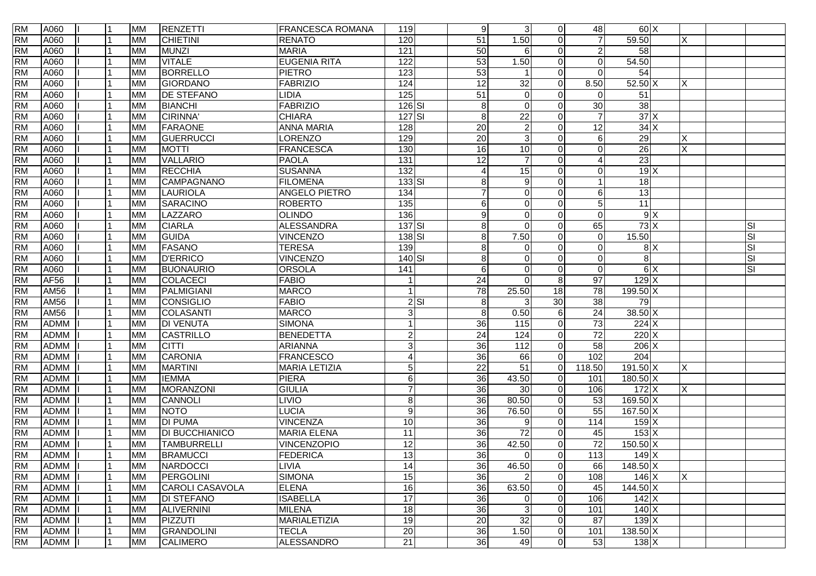| <b>RM</b> | A060        | l 1       | <b>MM</b> | <b>RENZETTI</b>       | <b>FRANCESCA ROMANA</b> | 119              |          | 9               | $\mathbf{3}$    | $\overline{0}$ | 48              | 60X                |   |    |
|-----------|-------------|-----------|-----------|-----------------------|-------------------------|------------------|----------|-----------------|-----------------|----------------|-----------------|--------------------|---|----|
| <b>RM</b> | A060        |           | <b>MM</b> | <b>CHIETINI</b>       | <b>RENATO</b>           | 120              |          | 51              | 1.50            | $\Omega$       | $\overline{7}$  | 59.50              | X |    |
| <b>RM</b> | A060        |           | <b>MM</b> | MUNZI                 | <b>MARIA</b>            | 121              |          | 50              | 6               | $\Omega$       | 2               | $\overline{58}$    |   |    |
| <b>RM</b> | A060        |           | <b>MM</b> | <b>VITALE</b>         | <b>EUGENIA RITA</b>     | 122              |          | $\overline{53}$ | 1.50            | $\Omega$       | $\Omega$        | 54.50              |   |    |
| <b>RM</b> | A060        |           | <b>MM</b> | <b>BORRELLO</b>       | <b>PIETRO</b>           | 123              |          | 53              |                 | $\Omega$       | $\mathbf{0}$    | 54                 |   |    |
| <b>RM</b> | A060        |           | <b>MM</b> | GIORDANO              | <b>FABRIZIO</b>         | 124              |          | 12              | $\overline{32}$ | $\Omega$       | 8.50            | $52.50 \text{ X}$  | X |    |
| <b>RM</b> | A060        |           | <b>MM</b> | <b>DE STEFANO</b>     | LIDIA                   | $\frac{1}{25}$   |          | $\overline{51}$ | $\mathbf 0$     | $\Omega$       | $\Omega$        | 51                 |   |    |
| <b>RM</b> | A060        |           | <b>MM</b> | <b>BIANCHI</b>        | <b>FABRIZIO</b>         | $126$ $SI$       |          | 8               | $\Omega$        | $\Omega$       | 30              | $\overline{38}$    |   |    |
| <b>RM</b> | A060        |           | <b>MM</b> | <b>CIRINNA</b>        | <b>CHIARA</b>           | $127$ $SI$       |          | 8               | 22              | $\Omega$       | $\overline{7}$  | 37X                |   |    |
| <b>RM</b> | A060        |           | <b>MM</b> | <b>FARAONE</b>        | <b>ANNA MARIA</b>       | 128              |          | 20              | $\overline{c}$  | $\Omega$       | 12              | 34X                |   |    |
| <b>RM</b> | A060        |           | <b>MM</b> | GUERRUCCI             | LORENZO                 | 129              |          | $\overline{20}$ | $\mathbf{3}$    | $\Omega$       | 6               | 29                 |   |    |
| <b>RM</b> | A060        |           | <b>MM</b> | <b>MOTTI</b>          | <b>FRANCESCA</b>        | 130              |          | $\overline{16}$ | $\overline{10}$ | $\Omega$       | $\Omega$        | $\overline{26}$    | X |    |
| <b>RM</b> | A060        |           | <b>MM</b> | <b>VALLARIO</b>       | <b>PAOLA</b>            | 131              |          | 12              | $\overline{7}$  | $\Omega$       | Δ               | $\overline{23}$    |   |    |
| <b>RM</b> | A060        |           | <b>MM</b> | <b>RECCHIA</b>        | <b>SUSANNA</b>          | $\overline{132}$ |          | 4               | 15              | $\Omega$       | $\Omega$        | 19X                |   |    |
| <b>RM</b> | A060        |           | <b>MM</b> | CAMPAGNANO            | <b>FILOMENA</b>         | $133$ $SI$       |          | 8               | 9               | $\Omega$       |                 | $\overline{18}$    |   |    |
| <b>RM</b> | A060        |           | <b>MM</b> | LAURIOLA              | <b>ANGELO PIETRO</b>    | 134              |          | $\overline{7}$  | $\mathbf 0$     | $\Omega$       | 6               | $\overline{13}$    |   |    |
| <b>RM</b> | A060        |           | <b>MM</b> | <b>SARACINO</b>       | <b>ROBERTO</b>          | 135              |          | 6               | $\mathbf 0$     | $\Omega$       | 5               | 11                 |   |    |
| <b>RM</b> | A060        |           | <b>MM</b> | LAZZARO               | <b>OLINDO</b>           | 136              |          | 9               | $\mathbf 0$     | $\Omega$       | $\mathbf{0}$    | 9X                 |   |    |
| <b>RM</b> | A060        |           | <b>MM</b> | <b>CIARLA</b>         | <b>ALESSANDRA</b>       | $137$ $SI$       |          | 8               | $\Omega$        | $\Omega$       | 65              | 73X                |   | SI |
| <b>RM</b> | A060        |           | <b>MM</b> | <b>GUIDA</b>          | <b>VINCENZO</b>         | 138 SI           |          | 8               | 7.50            | $\Omega$       | $\mathbf{0}$    | 15.50              |   | SI |
| <b>RM</b> | A060        |           | <b>MM</b> | <b>FASANO</b>         | <b>TERESA</b>           | 139              |          | 8               | $\mathbf 0$     | $\Omega$       | $\mathbf{0}$    | 8X                 |   | SI |
| <b>RM</b> | A060        |           | <b>MM</b> | <b>D'ERRICO</b>       | <b>VINCENZO</b>         | 140 SI           |          | 8               | $\Omega$        | $\Omega$       | $\mathbf{0}$    | 8                  |   | SI |
| <b>RM</b> | A060        |           | <b>MM</b> | <b>BUONAURIO</b>      | <b>ORSOLA</b>           | 141              |          | 6               | $\mathbf 0$     | $\Omega$       | $\mathbf{0}$    | $\frac{1}{\infty}$ |   | SI |
| <b>RM</b> | <b>AF56</b> |           | <b>MM</b> | COLACECI              | <b>FABIO</b>            |                  |          | $\overline{24}$ | $\Omega$        | 8 <sup>1</sup> | $\overline{97}$ | $129$ X            |   |    |
| <b>RM</b> | <b>AM56</b> |           | <b>MM</b> | PALMIGIANI            | <b>MARCO</b>            | $\overline{1}$   |          | 78              | 25.50           | 18             | 78              | $199.50 \times$    |   |    |
| <b>RM</b> | <b>AM56</b> |           | <b>MM</b> | CONSIGLIO             | <b>FABIO</b>            |                  | $2$ $SI$ | 8               | 3               | 30             | $\overline{38}$ | 79                 |   |    |
| <b>RM</b> | <b>AM56</b> |           | <b>MM</b> | COLASANTI             | <b>MARCO</b>            | 3 <sup>1</sup>   |          | 8               | 0.50            | 6              | 24              | $38.50$ X          |   |    |
| <b>RM</b> | <b>ADMM</b> |           | <b>MM</b> | <b>DI VENUTA</b>      | <b>SIMONA</b>           |                  |          | $\overline{36}$ | 115             | $\overline{0}$ | $\overline{73}$ | $224$ X            |   |    |
| <b>RM</b> | <b>ADMM</b> |           | <b>MM</b> | <b>CASTRILLO</b>      | <b>BENEDETTA</b>        | $\mathbf{2}$     |          | $\overline{24}$ | 124             | $\overline{0}$ | $\overline{72}$ | 220X               |   |    |
| <b>RM</b> | <b>ADMM</b> |           | <b>MM</b> | <b>CITTI</b>          | ARIANNA                 | $\overline{3}$   |          | 36              | 112             | $\Omega$       | 58              | $206$ X            |   |    |
| <b>RM</b> | <b>ADMM</b> |           | <b>MM</b> | <b>CARONIA</b>        | <b>FRANCESCO</b>        | $\vert$          |          | 36              | 66              | $\Omega$       | 102             | 204                |   |    |
| <b>RM</b> | <b>ADMM</b> |           | <b>MM</b> | <b>MARTINI</b>        | <b>MARIA LETIZIA</b>    | 5 <sup>1</sup>   |          | 22              | 51              | $\Omega$       | 118.50          | $191.50 \times$    | X |    |
| <b>RM</b> | <b>ADMM</b> |           | <b>MM</b> | <b>IEMMA</b>          | <b>PIERA</b>            | 6                |          | 36              | 43.50           | $\Omega$       | 101             | $180.50$ X         |   |    |
| <b>RM</b> | <b>ADMM</b> |           | <b>MM</b> | MORANZONI             | <b>GIULIA</b>           | $\overline{7}$   |          | 36              | 30              | $\overline{0}$ | 106             | 172X               | Χ |    |
| <b>RM</b> | <b>ADMM</b> |           | <b>MM</b> | <b>CANNOLI</b>        | <b>LIVIO</b>            | $\, 8$           |          | $\overline{36}$ | 80.50           | $\overline{0}$ | $\overline{53}$ | $169.50 \times$    |   |    |
| <b>RM</b> | <b>ADMM</b> |           | <b>MM</b> | <b>NOTO</b>           | <b>LUCIA</b>            | $\boldsymbol{9}$ |          | $\overline{36}$ | 76.50           | $\overline{0}$ | 55              | $167.50 \times$    |   |    |
| <b>RM</b> | <b>ADMM</b> |           | <b>MM</b> | <b>DI PUMA</b>        | <b>VINCENZA</b>         | 10               |          | 36              | 9               | $\Omega$       | 114             | 159X               |   |    |
| <b>RM</b> | <b>ADMM</b> |           | <b>MM</b> | <b>DI BUCCHIANICO</b> | <b>MARIA ELENA</b>      | $\overline{11}$  |          | 36              | $\overline{72}$ | $\Omega$       | 45              | $153 \mid X$       |   |    |
| <b>RM</b> | <b>ADMM</b> |           | <b>MM</b> | <b>TAMBURRELLI</b>    | <b>VINCENZOPIO</b>      | 12               |          | $\overline{36}$ | 42.50           | $\Omega$       | $\overline{72}$ | $150.50 \times X$  |   |    |
| <b>RM</b> | ADMM I      | <b>11</b> | <b>MM</b> | <b>BRAMUCCI</b>       | <b>FEDERICA</b>         | 13               |          | 36              | $\Omega$        | $\Omega$       | 113             | 149X               |   |    |
| <b>RM</b> | <b>ADMM</b> |           | <b>MM</b> | NARDOCCI              | LIVIA                   | 14               |          | $\overline{36}$ | 46.50           | $\overline{0}$ | 66              | $148.50 \times$    |   |    |
| <b>RM</b> | <b>ADMM</b> |           | <b>MM</b> | PERGOLINI             | <b>SIMONA</b>           | 15               |          | 36              | $\overline{2}$  | $\overline{0}$ | 108             | $146 \mathrm{X}$   | X |    |
| <b>RM</b> | <b>ADMM</b> |           | <b>MM</b> | CAROLI CASAVOLA       | <b>ELENA</b>            | 16               |          | 36              | 63.50           | $\overline{0}$ | 45              | 144.50 X           |   |    |
| <b>RM</b> | <b>ADMM</b> |           | <b>MM</b> | <b>DI STEFANO</b>     | <b>ISABELLA</b>         | 17               |          | 36              | 0               | $\overline{0}$ | 106             | 142X               |   |    |
| <b>RM</b> | <b>ADMM</b> |           | <b>MM</b> | <b>ALIVERNINI</b>     | <b>MILENA</b>           | 18               |          | 36              | $\mathbf{3}$    | $\Omega$       | 101             | 140 X              |   |    |
| <b>RM</b> | <b>ADMM</b> |           | <b>MM</b> | PIZZUTI               | MARIALETIZIA            | 19               |          | 20              | 32              | $\overline{0}$ | 87              | 139X               |   |    |
| <b>RM</b> | <b>ADMM</b> |           | <b>MM</b> | GRANDOLINI            | <b>TECLA</b>            | 20               |          | 36              | 1.50            | $\overline{0}$ | 101             | $138.50 \text{ X}$ |   |    |
| <b>RM</b> | ADMM        | l 1       | <b>MM</b> | <b>CALIMERO</b>       | <b>ALESSANDRO</b>       | $\overline{21}$  |          | 36              | 49              | $\overline{0}$ | 53              | 138X               |   |    |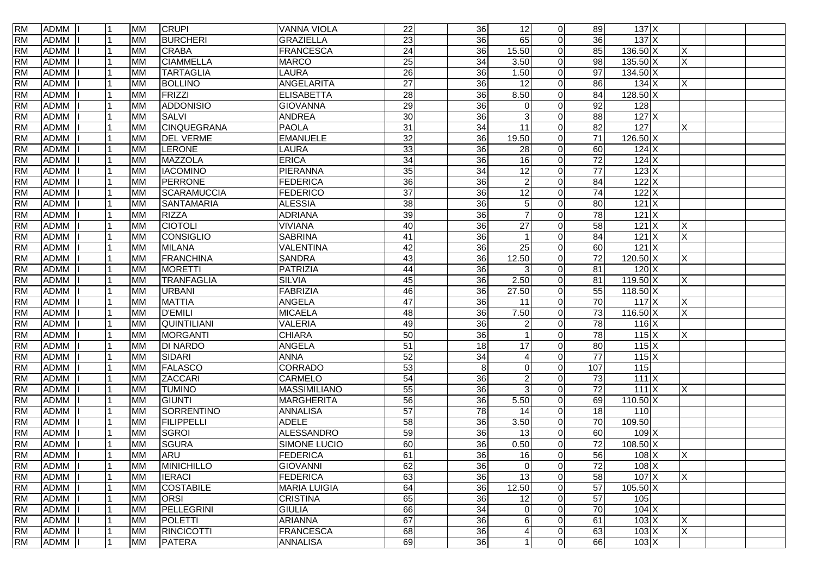| <b>RM</b> | ADMM        |                | <b>MM</b> | <b>CRUPI</b>       | <b>VANNA VIOLA</b>  | 22              | 36              | 12              | $\overline{0}$ | 89              | 137X                 |          |  |
|-----------|-------------|----------------|-----------|--------------------|---------------------|-----------------|-----------------|-----------------|----------------|-----------------|----------------------|----------|--|
| <b>RM</b> | <b>ADMM</b> |                | <b>MM</b> | <b>BURCHERI</b>    | <b>GRAZIELLA</b>    | $\overline{23}$ | 36              | 65              | $\Omega$       | 36              | 137X                 |          |  |
| <b>RM</b> | <b>ADMM</b> |                | <b>MM</b> | <b>CRABA</b>       | <b>FRANCESCA</b>    | 24              | 36              | 15.50           | $\overline{0}$ | 85              | $136.50 \times$      | X        |  |
| <b>RM</b> | <b>ADMM</b> |                | <b>MM</b> | <b>CIAMMELLA</b>   | <b>MARCO</b>        | $\overline{25}$ | 34              | 3.50            | $\Omega$       | $\overline{98}$ | $135.50 \text{ X}$   | $\times$ |  |
| <b>RM</b> | <b>ADMM</b> |                | <b>MM</b> | <b>TARTAGLIA</b>   | <b>LAURA</b>        | 26              | 36              | 1.50            | $\Omega$       | 97              | $134.50 \, X$        |          |  |
| <b>RM</b> | <b>ADMM</b> |                | <b>MM</b> | <b>BOLLINO</b>     | ANGELARITA          | $\overline{27}$ | 36              | 12              | $\Omega$       | 86              | $134$ X              | X        |  |
| <b>RM</b> | <b>ADMM</b> |                | <b>MM</b> | FRIZZI             | <b>ELISABETTA</b>   | 28              | 36              | 8.50            | $\Omega$       | $\overline{84}$ | $128.50 \times$      |          |  |
| <b>RM</b> | ADMM        |                | <b>MM</b> | ADDONISIO          | <b>GIOVANNA</b>     | 29              | 36              | $\Omega$        | $\Omega$       | 92              | 128                  |          |  |
| <b>RM</b> | <b>ADMM</b> |                | <b>MM</b> | <b>SALVI</b>       | <b>ANDREA</b>       | $\overline{30}$ | 36              | 3               | $\Omega$       | 88              | $127$ $X$            |          |  |
| <b>RM</b> | <b>ADMM</b> |                | <b>MM</b> | CINQUEGRANA        | <b>PAOLA</b>        | $\overline{31}$ | $\overline{34}$ | 11              | $\Omega$       | $\overline{82}$ | 127                  | X        |  |
| <b>RM</b> | <b>ADMM</b> |                | <b>MM</b> | <b>DEL VERME</b>   | <b>EMANUELE</b>     | $\overline{32}$ | 36              | 19.50           | $\Omega$       | 71              | 126.50 X             |          |  |
| <b>RM</b> | <b>ADMM</b> |                | <b>MM</b> | LERONE             | <b>LAURA</b>        | 33              | $\overline{36}$ | 28              | $\Omega$       | 60              | $124$ X              |          |  |
| <b>RM</b> | <b>ADMM</b> |                | <b>MM</b> | <b>MAZZOLA</b>     | <b>ERICA</b>        | 34              | $\overline{36}$ | 16              | $\Omega$       | $\overline{72}$ | $124$ X              |          |  |
| <b>RM</b> | <b>ADMM</b> |                | <b>MM</b> | <b>IACOMINO</b>    | PIERANNA            | 35              | $\overline{34}$ | 12              | $\Omega$       | $\overline{77}$ | 123X                 |          |  |
| <b>RM</b> | <b>ADMM</b> |                | <b>MM</b> | PERRONE            | <b>FEDERICA</b>     | 36              | 36              | $\overline{2}$  | $\Omega$       | $\overline{84}$ | 122X                 |          |  |
| <b>RM</b> | <b>ADMM</b> |                | <b>MM</b> | <b>SCARAMUCCIA</b> | <b>FEDERICO</b>     | $\overline{37}$ | 36              | 12              | $\Omega$       | 74              | 122X                 |          |  |
| <b>RM</b> | <b>ADMM</b> |                | <b>MM</b> | <b>SANTAMARIA</b>  | <b>ALESSIA</b>      | 38              | 36              | 5               | $\Omega$       | 80              | 121X                 |          |  |
| <b>RM</b> | <b>ADMM</b> |                | <b>MM</b> | <b>RIZZA</b>       | <b>ADRIANA</b>      | 39              | 36              |                 | $\Omega$       | 78              | $121$ X              |          |  |
| <b>RM</b> | <b>ADMM</b> |                | <b>MM</b> | <b>CIOTOLI</b>     | <b>VIVIANA</b>      | $\overline{40}$ | 36              | 27              | $\Omega$       | 58              | $121$ X              | X        |  |
| <b>RM</b> | <b>ADMM</b> |                | <b>MM</b> | CONSIGLIO          | <b>SABRINA</b>      | 41              | $\overline{36}$ |                 | $\Omega$       | 84              | $121$ X              | $\times$ |  |
| <b>RM</b> | <b>ADMM</b> |                | <b>MM</b> | <b>MILANA</b>      | VALENTINA           | $\overline{42}$ | 36              | 25              | $\overline{0}$ | 60              | $121$ X              |          |  |
| <b>RM</b> | <b>ADMM</b> |                | <b>MM</b> | FRANCHINA          | <b>SANDRA</b>       | 43              | 36              | 12.50           | $\Omega$       | 72              | $120.50$ X           | X        |  |
| <b>RM</b> | <b>ADMM</b> |                | <b>MM</b> | <b>MORETTI</b>     | <b>PATRIZIA</b>     | 44              | 36              | 3               | $\Omega$       | 81              | $120$ X              |          |  |
| <b>RM</b> | <b>ADMM</b> |                | <b>MM</b> | <b>TRANFAGLIA</b>  | <b>SILVIA</b>       | 45              | 36              | 2.50            | $\Omega$       | 81              | $119.50 \times$      | X        |  |
| <b>RM</b> | <b>ADMM</b> |                | <b>MM</b> | <b>URBANI</b>      | <b>FABRIZIA</b>     | 46              | 36              | 27.50           | $\Omega$       | 55              | $118.50 \times$      |          |  |
| <b>RM</b> | <b>ADMM</b> |                | <b>MM</b> | <b>MATTIA</b>      | <b>ANGELA</b>       | 47              | 36              | 11              | $\overline{0}$ | 70              | $117$ $X$            | X        |  |
| <b>RM</b> | <b>ADMM</b> |                | <b>MM</b> | <b>D'EMILI</b>     | <b>MICAELA</b>      | 48              | 36              | 7.50            | $\Omega$       | $\overline{73}$ | $116.50 \times$      | X        |  |
| <b>RM</b> | <b>ADMM</b> |                | <b>MM</b> | <b>QUINTILIANI</b> | <b>VALERIA</b>      | 49              | 36              |                 | $\Omega$       | 78              | $116$ $X$            |          |  |
| <b>RM</b> | <b>ADMM</b> |                | <b>MM</b> | <b>MORGANTI</b>    | <b>CHIARA</b>       | 50              | $\overline{36}$ |                 | $\Omega$       | 78              | 115X                 | X        |  |
| <b>RM</b> | <b>ADMM</b> |                | <b>MM</b> | <b>DI NARDO</b>    | <b>ANGELA</b>       | $\overline{51}$ | 18              | 17              | $\Omega$       | 80              | $115 \times$         |          |  |
| <b>RM</b> | <b>ADMM</b> |                | <b>MM</b> | SIDARI             | <b>ANNA</b>         | 52              | 34              | 4               | $\Omega$       | 77              | $115$ $X$            |          |  |
| <b>RM</b> | <b>ADMM</b> |                | <b>MM</b> | <b>FALASCO</b>     | <b>CORRADO</b>      | 53              | 8               | 0               | $\Omega$       | 107             | $\frac{115}{115}$    |          |  |
| <b>RM</b> | <b>ADMM</b> |                | <b>MM</b> | <b>ZACCARI</b>     | CARMELO             | 54              | $\overline{36}$ | $\overline{2}$  | $\Omega$       | 73              | 111X                 |          |  |
| <b>RM</b> | <b>ADMM</b> |                | <b>MM</b> | <b>TUMINO</b>      | <b>MASSIMILIANO</b> | 55              | $\overline{36}$ | 3               | $\Omega$       | $\overline{72}$ | $111$ $X$            | X        |  |
| <b>RM</b> | <b>ADMM</b> |                | <b>MM</b> | GIUNTI             | <b>MARGHERITA</b>   | 56              | 36              | 5.50            | $\overline{0}$ | 69              | $110.50 \times$      |          |  |
| <b>RM</b> | <b>ADMM</b> |                | <b>MM</b> | SORRENTINO         | <b>ANNALISA</b>     | 57              | 78              | 14              | $\Omega$       | 18              | 110                  |          |  |
| <b>RM</b> | <b>ADMM</b> |                | <b>MM</b> | <b>FILIPPELLI</b>  | <b>ADELE</b>        | 58              | $\overline{36}$ | 3.50            | $\overline{0}$ | 70              | 109.50               |          |  |
| <b>RM</b> | <b>ADMM</b> |                | <b>MM</b> | SGROI              | <b>ALESSANDRO</b>   | 59              | $\overline{36}$ | 13              | $\Omega$       | 60              | $109$ X              |          |  |
| <b>RM</b> | <b>ADMM</b> |                | <b>MM</b> | <b>SGURA</b>       | SIMONE LUCIO        | $\overline{60}$ | 36              | 0.50            | $\Omega$       | $\overline{72}$ | $108.50 \times$      |          |  |
| <b>RM</b> | ADMM I      | $\overline{1}$ | <b>MM</b> | <b>ARU</b>         | FEDERICA            | 61              | 36              | $\overline{16}$ | $\Omega$       | 56              | 108X                 | $\times$ |  |
| <b>RM</b> | <b>ADMM</b> |                | <b>MM</b> | <b>MINICHILLO</b>  | <b>GIOVANNI</b>     | 62              | 36              | $\mathbf 0$     | $\overline{0}$ | $\overline{72}$ | $108$ $X$            |          |  |
| <b>RM</b> | <b>ADMM</b> |                | <b>MM</b> | <b>IERACI</b>      | <b>FEDERICA</b>     | 63              | 36              | 13              | $\overline{0}$ | 58              | $107$ $\overline{X}$ | $\times$ |  |
| <b>RM</b> | <b>ADMM</b> |                | <b>MM</b> | <b>COSTABILE</b>   | <b>MARIA LUIGIA</b> | 64              | 36              | 12.50           | $\overline{0}$ | $\overline{57}$ | $105.50$ X           |          |  |
| <b>RM</b> | <b>ADMM</b> |                | <b>MM</b> | <b>ORSI</b>        | <b>CRISTINA</b>     | 65              | $\overline{36}$ | 12              | $\overline{0}$ | 57              | 105                  |          |  |
| <b>RM</b> | <b>ADMM</b> |                | <b>MM</b> | PELLEGRINI         | <b>GIULIA</b>       | 66              | 34              | 0               | $\Omega$       | 70              | $104 \mathrm{X}$     |          |  |
| <b>RM</b> | <b>ADMM</b> |                | <b>MM</b> | POLETTI            | <b>ARIANNA</b>      | 67              | 36              | 6               | $\overline{0}$ | 61              | $103 \times$         | $\times$ |  |
| <b>RM</b> | <b>ADMM</b> |                | <b>MM</b> | RINCICOTTI         | <b>FRANCESCA</b>    | 68              | 36              | $\overline{A}$  | $\overline{0}$ | 63              | $103 \times$         | X        |  |
| <b>RM</b> | ADMM        |                | <b>MM</b> | <b>PATERA</b>      | <b>ANNALISA</b>     | 69              | 36              |                 | $\overline{0}$ | 66              | $103 \times$         |          |  |
|           |             |                |           |                    |                     |                 |                 |                 |                |                 |                      |          |  |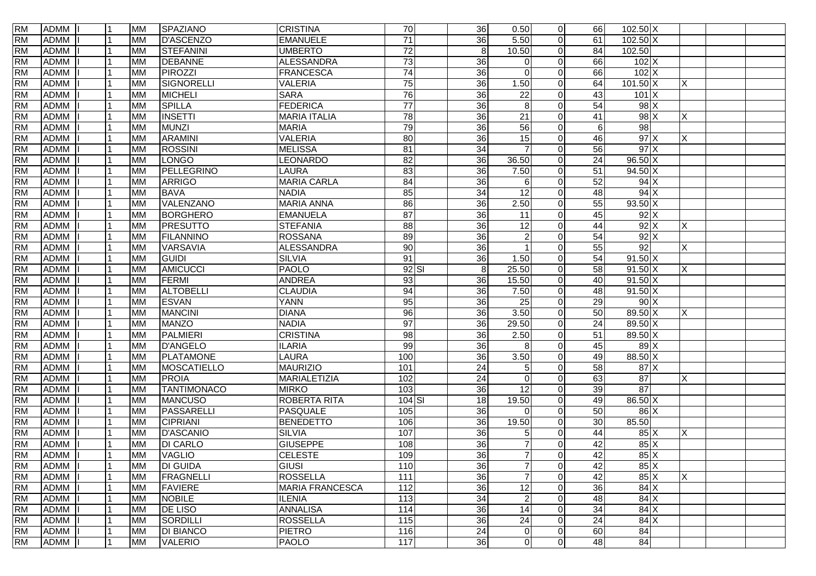| <b>RM</b> | ADMM        |                | <b>MM</b> | SPAZIANO           | <b>CRISTINA</b>        | 70                | 36              | 0.50            | $\overline{0}$ | 66              | $102.50 \times$    |          |  |
|-----------|-------------|----------------|-----------|--------------------|------------------------|-------------------|-----------------|-----------------|----------------|-----------------|--------------------|----------|--|
| <b>RM</b> | <b>ADMM</b> |                | <b>MM</b> | <b>D'ASCENZO</b>   | <b>EMANUELE</b>        | $\overline{71}$   | 36              | 5.50            | $\Omega$       | 61              | $102.50 \text{ X}$ |          |  |
| <b>RM</b> | <b>ADMM</b> |                | <b>MM</b> | STEFANINI          | <b>UMBERTO</b>         | $\overline{72}$   | 8 <sup>1</sup>  | 10.50           | $\overline{0}$ | 84              | 102.50             |          |  |
| <b>RM</b> | <b>ADMM</b> |                | <b>MM</b> | <b>DEBANNE</b>     | <b>ALESSANDRA</b>      | 73                | $\overline{36}$ | $\Omega$        | $\Omega$       | 66              | 102X               |          |  |
| <b>RM</b> | <b>ADMM</b> |                | <b>MM</b> | <b>PIROZZI</b>     | <b>FRANCESCA</b>       | $\overline{74}$   | 36              | $\Omega$        | $\Omega$       | 66              | $102$ X            |          |  |
| <b>RM</b> | <b>ADMM</b> |                | <b>MM</b> | SIGNORELLI         | <b>VALERIA</b>         | 75                | 36              | 1.50            | $\Omega$       | 64              | $101.50 \times$    | ΙX.      |  |
| <b>RM</b> | <b>ADMM</b> |                | <b>MM</b> | <b>MICHELI</b>     | <b>SARA</b>            | 76                | 36              | $\overline{22}$ | $\Omega$       | 43              | 101X               |          |  |
| <b>RM</b> | ADMM        |                | <b>MM</b> | <b>SPILLA</b>      | <b>FEDERICA</b>        | $\overline{77}$   | 36              | 8               | $\Omega$       | 54              | $98$ $\times$      |          |  |
| <b>RM</b> | <b>ADMM</b> |                | <b>MM</b> | <b>INSETTI</b>     | <b>MARIA ITALIA</b>    | 78                | 36              | 21              | 0              | 41              | $98$ $\times$      | X        |  |
| <b>RM</b> | <b>ADMM</b> |                | <b>MM</b> | <b>MUNZI</b>       | <b>MARIA</b>           | 79                | 36              | 56              | $\Omega$       | $6 \,$          | 98                 |          |  |
| <b>RM</b> | <b>ADMM</b> |                | <b>MM</b> | <b>ARAMINI</b>     | <b>VALERIA</b>         | 80                | 36              | 15              | $\Omega$       | 46              | $97 \times$        | Χ        |  |
| <b>RM</b> | <b>ADMM</b> |                | <b>MM</b> | <b>ROSSINI</b>     | <b>MELISSA</b>         | $\overline{81}$   | $\overline{34}$ |                 | $\Omega$       | $\overline{56}$ | 97X                |          |  |
| <b>RM</b> | <b>ADMM</b> |                | <b>MM</b> | <b>LONGO</b>       | <b>LEONARDO</b>        | 82                | $\overline{36}$ | 36.50           | $\Omega$       | $\overline{24}$ | $96.50 \text{ X}$  |          |  |
| <b>RM</b> | <b>ADMM</b> |                | <b>MM</b> | PELLEGRINO         | <b>LAURA</b>           | 83                | 36              | 7.50            | $\Omega$       | 51              | 94.50 X            |          |  |
| <b>RM</b> | <b>ADMM</b> |                | <b>MM</b> | <b>ARRIGO</b>      | <b>MARIA CARLA</b>     | 84                | 36              | 6               | $\Omega$       | 52              | $94$ X             |          |  |
| <b>RM</b> | <b>ADMM</b> |                | <b>MM</b> | <b>BAVA</b>        | <b>NADIA</b>           | 85                | 34              | 12              | $\Omega$       | 48              | $94$ X             |          |  |
| <b>RM</b> | <b>ADMM</b> |                | <b>MM</b> | VALENZANO          | <b>MARIA ANNA</b>      | 86                | 36              | 2.50            | $\overline{0}$ | 55              | $93.50 \text{ X}$  |          |  |
| <b>RM</b> | <b>ADMM</b> |                | <b>MM</b> | <b>BORGHERO</b>    | <b>EMANUELA</b>        | 87                | 36              | 11              | $\overline{0}$ | 45              | $92$ $\times$      |          |  |
| <b>RM</b> | <b>ADMM</b> |                | <b>MM</b> | PRESUTTO           | <b>STEFANIA</b>        | 88                | 36              | 12              | $\Omega$       | 44              | $92$ $\times$      | X        |  |
| <b>RM</b> | <b>ADMM</b> |                | <b>MM</b> | <b>FILANNINO</b>   | <b>ROSSANA</b>         | 89                | 36              | 2               | $\Omega$       | 54              | $92$ $\times$      |          |  |
| <b>RM</b> | <b>ADMM</b> |                | <b>MM</b> | VARSAVIA           | <b>ALESSANDRA</b>      | 90                | 36              |                 | $\Omega$       | 55              | 92                 | $\times$ |  |
| <b>RM</b> | <b>ADMM</b> |                | <b>MM</b> | GUIDI              | <b>SILVIA</b>          | 91                | 36              | 1.50            | $\Omega$       | 54              | $91.50 \text{ X}$  |          |  |
| <b>RM</b> | <b>ADMM</b> |                | <b>MM</b> | <b>AMICUCCI</b>    | <b>PAOLO</b>           | $92$ $SI$         | $\,8\,$         | 25.50           | $\Omega$       | 58              | $91.50 \text{ X}$  | X        |  |
| <b>RM</b> | <b>ADMM</b> |                | <b>MM</b> | FERMI              | <b>ANDREA</b>          | 93                | 36              | 15.50           | $\overline{0}$ | 40              | $91.50 \text{ X}$  |          |  |
| <b>RM</b> | <b>ADMM</b> |                | <b>MM</b> | <b>ALTOBELLI</b>   | <b>CLAUDIA</b>         | 94                | 36              | 7.50            | $\Omega$       | 48              | $91.50 \text{ X}$  |          |  |
| <b>RM</b> | <b>ADMM</b> |                | <b>MM</b> | <b>ESVAN</b>       | <b>YANN</b>            | 95                | 36              | $\overline{25}$ | $\Omega$       | 29              | 90X                |          |  |
| <b>RM</b> | <b>ADMM</b> |                | <b>MM</b> | <b>MANCINI</b>     | <b>DIANA</b>           | 96                | 36              | 3.50            | $\Omega$       | 50              | 89.50 X            | X        |  |
| <b>RM</b> | <b>ADMM</b> |                | <b>MM</b> | <b>MANZO</b>       | <b>NADIA</b>           | 97                | 36              | 29.50           | $\Omega$       | 24              | 89.50 X            |          |  |
| <b>RM</b> | <b>ADMM</b> |                | <b>MM</b> | <b>PALMIERI</b>    | <b>CRISTINA</b>        | $\overline{8}$    | $\overline{36}$ | 2.50            | $\Omega$       | 51              | 89.50 X            |          |  |
| <b>RM</b> | <b>ADMM</b> |                | <b>MM</b> | <b>D'ANGELO</b>    | <b>ILARIA</b>          | 99                | $\overline{36}$ | 8               | $\Omega$       | 45              | $89$ X             |          |  |
| <b>RM</b> | <b>ADMM</b> |                | <b>MM</b> | PLATAMONE          | <b>LAURA</b>           | 100               | 36              | 3.50            | $\Omega$       | 49              | 88.50 X            |          |  |
| <b>RM</b> | <b>ADMM</b> |                | <b>MM</b> | MOSCATIELLO        | <b>MAURIZIO</b>        | 101               | 24              | 5               | $\Omega$       | 58              | 87X                |          |  |
| <b>RM</b> | <b>ADMM</b> |                | <b>MM</b> | <b>PROIA</b>       | MARIALETIZIA           | 102               | $\overline{24}$ | $\Omega$        | $\Omega$       | 63              | $\overline{87}$    | X        |  |
| <b>RM</b> | <b>ADMM</b> |                | <b>MM</b> | <b>TANTIMONACO</b> | <b>MIRKO</b>           | 103               | 36              | 12              | $\Omega$       | 39              | 87                 |          |  |
| <b>RM</b> | <b>ADMM</b> |                | <b>MM</b> | <b>MANCUSO</b>     | <b>ROBERTA RITA</b>    | 104 SI            | 18              | 19.50           | $\overline{0}$ | 49              | $86.50 \text{ X}$  |          |  |
| <b>RM</b> | <b>ADMM</b> |                | <b>MM</b> | PASSARELLI         | <b>PASQUALE</b>        | $\frac{105}{105}$ | 36              | $\Omega$        | $\Omega$       | 50              | $86$ X             |          |  |
| <b>RM</b> | <b>ADMM</b> |                | <b>MM</b> | <b>CIPRIANI</b>    | <b>BENEDETTO</b>       | 106               | 36              | 19.50           | $\Omega$       | 30              | 85.50              |          |  |
| <b>RM</b> | <b>ADMM</b> |                | <b>MM</b> | <b>D'ASCANIO</b>   | <b>SILVIA</b>          | 107               | 36              | 5               | $\Omega$       | 44              | 85X                | Χ        |  |
| <b>RM</b> | <b>ADMM</b> |                | <b>MM</b> | <b>DI CARLO</b>    | <b>GIUSEPPE</b>        | 108               | 36              |                 | 0              | 42              | $85\text{X}$       |          |  |
| <b>RM</b> | ADMM I      | $\overline{1}$ | <b>MM</b> | <b>VAGLIO</b>      | <b>CELESTE</b>         | 109               | 36              | $\overline{7}$  | $\Omega$       | 42              | 85X                |          |  |
| <b>RM</b> | <b>ADMM</b> |                | <b>MM</b> | <b>DI GUIDA</b>    | GIUSI                  | 110               | 36              | $\overline{7}$  | $\overline{0}$ | 42              | $85\text{X}$       |          |  |
| <b>RM</b> | <b>ADMM</b> |                | <b>MM</b> | FRAGNELLI          | <b>ROSSELLA</b>        | 111               | 36              | $\overline{7}$  | $\overline{0}$ | 42              | 85X                | $\times$ |  |
| <b>RM</b> | <b>ADMM</b> |                | <b>MM</b> | <b>FAVIERE</b>     | <b>MARIA FRANCESCA</b> | 112               | 36              | 12              | $\overline{0}$ | 36              | 84X                |          |  |
| <b>RM</b> | <b>ADMM</b> |                | <b>MM</b> | <b>NOBILE</b>      | <b>ILENIA</b>          | 113               | $\overline{34}$ | $\overline{2}$  | $\Omega$       | 48              | $84$ X             |          |  |
| <b>RM</b> | <b>ADMM</b> |                | <b>MM</b> | <b>DE LISO</b>     | <b>ANNALISA</b>        | 114               | 36              | 14              | $\Omega$       | 34              | 84X                |          |  |
| <b>RM</b> | <b>ADMM</b> |                | <b>MM</b> | SORDILLI           | <b>ROSSELLA</b>        | 115               | 36              | 24              | $\overline{0}$ | 24              | 84X                |          |  |
| <b>RM</b> | <b>ADMM</b> |                | <b>MM</b> | <b>DI BIANCO</b>   | <b>PIETRO</b>          | 116               | 24              | 0               | $\overline{0}$ | 60              | 84                 |          |  |
| <b>RM</b> | ADMM        |                | <b>MM</b> | <b>VALERIO</b>     | <b>PAOLO</b>           | $\overline{117}$  | 36              | $\overline{0}$  | $\overline{0}$ | 48              | 84                 |          |  |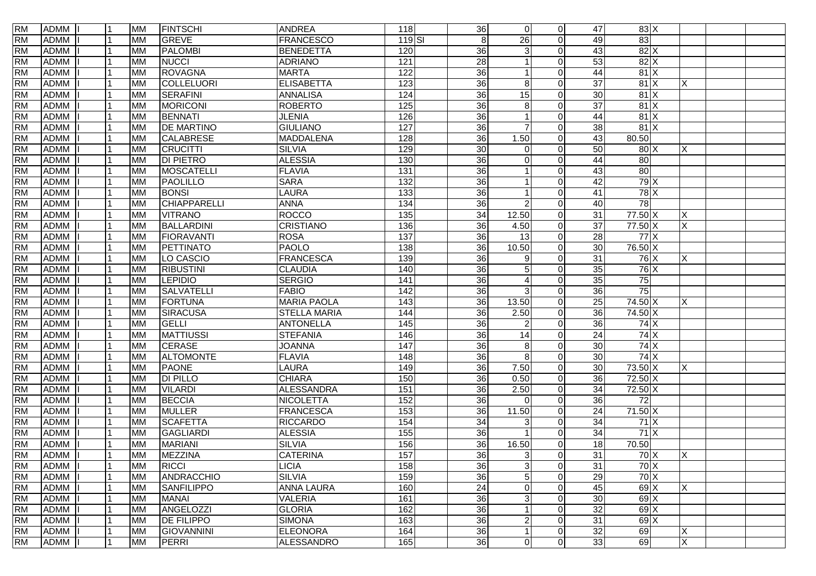| <b>RM</b> | ADMM        |   | <b>MM</b> | <b>FINTSCHI</b>   | <b>ANDREA</b>       | 118               | 36              | $\overline{0}$ | $\overline{0}$ | 47              | 83X               |          |  |
|-----------|-------------|---|-----------|-------------------|---------------------|-------------------|-----------------|----------------|----------------|-----------------|-------------------|----------|--|
| <b>RM</b> | <b>ADMM</b> |   | <b>MM</b> | GREVE             | <b>FRANCESCO</b>    | 119 SI            | $\,8\,$         | 26             | $\Omega$       | 49              | 83                |          |  |
| <b>RM</b> | <b>ADMM</b> |   | <b>MM</b> | <b>PALOMBI</b>    | <b>BENEDETTA</b>    | 120               | $\overline{36}$ | 3              | $\Omega$       | 43              | $82$ X            |          |  |
| <b>RM</b> | <b>ADMM</b> |   | <b>MM</b> | <b>NUCCI</b>      | <b>ADRIANO</b>      | 121               | $\overline{28}$ |                | $\Omega$       | 53              | 82X               |          |  |
| <b>RM</b> | <b>ADMM</b> |   | <b>MM</b> | ROVAGNA           | <b>MARTA</b>        | 122               | $\overline{36}$ |                | $\Omega$       | 44              | 81X               |          |  |
| <b>RM</b> | <b>ADMM</b> |   | <b>MM</b> | COLLELUORI        | <b>ELISABETTA</b>   | 123               | $\overline{36}$ | 8              | $\Omega$       | $\overline{37}$ | 81X               | X        |  |
| <b>RM</b> | <b>ADMM</b> |   | <b>MM</b> | SERAFINI          | <b>ANNALISA</b>     | 124               | 36              | 15             | 0              | 30              | 81X               |          |  |
| <b>RM</b> | <b>ADMM</b> |   | <b>MM</b> | <b>MORICONI</b>   | <b>ROBERTO</b>      | 125               | 36              | 8              | $\Omega$       | $\overline{37}$ | 81X               |          |  |
| <b>RM</b> | <b>ADMM</b> |   | <b>MM</b> | <b>BENNATI</b>    | <b>JLENIA</b>       | 126               | 36              |                | $\Omega$       | 44              | $81 \times$       |          |  |
| <b>RM</b> | <b>ADMM</b> |   | <b>MM</b> | <b>DE MARTINO</b> | <b>GIULIANO</b>     | $\overline{127}$  | 36              |                | $\Omega$       | 38              | 81X               |          |  |
| <b>RM</b> | <b>ADMM</b> |   | <b>MM</b> | <b>CALABRESE</b>  | <b>MADDALENA</b>    | 128               | 36              | 1.50           | $\Omega$       | 43              | 80.50             |          |  |
| <b>RM</b> | <b>ADMM</b> |   | <b>MM</b> | <b>CRUCITTI</b>   | <b>SILVIA</b>       | 129               | 30              | 0              | 0              | 50              | 80X               | X        |  |
| <b>RM</b> | <b>ADMM</b> |   | <b>MM</b> | <b>DI PIETRO</b>  | <b>ALESSIA</b>      | 130               | $\overline{36}$ | $\Omega$       | $\Omega$       | 44              | 80                |          |  |
| <b>RM</b> | <b>ADMM</b> |   | <b>MM</b> | MOSCATELLI        | <b>FLAVIA</b>       | $\overline{131}$  | $\overline{36}$ |                | 0              | 43              | $\overline{80}$   |          |  |
| <b>RM</b> | <b>ADMM</b> |   | <b>MM</b> | PAOLILLO          | <b>SARA</b>         | $\overline{132}$  | 36              |                | 0              | 42              | 79X               |          |  |
| <b>RM</b> | <b>ADMM</b> |   | <b>MM</b> | <b>BONSI</b>      | <b>LAURA</b>        | 133               | 36              |                | 0              | 41              | 78X               |          |  |
| <b>RM</b> | <b>ADMM</b> |   | <b>MM</b> | CHIAPPARELLI      | <b>ANNA</b>         | $\overline{134}$  | 36              | 2              | $\Omega$       | 40              | 78                |          |  |
| <b>RM</b> | <b>ADMM</b> |   | <b>MM</b> | <b>VITRANO</b>    | <b>ROCCO</b>        | 135               | 34              | 12.50          | $\overline{0}$ | 31              | 77.50 X           | X        |  |
| <b>RM</b> | <b>ADMM</b> |   | <b>MM</b> | BALLARDINI        | <b>CRISTIANO</b>    | 136               | 36              | 4.50           | $\overline{0}$ | $\overline{37}$ | 77.50 X           | X        |  |
| <b>RM</b> | <b>ADMM</b> |   | <b>MM</b> | <b>FIORAVANTI</b> | <b>ROSA</b>         | 137               | 36              | 13             | $\Omega$       | 28              | $77$ $X$          |          |  |
| <b>RM</b> | <b>ADMM</b> |   | <b>MM</b> | PETTINATO         | <b>PAOLO</b>        | 138               | 36              | 10.50          | $\Omega$       | 30              | 76.50 X           |          |  |
| <b>RM</b> | <b>ADMM</b> |   | <b>MM</b> | LO CASCIO         | <b>FRANCESCA</b>    | 139               | 36              | 9              | $\Omega$       | 31              | 76X               | X        |  |
| <b>RM</b> | <b>ADMM</b> |   | <b>MM</b> | <b>RIBUSTINI</b>  | <b>CLAUDIA</b>      | 140               | $\overline{36}$ | 5              | $\Omega$       | $\overline{35}$ | $76$ $X$          |          |  |
| <b>RM</b> | <b>ADMM</b> |   | <b>MM</b> | <b>LEPIDIO</b>    | <b>SERGIO</b>       | 141               | 36              | 4              | 0              | $\overline{35}$ | 75                |          |  |
| <b>RM</b> | <b>ADMM</b> |   | <b>MM</b> | <b>SALVATELLI</b> | <b>FABIO</b>        | 142               | 36              | 3              | $\Omega$       | 36              | 75                |          |  |
| <b>RM</b> | <b>ADMM</b> |   | <b>MM</b> | FORTUNA           | <b>MARIA PAOLA</b>  | 143               | 36              | 13.50          | $\overline{0}$ | $\overline{25}$ | 74.50 X           | X        |  |
| <b>RM</b> | <b>ADMM</b> |   | <b>MM</b> | SIRACUSA          | <b>STELLA MARIA</b> | 144               | 36              | 2.50           | $\overline{0}$ | 36              | 74.50 X           |          |  |
| <b>RM</b> | <b>ADMM</b> |   | <b>MM</b> | GELLI             | <b>ANTONELLA</b>    | $\frac{145}{145}$ | 36              |                | $\Omega$       | 36              | $74$ $X$          |          |  |
| <b>RM</b> | <b>ADMM</b> |   | <b>MM</b> | <b>MATTIUSSI</b>  | <b>STEFANIA</b>     | 146               | $\overline{36}$ | 14             | $\Omega$       | 24              | 74X               |          |  |
| <b>RM</b> | <b>ADMM</b> |   | <b>MM</b> | <b>CERASE</b>     | <b>JOANNA</b>       | 147               | $\overline{36}$ | 8              | $\Omega$       | 30              | 74X               |          |  |
| <b>RM</b> | <b>ADMM</b> |   | <b>MM</b> | <b>ALTOMONTE</b>  | <b>FLAVIA</b>       | 148               | 36              | 8              | $\Omega$       | 30              | $74$ $X$          |          |  |
| <b>RM</b> | <b>ADMM</b> |   | <b>MM</b> | <b>PAONE</b>      | <b>LAURA</b>        | 149               | $\overline{36}$ | 7.50           | $\Omega$       | 30              | 73.50 X           | X        |  |
| <b>RM</b> | <b>ADMM</b> |   | <b>MM</b> | <b>DI PILLO</b>   | <b>CHIARA</b>       | 150               | 36              | 0.50           | $\Omega$       | 36              | 72.50 X           |          |  |
| <b>RM</b> | <b>ADMM</b> |   | <b>MM</b> | <b>VILARDI</b>    | <b>ALESSANDRA</b>   | 151               | 36              | 2.50           | $\Omega$       | 34              | 72.50 X           |          |  |
| <b>RM</b> | <b>ADMM</b> |   | <b>MM</b> | <b>BECCIA</b>     | <b>NICOLETTA</b>    | 152               | 36              | $\Omega$       | $\overline{0}$ | 36              | $\overline{72}$   |          |  |
| <b>RM</b> | <b>ADMM</b> |   | <b>MM</b> | <b>MULLER</b>     | <b>FRANCESCA</b>    | 153               | 36              | 11.50          | $\overline{0}$ | 24              | $71.50 \text{ X}$ |          |  |
| <b>RM</b> | <b>ADMM</b> |   | <b>MM</b> | <b>SCAFETTA</b>   | <b>RICCARDO</b>     | 154               | $\overline{34}$ |                | $\Omega$       | 34              | $71$ X            |          |  |
| <b>RM</b> | <b>ADMM</b> |   | <b>MM</b> | GAGLIARDI         | <b>ALESSIA</b>      | 155               | 36              |                | $\Omega$       | 34              | 71X               |          |  |
| <b>RM</b> | <b>ADMM</b> |   | <b>MM</b> | <b>MARIANI</b>    | <b>SILVIA</b>       | 156               | 36              | 16.50          | 0              | 18              | 70.50             |          |  |
| <b>RM</b> | ADMM I      | 1 | MM        | <b>MEZZINA</b>    | <b>CATERINA</b>     | 157               | 36              | 3 <sup>1</sup> | $\Omega$       | 31              | 70 X              | ΙX       |  |
| <b>RM</b> | ADMM        |   | <b>MM</b> | <b>RICCI</b>      | <b>LICIA</b>        | 158               | 36              | $\sqrt{3}$     | $\overline{0}$ | 31              | 70X               |          |  |
| <b>RM</b> | <b>ADMM</b> |   | <b>MM</b> | ANDRACCHIO        | <b>SILVIA</b>       | 159               | 36              | 5              | $\overline{0}$ | 29              | $70$ $X$          |          |  |
| <b>RM</b> | <b>ADMM</b> |   | <b>MM</b> | <b>SANFILIPPO</b> | <b>ANNA LAURA</b>   | 160               | $\overline{24}$ | 0              | $\overline{0}$ | 45              | $69$ $\times$     | X        |  |
| <b>RM</b> | <b>ADMM</b> |   | <b>MM</b> | <b>MANAI</b>      | <b>VALERIA</b>      | 161               | 36              | 3              | $\overline{0}$ | 30              | $69$ $\times$     |          |  |
| <b>RM</b> | <b>ADMM</b> |   | <b>MM</b> | ANGELOZZI         | <b>GLORIA</b>       | 162               | 36              |                | 0              | 32              | $69$ $\times$     |          |  |
| <b>RM</b> | <b>ADMM</b> |   | <b>MM</b> | <b>DE FILIPPO</b> | <b>SIMONA</b>       | 163               | 36              | 2              | $\Omega$       | 31              | $69$ $\times$     |          |  |
| <b>RM</b> | <b>ADMM</b> |   | <b>MM</b> | <b>GIOVANNINI</b> | <b>ELEONORA</b>     | 164               | 36              |                | 0              | $\overline{32}$ | 69                | $\times$ |  |
| <b>RM</b> | ADMM        |   | <b>MM</b> | PERRI             | <b>ALESSANDRO</b>   | 165               | 36              | $\overline{0}$ | $\overline{0}$ | 33              | 69                | X        |  |
|           |             |   |           |                   |                     |                   |                 |                |                |                 |                   |          |  |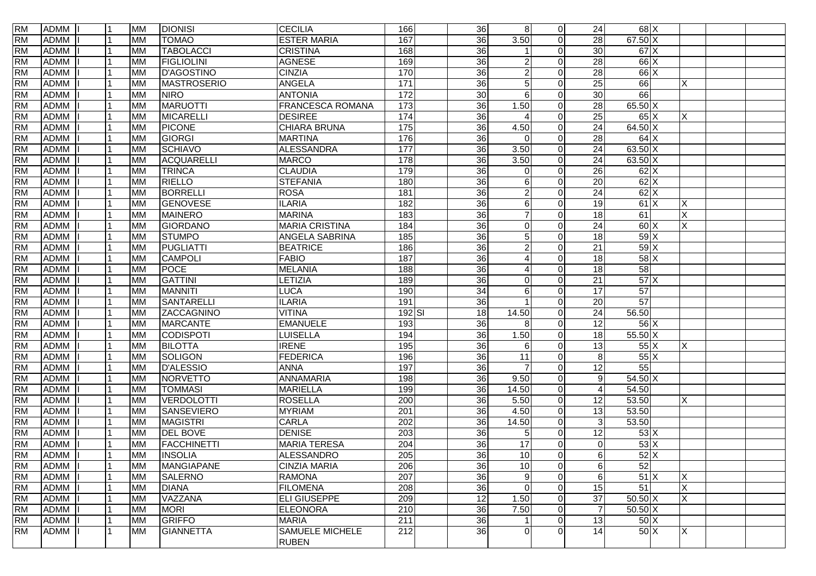| <b>RM</b> | ADMM        |   | <b>MM</b> | <b>DIONISI</b>     | <b>CECILIA</b>          | 166              | 36              | 8 <sup>1</sup> | $\overline{0}$ | 24              | $68$ $X$              |          |  |
|-----------|-------------|---|-----------|--------------------|-------------------------|------------------|-----------------|----------------|----------------|-----------------|-----------------------|----------|--|
| <b>RM</b> | <b>ADMM</b> |   | <b>MM</b> | <b>TOMAO</b>       | <b>ESTER MARIA</b>      | 167              | 36              | 3.50           | $\Omega$       | 28              | $67.50 \text{ X}$     |          |  |
| <b>RM</b> | <b>ADMM</b> |   | <b>MM</b> | <b>TABOLACCI</b>   | <b>CRISTINA</b>         | 168              | 36              |                | 0              | 30              | $67$ $\times$         |          |  |
| <b>RM</b> | <b>ADMM</b> |   | <b>MM</b> | <b>FIGLIOLINI</b>  | <b>AGNESE</b>           | 169              | $\overline{36}$ | 2              | $\Omega$       | 28              | $66$ X                |          |  |
| <b>RM</b> | <b>ADMM</b> |   | <b>MM</b> | <b>D'AGOSTINO</b>  | <b>CINZIA</b>           | 170              | $\overline{36}$ | 2              | $\Omega$       | 28              | $66$ X                |          |  |
| <b>RM</b> | <b>ADMM</b> |   | <b>MM</b> | <b>MASTROSERIO</b> | <b>ANGELA</b>           | $\frac{1}{171}$  | $\overline{36}$ | 5              | $\Omega$       | 25              | 66                    | X        |  |
| <b>RM</b> | <b>ADMM</b> |   | <b>MM</b> | <b>NIRO</b>        | <b>ANTONIA</b>          | 172              | 30              | 6              | 0              | 30              | 66                    |          |  |
| <b>RM</b> | <b>ADMM</b> |   | <b>MM</b> | <b>MARUOTTI</b>    | <b>FRANCESCA ROMANA</b> | 173              | 36              | 1.50           | $\Omega$       | 28              | 65.50 X               |          |  |
| <b>RM</b> | <b>ADMM</b> |   | <b>MM</b> | <b>MICARELLI</b>   | <b>DESIREE</b>          | $\frac{1}{174}$  | $\overline{36}$ |                | $\Omega$       | $\overline{25}$ | $65$ $X$              | X        |  |
| <b>RM</b> | <b>ADMM</b> |   | <b>MM</b> | <b>PICONE</b>      | CHIARA BRUNA            | 175              | 36              | 4.50           | $\Omega$       | 24              | 64.50 X               |          |  |
| <b>RM</b> | <b>ADMM</b> |   | <b>MM</b> | <b>GIORGI</b>      | <b>MARTINA</b>          | 176              | 36              | 0              | $\Omega$       | 28              | 64X                   |          |  |
| <b>RM</b> | <b>ADMM</b> |   | <b>MM</b> | <b>SCHIAVO</b>     | <b>ALESSANDRA</b>       | 177              | 36              | 3.50           | 0              | 24              | $63.50 \mid X$        |          |  |
| <b>RM</b> | <b>ADMM</b> |   | <b>MM</b> | ACQUARELLI         | <b>MARCO</b>            | 178              | $\overline{36}$ | 3.50           | $\Omega$       | 24              | $63.50 \mid X$        |          |  |
| <b>RM</b> | <b>ADMM</b> |   | <b>MM</b> | <b>TRINCA</b>      | <b>CLAUDIA</b>          | 179              | $\overline{36}$ | $\Omega$       | 0              | 26              | $62$ $\times$         |          |  |
| <b>RM</b> | <b>ADMM</b> |   | <b>MM</b> | <b>RIELLO</b>      | <b>STEFANIA</b>         | 180              | 36              | 6              | $\Omega$       | 20              | $62$ $\times$         |          |  |
| <b>RM</b> | <b>ADMM</b> |   | <b>MM</b> | <b>BORRELLI</b>    | <b>ROSA</b>             | 181              | 36              | 2              | 0              | $\overline{24}$ | $62$ $\times$         |          |  |
| <b>RM</b> | <b>ADMM</b> |   | <b>MM</b> | GENOVESE           | <b>ILARIA</b>           | 182              | 36              | 6              | $\Omega$       | 19              | 61X                   | X        |  |
| <b>RM</b> | <b>ADMM</b> |   | <b>MM</b> | <b>MAINERO</b>     | <b>MARINA</b>           | $\frac{1}{183}$  | 36              |                | 0              | 18              | 61                    | X        |  |
| <b>RM</b> | <b>ADMM</b> |   | <b>MM</b> | GIORDANO           | <b>MARIA CRISTINA</b>   | 184              | $\overline{36}$ | 0              | $\Omega$       | 24              | 60X                   | X        |  |
| <b>RM</b> | <b>ADMM</b> |   | <b>MM</b> | <b>STUMPO</b>      | ANGELA SABRINA          | 185              | $\overline{36}$ | 5              | 0              | 18              | $59$ $X$              |          |  |
| <b>RM</b> | <b>ADMM</b> |   | <b>MM</b> | PUGLIATTI          | <b>BEATRICE</b>         | 186              | 36              | 2              | $\Omega$       | 21              | 59X                   |          |  |
| <b>RM</b> | <b>ADMM</b> |   | <b>MM</b> | <b>CAMPOLI</b>     | <b>FABIO</b>            | 187              | 36              |                | 0              | 18              | $58$ $\times$         |          |  |
| <b>RM</b> | <b>ADMM</b> |   | <b>MM</b> | <b>POCE</b>        | <b>MELANIA</b>          | 188              | $\overline{36}$ |                | 0              | 18              | 58                    |          |  |
| <b>RM</b> | <b>ADMM</b> |   | <b>MM</b> | <b>GATTINI</b>     | LETIZIA                 | 189              | 36              | $\Omega$       | 0              | 21              | 57X                   |          |  |
| <b>RM</b> | <b>ADMM</b> |   | <b>MM</b> | <b>MANNITI</b>     | <b>LUCA</b>             | 190              | 34              | 6              | $\Omega$       | $\overline{17}$ | 57                    |          |  |
| <b>RM</b> | <b>ADMM</b> |   | <b>MM</b> | SANTARELLI         | <b>ILARIA</b>           | 191              | 36              |                | 0              | 20              | 57                    |          |  |
| <b>RM</b> | <b>ADMM</b> |   | <b>MM</b> | ZACCAGNINO         | <b>VITINA</b>           | $192$ $SI$       | 18              | 14.50          | $\Omega$       | 24              | 56.50                 |          |  |
| <b>RM</b> | <b>ADMM</b> |   | <b>MM</b> | <b>MARCANTE</b>    | <b>EMANUELE</b>         | 193              | $\overline{36}$ | 8              | $\Omega$       | $\overline{12}$ | $56$ $X$              |          |  |
| <b>RM</b> | <b>ADMM</b> |   | <b>MM</b> | CODISPOTI          | <b>LUISELLA</b>         | 194              | $\overline{36}$ | 1.50           | $\Omega$       | 18              | $55.50\text{X}$       |          |  |
| <b>RM</b> | <b>ADMM</b> |   | <b>MM</b> | <b>BILOTTA</b>     | <b>IRENE</b>            | 195              | $\overline{36}$ | 6              | 0              | 13              | $55\overline{\times}$ | X        |  |
| <b>RM</b> | <b>ADMM</b> |   | <b>MM</b> | SOLIGON            | <b>FEDERICA</b>         | 196              | 36              | 11             | $\Omega$       | $8 \,$          | $55\text{X}$          |          |  |
| <b>RM</b> | <b>ADMM</b> |   | <b>MM</b> | <b>D'ALESSIO</b>   | <b>ANNA</b>             | 197              | $\overline{36}$ |                | $\Omega$       | 12              | 55                    |          |  |
| <b>RM</b> | <b>ADMM</b> |   | <b>MM</b> | NORVETTO           | <b>ANNAMARIA</b>        | 198              | 36              | 9.50           | $\Omega$       | 9 <sup>1</sup>  | 54.50 X               |          |  |
| <b>RM</b> | <b>ADMM</b> |   | <b>MM</b> | <b>TOMMASI</b>     | <b>MARIELLA</b>         | 199              | 36              | 14.50          | $\Omega$       | 4               | 54.50                 |          |  |
| <b>RM</b> | <b>ADMM</b> |   | <b>MM</b> | VERDOLOTTI         | <b>ROSELLA</b>          | 200              | 36              | 5.50           | $\overline{0}$ | 12              | 53.50                 | X        |  |
| <b>RM</b> | <b>ADMM</b> |   | <b>MM</b> | SANSEVIERO         | <b>MYRIAM</b>           | 201              | 36              | 4.50           | $\Omega$       | 13              | 53.50                 |          |  |
| <b>RM</b> | <b>ADMM</b> |   | <b>MM</b> | <b>MAGISTRI</b>    | <b>CARLA</b>            | $\overline{202}$ | 36              | 14.50          | $\Omega$       | 3 <sup>1</sup>  | 53.50                 |          |  |
| <b>RM</b> | <b>ADMM</b> |   | <b>MM</b> | <b>DEL BOVE</b>    | <b>DENISE</b>           | $\overline{203}$ | $\overline{36}$ | 5              | $\Omega$       | 12              | 53X                   |          |  |
| <b>RM</b> | <b>ADMM</b> |   | <b>MM</b> | FACCHINETTI        | <b>MARIA TERESA</b>     | 204              | 36              | 17             | 0              | $\Omega$        | 53X                   |          |  |
| RM        | ADMM I      | 1 | MM        | <b>INSOLIA</b>     | <b>ALESSANDRO</b>       | 205              | 36              | 10             | $\Omega$       | 6 <sup>1</sup>  | 52X                   |          |  |
| <b>RM</b> | ADMM        |   | MM        | <b>MANGIAPANE</b>  | CINZIA MARIA            | 206              | 36              | 10             | $\overline{0}$ | 6 <sup>1</sup>  | 52                    |          |  |
| <b>RM</b> | <b>ADMM</b> |   | <b>MM</b> | <b>SALERNO</b>     | <b>RAMONA</b>           | $\overline{207}$ | 36              | 9              | $\overline{0}$ | $6 \,$          | 51X                   | X        |  |
| <b>RM</b> | <b>ADMM</b> |   | <b>MM</b> | <b>DIANA</b>       | <b>FILOMENA</b>         | 208              | 36              | $\mathbf 0$    | $\overline{0}$ | 15              | 51                    | $\times$ |  |
| <b>RM</b> | <b>ADMM</b> |   | <b>MM</b> | VAZZANA            | <b>ELI GIUSEPPE</b>     | 209              | 12              | 1.50           | $\overline{0}$ | 37              | $50.50$ X             | X        |  |
| <b>RM</b> | <b>ADMM</b> |   | <b>MM</b> | <b>MORI</b>        | <b>ELEONORA</b>         | 210              | 36              | 7.50           | 0              | $\overline{7}$  | $50.50\overline{X}$   |          |  |
| <b>RM</b> | <b>ADMM</b> |   | <b>MM</b> | <b>GRIFFO</b>      | <b>MARIA</b>            | 211              | 36              |                | $\Omega$       | 13              | 50 X                  |          |  |
| <b>RM</b> | <b>ADMM</b> |   | <b>MM</b> | <b>GIANNETTA</b>   | SAMUELE MICHELE         | 212              | 36              | $\Omega$       | 0              | 14              | 50X                   | X        |  |
|           |             |   |           |                    | <b>RUBEN</b>            |                  |                 |                |                |                 |                       |          |  |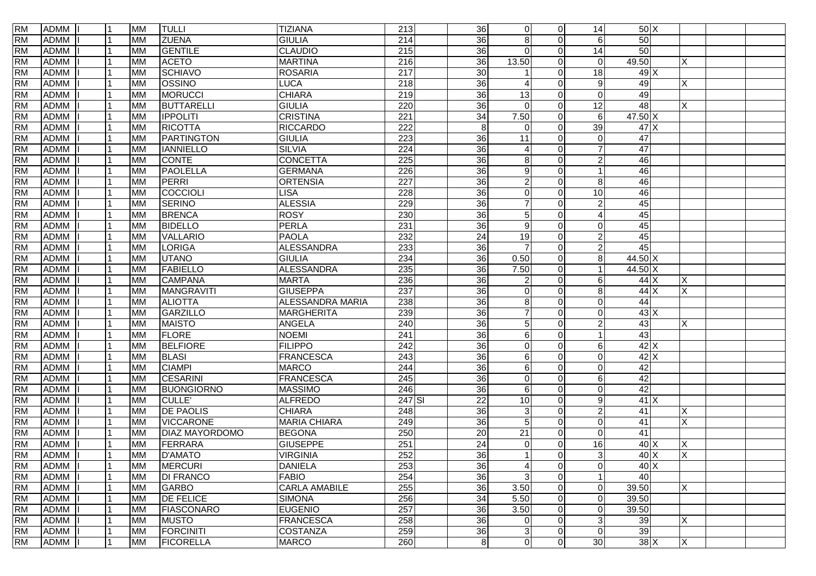| <b>RM</b> | ADMM        |                | <b>MM</b> | <b>TULLI</b>          | <b>TIZIANA</b>       | 213              | 36              | $\overline{0}$         | $\overline{0}$ | 14              | 50X              |              |  |
|-----------|-------------|----------------|-----------|-----------------------|----------------------|------------------|-----------------|------------------------|----------------|-----------------|------------------|--------------|--|
| <b>RM</b> | <b>ADMM</b> |                | <b>MM</b> | <b>ZUENA</b>          | <b>GIULIA</b>        | $\overline{214}$ | 36              | 8                      | $\Omega$       | $6 \mid$        | 50               |              |  |
| <b>RM</b> | <b>ADMM</b> |                | <b>MM</b> | <b>GENTILE</b>        | <b>CLAUDIO</b>       | $\overline{215}$ | 36              | $\Omega$               | $\Omega$       | $\overline{14}$ | 50               |              |  |
| <b>RM</b> | <b>ADMM</b> |                | <b>MM</b> | <b>ACETO</b>          | <b>MARTINA</b>       | $\overline{216}$ | $\overline{36}$ | 13.50                  | $\Omega$       | $\Omega$        | 49.50            | X            |  |
| <b>RM</b> | <b>ADMM</b> |                | <b>MM</b> | <b>SCHIAVO</b>        | <b>ROSARIA</b>       | $\overline{217}$ | $\overline{30}$ |                        | $\Omega$       | 18              | 49 X             |              |  |
| <b>RM</b> | <b>ADMM</b> |                | <b>MM</b> | OSSINO                | <b>LUCA</b>          | 218              | $\overline{36}$ | $\boldsymbol{\Lambda}$ | $\Omega$       | 9               | 49               | X            |  |
| <b>RM</b> | <b>ADMM</b> |                | <b>MM</b> | <b>MORUCCI</b>        | <b>CHIARA</b>        | $\overline{219}$ | 36              | 13                     | 0              | $\Omega$        | 49               |              |  |
| <b>RM</b> | <b>ADMM</b> |                | <b>MM</b> | <b>BUTTARELLI</b>     | <b>GIULIA</b>        | 220              | $\overline{36}$ | $\Omega$               | $\Omega$       | 12              | 48               | X            |  |
| <b>RM</b> | <b>ADMM</b> |                | <b>MM</b> | <b>IPPOLITI</b>       | <b>CRISTINA</b>      | $\overline{221}$ | 34              | 7.50                   | $\Omega$       | $6 \mid$        | 47.50 X          |              |  |
| <b>RM</b> | <b>ADMM</b> |                | <b>MM</b> | <b>RICOTTA</b>        | <b>RICCARDO</b>      | 222              | $\,8\,$         | $\Omega$               | $\Omega$       | 39              | 47X              |              |  |
| <b>RM</b> | <b>ADMM</b> |                | <b>MM</b> | PARTINGTON            | <b>GIULIA</b>        | 223              | 36              | 11                     | $\Omega$       | $\Omega$        | 47               |              |  |
| <b>RM</b> | <b>ADMM</b> |                | <b>MM</b> | <b>IANNIELLO</b>      | <b>SILVIA</b>        | $\overline{224}$ | $\overline{36}$ |                        | 0              |                 | $\overline{47}$  |              |  |
| <b>RM</b> | <b>ADMM</b> |                | <b>MM</b> | <b>CONTE</b>          | <b>CONCETTA</b>      | $\overline{225}$ | $\overline{36}$ | 8                      | $\Omega$       | $\overline{2}$  | 46               |              |  |
| <b>RM</b> | <b>ADMM</b> |                | <b>MM</b> | PAOLELLA              | <b>GERMANA</b>       | 226              | $\overline{36}$ | 9                      | $\Omega$       |                 | 46               |              |  |
| <b>RM</b> | <b>ADMM</b> |                | <b>MM</b> | PERRI                 | <b>ORTENSIA</b>      | 227              | 36              | 2                      | $\Omega$       | 8 <sup>1</sup>  | 46               |              |  |
| <b>RM</b> | <b>ADMM</b> |                | <b>MM</b> | COCCIOLI              | <b>LISA</b>          | $\overline{228}$ | 36              | 0                      | $\Omega$       | 10 <sup>1</sup> | 46               |              |  |
| <b>RM</b> | <b>ADMM</b> |                | <b>MM</b> | <b>SERINO</b>         | <b>ALESSIA</b>       | 229              | 36              |                        | $\Omega$       | 2               | 45               |              |  |
| <b>RM</b> | <b>ADMM</b> |                | <b>MM</b> | <b>BRENCA</b>         | <b>ROSY</b>          | 230              | 36              | 5                      | $\Omega$       |                 | 45               |              |  |
| <b>RM</b> | <b>ADMM</b> |                | <b>MM</b> | <b>BIDELLO</b>        | <b>PERLA</b>         | 231              | $\overline{36}$ | 9                      | $\Omega$       | $\Omega$        | 45               |              |  |
| <b>RM</b> | <b>ADMM</b> |                | <b>MM</b> | VALLARIO              | <b>PAOLA</b>         | 232              | 24              | 19                     | $\Omega$       | 2               | 45               |              |  |
| <b>RM</b> | <b>ADMM</b> |                | <b>MM</b> | <b>LORIGA</b>         | <b>ALESSANDRA</b>    | 233              | 36              | $\overline{7}$         | $\Omega$       | $\overline{2}$  | 45               |              |  |
| <b>RM</b> | <b>ADMM</b> |                | <b>MM</b> | <b>UTANO</b>          | <b>GIULIA</b>        | 234              | 36              | 0.50                   | $\Omega$       | 8               | 44.50 X          |              |  |
| <b>RM</b> | <b>ADMM</b> |                | <b>MM</b> | <b>FABIELLO</b>       | <b>ALESSANDRA</b>    | 235              | $\overline{36}$ | 7.50                   | $\Omega$       |                 | 44.50 X          |              |  |
| <b>RM</b> | <b>ADMM</b> |                | <b>MM</b> | <b>CAMPANA</b>        | <b>MARTA</b>         | 236              | 36              |                        | 0              | 6               | $44$ $\times$    | Х            |  |
| <b>RM</b> | <b>ADMM</b> |                | <b>MM</b> | <b>MANGRAVITI</b>     | <b>GIUSEPPA</b>      | 237              | 36              | $\Omega$               | $\Omega$       | 8 <sup>1</sup>  | $44$ X           | X            |  |
| <b>RM</b> | <b>ADMM</b> |                | <b>MM</b> | <b>ALIOTTA</b>        | ALESSANDRA MARIA     | 238              | 36              | 8                      | $\Omega$       | $\Omega$        | 44               |              |  |
| <b>RM</b> | <b>ADMM</b> |                | <b>MM</b> | GARZILLO              | <b>MARGHERITA</b>    | 239              | 36              |                        | $\Omega$       | $\Omega$        | 43X              |              |  |
| <b>RM</b> | <b>ADMM</b> |                | <b>MM</b> | <b>MAISTO</b>         | ANGELA               | 240              | 36              | 5                      | $\Omega$       | 2               | 43               | Χ            |  |
| <b>RM</b> | <b>ADMM</b> |                | <b>MM</b> | <b>FLORE</b>          | <b>NOEMI</b>         | 241              | $\overline{36}$ | 6                      | $\Omega$       |                 | 43               |              |  |
| <b>RM</b> | <b>ADMM</b> |                | <b>MM</b> | <b>BELFIORE</b>       | <b>FILIPPO</b>       | $\overline{242}$ | $\overline{36}$ | $\Omega$               | $\Omega$       | 6               | $42$ X           |              |  |
| <b>RM</b> | <b>ADMM</b> |                | <b>MM</b> | <b>BLASI</b>          | <b>FRANCESCA</b>     | 243              | 36              | 6                      | $\Omega$       | $\Omega$        | $42$ $\times$    |              |  |
| <b>RM</b> | <b>ADMM</b> |                | <b>MM</b> | <b>CIAMPI</b>         | <b>MARCO</b>         | 244              | $\overline{36}$ | 6                      | $\Omega$       | $\Omega$        | 42               |              |  |
| <b>RM</b> | <b>ADMM</b> |                | <b>MM</b> | <b>CESARINI</b>       | <b>FRANCESCA</b>     | 245              | $\overline{36}$ | $\Omega$               | $\Omega$       | 6               | 42               |              |  |
| <b>RM</b> | <b>ADMM</b> |                | <b>MM</b> | <b>BUONGIORNO</b>     | <b>MASSIMO</b>       | 246              | $\overline{36}$ | 6                      | $\Omega$       | $\Omega$        | 42               |              |  |
| <b>RM</b> | <b>ADMM</b> |                | <b>MM</b> | CULLE <sup>'</sup>    | <b>ALFREDO</b>       | 247 SI           | $\overline{22}$ | $\overline{10}$        | $\Omega$       | 9               | $41$ X           |              |  |
| <b>RM</b> | <b>ADMM</b> |                | <b>MM</b> | <b>DE PAOLIS</b>      | <b>CHIARA</b>        | $\overline{248}$ | 36              | 3                      | $\Omega$       | 2               | 41               | Х            |  |
| <b>RM</b> | <b>ADMM</b> |                | <b>MM</b> | <b>VICCARONE</b>      | <b>MARIA CHIARA</b>  | 249              | 36              | 5                      | $\Omega$       | $\Omega$        | 41               | Χ            |  |
| <b>RM</b> | <b>ADMM</b> |                | <b>MM</b> | <b>DIAZ MAYORDOMO</b> | <b>BEGONA</b>        | 250              | $\overline{20}$ | 21                     | $\Omega$       | $\Omega$        | 41               |              |  |
| <b>RM</b> | <b>ADMM</b> |                | <b>MM</b> | FERRARA               | <b>GIUSEPPE</b>      | $\overline{251}$ | $\overline{24}$ | 0                      | 0              | 16              | 40 X             | X            |  |
| <b>RM</b> | ADMM I      | $\overline{1}$ | MM        | D'AMATO               | <b>VIRGINIA</b>      | 252              | 36              |                        | $\Omega$       | $\mathcal{R}$   | 40X              | <sup>X</sup> |  |
| <b>RM</b> | ADMM        |                | <b>MM</b> | <b>MERCURI</b>        | <b>DANIELA</b>       | 253              | 36              | 4                      | $\overline{0}$ | $\overline{0}$  | $40\overline{X}$ |              |  |
| <b>RM</b> | <b>ADMM</b> |                | <b>MM</b> | <b>DI FRANCO</b>      | <b>FABIO</b>         | 254              | 36              | $\mathbf{3}$           | $\overline{0}$ |                 | 40               |              |  |
| <b>RM</b> | <b>ADMM</b> |                | <b>MM</b> | <b>GARBO</b>          | <b>CARLA AMABILE</b> | 255              | 36              | 3.50                   | $\overline{0}$ | $\overline{0}$  | 39.50            | X            |  |
| <b>RM</b> | <b>ADMM</b> |                | <b>MM</b> | <b>DE FELICE</b>      | <b>SIMONA</b>        | 256              | 34              | 5.50                   | $\overline{0}$ | $\overline{0}$  | 39.50            |              |  |
| <b>RM</b> | <b>ADMM</b> |                | <b>MM</b> | <b>FIASCONARO</b>     | <b>EUGENIO</b>       | 257              | 36              | 3.50                   | $\overline{0}$ | $\overline{0}$  | 39.50            |              |  |
| <b>RM</b> | <b>ADMM</b> |                | <b>MM</b> | MUSTO                 | <b>FRANCESCA</b>     | 258              | 36              | 0                      | $\Omega$       | 3 <sup>1</sup>  | 39               | Χ            |  |
| <b>RM</b> | <b>ADMM</b> |                | <b>MM</b> | <b>FORCINITI</b>      | <b>COSTANZA</b>      | 259              | 36              | 3                      | $\overline{0}$ | $\overline{0}$  | 39               |              |  |
| <b>RM</b> | ADMM        |                | <b>MM</b> | <b>FICORELLA</b>      | <b>MARCO</b>         | 260              | 8               | $\overline{0}$         | $\overline{0}$ | 30 <sup>1</sup> | $38$ $\times$    | X            |  |
|           |             |                |           |                       |                      |                  |                 |                        |                |                 |                  |              |  |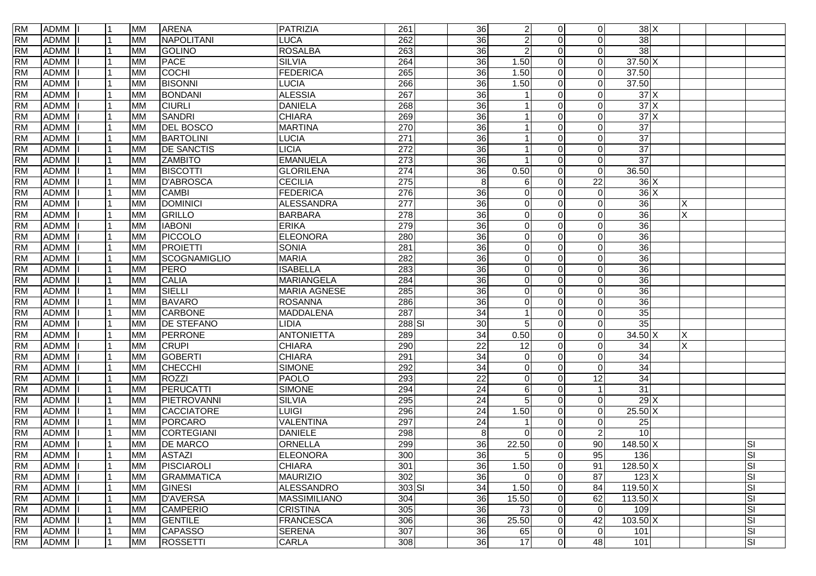| <b>RM</b> | ADMM        |                | <b>MM</b> | <b>ARENA</b>        | PATRIZIA            | 261              | 36              | $\overline{2}$ | $\overline{0}$ | $\Omega$       | 38 X                        |   |           |
|-----------|-------------|----------------|-----------|---------------------|---------------------|------------------|-----------------|----------------|----------------|----------------|-----------------------------|---|-----------|
| <b>RM</b> | <b>ADMM</b> |                | <b>MM</b> | <b>NAPOLITANI</b>   | <b>LUCA</b>         | 262              | 36              | $\overline{2}$ | $\Omega$       | $\Omega$       | 38                          |   |           |
| <b>RM</b> | <b>ADMM</b> |                | <b>MM</b> | GOLINO              | <b>ROSALBA</b>      | 263              | 36              | $\overline{2}$ | $\Omega$       | $\Omega$       | 38                          |   |           |
| <b>RM</b> | <b>ADMM</b> |                | <b>MM</b> | <b>PACE</b>         | <b>SILVIA</b>       | 264              | 36              | 1.50           | $\Omega$       | $\Omega$       | $37.50 \text{ X}$           |   |           |
| <b>RM</b> | <b>ADMM</b> |                | <b>MM</b> | <b>COCHI</b>        | <b>FEDERICA</b>     | 265              | $\overline{36}$ | 1.50           | $\Omega$       | $\Omega$       | 37.50                       |   |           |
| <b>RM</b> | <b>ADMM</b> |                | <b>MM</b> | <b>BISONNI</b>      | <b>LUCIA</b>        | 266              | 36              | 1.50           | $\Omega$       | $\Omega$       | 37.50                       |   |           |
| <b>RM</b> | <b>ADMM</b> |                | <b>MM</b> | <b>BONDANI</b>      | <b>ALESSIA</b>      | 267              | 36              |                | $\Omega$       | $\Omega$       | 37X                         |   |           |
| <b>RM</b> | <b>ADMM</b> |                | <b>MM</b> | <b>CIURLI</b>       | <b>DANIELA</b>      | 268              | 36              |                | $\Omega$       | $\Omega$       | 37X                         |   |           |
| <b>RM</b> | <b>ADMM</b> |                | <b>MM</b> | SANDRI              | <b>CHIARA</b>       | 269              | 36              |                | $\Omega$       | $\Omega$       | 37X                         |   |           |
| <b>RM</b> | <b>ADMM</b> |                | <b>MM</b> | <b>DEL BOSCO</b>    | <b>MARTINA</b>      | 270              | 36              |                | $\Omega$       | $\Omega$       | $\overline{37}$             |   |           |
| <b>RM</b> | <b>ADMM</b> |                | <b>MM</b> | <b>BARTOLINI</b>    | <b>LUCIA</b>        | 271              | 36              |                | $\Omega$       | $\Omega$       | $\overline{37}$             |   |           |
| <b>RM</b> | <b>ADMM</b> |                | <b>MM</b> | <b>DE SANCTIS</b>   | <b>LICIA</b>        | $\overline{272}$ | $\overline{36}$ |                | $\Omega$       | $\Omega$       | 37                          |   |           |
| <b>RM</b> | <b>ADMM</b> |                | <b>MM</b> | <b>ZAMBITO</b>      | <b>EMANUELA</b>     | 273              | $\overline{36}$ |                | $\Omega$       | $\Omega$       | $\overline{37}$             |   |           |
| <b>RM</b> | <b>ADMM</b> |                | <b>MM</b> | <b>BISCOTTI</b>     | <b>GLORILENA</b>    | $\overline{274}$ | $\overline{36}$ | 0.50           | $\Omega$       | $\Omega$       | 36.50                       |   |           |
| <b>RM</b> | <b>ADMM</b> |                | <b>MM</b> | <b>D'ABROSCA</b>    | <b>CECILIA</b>      | $\overline{275}$ | 8               | 6              | $\Omega$       | 22             | 36X                         |   |           |
| <b>RM</b> | <b>ADMM</b> |                | <b>MM</b> | <b>CAMBI</b>        | <b>FEDERICA</b>     | 276              | 36              | $\mathbf 0$    | $\Omega$       | $\Omega$       | 36X                         |   |           |
| <b>RM</b> | <b>ADMM</b> |                | <b>MM</b> | <b>DOMINICI</b>     | <b>ALESSANDRA</b>   | 277              | 36              | $\mathbf 0$    | $\Omega$       | $\Omega$       | 36                          | Χ |           |
| <b>RM</b> | <b>ADMM</b> |                | <b>MM</b> | GRILLO              | <b>BARBARA</b>      | 278              | 36              | $\overline{0}$ | $\Omega$       | $\Omega$       | 36                          | X |           |
| <b>RM</b> | <b>ADMM</b> |                | <b>MM</b> | <b>IABONI</b>       | <b>ERIKA</b>        | 279              | 36              | $\mathbf 0$    | $\Omega$       | $\Omega$       | $\overline{36}$             |   |           |
| <b>RM</b> | <b>ADMM</b> |                | <b>MM</b> | PICCOLO             | <b>ELEONORA</b>     | 280              | 36              | $\mathbf 0$    | $\Omega$       | $\Omega$       | 36                          |   |           |
| <b>RM</b> | <b>ADMM</b> |                | <b>MM</b> | PROIETTI            | <b>SONIA</b>        | 281              | 36              | $\mathbf 0$    | $\Omega$       | $\Omega$       | 36                          |   |           |
| <b>RM</b> | <b>ADMM</b> |                | <b>MM</b> | <b>SCOGNAMIGLIO</b> | <b>MARIA</b>        | 282              | 36              | $\mathbf 0$    | $\Omega$       | $\Omega$       | 36                          |   |           |
| <b>RM</b> | <b>ADMM</b> |                | <b>MM</b> | PERO                | <b>ISABELLA</b>     | 283              | 36              | $\mathbf 0$    | $\Omega$       | $\Omega$       | $\overline{36}$             |   |           |
| <b>RM</b> | <b>ADMM</b> |                | <b>MM</b> | <b>CALIA</b>        | <b>MARIANGELA</b>   | 284              | 36              | 0              | $\Omega$       | $\Omega$       | $\overline{36}$             |   |           |
| <b>RM</b> | <b>ADMM</b> |                | <b>MM</b> | SIELLI              | <b>MARIA AGNESE</b> | 285              | 36              | $\mathbf 0$    | $\Omega$       | $\Omega$       | $\overline{36}$             |   |           |
| <b>RM</b> | <b>ADMM</b> |                | <b>MM</b> | <b>BAVARO</b>       | <b>ROSANNA</b>      | 286              | 36              | $\mathbf 0$    | $\Omega$       | $\Omega$       | 36                          |   |           |
| <b>RM</b> | <b>ADMM</b> |                | <b>MM</b> | <b>CARBONE</b>      | <b>MADDALENA</b>    | 287              | 34              |                | $\Omega$       | $\Omega$       | 35                          |   |           |
| <b>RM</b> | <b>ADMM</b> |                | <b>MM</b> | <b>DE STEFANO</b>   | LIDIA               | 288 SI           | 30              | 5              | $\Omega$       | $\Omega$       | $\overline{35}$             |   |           |
| <b>RM</b> | <b>ADMM</b> |                | <b>MM</b> | <b>PERRONE</b>      | <b>ANTONIETTA</b>   | 289              | 34              | 0.50           | $\Omega$       | $\Omega$       | $34.50 \mid X$              |   |           |
| <b>RM</b> | <b>ADMM</b> |                | <b>MM</b> | <b>CRUPI</b>        | <b>CHIARA</b>       | 290              | $\overline{22}$ | 12             | $\Omega$       | 0              | 34                          | X |           |
| <b>RM</b> | <b>ADMM</b> |                | <b>MM</b> | <b>GOBERTI</b>      | <b>CHIARA</b>       | 291              | 34              | $\mathbf 0$    | $\Omega$       | $\Omega$       | 34                          |   |           |
| <b>RM</b> | <b>ADMM</b> |                | <b>MM</b> | <b>CHECCHI</b>      | <b>SIMONE</b>       | 292              | 34              | 0              | $\Omega$       | $\Omega$       | 34                          |   |           |
| <b>RM</b> | <b>ADMM</b> |                | <b>MM</b> | ROZZI               | <b>PAOLO</b>        | 293              | $\overline{22}$ | $\mathbf 0$    | $\Omega$       | 12             | 34                          |   |           |
| <b>RM</b> | <b>ADMM</b> |                | <b>MM</b> | PERUCATTI           | <b>SIMONE</b>       | 294              | $\overline{24}$ | 6              | $\Omega$       |                | 31                          |   |           |
| <b>RM</b> | <b>ADMM</b> |                | <b>MM</b> | PIETROVANNI         | <b>SILVIA</b>       | 295              | 24              | 5              | $\Omega$       | $\Omega$       | 29X                         |   |           |
| <b>RM</b> | <b>ADMM</b> |                | <b>MM</b> | CACCIATORE          | <b>LUIGI</b>        | 296              | $\overline{24}$ | 1.50           | $\Omega$       | $\Omega$       | $25.50$ X                   |   |           |
| <b>RM</b> | <b>ADMM</b> |                | <b>MM</b> | PORCARO             | <b>VALENTINA</b>    | 297              | $\overline{24}$ |                | $\Omega$       | $\Omega$       | 25                          |   |           |
| <b>RM</b> | <b>ADMM</b> |                | <b>MM</b> | CORTEGIANI          | <b>DANIELE</b>      | 298              | 8               | $\Omega$       | $\Omega$       | $\overline{2}$ | $\overline{10}$             |   |           |
| <b>RM</b> | <b>ADMM</b> |                | <b>MM</b> | <b>DE MARCO</b>     | ORNELLA             | 299              | 36              | 22.50          | $\Omega$       | 90             | $148.50 \times$             |   | lsı       |
| <b>RM</b> | ADMM I      | $\overline{1}$ | <b>MM</b> | <b>ASTAZI</b>       | <b>ELEONORA</b>     | 300              | 36              | 5 <sub>1</sub> | $\Omega$       | 95             | 136                         |   | <b>SI</b> |
| <b>RM</b> | <b>ADMM</b> |                | <b>MM</b> | PISCIAROLI          | <b>CHIARA</b>       | 301              | $\overline{36}$ | 1.50           | $\overline{0}$ | 91             | $128.50 \times$             |   | <b>SI</b> |
| <b>RM</b> | <b>ADMM</b> |                | <b>MM</b> | <b>GRAMMATICA</b>   | <b>MAURIZIO</b>     | 302              | 36              | 0              | $\overline{0}$ | 87             | 123X                        |   | <b>SI</b> |
| <b>RM</b> | <b>ADMM</b> |                | <b>MM</b> | <b>GINESI</b>       | ALESSANDRO          | $303$ $SI$       | 34              | 1.50           | $\overline{0}$ | 84             | $119.50 \times$             |   | <b>SI</b> |
| <b>RM</b> | <b>ADMM</b> |                | <b>MM</b> | <b>D'AVERSA</b>     | <b>MASSIMILIANO</b> | 304              | 36              | 15.50          | $\overline{0}$ | 62             | $113.50\overline{\text{X}}$ |   | <b>SI</b> |
| <b>RM</b> | <b>ADMM</b> |                | <b>MM</b> | <b>CAMPERIO</b>     | <b>CRISTINA</b>     | 305              | 36              | 73             | $\overline{0}$ | $\Omega$       | 109                         |   | <b>SI</b> |
| <b>RM</b> | <b>ADMM</b> |                | <b>MM</b> | GENTILE             | <b>FRANCESCA</b>    | 306              | 36              | 25.50          | $\overline{0}$ | 42             | $103.50$ X                  |   | <b>SI</b> |
| <b>RM</b> | <b>ADMM</b> |                | <b>MM</b> | <b>CAPASSO</b>      | <b>SERENA</b>       | 307              | $\overline{36}$ | 65             | $\overline{0}$ | $\overline{0}$ | 101                         |   | <b>SI</b> |
| <b>RM</b> | ADMM        |                | <b>MM</b> | <b>ROSSETTI</b>     | CARLA               | 308              | $\overline{36}$ | 17             | $\overline{0}$ | 48             | 101                         |   | <b>SI</b> |
|           |             |                |           |                     |                     |                  |                 |                |                |                |                             |   |           |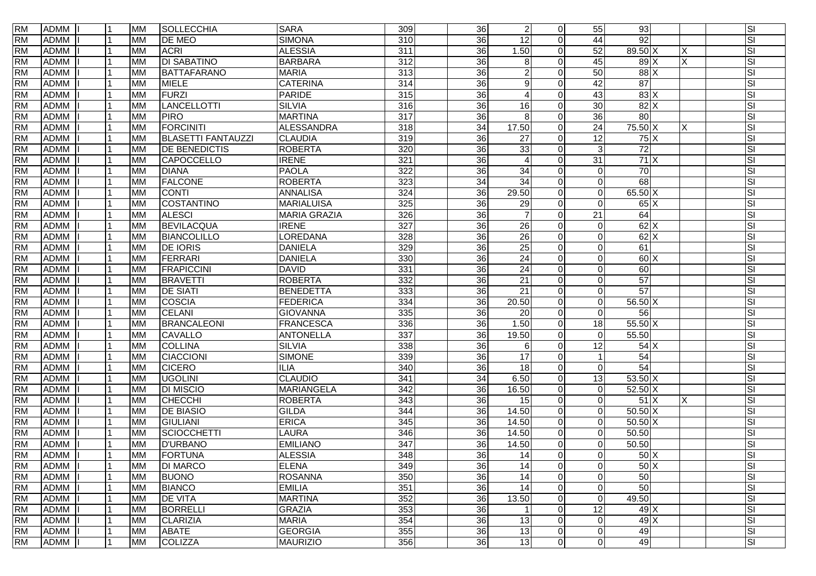| <b>RM</b> | ADMM        |   | <b>MM</b> | SOLLECCHIA                | <b>SARA</b>         | 309              | 36              | $\overline{2}$         | $\Omega$       | 55             | 93                |                         | SI                       |
|-----------|-------------|---|-----------|---------------------------|---------------------|------------------|-----------------|------------------------|----------------|----------------|-------------------|-------------------------|--------------------------|
| <b>RM</b> | <b>ADMM</b> |   | <b>MM</b> | <b>DE MEO</b>             | <b>SIMONA</b>       | $\overline{310}$ | 36              | 12                     | $\Omega$       | 44             | 92                |                         | $\overline{\mathsf{SI}}$ |
| <b>RM</b> | <b>ADMM</b> |   | <b>MM</b> | <b>ACRI</b>               | <b>ALESSIA</b>      | $\overline{311}$ | $\overline{36}$ | 1.50                   | $\Omega$       | 52             | 89.50 X           | х                       | SI                       |
| <b>RM</b> | <b>ADMM</b> |   | <b>MM</b> | <b>DI SABATINO</b>        | <b>BARBARA</b>      | $\overline{312}$ | $\overline{36}$ | 8                      | $\Omega$       | 45             | 89X               | $\overline{\mathsf{x}}$ | SI                       |
| <b>RM</b> | <b>ADMM</b> |   | <b>MM</b> | <b>BATTAFARANO</b>        | <b>MARIA</b>        | $\overline{313}$ | 36              | $\overline{2}$         | $\Omega$       | 50             | $88$ $\times$     |                         | SI                       |
| <b>RM</b> | <b>ADMM</b> |   | <b>MM</b> | MIELE                     | <b>CATERINA</b>     | 314              | $\overline{36}$ | 9                      | $\Omega$       | 42             | $\overline{87}$   |                         | SI                       |
| <b>RM</b> | <b>ADMM</b> |   | <b>MM</b> | <b>FURZI</b>              | <b>PARIDE</b>       | 315              | $\overline{36}$ | 4                      | $\Omega$       | 43             | 83X               |                         | SI                       |
| <b>RM</b> | <b>ADMM</b> |   | <b>MM</b> | <b>LANCELLOTTI</b>        | <b>SILVIA</b>       | 316              | $\overline{36}$ | 16                     | <sup>0</sup>   | 30             | 82X               |                         | SI                       |
| <b>RM</b> | <b>ADMM</b> |   | <b>MM</b> | <b>PIRO</b>               | <b>MARTINA</b>      | $\overline{317}$ | $\overline{36}$ | 8                      | $\Omega$       | 36             | $\overline{80}$   |                         | SI                       |
| <b>RM</b> | <b>ADMM</b> |   | <b>MM</b> | FORCINITI                 | <b>ALESSANDRA</b>   | 318              | $\overline{34}$ | 17.50                  | $\Omega$       | 24             | 75.50 X           | X                       | SI                       |
| <b>RM</b> | <b>ADMM</b> |   | <b>MM</b> | <b>BLASETTI FANTAUZZI</b> | <b>CLAUDIA</b>      | 319              | 36              | 27                     | $\Omega$       | 12             | 75X               |                         | SI                       |
| <b>RM</b> | <b>ADMM</b> |   | <b>MM</b> | <b>DE BENEDICTIS</b>      | <b>ROBERTA</b>      | 320              | $\overline{36}$ | 33                     | $\Omega$       | 3              | $\overline{72}$   |                         | SI                       |
| <b>RM</b> | <b>ADMM</b> |   | <b>MM</b> | CAPOCCELLO                | <b>IRENE</b>        | 321              | $\overline{36}$ | $\boldsymbol{\Lambda}$ | $\Omega$       | 31             | 71X               |                         | SI                       |
| <b>RM</b> | <b>ADMM</b> |   | <b>MM</b> | <b>DIANA</b>              | <b>PAOLA</b>        | 322              | 36              | 34                     | $\Omega$       | $\Omega$       | $\overline{70}$   |                         | <b>SI</b>                |
| <b>RM</b> | <b>ADMM</b> |   | <b>MM</b> | <b>FALCONE</b>            | <b>ROBERTA</b>      | 323              | $\overline{34}$ | $\overline{34}$        | 0              | $\Omega$       | 68                |                         | SI                       |
| <b>RM</b> | <b>ADMM</b> |   | <b>MM</b> | <b>CONTI</b>              | <b>ANNALISA</b>     | 324              | $\overline{36}$ | 29.50                  | $\Omega$       | $\Omega$       | $65.50\text{ X}$  |                         | SI                       |
| <b>RM</b> | <b>ADMM</b> |   | <b>MM</b> | COSTANTINO                | <b>MARIALUISA</b>   | 325              | $\overline{36}$ | $\overline{29}$        | $\Omega$       | $\Omega$       | 65X               |                         | SI                       |
| <b>RM</b> | <b>ADMM</b> |   | <b>MM</b> | <b>ALESCI</b>             | <b>MARIA GRAZIA</b> | 326              | $\overline{36}$ | $\overline{7}$         | $\Omega$       | 21             | 64                |                         | SI                       |
| <b>RM</b> | <b>ADMM</b> |   | <b>MM</b> | <b>BEVILACQUA</b>         | <b>IRENE</b>        | 327              | $\overline{36}$ | 26                     | $\Omega$       | $\Omega$       | $62$ X            |                         | SI                       |
| <b>RM</b> | <b>ADMM</b> |   | <b>MM</b> | BIANCOLILLO               | LOREDANA            | 328              | 36              | 26                     | $\Omega$       | $\Omega$       | $62$ X            |                         | SI                       |
| <b>RM</b> | <b>ADMM</b> |   | <b>MM</b> | <b>DE IORIS</b>           | <b>DANIELA</b>      | 329              | 36              | 25                     | $\Omega$       | $\Omega$       | 61                |                         | SI                       |
| <b>RM</b> | <b>ADMM</b> |   | <b>MM</b> | FERRARI                   | <b>DANIELA</b>      | 330              | 36              | 24                     | $\Omega$       | $\Omega$       | 60X               |                         | SI                       |
| <b>RM</b> | <b>ADMM</b> |   | <b>MM</b> | <b>FRAPICCINI</b>         | <b>DAVID</b>        | 331              | 36              | $\overline{24}$        | $\Omega$       | $\Omega$       | 60                |                         | SI                       |
| <b>RM</b> | <b>ADMM</b> |   | <b>MM</b> | <b>BRAVETTI</b>           | <b>ROBERTA</b>      | 332              | $\overline{36}$ | $\overline{21}$        | $\Omega$       | $\Omega$       | 57                |                         | SI                       |
| <b>RM</b> | <b>ADMM</b> |   | <b>MM</b> | <b>DE SIATI</b>           | <b>BENEDETTA</b>    | 333              | $\overline{36}$ | $\overline{21}$        | $\Omega$       | $\Omega$       | 57                |                         | SI                       |
| <b>RM</b> | <b>ADMM</b> |   | <b>MM</b> | <b>COSCIA</b>             | <b>FEDERICA</b>     | 334              | $\overline{36}$ | 20.50                  | $\Omega$       | $\Omega$       | $56.50\text{X}$   |                         | SI                       |
| <b>RM</b> | <b>ADMM</b> |   | <b>MM</b> | CELANI                    | <b>GIOVANNA</b>     | 335              | $\overline{36}$ | 20                     | $\Omega$       | $\Omega$       | 56                |                         | SI                       |
| <b>RM</b> | <b>ADMM</b> |   | <b>MM</b> | <b>BRANCALEONI</b>        | <b>FRANCESCA</b>    | 336              | $\overline{36}$ | 1.50                   | $\Omega$       | 18             | $55.50\text{X}$   |                         | SI                       |
| <b>RM</b> | <b>ADMM</b> |   | <b>MM</b> | <b>CAVALLO</b>            | <b>ANTONELLA</b>    | 337              | $\overline{36}$ | 19.50                  | $\Omega$       | $\Omega$       | 55.50             |                         | SI                       |
| <b>RM</b> | <b>ADMM</b> |   | <b>MM</b> | <b>COLLINA</b>            | <b>SILVIA</b>       | 338              | 36              | 6                      | $\Omega$       | 12             | 54X               |                         | SI                       |
| <b>RM</b> | <b>ADMM</b> |   | <b>MM</b> | <b>CIACCIONI</b>          | <b>SIMONE</b>       | 339              | 36              | 17                     | $\Omega$       |                | 54                |                         | SI                       |
| <b>RM</b> | <b>ADMM</b> |   | <b>MM</b> | <b>CICERO</b>             | <b>ILIA</b>         | 340              | 36              | 18                     | 0              | $\Omega$       | $\overline{54}$   |                         | SI                       |
| <b>RM</b> | <b>ADMM</b> |   | <b>MM</b> | <b>UGOLINI</b>            | <b>CLAUDIO</b>      | 341              | 34              | 6.50                   | $\Omega$       | 13             | $53.50 \text{ X}$ |                         | SI                       |
| <b>RM</b> | <b>ADMM</b> |   | <b>MM</b> | <b>DI MISCIO</b>          | <b>MARIANGELA</b>   | 342              | 36              | 16.50                  | $\Omega$       | $\overline{0}$ | 52.50 X           |                         | SI                       |
| <b>RM</b> | <b>ADMM</b> |   | <b>MM</b> | CHECCHI                   | <b>ROBERTA</b>      | $\overline{343}$ | $\overline{36}$ | 15                     | $\Omega$       | $\Omega$       | 51X               | X                       | SI                       |
| <b>RM</b> | <b>ADMM</b> |   | <b>MM</b> | <b>DE BIASIO</b>          | <b>GILDA</b>        | 344              | $\overline{36}$ | 14.50                  | $\Omega$       | 0              | $50.50\text{X}$   |                         | SI                       |
| <b>RM</b> | <b>ADMM</b> |   | <b>MM</b> | <b>GIULIANI</b>           | <b>ERICA</b>        | 345              | 36              | 14.50                  | $\Omega$       | $\Omega$       | $50.50\text{X}$   |                         | SI                       |
| <b>RM</b> | <b>ADMM</b> |   | <b>MM</b> | SCIOCCHETTI               | <b>LAURA</b>        | 346              | 36              | 14.50                  | $\Omega$       | $\Omega$       | 50.50             |                         | SI                       |
| <b>RM</b> | <b>ADMM</b> |   | <b>MM</b> | <b>D'URBANO</b>           | <b>EMILIANO</b>     | $\overline{347}$ | 36              | 14.50                  | $\Omega$       | $\mathbf{0}$   | 50.50             |                         | SI                       |
| <b>RM</b> | ADMM I      | 1 | <b>MM</b> | FORTUNA                   | <b>ALESSIA</b>      | 348              | $\overline{36}$ | 14                     | $\Omega$       | $\Omega$       | 50X               |                         | $\overline{\mathsf{S}}$  |
| <b>RM</b> | <b>ADMM</b> |   | <b>MM</b> | <b>DI MARCO</b>           | <b>ELENA</b>        | 349              | $\overline{36}$ | 14                     | $\Omega$       | 0              | 50X               |                         | SI                       |
| <b>RM</b> | <b>ADMM</b> |   | <b>MM</b> | <b>BUONO</b>              | <b>ROSANNA</b>      | 350              | 36              | $\overline{14}$        | $\Omega$       | 0              | 50                |                         | SI                       |
| <b>RM</b> | <b>ADMM</b> |   | <b>MM</b> | <b>BIANCO</b>             | <b>EMILIA</b>       | 351              | 36              | $\overline{14}$        | $\Omega$       | $\mathbf 0$    | 50                |                         | SI                       |
| <b>RM</b> | <b>ADMM</b> |   | <b>MM</b> | <b>DE VITA</b>            | <b>MARTINA</b>      | 352              | $\overline{36}$ | 13.50                  | $\overline{0}$ | $\overline{0}$ | 49.50             |                         | SI                       |
| <b>RM</b> | <b>ADMM</b> |   | <b>MM</b> | <b>BORRELLI</b>           | <b>GRAZIA</b>       | 353              | 36              | $\overline{1}$         | $\Omega$       | 12             | $49$ $\times$     |                         | SI                       |
| <b>RM</b> | <b>ADMM</b> |   | <b>MM</b> | CLARIZIA                  | <b>MARIA</b>        | 354              | 36              | 13                     | $\Omega$       | $\mathbf 0$    | 49X               |                         | SI                       |
| <b>RM</b> | <b>ADMM</b> |   | <b>MM</b> | <b>ABATE</b>              | <b>GEORGIA</b>      | 355              | 36              | 13                     | $\Omega$       | 0              | 49                |                         | SI                       |
| <b>RM</b> | ADMM        |   | <b>MM</b> | COLIZZA                   | <b>MAURIZIO</b>     | 356              | $\overline{36}$ | 13                     | $\overline{0}$ | $\mathbf 0$    | 49                |                         | SI                       |
|           |             |   |           |                           |                     |                  |                 |                        |                |                |                   |                         |                          |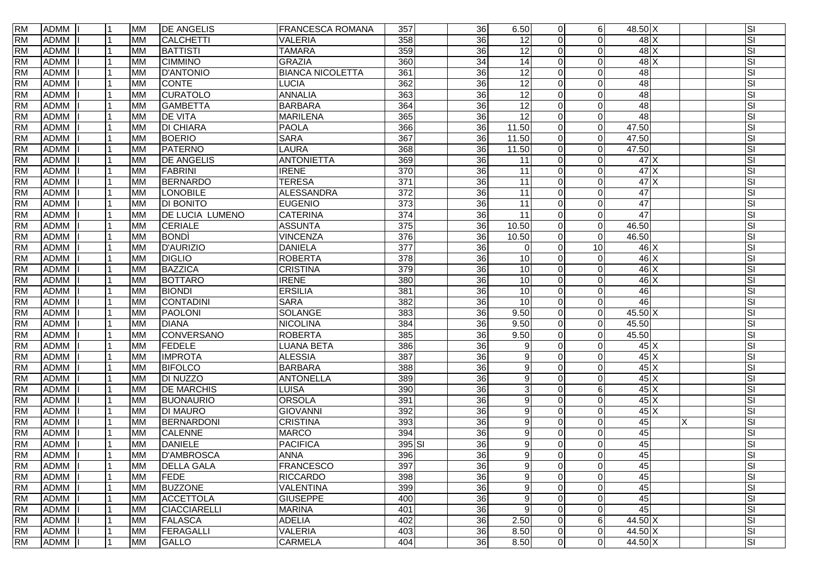| <b>RM</b> | <b>ADMM</b> | 11  | <b>MM</b> | <b>DE ANGELIS</b>      | <b>FRANCESCA ROMANA</b> | 357              | 36              | 6.50            | $\Omega$     | 6              | 48.50 X           |             | SI        |
|-----------|-------------|-----|-----------|------------------------|-------------------------|------------------|-----------------|-----------------|--------------|----------------|-------------------|-------------|-----------|
| <b>RM</b> | <b>ADMM</b> |     | <b>MM</b> | <b>CALCHETTI</b>       | <b>VALERIA</b>          | 358              | 36              | 12              | $\Omega$     | $\Omega$       |                   | $48$ $X$    | SI        |
| <b>RM</b> | <b>ADMM</b> |     | <b>MM</b> | <b>BATTISTI</b>        | <b>TAMARA</b>           | 359              | $\overline{36}$ | 12              | $\Omega$     | $\Omega$       |                   | 48X         | SI        |
| <b>RM</b> | <b>ADMM</b> |     | <b>MM</b> | <b>CIMMINO</b>         | <b>GRAZIA</b>           | 360              | 34              | $\overline{14}$ | $\Omega$     | $\Omega$       |                   | $48$ X      | SI        |
| <b>RM</b> | <b>ADMM</b> |     | <b>MM</b> | <b>D'ANTONIO</b>       | <b>BIANCA NICOLETTA</b> | 361              | 36              | $\overline{12}$ | $\Omega$     | $\Omega$       | 48                |             | SI        |
| <b>RM</b> | <b>ADMM</b> |     | <b>MM</b> | <b>CONTE</b>           | LUCIA                   | 362              | $\overline{36}$ | $\overline{12}$ | $\Omega$     | $\Omega$       | 48                |             | SI        |
| <b>RM</b> | <b>ADMM</b> |     | <b>MM</b> | <b>CURATOLO</b>        | <b>ANNALIA</b>          | 363              | $\overline{36}$ | 12              | <sup>n</sup> | $\Omega$       | 48                |             | SI        |
| <b>RM</b> | <b>ADMM</b> |     | <b>MM</b> | <b>GAMBETTA</b>        | <b>BARBARA</b>          | 364              | 36              | 12              |              | $\Omega$       | 48                |             | SI        |
| <b>RM</b> | <b>ADMM</b> |     | <b>MM</b> | <b>DE VITA</b>         | <b>MARILENA</b>         | 365              | 36              | $\overline{12}$ | $\Omega$     | $\Omega$       | $\overline{48}$   |             | SI        |
| <b>RM</b> | <b>ADMM</b> |     | <b>MM</b> | <b>DI CHIARA</b>       | <b>PAOLA</b>            | 366              | 36              | 11.50           | $\Omega$     | $\Omega$       | 47.50             |             | SI        |
| <b>RM</b> | <b>ADMM</b> |     | <b>MM</b> | <b>BOERIO</b>          | <b>SARA</b>             | 367              | 36              | 11.50           | 0            | $\Omega$       | 47.50             |             | SI        |
| <b>RM</b> | <b>ADMM</b> |     | <b>MM</b> | <b>PATERNO</b>         | LAURA                   | 368              | $\overline{36}$ | 11.50           | $\Omega$     | $\Omega$       | 47.50             |             | SI        |
| <b>RM</b> | <b>ADMM</b> |     | <b>MM</b> | <b>DE ANGELIS</b>      | <b>ANTONIETTA</b>       | 369              | 36              | 11              | 0            | $\Omega$       | 47X               |             | SI        |
| <b>RM</b> | <b>ADMM</b> |     | <b>MM</b> | <b>FABRINI</b>         | <b>IRENE</b>            | $\overline{370}$ | 36              | 11              | $\Omega$     | $\Omega$       | 47X               |             | SI        |
| <b>RM</b> | <b>ADMM</b> |     | <b>MM</b> | <b>BERNARDO</b>        | <b>TERESA</b>           | $\overline{371}$ | $\overline{36}$ | 11              | 0            | $\Omega$       | 47X               |             | SI        |
| <b>RM</b> | <b>ADMM</b> |     | <b>MM</b> | <b>LONOBILE</b>        | <b>ALESSANDRA</b>       | 372              | $\overline{36}$ | $\overline{11}$ | $\Omega$     | $\Omega$       | 47                |             | SI        |
| <b>RM</b> | <b>ADMM</b> |     | <b>MM</b> | <b>DI BONITO</b>       | <b>EUGENIO</b>          | 373              | $\overline{36}$ | $\overline{11}$ | $\Omega$     | $\Omega$       | 47                |             | SI        |
| <b>RM</b> | <b>ADMM</b> |     | <b>MM</b> | <b>DE LUCIA LUMENO</b> | <b>CATERINA</b>         | 374              | $\overline{36}$ | $\overline{11}$ | $\Omega$     | $\Omega$       | 47                |             | SI        |
| <b>RM</b> | <b>ADMM</b> |     | <b>MM</b> | <b>CERIALE</b>         | <b>ASSUNTA</b>          | 375              | $\overline{36}$ | 10.50           | $\Omega$     | $\mathbf 0$    | 46.50             |             | SI        |
| <b>RM</b> | <b>ADMM</b> |     | <b>MM</b> | <b>BOND</b>            | <b>VINCENZA</b>         | 376              | 36              | 10.50           | $\Omega$     | $\Omega$       | 46.50             |             | SI        |
| <b>RM</b> | <b>ADMM</b> |     | <b>MM</b> | <b>D'AURIZIO</b>       | <b>DANIELA</b>          | 377              | 36              | $\overline{0}$  | $\Omega$     | 10             |                   | 46 X        | SI        |
| <b>RM</b> | <b>ADMM</b> |     | <b>MM</b> | <b>DIGLIO</b>          | <b>ROBERTA</b>          | 378              | 36              | 10              | $\Omega$     | $\Omega$       |                   | $46 \times$ | SI        |
| <b>RM</b> | <b>ADMM</b> |     | <b>MM</b> | <b>BAZZICA</b>         | <b>CRISTINA</b>         | 379              | $\overline{36}$ | 10              | $\Omega$     | $\Omega$       |                   | $46 \times$ | SI        |
| <b>RM</b> | <b>ADMM</b> |     | <b>MM</b> | <b>BOTTARO</b>         | <b>IRENE</b>            | 380              | $\overline{36}$ | 10              | <sup>n</sup> | $\Omega$       |                   | $46$ X      | SI        |
| <b>RM</b> | <b>ADMM</b> |     | <b>MM</b> | <b>BIONDI</b>          | <b>ERSILIA</b>          | 381              | $\overline{36}$ | 10              | 0            | $\Omega$       | 46                |             | SI        |
| <b>RM</b> | <b>ADMM</b> |     | <b>MM</b> | CONTADINI              | <b>SARA</b>             | 382              | 36              | $\overline{10}$ | $\Omega$     | $\Omega$       | 46                |             | SI        |
| <b>RM</b> | <b>ADMM</b> |     | <b>MM</b> | <b>PAOLONI</b>         | <b>SOLANGE</b>          | 383              | 36              | 9.50            | $\Omega$     | $\Omega$       | $45.50 \text{ X}$ |             | SI        |
| <b>RM</b> | <b>ADMM</b> |     | <b>MM</b> | <b>DIANA</b>           | <b>NICOLINA</b>         | 384              | $\overline{36}$ | 9.50            | 0            | $\Omega$       | 45.50             |             | SI        |
| <b>RM</b> | <b>ADMM</b> |     | <b>MM</b> | CONVERSANO             | <b>ROBERTA</b>          | 385              | 36              | 9.50            | $\Omega$     | $\Omega$       | 45.50             |             | SI        |
| <b>RM</b> | <b>ADMM</b> |     | <b>MM</b> | <b>FEDELE</b>          | <b>LUANA BETA</b>       | 386              | 36              | 9               | $\Omega$     | $\Omega$       |                   | 45 X        | SI        |
| <b>RM</b> | <b>ADMM</b> |     | <b>MM</b> | <b>IMPROTA</b>         | <b>ALESSIA</b>          | 387              | 36              | 9               | $\Omega$     | $\Omega$       |                   | 45 X        | SI        |
| <b>RM</b> | <b>ADMM</b> |     | <b>MM</b> | <b>BIFOLCO</b>         | <b>BARBARA</b>          | 388              | 36              | 9               |              | $\Omega$       |                   | 45X         | SI        |
| <b>RM</b> | <b>ADMM</b> |     | <b>MM</b> | DI NUZZO               | <b>ANTONELLA</b>        | 389              | 36              | 9               | $\Omega$     | $\Omega$       |                   | 45X         | SI        |
| <b>RM</b> | <b>ADMM</b> |     | <b>MM</b> | <b>DE MARCHIS</b>      | LUISA                   | 390              | 36              | $\mathbf{3}$    | $\Omega$     | 6              |                   | 45X         | SI        |
| <b>RM</b> | <b>ADMM</b> |     | <b>MM</b> | <b>BUONAURIO</b>       | <b>ORSOLA</b>           | 391              | $\overline{36}$ | 9               | $\Omega$     | $\Omega$       |                   | $45$ $X$    | SI        |
| <b>RM</b> | <b>ADMM</b> |     | <b>MM</b> | <b>DI MAURO</b>        | <b>GIOVANNI</b>         | 392              | $\overline{36}$ | $9\,$           |              | $\Omega$       |                   | $45 \times$ | SI        |
| <b>RM</b> | <b>ADMM</b> |     | <b>MM</b> | BERNARDONI             | <b>CRISTINA</b>         | 393              | $\overline{36}$ | 9               | $\Omega$     | $\Omega$       | 45                |             | SI        |
| <b>RM</b> | <b>ADMM</b> |     | <b>MM</b> | <b>CALENNE</b>         | <b>MARCO</b>            | 394              | 36              | 9               | $\Omega$     | $\Omega$       | 45                |             | SI        |
| <b>RM</b> | <b>ADMM</b> |     | <b>MM</b> | <b>DANIELE</b>         | <b>PACIFICA</b>         | 395 SI           | 36              | 9               | $\Omega$     | $\Omega$       | 45                |             | SI        |
| <b>RM</b> | ADMM I      | l 1 | <b>MM</b> | <b>D'AMBROSCA</b>      | <b>ANNA</b>             | 396              | 36              | $\mathfrak{g}$  | $\Omega$     | $\Omega$       | 45                |             | <b>SI</b> |
| <b>RM</b> | <b>ADMM</b> | l 1 | <b>MM</b> | <b>DELLA GALA</b>      | <b>FRANCESCO</b>        | 397              | 36              | 9               | $\Omega$     | $\mathbf 0$    | 45                |             | SI        |
| <b>RM</b> | <b>ADMM</b> |     | <b>MM</b> | <b>FEDE</b>            | <b>RICCARDO</b>         | 398              | 36              | 9               | $\Omega$     | 0              | 45                |             | SI        |
| <b>RM</b> | <b>ADMM</b> | l 1 | <b>MM</b> | <b>BUZZONE</b>         | <b>VALENTINA</b>        | 399              | 36              | 9               | $\Omega$     | $\mathbf 0$    | 45                |             | SI        |
| <b>RM</b> | <b>ADMM</b> |     | <b>MM</b> | <b>ACCETTOLA</b>       | <b>GIUSEPPE</b>         | 400              | $\overline{36}$ | $9\,$           | $\Omega$     | 0              | 45                |             | SI        |
| <b>RM</b> | <b>ADMM</b> |     | <b>MM</b> | <b>CIACCIARELLI</b>    | <b>MARINA</b>           | 401              | 36              | 9               | $\Omega$     | $\Omega$       | 45                |             | SI        |
| <b>RM</b> | <b>ADMM</b> |     | <b>MM</b> | <b>FALASCA</b>         | <b>ADELIA</b>           | 402              | 36              | 2.50            | $\Omega$     | 6              | 44.50 X           |             | SI        |
| <b>RM</b> | <b>ADMM</b> | l 1 | <b>MM</b> | FERAGALLI              | <b>VALERIA</b>          | 403              | 36              | 8.50            | $\Omega$     | 0              | 44.50 X           |             | SI        |
| <b>RM</b> | ADMM        | l 1 | <b>MM</b> | <b>GALLO</b>           | CARMELA                 | 404              | 36              | 8.50            | $\Omega$     | $\overline{0}$ | 44.50 X           |             | S         |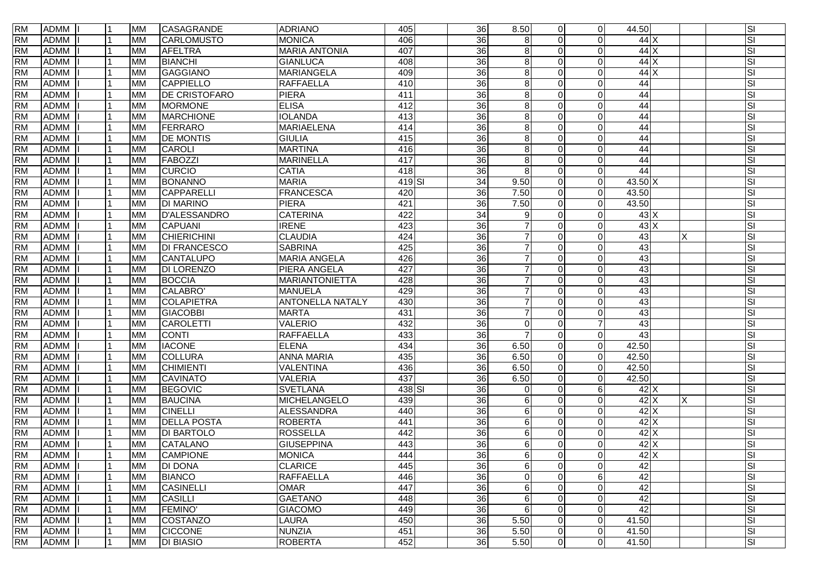| <b>RM</b> | <b>ADMM</b> | Ι1  | <b>MM</b> | CASAGRANDE          | <b>ADRIANO</b>        | 405    | 36              | 8.50                | $\Omega$       | $\overline{0}$ | 44.50             |               |   | SI                      |
|-----------|-------------|-----|-----------|---------------------|-----------------------|--------|-----------------|---------------------|----------------|----------------|-------------------|---------------|---|-------------------------|
| <b>RM</b> | <b>ADMM</b> |     | <b>MM</b> | CARLOMUSTO          | <b>MONICA</b>         | 406    | $\overline{36}$ | 8                   |                | O              |                   | 44X           |   | SI                      |
| <b>RM</b> | <b>ADMM</b> |     | <b>MM</b> | <b>AFELTRA</b>      | <b>MARIA ANTONIA</b>  | 407    | 36              | 8                   | $\Omega$       | $\Omega$       |                   | 44X           |   | SI                      |
| <b>RM</b> | <b>ADMM</b> |     | <b>MM</b> | <b>BIANCHI</b>      | <b>GIANLUCA</b>       | 408    | 36              | 8                   | $\Omega$       | $\Omega$       |                   | $44$ X        |   | SI                      |
| <b>RM</b> | <b>ADMM</b> |     | <b>MM</b> | <b>GAGGIANO</b>     | <b>MARIANGELA</b>     | 409    | $\overline{36}$ | 8                   | $\Omega$       | $\Omega$       |                   | 44X           |   | SI                      |
| <b>RM</b> | <b>ADMM</b> |     | <b>MM</b> | <b>CAPPIELLO</b>    | <b>RAFFAELLA</b>      | 410    | $\overline{36}$ | 8                   |                | $\Omega$       | 44                |               |   | SI                      |
| <b>RM</b> | <b>ADMM</b> |     | <b>MM</b> | DE CRISTOFARO       | <b>PIERA</b>          | 411    | $\overline{36}$ | 8                   | <sup>n</sup>   | $\Omega$       | 44                |               |   | SI                      |
| <b>RM</b> | <b>ADMM</b> |     | <b>MM</b> | <b>MORMONE</b>      | <b>ELISA</b>          | 412    | 36              | 8                   |                | $\Omega$       | 44                |               |   | SI                      |
| <b>RM</b> | <b>ADMM</b> |     | <b>MM</b> | <b>MARCHIONE</b>    | <b>IOLANDA</b>        | 413    | 36              | $\boldsymbol{8}$    | $\Omega$       | $\Omega$       | 44                |               |   | SI                      |
| <b>RM</b> | <b>ADMM</b> |     | <b>MM</b> | FERRARO             | <b>MARIAELENA</b>     | 414    | 36              | 8                   | 0              | $\Omega$       | 44                |               |   | SI                      |
| <b>RM</b> | <b>ADMM</b> |     | <b>MM</b> | <b>DE MONTIS</b>    | <b>GIULIA</b>         | 415    | 36              | 8                   | $\Omega$       | $\Omega$       | 44                |               |   | SI                      |
| <b>RM</b> | <b>ADMM</b> |     | <b>MM</b> | CAROLI              | <b>MARTINA</b>        | 416    | 36              | 8                   | $\Omega$       | $\Omega$       | 44                |               |   | SI                      |
| <b>RM</b> | <b>ADMM</b> |     | <b>MM</b> | FABOZZI             | <b>MARINELLA</b>      | 417    | 36              | 8                   | $\Omega$       | $\Omega$       | 44                |               |   | SI                      |
| <b>RM</b> | <b>ADMM</b> |     | <b>MM</b> | <b>CURCIO</b>       | <b>CATIA</b>          | 418    | $\overline{36}$ | 8                   | 0              | $\Omega$       | 44                |               |   | SI                      |
| <b>RM</b> | <b>ADMM</b> |     | <b>MM</b> | <b>BONANNO</b>      | <b>MARIA</b>          | 419 SI | $\overline{34}$ | 9.50                | 0              | $\Omega$       | $43.50 \text{ X}$ |               |   | SI                      |
| <b>RM</b> | <b>ADMM</b> |     | <b>MM</b> | CAPPARELLI          | <b>FRANCESCA</b>      | 420    | $\overline{36}$ | 7.50                | $\Omega$       | $\Omega$       | 43.50             |               |   | SI                      |
| <b>RM</b> | <b>ADMM</b> | l 1 | <b>MM</b> | <b>DI MARINO</b>    | <b>PIERA</b>          | 421    | $\overline{36}$ | 7.50                | $\Omega$       | $\Omega$       | 43.50             |               |   | SI                      |
| <b>RM</b> | <b>ADMM</b> |     | <b>MM</b> | <b>D'ALESSANDRO</b> | <b>CATERINA</b>       | 422    | $\overline{34}$ | 9                   | $\Omega$       | $\Omega$       |                   | 43X           |   | $\overline{\mathsf{S}}$ |
| <b>RM</b> | <b>ADMM</b> |     | <b>MM</b> | <b>CAPUANI</b>      | <b>IRENE</b>          | 423    | 36              |                     |                | $\Omega$       |                   | $43 \times$   |   | SI                      |
| <b>RM</b> | <b>ADMM</b> |     | <b>MM</b> | <b>CHIERICHINI</b>  | <b>CLAUDIA</b>        | 424    | 36              | $\overline{7}$      |                | $\Omega$       | 43                |               | X | SI                      |
| <b>RM</b> | <b>ADMM</b> |     | <b>MM</b> | <b>DI FRANCESCO</b> | <b>SABRINA</b>        | 425    | 36              | $\overline{7}$      | $\Omega$       | $\Omega$       | 43                |               |   | SI                      |
| <b>RM</b> | <b>ADMM</b> |     | <b>MM</b> | CANTALUPO           | <b>MARIA ANGELA</b>   | 426    | 36              | 7                   | $\Omega$       | $\Omega$       | 43                |               |   | SI                      |
| <b>RM</b> | <b>ADMM</b> |     | <b>MM</b> | <b>DI LORENZO</b>   | PIERA ANGELA          | 427    | $\overline{36}$ |                     | $\Omega$       | $\Omega$       | 43                |               |   | SI                      |
| <b>RM</b> | <b>ADMM</b> |     | <b>MM</b> | <b>BOCCIA</b>       | <b>MARIANTONIETTA</b> | 428    | $\overline{36}$ | $\overline{7}$      | <sup>n</sup>   | $\Omega$       | 43                |               |   | SI                      |
| <b>RM</b> | <b>ADMM</b> |     | <b>MM</b> | CALABRO'            | <b>MANUELA</b>        | 429    | $\overline{36}$ | $\overline{7}$      | $\Omega$       | $\Omega$       | 43                |               |   | SI                      |
| <b>RM</b> | <b>ADMM</b> |     | <b>MM</b> | COLAPIETRA          | ANTONELLA NATALY      | 430    | 36              | $\overline{7}$      | $\Omega$       | $\Omega$       | 43                |               |   | SI                      |
| <b>RM</b> | <b>ADMM</b> |     | <b>MM</b> | <b>GIACOBBI</b>     | <b>MARTA</b>          | 431    | $\overline{36}$ |                     |                | $\Omega$       | 43                |               |   | SI                      |
| <b>RM</b> | <b>ADMM</b> |     | <b>MM</b> | <b>CAROLETTI</b>    | <b>VALERIO</b>        | 432    | 36              | $\Omega$            |                |                | 43                |               |   | SI                      |
| <b>RM</b> | <b>ADMM</b> |     | <b>MM</b> | <b>CONTI</b>        | <b>RAFFAELLA</b>      | 433    | 36              | 7                   | $\Omega$       | $\Omega$       | 43                |               |   | SI                      |
| <b>RM</b> | <b>ADMM</b> |     | <b>MM</b> | <b>IACONE</b>       | <b>ELENA</b>          | 434    | 36              | 6.50                | $\Omega$       | $\Omega$       | 42.50             |               |   | SI                      |
| <b>RM</b> | <b>ADMM</b> |     | <b>MM</b> | <b>COLLURA</b>      | <b>ANNA MARIA</b>     | 435    | 36              | 6.50                | $\Omega$       | $\Omega$       | 42.50             |               |   | SI                      |
| <b>RM</b> | <b>ADMM</b> |     | <b>MM</b> | <b>CHIMIENTI</b>    | VALENTINA             | 436    | 36              | 6.50                | $\Omega$       | $\Omega$       | 42.50             |               |   | SI                      |
| <b>RM</b> | <b>ADMM</b> |     | <b>MM</b> | <b>CAVINATO</b>     | <b>VALERIA</b>        | 437    | 36              | 6.50                | $\Omega$       | $\Omega$       | 42.50             |               |   | SI                      |
| <b>RM</b> | <b>ADMM</b> |     | <b>MM</b> | <b>BEGOVIC</b>      | <b>SVETLANA</b>       | 438 SI | 36              | $\Omega$            | $\Omega$       | 6              |                   | 42X           |   | SI                      |
| <b>RM</b> | <b>ADMM</b> |     | <b>MM</b> | <b>BAUCINA</b>      | <b>MICHELANGELO</b>   | 439    | $\overline{36}$ | 6                   |                | $\Omega$       |                   | $42$ X        | X | SI                      |
| <b>RM</b> | <b>ADMM</b> |     | <b>MM</b> | <b>CINELLI</b>      | <b>ALESSANDRA</b>     | 440    | $\overline{36}$ | 6                   |                | $\Omega$       |                   | 42 X          |   | SI                      |
| <b>RM</b> | <b>ADMM</b> |     | <b>MM</b> | <b>DELLA POSTA</b>  | <b>ROBERTA</b>        | 441    | 36              | 6                   | $\Omega$       | $\Omega$       |                   | 42X           |   | SI                      |
| <b>RM</b> | <b>ADMM</b> |     | <b>MM</b> | <b>DI BARTOLO</b>   | <b>ROSSELLA</b>       | 442    | 36              | 6                   |                | $\Omega$       |                   | $42$ X        |   | SI                      |
| <b>RM</b> | <b>ADMM</b> |     | <b>MM</b> | <b>CATALANO</b>     | <b>GIUSEPPINA</b>     | 443    | $\overline{36}$ | 6                   | 0              | $\Omega$       |                   | 42 X          |   | SI                      |
| <b>RM</b> | <b>ADMM</b> | 11  | <b>MM</b> | <b>CAMPIONE</b>     | <b>MONICA</b>         | 444    | 36              | 6                   | $\Omega$       | $\Omega$       |                   | $42$ $\times$ |   | <b>SI</b>               |
| <b>RM</b> | <b>ADMM</b> | 11  | <b>MM</b> | <b>DI DONA</b>      | <b>CLARICE</b>        | 445    | 36              | 6                   | $\Omega$       | $\mathbf 0$    | 42                |               |   | SI                      |
| <b>RM</b> | <b>ADMM</b> |     | <b>MM</b> | <b>BIANCO</b>       | <b>RAFFAELLA</b>      | 446    | $\overline{36}$ | $\mathsf{O}\xspace$ | $\Omega$       | 6              | 42                |               |   | SI                      |
| <b>RM</b> | <b>ADMM</b> |     | <b>MM</b> | <b>CASINELLI</b>    | <b>OMAR</b>           | 447    | 36              | $\,6$               | $\Omega$       | $\mathbf 0$    | 42                |               |   | $\overline{\mathbf{S}}$ |
| <b>RM</b> | <b>ADMM</b> |     | <b>MM</b> | <b>CASILLI</b>      | <b>GAETANO</b>        | 448    | 36              | $\,6$               | 0              | 0              | 42                |               |   | SI                      |
| <b>RM</b> | <b>ADMM</b> |     | <b>MM</b> | <b>FEMINO</b>       | <b>GIACOMO</b>        | 449    | 36              | $\,6$               | $\Omega$       | $\Omega$       | 42                |               |   | SI                      |
| <b>RM</b> | <b>ADMM</b> |     | <b>MM</b> | COSTANZO            | LAURA                 | 450    | 36              | 5.50                | $\Omega$       | $\mathbf 0$    | 41.50             |               |   | SI                      |
| <b>RM</b> | <b>ADMM</b> | l 1 | <b>MM</b> | <b>CICCONE</b>      | <b>NUNZIA</b>         | 451    | $\overline{36}$ | 5.50                | $\Omega$       | $\mathbf 0$    | 41.50             |               |   | SI                      |
| <b>RM</b> | <b>ADMM</b> |     | <b>MM</b> | <b>DI BIASIO</b>    | <b>ROBERTA</b>        | 452    | 36              | 5.50                | $\overline{0}$ | $\overline{0}$ | 41.50             |               |   | $\overline{\mathsf{S}}$ |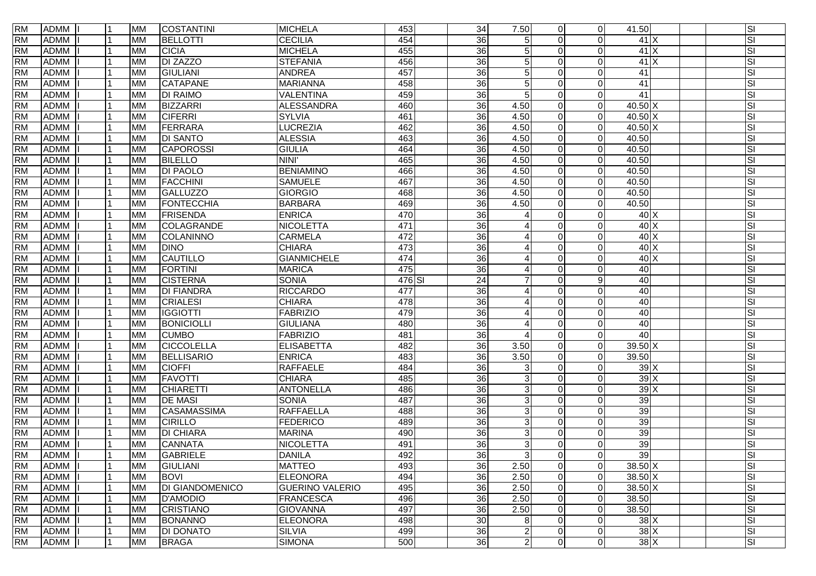| <b>RM</b> | <b>ADMM</b> |   | <b>MM</b> | <b>COSTANTINI</b>      | <b>MICHELA</b>         | 453    | 34              | 7.50                     | $\Omega$ | $\overline{0}$ | 41.50             |               | SI                      |
|-----------|-------------|---|-----------|------------------------|------------------------|--------|-----------------|--------------------------|----------|----------------|-------------------|---------------|-------------------------|
| <b>RM</b> | <b>ADMM</b> |   | <b>MM</b> | <b>BELLOTTI</b>        | <b>CECILIA</b>         | 454    | 36              | 5                        | $\Omega$ | $\Omega$       |                   | 41X           | SI                      |
| <b>RM</b> | <b>ADMM</b> |   | <b>MM</b> | <b>CICIA</b>           | <b>MICHELA</b>         | 455    | $\overline{36}$ | 5                        |          | $\Omega$       |                   | 41X           | SI                      |
| <b>RM</b> | <b>ADMM</b> |   | <b>MM</b> | <b>DI ZAZZO</b>        | STEFANIA               | 456    | $\overline{36}$ | 5                        |          | $\Omega$       |                   | 41X           | SI                      |
| <b>RM</b> | <b>ADMM</b> |   | <b>MM</b> | GIULIANI               | <b>ANDREA</b>          | 457    | $\overline{36}$ | 5                        |          | $\Omega$       | 41                |               | SI                      |
| <b>RM</b> | <b>ADMM</b> |   | <b>MM</b> | <b>CATAPANE</b>        | <b>MARIANNA</b>        | 458    | $\overline{36}$ | 5                        |          | $\Omega$       | 41                |               | SI                      |
| <b>RM</b> | <b>ADMM</b> |   | <b>MM</b> | <b>DI RAIMO</b>        | VALENTINA              | 459    | 36              | 5                        |          | $\Omega$       | 41                |               | SI                      |
| <b>RM</b> | <b>ADMM</b> |   | <b>MM</b> | <b>BIZZARRI</b>        | <b>ALESSANDRA</b>      | 460    | $\overline{36}$ | 4.50                     |          | $\mathbf{0}$   | 40.50 X           |               | SI                      |
| <b>RM</b> | <b>ADMM</b> |   | <b>MM</b> | <b>CIFERRI</b>         | <b>SYLVIA</b>          | 461    | 36              | 4.50                     |          | $\Omega$       | 40.50 X           |               | SI                      |
| <b>RM</b> | ADMM        |   | <b>MM</b> | FERRARA                | <b>LUCREZIA</b>        | 462    | $\overline{36}$ | 4.50                     |          | $\mathbf 0$    | 40.50 X           |               | SI                      |
| <b>RM</b> | <b>ADMM</b> |   | <b>MM</b> | <b>DI SANTO</b>        | <b>ALESSIA</b>         | 463    | $\overline{36}$ | 4.50                     |          | $\Omega$       | 40.50             |               | SI                      |
| <b>RM</b> | <b>ADMM</b> |   | <b>MM</b> | <b>CAPOROSSI</b>       | <b>GIULIA</b>          | 464    | $\overline{36}$ | 4.50                     |          | $\Omega$       | 40.50             |               | SI                      |
| <b>RM</b> | <b>ADMM</b> |   | <b>MM</b> | <b>BILELLO</b>         | NINI'                  | 465    | 36              | 4.50                     | 0        | $\Omega$       | 40.50             |               | SI                      |
| <b>RM</b> | <b>ADMM</b> |   | <b>MM</b> | <b>DI PAOLO</b>        | BENIAMINO              | 466    | $\overline{36}$ | 4.50                     | $\Omega$ | $\Omega$       | 40.50             |               | SI                      |
| <b>RM</b> | <b>ADMM</b> |   | <b>MM</b> | <b>FACCHINI</b>        | <b>SAMUELE</b>         | 467    | $\overline{36}$ | 4.50                     | $\Omega$ | $\Omega$       | 40.50             |               | SI                      |
| <b>RM</b> | <b>ADMM</b> |   | <b>MM</b> | <b>GALLUZZO</b>        | <b>GIORGIO</b>         | 468    | $\overline{36}$ | 4.50                     | $\Omega$ | $\mathbf{0}$   | 40.50             |               | SI                      |
| <b>RM</b> | <b>ADMM</b> |   | <b>MM</b> | FONTECCHIA             | <b>BARBARA</b>         | 469    | $\overline{36}$ | 4.50                     | $\Omega$ | $\overline{0}$ | 40.50             |               | SI                      |
| <b>RM</b> | <b>ADMM</b> |   | <b>MM</b> | FRISENDA               | <b>ENRICA</b>          | 470    | 36              |                          |          | $\mathbf 0$    |                   | 40X           | SI                      |
| <b>RM</b> | <b>ADMM</b> |   | <b>MM</b> | COLAGRANDE             | <b>NICOLETTA</b>       | 471    | $\overline{36}$ |                          |          | $\Omega$       |                   | $40 \times$   | SI                      |
| <b>RM</b> | <b>ADMM</b> |   | <b>MM</b> | COLANINNO              | <b>CARMELA</b>         | 472    | 36              |                          |          | $\Omega$       |                   | $40 \times$   | SI                      |
| <b>RM</b> | <b>ADMM</b> |   | <b>MM</b> | <b>DINO</b>            | <b>CHIARA</b>          | 473    | 36              | Δ                        | $\Omega$ | $\Omega$       |                   | 40X           | SI                      |
| <b>RM</b> | <b>ADMM</b> |   | <b>MM</b> | CAUTILLO               | <b>GIANMICHELE</b>     | 474    | 36              | $\boldsymbol{\varDelta}$ | $\Omega$ | $\Omega$       |                   | 40 X          | SI                      |
| <b>RM</b> | <b>ADMM</b> |   | <b>MM</b> | <b>FORTINI</b>         | <b>MARICA</b>          | 475    | $\overline{36}$ | Δ                        | ∩        | $\Omega$       | 40                |               | SI                      |
| <b>RM</b> | <b>ADMM</b> |   | <b>MM</b> | <b>CISTERNA</b>        | <b>SONIA</b>           | 476 SI | $\overline{24}$ | 7                        |          | 9              | 40                |               | SI                      |
| <b>RM</b> | <b>ADMM</b> |   | <b>MM</b> | <b>DI FIANDRA</b>      | <b>RICCARDO</b>        | 477    | 36              | $\overline{4}$           | $\Omega$ | $\Omega$       | 40                |               | SI                      |
| <b>RM</b> | <b>ADMM</b> |   | <b>MM</b> | CRIALESI               | <b>CHIARA</b>          | 478    | 36              | $\overline{4}$           |          | $\Omega$       | 40                |               | SI                      |
| <b>RM</b> | <b>ADMM</b> |   | <b>MM</b> | <b>IGGIOTTI</b>        | FABRIZIO               | 479    | 36              |                          | 0        | $\Omega$       | 40                |               | $\overline{\mathbf{s}}$ |
| <b>RM</b> | <b>ADMM</b> |   | <b>MM</b> | BONICIOLLI             | <b>GIULIANA</b>        | 480    | $\overline{36}$ |                          |          | $\Omega$       | 40                |               | SI                      |
| <b>RM</b> | <b>ADMM</b> |   | <b>MM</b> | <b>CUMBO</b>           | <b>FABRIZIO</b>        | 481    | $\overline{36}$ | $\Delta$                 | ∩        | $\Omega$       | 40                |               | SI                      |
| <b>RM</b> | <b>ADMM</b> |   | <b>MM</b> | <b>CICCOLELLA</b>      | ELISABETTA             | 482    | 36              | 3.50                     |          | $\Omega$       | $39.50 \text{ X}$ |               | SI                      |
| <b>RM</b> | <b>ADMM</b> |   | <b>MM</b> | <b>BELLISARIO</b>      | <b>ENRICA</b>          | 483    | 36              | 3.50                     | $\Omega$ | $\Omega$       | 39.50             |               | SI                      |
| <b>RM</b> | <b>ADMM</b> |   | <b>MM</b> | <b>CIOFFI</b>          | <b>RAFFAELE</b>        | 484    | 36              | 3                        | ∩        | $\Omega$       |                   | 39X           | SI                      |
| <b>RM</b> | <b>ADMM</b> |   | <b>MM</b> | <b>FAVOTTI</b>         | <b>CHIARA</b>          | 485    | 36              | 3                        |          | $\Omega$       |                   | 39X           | SI                      |
| <b>RM</b> | <b>ADMM</b> |   | <b>MM</b> | <b>CHIARETTI</b>       | <b>ANTONELLA</b>       | 486    | $\overline{36}$ | 3                        |          | $\Omega$       |                   | 39X           | SI                      |
| <b>RM</b> | <b>ADMM</b> |   | <b>MM</b> | <b>DE MASI</b>         | <b>SONIA</b>           | 487    | 36              | $\mathbf{3}$             |          | $\Omega$       | 39                |               | SI                      |
| <b>RM</b> | <b>ADMM</b> |   | <b>MM</b> | <b>CASAMASSIMA</b>     | <b>RAFFAELLA</b>       | 488    | 36              | $\mathbf{3}$             | ∩        | $\Omega$       | 39                |               | SI                      |
| <b>RM</b> | <b>ADMM</b> |   | <b>MM</b> | <b>CIRILLO</b>         | <b>FEDERICO</b>        | 489    | $\overline{36}$ | $\mathbf{3}$             |          | $\Omega$       | 39                |               | SI                      |
| <b>RM</b> | <b>ADMM</b> |   | <b>MM</b> | <b>DI CHIARA</b>       | <b>MARINA</b>          | 490    | $\overline{36}$ | 3                        |          | $\Omega$       | 39                |               | SI                      |
| <b>RM</b> | <b>ADMM</b> |   | <b>MM</b> | <b>CANNATA</b>         | <b>NICOLETTA</b>       | 491    | $\overline{36}$ | 3                        |          | $\Omega$       | 39                |               | SI                      |
| <b>RM</b> | ADMM I      | 1 | <b>MM</b> | <b>GABRIELE</b>        | <b>DANILA</b>          | 492    | $\overline{36}$ | 3                        | $\Omega$ | $\Omega$       | 39                |               | SI                      |
| <b>RM</b> | <b>ADMM</b> |   | <b>MM</b> | GIULIANI               | <b>MATTEO</b>          | 493    | $\overline{36}$ | 2.50                     | $\Omega$ | $\overline{0}$ | 38.50 X           |               | SI                      |
| <b>RM</b> | <b>ADMM</b> |   | <b>MM</b> | <b>BOVI</b>            | <b>ELEONORA</b>        | 494    | 36              | 2.50                     | $\Omega$ | $\overline{0}$ | $38.50 \text{ X}$ |               | SI                      |
| <b>RM</b> | <b>ADMM</b> |   | <b>MM</b> | <b>DI GIANDOMENICO</b> | <b>GUERINO VALERIO</b> | 495    | 36              | 2.50                     | $\Omega$ | $\overline{0}$ | 38.50 X           |               | SI                      |
| <b>RM</b> | <b>ADMM</b> |   | <b>MM</b> | <b>D'AMODIO</b>        | FRANCESCA              | 496    | $\overline{36}$ | 2.50                     | $\Omega$ | $\mathbf 0$    | 38.50             |               | SI                      |
| <b>RM</b> | <b>ADMM</b> |   | <b>MM</b> | <b>CRISTIANO</b>       | <b>GIOVANNA</b>        | 497    | 36              | 2.50                     | $\Omega$ | $\mathbf 0$    | 38.50             |               | SI                      |
| <b>RM</b> | <b>ADMM</b> |   | <b>MM</b> | <b>BONANNO</b>         | <b>ELEONORA</b>        | 498    | 30              | 8                        | $\Omega$ | $\mathbf 0$    |                   | 38X           | SI                      |
| <b>RM</b> | <b>ADMM</b> |   | <b>MM</b> | <b>DI DONATO</b>       | SILVIA                 | 499    | 36              | $\overline{c}$           | 0        | $\overline{0}$ |                   | $38$ $\times$ | SI                      |
| <b>RM</b> | ADMM        | 1 | <b>MM</b> | <b>BRAGA</b>           | <b>SIMONA</b>          | 500    | $\overline{36}$ | $\overline{2}$           | $\Omega$ | $\overline{0}$ |                   | 38X           | SI                      |
|           |             |   |           |                        |                        |        |                 |                          |          |                |                   |               |                         |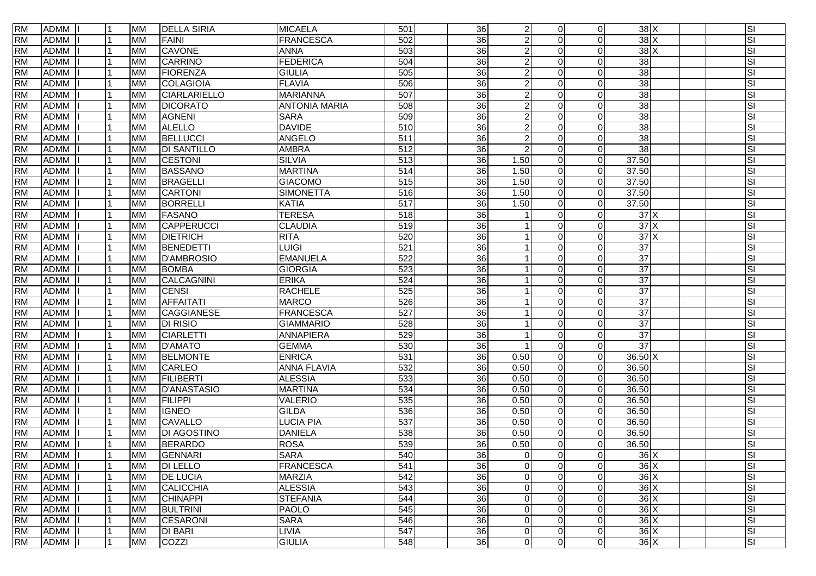| <b>RM</b> | <b>ADMM</b> | 11             | <b>MM</b> | <b>DELLA SIRIA</b>  | <b>MICAELA</b>       | 501              | 36              | $\overline{2}$ | $\Omega$ | $\overline{0}$ |                            | $38$ $\times$ | SI        |
|-----------|-------------|----------------|-----------|---------------------|----------------------|------------------|-----------------|----------------|----------|----------------|----------------------------|---------------|-----------|
| <b>RM</b> | <b>ADMM</b> |                | <b>MM</b> | FAINI               | <b>FRANCESCA</b>     | 502              | 36              | $\overline{a}$ | $\Omega$ | $\Omega$       |                            | 38X           | SI        |
| <b>RM</b> | <b>ADMM</b> |                | <b>MM</b> | <b>CAVONE</b>       | <b>ANNA</b>          | 503              | 36              | $\overline{a}$ | $\Omega$ | $\Omega$       |                            | 38X           | SI        |
| <b>RM</b> | <b>ADMM</b> |                | <b>MM</b> | <b>CARRINO</b>      | <b>FEDERICA</b>      | 504              | 36              | $\overline{2}$ | $\Omega$ | $\Omega$       | $\overline{38}$            |               | SI        |
| <b>RM</b> | <b>ADMM</b> |                | <b>MM</b> | <b>FIORENZA</b>     | <b>GIULIA</b>        | 505              | $\overline{36}$ | $\overline{a}$ | $\Omega$ | $\Omega$       | 38                         |               | SI        |
| <b>RM</b> | <b>ADMM</b> |                | <b>MM</b> | COLAGIOIA           | <b>FLAVIA</b>        | 506              | $\overline{36}$ | $\overline{a}$ | $\Omega$ | $\Omega$       | $\overline{38}$            |               | SI        |
| <b>RM</b> | <b>ADMM</b> |                | <b>MM</b> | <b>CIARLARIELLO</b> | <b>MARIANNA</b>      | 507              | $\overline{36}$ | $\overline{2}$ | 0        | $\Omega$       | $\overline{38}$            |               | SI        |
| <b>RM</b> | <b>ADMM</b> |                | <b>MM</b> | <b>DICORATO</b>     | <b>ANTONIA MARIA</b> | 508              | 36              | $\overline{a}$ | $\Omega$ | $\Omega$       | 38                         |               | SI        |
| <b>RM</b> | <b>ADMM</b> |                | <b>MM</b> | <b>AGNENI</b>       | <b>SARA</b>          | 509              | 36              | $\overline{2}$ | $\Omega$ | $\Omega$       | 38                         |               | SI        |
| <b>RM</b> | <b>ADMM</b> |                | <b>MM</b> | <b>ALELLO</b>       | <b>DAVIDE</b>        | 510              | 36              | $\overline{a}$ | $\Omega$ | $\Omega$       | 38                         |               | SI        |
| <b>RM</b> | <b>ADMM</b> |                | <b>MM</b> | <b>BELLUCCI</b>     | <b>ANGELO</b>        | 511              | 36              | $\overline{a}$ | $\Omega$ | $\Omega$       | $\overline{38}$            |               | SI        |
| <b>RM</b> | <b>ADMM</b> |                | <b>MM</b> | <b>DI SANTILLO</b>  | <b>AMBRA</b>         | $\overline{512}$ | $\overline{36}$ | $\overline{2}$ | $\Omega$ | $\Omega$       | $\overline{38}$            |               | SI        |
| <b>RM</b> | <b>ADMM</b> |                | <b>MM</b> | <b>CESTONI</b>      | <b>SILVIA</b>        | 513              | 36              | 1.50           | $\Omega$ | $\Omega$       | 37.50                      |               | SI        |
| <b>RM</b> | <b>ADMM</b> |                | <b>MM</b> | <b>BASSANO</b>      | <b>MARTINA</b>       | $\overline{514}$ | 36              | 1.50           | $\Omega$ | $\Omega$       | 37.50                      |               | SI        |
| <b>RM</b> | <b>ADMM</b> |                | <b>MM</b> | <b>BRAGELLI</b>     | <b>GIACOMO</b>       | 515              | 36              | 1.50           | $\Omega$ | $\Omega$       | 37.50                      |               | SI        |
| <b>RM</b> | <b>ADMM</b> |                | <b>MM</b> | <b>CARTONI</b>      | <b>SIMONETTA</b>     | 516              | 36              | 1.50           | $\Omega$ | $\Omega$       | 37.50                      |               | SI        |
| <b>RM</b> | <b>ADMM</b> | l 1            | <b>MM</b> | <b>BORRELLI</b>     | <b>KATIA</b>         | 517              | $\overline{36}$ | 1.50           | $\Omega$ | $\Omega$       | 37.50                      |               | SI        |
| <b>RM</b> | <b>ADMM</b> | l 1            | <b>MM</b> | <b>FASANO</b>       | <b>TERESA</b>        | 518              | $\overline{36}$ |                | $\Omega$ | $\Omega$       |                            | 37X           | SI        |
| <b>RM</b> | <b>ADMM</b> |                | <b>MM</b> | CAPPERUCCI          | <b>CLAUDIA</b>       | 519              | 36              |                | $\Omega$ | $\Omega$       |                            | 37X           | SI        |
| <b>RM</b> | <b>ADMM</b> |                | <b>MM</b> | <b>DIETRICH</b>     | <b>RITA</b>          | 520              | 36              |                |          | $\Omega$       |                            | 37X           | SI        |
| <b>RM</b> | <b>ADMM</b> |                | <b>MM</b> | BENEDETTI           | <b>LUIGI</b>         | 521              | 36              |                | $\Omega$ | $\Omega$       | $\overline{37}$            |               | SI        |
| <b>RM</b> | <b>ADMM</b> |                | <b>MM</b> | <b>D'AMBROSIO</b>   | <b>EMANUELA</b>      | 522              | 36              |                | $\Omega$ | $\Omega$       | 37                         |               | SI        |
| <b>RM</b> | <b>ADMM</b> |                | <b>MM</b> | <b>BOMBA</b>        | <b>GIORGIA</b>       | 523              | 36              |                | $\Omega$ | $\Omega$       | $\overline{37}$            |               | SI        |
| <b>RM</b> | <b>ADMM</b> |                | <b>MM</b> | CALCAGNINI          | <b>ERIKA</b>         | 524              | $\overline{36}$ |                | $\Omega$ | $\Omega$       | $\overline{37}$            |               | SI        |
| <b>RM</b> | <b>ADMM</b> |                | <b>MM</b> | <b>CENSI</b>        | <b>RACHELE</b>       | 525              | $\overline{36}$ |                | $\Omega$ | $\Omega$       | $\overline{37}$            |               | SI        |
| <b>RM</b> | <b>ADMM</b> | l 1            | <b>MM</b> | <b>AFFAITATI</b>    | <b>MARCO</b>         | 526              | 36              |                | $\Omega$ | $\Omega$       | 37                         |               | SI        |
| <b>RM</b> | <b>ADMM</b> |                | <b>MM</b> | <b>CAGGIANESE</b>   | <b>FRANCESCA</b>     | 527              | 36              |                | $\Omega$ | $\Omega$       | 37                         |               | SI        |
| <b>RM</b> | <b>ADMM</b> |                | <b>MM</b> | <b>DI RISIO</b>     | <b>GIAMMARIO</b>     | 528              | $\overline{36}$ |                | $\Omega$ | 0              | $\overline{37}$            |               | SI        |
| <b>RM</b> | <b>ADMM</b> |                | <b>MM</b> | <b>CIARLETTI</b>    | <b>ANNAPIERA</b>     | 529              | 36              |                | $\Omega$ | $\Omega$       | 37                         |               | SI        |
| <b>RM</b> | <b>ADMM</b> |                | <b>MM</b> | <b>D'AMATO</b>      | <b>GEMMA</b>         | 530              | 36              |                | $\Omega$ | $\Omega$       | $\overline{37}$            |               | SI        |
| <b>RM</b> | <b>ADMM</b> |                | <b>MM</b> | <b>BELMONTE</b>     | <b>ENRICA</b>        | 531              | 36              | 0.50           | $\Omega$ | $\Omega$       | $36.50\overline{\text{X}}$ |               | SI        |
| <b>RM</b> | <b>ADMM</b> |                | <b>MM</b> | <b>CARLEO</b>       | <b>ANNA FLAVIA</b>   | 532              | 36              | 0.50           | $\Omega$ | $\Omega$       | 36.50                      |               | SI        |
| <b>RM</b> | <b>ADMM</b> |                | <b>MM</b> | <b>FILIBERTI</b>    | <b>ALESSIA</b>       | 533              | 36              | 0.50           | $\Omega$ | $\Omega$       | 36.50                      |               | SI        |
| <b>RM</b> | <b>ADMM</b> |                | <b>MM</b> | D'ANASTASIO         | <b>MARTINA</b>       | 534              | 36              | 0.50           | $\Omega$ | $\Omega$       | 36.50                      |               | SI        |
| <b>RM</b> | <b>ADMM</b> |                | <b>MM</b> | <b>FILIPPI</b>      | <b>VALERIO</b>       | 535              | $\overline{36}$ | 0.50           | $\Omega$ | $\mathbf 0$    | 36.50                      |               | SI        |
| <b>RM</b> | <b>ADMM</b> |                | <b>MM</b> | <b>IGNEO</b>        | <b>GILDA</b>         | 536              | $\overline{36}$ | 0.50           | $\Omega$ | $\mathbf 0$    | 36.50                      |               | SI        |
| <b>RM</b> | <b>ADMM</b> |                | <b>MM</b> | <b>CAVALLO</b>      | <b>LUCIA PIA</b>     | 537              | $\overline{36}$ | 0.50           | $\Omega$ | $\Omega$       | 36.50                      |               | SI        |
| <b>RM</b> | <b>ADMM</b> |                | <b>MM</b> | <b>DI AGOSTINO</b>  | <b>DANIELA</b>       | 538              | 36              | 0.50           | $\Omega$ | $\Omega$       | 36.50                      |               | SI        |
| <b>RM</b> | <b>ADMM</b> | l 1            | <b>MM</b> | <b>BERARDO</b>      | <b>ROSA</b>          | 539              | 36              | 0.50           | $\Omega$ | $\mathbf 0$    | 36.50                      |               | SI        |
| <b>RM</b> | ADMM        | l 1            | <b>MM</b> | <b>GENNARI</b>      | <b>SARA</b>          | 540              | 36              | $\overline{0}$ | $\Omega$ | $\Omega$       |                            | 36X           | <b>SI</b> |
| <b>RM</b> | ADMM        |                | MM        | <b>DI LELLO</b>     | <b>FRANCESCA</b>     | 541              | 36              | $\overline{0}$ | $\Omega$ | 0              |                            | 36X           | SI        |
| <b>RM</b> | <b>ADMM</b> |                | <b>MM</b> | <b>DE LUCIA</b>     | <b>MARZIA</b>        | 542              | $\overline{36}$ | $\overline{0}$ | $\Omega$ | $\mathbf 0$    |                            | $36$ $\times$ | SI        |
| <b>RM</b> | <b>ADMM</b> | $\overline{1}$ | <b>MM</b> | <b>CALICCHIA</b>    | <b>ALESSIA</b>       | 543              | 36              | $\mathbf 0$    | $\Omega$ | $\mathbf 0$    |                            | 36X           | SI        |
| <b>RM</b> | <b>ADMM</b> |                | <b>MM</b> | <b>CHINAPPI</b>     | <b>STEFANIA</b>      | 544              | 36              | $\overline{0}$ | $\Omega$ | $\mathbf 0$    |                            | 36X           | SI        |
| <b>RM</b> | <b>ADMM</b> |                | <b>MM</b> | <b>BULTRINI</b>     | <b>PAOLO</b>         | 545              | 36              | $\mathbf 0$    | $\Omega$ | $\mathbf 0$    |                            | 36X           | SI        |
| <b>RM</b> | <b>ADMM</b> |                | <b>MM</b> | <b>CESARONI</b>     | <b>SARA</b>          | 546              | 36              | $\mathbf 0$    | $\Omega$ | $\Omega$       |                            | $36$ $\times$ | SI        |
| <b>RM</b> | <b>ADMM</b> | l 1            | <b>MM</b> | <b>DI BARI</b>      | <b>LIVIA</b>         | 547              | 36              | $\overline{0}$ | $\Omega$ | 0              |                            | $36 \times$   | SI        |
| <b>RM</b> | ADMM        | l 1            | <b>MM</b> | COZZI               | <b>GIULIA</b>        | 548              | 36              | $\overline{0}$ | $\Omega$ | $\mathbf 0$    |                            | 36X           | SI        |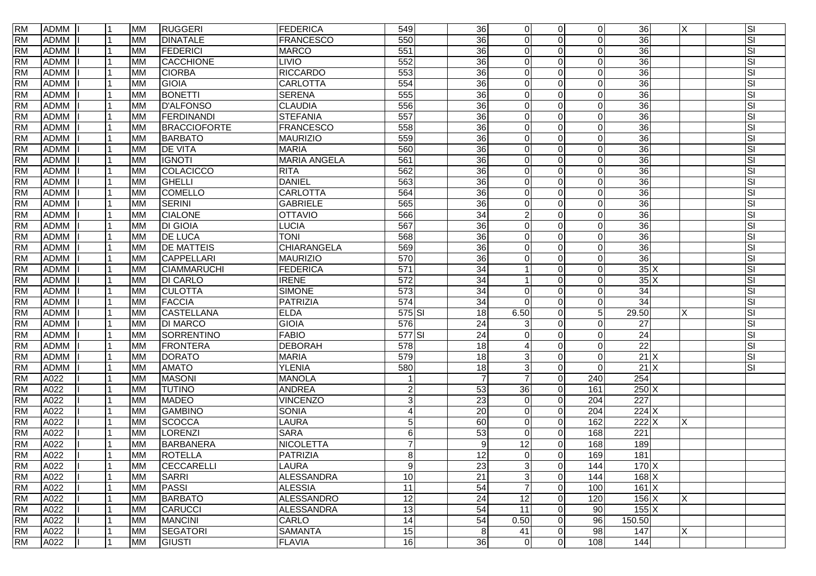| <b>RM</b> | <b>ADMM</b> | 11  | <b>MM</b> | <b>RUGGERI</b>      | <b>FEDERICA</b>     | 549              | 36              | $\overline{0}$  | $\Omega$       | $\mathbf 0$      | 36                | X | SI        |
|-----------|-------------|-----|-----------|---------------------|---------------------|------------------|-----------------|-----------------|----------------|------------------|-------------------|---|-----------|
| <b>RM</b> | <b>ADMM</b> |     | <b>MM</b> | <b>DINATALE</b>     | <b>FRANCESCO</b>    | 550              | 36              | $\Omega$        | $\Omega$       | $\Omega$         | $\overline{36}$   |   | SI        |
| <b>RM</b> | <b>ADMM</b> |     | <b>MM</b> | FEDERICI            | <b>MARCO</b>        | 551              | $\overline{36}$ | $\Omega$        | $\Omega$       | $\Omega$         | $\overline{36}$   |   | SI        |
| <b>RM</b> | <b>ADMM</b> |     | <b>MM</b> | CACCHIONE           | <b>LIVIO</b>        | 552              | 36              | $\Omega$        | $\Omega$       | $\Omega$         | $\overline{36}$   |   | SI        |
| <b>RM</b> | <b>ADMM</b> |     | <b>MM</b> | <b>CIORBA</b>       | <b>RICCARDO</b>     | 553              | 36              | $\mathbf 0$     | $\Omega$       | O                | $\overline{36}$   |   | SI        |
| <b>RM</b> | <b>ADMM</b> |     | <b>MM</b> | <b>GIOIA</b>        | <b>CARLOTTA</b>     | 554              | $\overline{36}$ | $\overline{0}$  | $\Omega$       | $\Omega$         | 36                |   | <b>SI</b> |
| <b>RM</b> | <b>ADMM</b> |     | <b>MM</b> | <b>BONETTI</b>      | <b>SERENA</b>       | 555              | $\overline{36}$ | $\Omega$        | <sup>n</sup>   | $\Omega$         | $\overline{36}$   |   | SI        |
| <b>RM</b> | <b>ADMM</b> |     | <b>MM</b> | <b>D'ALFONSO</b>    | <b>CLAUDIA</b>      | 556              | 36              | $\Omega$        |                | $\Omega$         | $\overline{36}$   |   | SI        |
| <b>RM</b> | <b>ADMM</b> |     | <b>MM</b> | FERDINANDI          | <b>STEFANIA</b>     | 557              | $\overline{36}$ | $\mathbf 0$     |                | $\Omega$         | 36                |   | SI        |
| <b>RM</b> | <b>ADMM</b> |     | <b>MM</b> | <b>BRACCIOFORTE</b> | <b>FRANCESCO</b>    | 558              | $\overline{36}$ | $\mathbf 0$     | $\Omega$       | $\Omega$         | $\overline{36}$   |   | SI        |
| <b>RM</b> | <b>ADMM</b> |     | <b>MM</b> | <b>BARBATO</b>      | <b>MAURIZIO</b>     | 559              | 36              | $\mathbf 0$     |                | O                | $\overline{36}$   |   | SI        |
| <b>RM</b> | <b>ADMM</b> |     | <b>MM</b> | <b>DE VITA</b>      | <b>MARIA</b>        | 560              | $\overline{36}$ | $\Omega$        | $\Omega$       | $\Omega$         | $\overline{36}$   |   | SI        |
| <b>RM</b> | <b>ADMM</b> |     | <b>MM</b> | <b>IGNOTI</b>       | <b>MARIA ANGELA</b> | 561              | $\overline{36}$ | $\mathbf 0$     | $\Omega$       | $\Omega$         | $\overline{36}$   |   | SI        |
| <b>RM</b> | <b>ADMM</b> |     | <b>MM</b> | COLACICCO           | <b>RITA</b>         | 562              | 36              | $\Omega$        | $\Omega$       | $\Omega$         | $\overline{36}$   |   | SI        |
| <b>RM</b> | <b>ADMM</b> |     | <b>MM</b> | <b>GHELLI</b>       | <b>DANIEL</b>       | 563              | $\overline{36}$ | $\mathbf 0$     | $\Omega$       | $\Omega$         | $\overline{36}$   |   | SI        |
| <b>RM</b> | <b>ADMM</b> |     | <b>MM</b> | <b>COMELLO</b>      | <b>CARLOTTA</b>     | 564              | $\overline{36}$ | $\Omega$        | $\Omega$       | $\Omega$         | 36                |   | SI        |
| <b>RM</b> | <b>ADMM</b> |     | <b>MM</b> | <b>SERINI</b>       | <b>GABRIELE</b>     | 565              | $\overline{36}$ | $\mathbf 0$     | 0              | $\Omega$         | 36                |   | SI        |
| <b>RM</b> | <b>ADMM</b> |     | <b>MM</b> | <b>CIALONE</b>      | <b>OTTAVIO</b>      | 566              | $\overline{34}$ | $\overline{a}$  | $\Omega$       | $\Omega$         | 36                |   | SI        |
| <b>RM</b> | <b>ADMM</b> |     | <b>MM</b> | <b>DI GIOIA</b>     | LUCIA               | 567              | $\overline{36}$ | $\mathbf 0$     |                | $\Omega$         | 36                |   | SI        |
| <b>RM</b> | <b>ADMM</b> |     | <b>MM</b> | <b>DE LUCA</b>      | <b>TONI</b>         | 568              | 36              | $\Omega$        | ∩              | $\Omega$         | $\overline{36}$   |   | SI        |
| <b>RM</b> | <b>ADMM</b> |     | <b>MM</b> | <b>DE MATTEIS</b>   | CHIARANGELA         | 569              | 36              | $\mathbf 0$     | $\Omega$       | $\Omega$         | 36                |   | SI        |
| <b>RM</b> | <b>ADMM</b> |     | <b>MM</b> | <b>CAPPELLARI</b>   | <b>MAURIZIO</b>     | 570              | 36              | $\Omega$        | $\Omega$       | $\Omega$         | $\overline{36}$   |   | SI        |
| <b>RM</b> | <b>ADMM</b> |     | <b>MM</b> | <b>CIAMMARUCHI</b>  | <b>FEDERICA</b>     | 571              | 34              |                 | $\Omega$       | $\Omega$         | 35X               |   | SI        |
| <b>RM</b> | <b>ADMM</b> |     | <b>MM</b> | <b>DI CARLO</b>     | <b>IRENE</b>        | $\overline{572}$ | 34              |                 | <sup>n</sup>   | $\Omega$         | 35X               |   | SI        |
| <b>RM</b> | <b>ADMM</b> |     | <b>MM</b> | <b>CULOTTA</b>      | <b>SIMONE</b>       | $\overline{573}$ | 34              | $\overline{0}$  | 0              | $\Omega$         | 34                |   | SI        |
| <b>RM</b> | <b>ADMM</b> |     | <b>MM</b> | FACCIA              | <b>PATRIZIA</b>     | 574              | $\overline{34}$ | $\Omega$        | $\Omega$       | $\Omega$         | $\overline{34}$   |   | SI        |
| <b>RM</b> | <b>ADMM</b> |     | <b>MM</b> | <b>CASTELLANA</b>   | <b>ELDA</b>         | $575$ $SI$       | $\overline{18}$ | 6.50            | $\Omega$       | 5                | 29.50             | X | SI        |
| <b>RM</b> | <b>ADMM</b> |     | <b>MM</b> | <b>DI MARCO</b>     | <b>GIOIA</b>        | 576              | $\overline{24}$ | 3               | $\Omega$       | $\Omega$         | $\overline{27}$   |   | SI        |
| <b>RM</b> | <b>ADMM</b> |     | <b>MM</b> | <b>SORRENTINO</b>   | <b>FABIO</b>        | 577 SI           | $\overline{24}$ | $\Omega$        | $\Omega$       | $\Omega$         | $\overline{24}$   |   | SI        |
| <b>RM</b> | <b>ADMM</b> |     | <b>MM</b> | <b>FRONTERA</b>     | <b>DEBORAH</b>      | $\overline{578}$ | 18              | $\overline{A}$  | ∩              | $\Omega$         | $\overline{22}$   |   | SI        |
| <b>RM</b> | <b>ADMM</b> |     | <b>MM</b> | <b>DORATO</b>       | <b>MARIA</b>        | 579              | 18              | 3               | $\Omega$       | $\Omega$         | 21X               |   | SI        |
| <b>RM</b> | <b>ADMM</b> |     | <b>MM</b> | <b>AMATO</b>        | <b>YLENIA</b>       | 580              | 18              | $\mathbf{3}$    | $\Omega$       | $\Omega$         | $21$ X            |   | SI        |
| <b>RM</b> | A022        |     | <b>MM</b> | <b>MASONI</b>       | <b>MANOLA</b>       | $\mathbf{1}$     | $\overline{7}$  | $\overline{7}$  | $\Omega$       | 240              | 254               |   |           |
| <b>RM</b> | A022        |     | <b>MM</b> | <b>TUTINO</b>       | <b>ANDREA</b>       | $\mathbf{2}$     | 53              | 36              | $\Omega$       | 161              | $250$ X           |   |           |
| <b>RM</b> | A022        |     | <b>MM</b> | <b>MADEO</b>        | <b>VINCENZO</b>     | 3                | $\overline{23}$ | $\overline{0}$  | $\Omega$       | $\overline{204}$ | 227               |   |           |
| <b>RM</b> | A022        |     | <b>MM</b> | <b>GAMBINO</b>      | <b>SONIA</b>        | $\overline{4}$   | $\overline{20}$ | $\mathbf 0$     | $\Omega$       | 204              | $224$ X           |   |           |
| <b>RM</b> | A022        |     | <b>MM</b> | <b>SCOCCA</b>       | LAURA               | 5 <sup>1</sup>   | 60              | $\Omega$        | $\Omega$       | 162              | 222X              |   |           |
| <b>RM</b> | A022        |     | <b>MM</b> | <b>LORENZI</b>      | <b>SARA</b>         | $6 \overline{6}$ | $\overline{53}$ | $\mathbf 0$     | $\Omega$       | 168              | $\overline{221}$  |   |           |
| <b>RM</b> | A022        |     | <b>MM</b> | <b>BARBANERA</b>    | <b>NICOLETTA</b>    | 7                | 9               | 12              | $\Omega$       | 168              | 189               |   |           |
| <b>RM</b> | A022        |     | <b>MM</b> | <b>ROTELLA</b>      | <b>PATRIZIA</b>     | 8 <sup>1</sup>   | 12 <sub>1</sub> | $\Omega$        | $\Omega$       | 169              | 181               |   |           |
| <b>RM</b> | A022        | l 1 | <b>MM</b> | CECCARELLI          | <b>LAURA</b>        | 9                | 23              | 3               | $\Omega$       | 144              | $170$ X           |   |           |
| <b>RM</b> | A022        |     | <b>MM</b> | <b>SARRI</b>        | <b>ALESSANDRA</b>   | 10               | 21              | $\sqrt{3}$      | $\Omega$       | 144              | $168$ X           |   |           |
| <b>RM</b> | A022        |     | <b>MM</b> | <b>PASSI</b>        | <b>ALESSIA</b>      | $\overline{11}$  | 54              | $\overline{7}$  | $\Omega$       | 100              | $161 \, \text{X}$ |   |           |
| <b>RM</b> | A022        |     | <b>MM</b> | <b>BARBATO</b>      | <b>ALESSANDRO</b>   | 12               | $\overline{24}$ | $\overline{12}$ | $\Omega$       | 120              | $156 \mathrm{X}$  | X |           |
| <b>RM</b> | A022        |     | <b>MM</b> | <b>CARUCCI</b>      | <b>ALESSANDRA</b>   | 13               | 54              | 11              | $\Omega$       | 90               | $155$ X           |   |           |
| <b>RM</b> | A022        |     | <b>MM</b> | <b>MANCINI</b>      | CARLO               | 14               | 54              | 0.50            | $\Omega$       | 96               | 150.50            |   |           |
| <b>RM</b> | A022        | l 1 | <b>MM</b> | <b>SEGATORI</b>     | <b>SAMANTA</b>      | 15               | 8               | 41              | $\Omega$       | 98               | 147               | X |           |
| <b>RM</b> | A022        | l 1 | <b>MM</b> | <b>GIUSTI</b>       | <b>FLAVIA</b>       | 16               | $\overline{36}$ | $\overline{0}$  | $\overline{0}$ | 108              | 144               |   |           |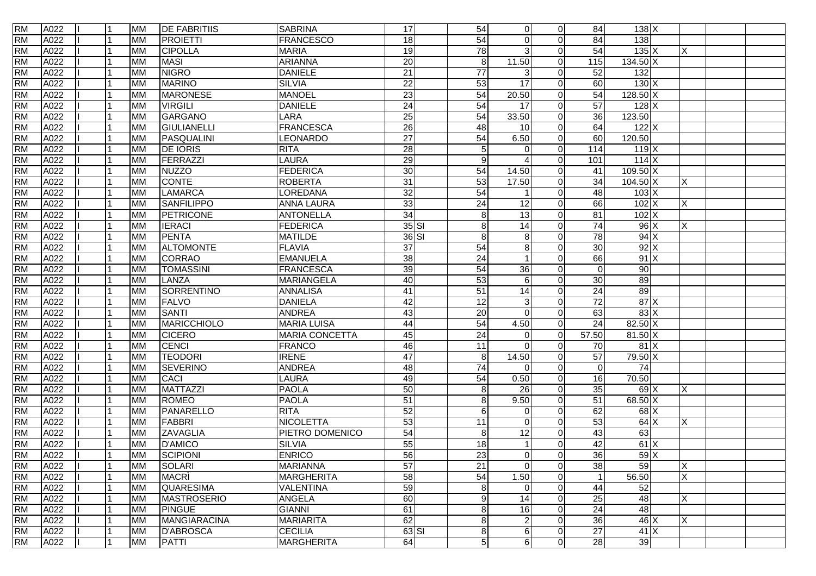| <b>RM</b> | A022 | l 1 | <b>MM</b> | <b>DE FABRITIIS</b> | <b>SABRINA</b>        | 17              | 54               | $\overline{0}$  | $\overline{0}$ | 84              | $138$ $X$         |                |  |
|-----------|------|-----|-----------|---------------------|-----------------------|-----------------|------------------|-----------------|----------------|-----------------|-------------------|----------------|--|
| <b>RM</b> | A022 |     | <b>MM</b> | <b>PROJETTI</b>     | <b>FRANCESCO</b>      | 18              | 54               | $\Omega$        | $\Omega$       | 84              | 138               |                |  |
| <b>RM</b> | A022 |     | <b>MM</b> | <b>CIPOLLA</b>      | <b>MARIA</b>          | 19              | 78               | 3               | $\Omega$       | 54              | 135X              | X              |  |
| <b>RM</b> | A022 |     | <b>MM</b> | <b>MASI</b>         | <b>ARIANNA</b>        | $\overline{20}$ | 8                | 11.50           | $\Omega$       | 115             | $134.50 \times$   |                |  |
| <b>RM</b> | A022 |     | <b>MM</b> | <b>NIGRO</b>        | <b>DANIELE</b>        | $\overline{21}$ | $\overline{77}$  | 3               | $\Omega$       | 52              | 132               |                |  |
| <b>RM</b> | A022 |     | <b>MM</b> | <b>MARINO</b>       | <b>SILVIA</b>         | $\overline{22}$ | 53               | 17              | $\Omega$       | 60              | 130X              |                |  |
| <b>RM</b> | A022 |     | <b>MM</b> | <b>MARONESE</b>     | <b>MANOEL</b>         | $\overline{23}$ | 54               | 20.50           | $\Omega$       | 54              | $128.50 \times$   |                |  |
| <b>RM</b> | A022 |     | <b>MM</b> | <b>VIRGILI</b>      | <b>DANIELE</b>        | 24              | 54               | $\overline{17}$ | $\Omega$       | 57              | $128$ X           |                |  |
| <b>RM</b> | A022 |     | <b>MM</b> | GARGANO             | LARA                  | $\overline{25}$ | 54               | 33.50           | $\Omega$       | 36              | 123.50            |                |  |
| <b>RM</b> | A022 |     | <b>MM</b> | GIULIANELLI         | <b>FRANCESCA</b>      | 26              | 48               | 10              | $\Omega$       | 64              | 122X              |                |  |
| <b>RM</b> | A022 |     | <b>MM</b> | PASQUALINI          | LEONARDO              | 27              | 54               | 6.50            | $\Omega$       | 60              | 120.50            |                |  |
| <b>RM</b> | A022 |     | <b>MM</b> | <b>DE IORIS</b>     | <b>RITA</b>           | $\overline{28}$ | 5                | $\Omega$        | $\Omega$       | 114             | 119X              |                |  |
| <b>RM</b> | A022 |     | <b>MM</b> | FERRAZZI            | <b>LAURA</b>          | 29              | $9\,$            |                 | $\Omega$       | 101             | 114X              |                |  |
| <b>RM</b> | A022 |     | <b>MM</b> | <b>NUZZO</b>        | <b>FEDERICA</b>       | 30              | 54               | 14.50           | $\Omega$       | 41              | $109.50 \times$   |                |  |
| <b>RM</b> | A022 |     | <b>MM</b> | <b>CONTE</b>        | <b>ROBERTA</b>        | $\overline{31}$ | 53               | 17.50           | $\Omega$       | $\overline{34}$ | $104.50 \times$   | X              |  |
| <b>RM</b> | A022 |     | <b>MM</b> | <b>LAMARCA</b>      | LOREDANA              | 32              | 54               |                 | $\Omega$       | 48              | $103 \times$      |                |  |
| <b>RM</b> | A022 |     | <b>MM</b> | <b>SANFILIPPO</b>   | <b>ANNA LAURA</b>     | 33              | 24               | $\overline{12}$ | $\overline{0}$ | 66              | 102X              | X              |  |
| <b>RM</b> | A022 |     | <b>MM</b> | PETRICONE           | <b>ANTONELLA</b>      | 34              | $\boldsymbol{8}$ | $\overline{13}$ | $\Omega$       | $\overline{81}$ | 102X              |                |  |
| <b>RM</b> | A022 |     | <b>MM</b> | <b>IERACI</b>       | <b>FEDERICA</b>       | $35$ $SI$       | 8                | 14              | $\Omega$       | 74              | 96X               | X              |  |
| <b>RM</b> | A022 |     | <b>MM</b> | <b>PENTA</b>        | <b>MATILDE</b>        | 36 SI           | 8                | 8               | $\Omega$       | 78              | $94 \times$       |                |  |
| <b>RM</b> | A022 |     | <b>MM</b> | <b>ALTOMONTE</b>    | <b>FLAVIA</b>         | 37              | 54               | 8               | $\Omega$       | 30              | 92X               |                |  |
| <b>RM</b> | A022 |     | <b>MM</b> | <b>CORRAO</b>       | <b>EMANUELA</b>       | 38              | 24               |                 | $\Omega$       | 66              | 91X               |                |  |
| <b>RM</b> | A022 |     | <b>MM</b> | <b>TOMASSINI</b>    | <b>FRANCESCA</b>      | 39              | 54               | 36              | $\Omega$       | $\Omega$        | 90                |                |  |
| <b>RM</b> | A022 |     | <b>MM</b> | LANZA               | <b>MARIANGELA</b>     | 40              | 53               | 6               | $\Omega$       | 30              | 89                |                |  |
| <b>RM</b> | A022 |     | <b>MM</b> | SORRENTINO          | <b>ANNALISA</b>       | 41              | 51               | $\overline{14}$ | $\Omega$       | 24              | 89                |                |  |
| <b>RM</b> | A022 |     | <b>MM</b> | <b>FALVO</b>        | <b>DANIELA</b>        | 42              | 12               | 3               | $\Omega$       | $\overline{72}$ | 87X               |                |  |
| <b>RM</b> | A022 |     | <b>MM</b> | <b>SANTI</b>        | <b>ANDREA</b>         | 43              | 20               | $\Omega$        | $\Omega$       | 63              | 83X               |                |  |
| <b>RM</b> | A022 |     | <b>MM</b> | MARICCHIOLO         | <b>MARIA LUISA</b>    | 44              | 54               | 4.50            | $\Omega$       | 24              | $82.50 \text{ X}$ |                |  |
| <b>RM</b> | A022 |     | <b>MM</b> | <b>CICERO</b>       | <b>MARIA CONCETTA</b> | 45              | $\overline{24}$  | $\Omega$        | $\Omega$       | 57.50           | $81.50 \text{ X}$ |                |  |
| <b>RM</b> | A022 |     | <b>MM</b> | CENCI               | <b>FRANCO</b>         | 46              | 11               | $\Omega$        | $\Omega$       | 70              | 81X               |                |  |
| <b>RM</b> | A022 |     | <b>MM</b> | <b>TEODORI</b>      | <b>IRENE</b>          | $\overline{47}$ | 8                | 14.50           | $\Omega$       | 57              | 79.50 X           |                |  |
| <b>RM</b> | A022 |     | <b>MM</b> | <b>SEVERINO</b>     | <b>ANDREA</b>         | 48              | 74               | $\Omega$        | $\Omega$       | $\Omega$        | 74                |                |  |
| <b>RM</b> | A022 |     | <b>MM</b> | <b>CACI</b>         | LAURA                 | 49              | 54               | 0.50            | $\Omega$       | 16              | 70.50             |                |  |
| <b>RM</b> | A022 |     | <b>MM</b> | <b>MATTAZZI</b>     | <b>PAOLA</b>          | 50              | $\boldsymbol{8}$ | 26              | $\Omega$       | 35              | 69 X              | Χ              |  |
| <b>RM</b> | A022 |     | <b>MM</b> | <b>ROMEO</b>        | <b>PAOLA</b>          | $\overline{51}$ | 8                | 9.50            | $\overline{0}$ | 51              | $68.50\text{X}$   |                |  |
| <b>RM</b> | A022 |     | <b>MM</b> | PANARELLO           | <b>RITA</b>           | 52              | 6                | $\Omega$        | $\Omega$       | 62              | 68X               |                |  |
| <b>RM</b> | A022 |     | <b>MM</b> | FABBRI              | <b>NICOLETTA</b>      | 53              | $\overline{11}$  | $\Omega$        | $\Omega$       | 53              | 64X               | X              |  |
| <b>RM</b> | A022 |     | <b>MM</b> | <b>ZAVAGLIA</b>     | PIETRO DOMENICO       | 54              | $\bf8$           | $\overline{12}$ | $\Omega$       | 43              | 63                |                |  |
| <b>RM</b> | A022 |     | <b>MM</b> | <b>D'AMICO</b>      | <b>SILVIA</b>         | 55              | 18               |                 | $\Omega$       | 42              | 61X               |                |  |
| <b>RM</b> | A022 |     | <b>MM</b> | <b>SCIPIONI</b>     | <b>ENRICO</b>         | 56              | 23               | $\Omega$        | $\Omega$       | 36              | 59X               |                |  |
| <b>RM</b> | A022 |     | <b>MM</b> | <b>SOLARI</b>       | <b>MARIANNA</b>       | $\overline{57}$ | $\overline{21}$  | $\mathbf 0$     | $\overline{0}$ | 38              | 59                | X              |  |
| <b>RM</b> | A022 |     | <b>MM</b> | <b>MACRI</b>        | <b>MARGHERITA</b>     | 58              | 54               | 1.50            | $\overline{0}$ |                 | 56.50             | $\overline{X}$ |  |
| <b>RM</b> | A022 |     | <b>MM</b> | QUARESIMA           | <b>VALENTINA</b>      | 59              | $\bf 8$          | $\mathbf 0$     | $\overline{0}$ | 44              | 52                |                |  |
| <b>RM</b> | A022 |     | <b>MM</b> | <b>MASTROSERIO</b>  | <b>ANGELA</b>         | 60              | $\mathsf g$      | 14              | $\overline{0}$ | 25              | 48                | X              |  |
| <b>RM</b> | A022 |     | <b>MM</b> | <b>PINGUE</b>       | <b>GIANNI</b>         | 61              | 8                | 16              | $\overline{0}$ | 24              | 48                |                |  |
| <b>RM</b> | A022 |     | <b>MM</b> | <b>MANGIARACINA</b> | <b>MARIARITA</b>      | 62              | 8                | $\overline{2}$  | $\overline{0}$ | 36              | 46 X              | $\times$       |  |
| <b>RM</b> | A022 |     | <b>MM</b> | <b>D'ABROSCA</b>    | <b>CECILIA</b>        | $63$ $SI$       | $\bf8$           | 6               | $\overline{0}$ | 27              | 41X               |                |  |
| <b>RM</b> | A022 |     | <b>MM</b> | <b>PATTI</b>        | <b>MARGHERITA</b>     | 64              | 5                | 6               | $\overline{0}$ | 28              | 39                |                |  |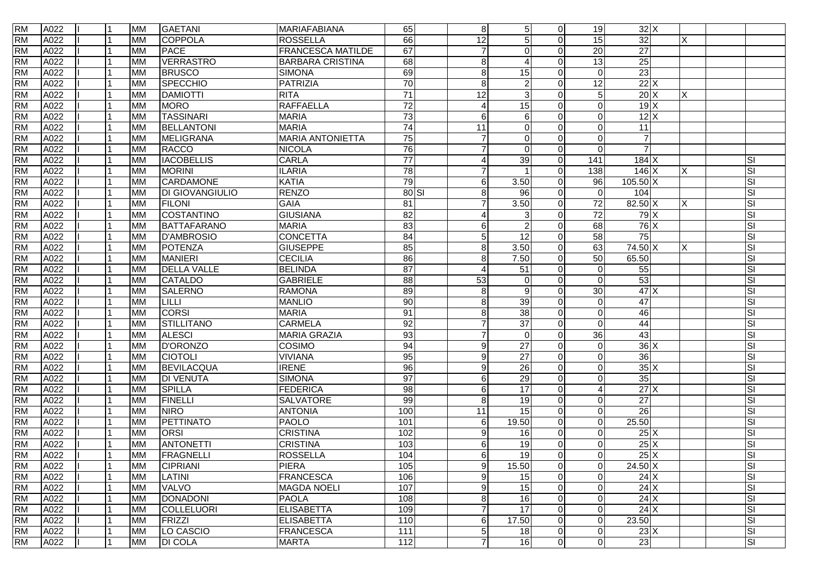| <b>RM</b> | A022 |   | <b>MM</b> | <b>GAETANI</b>         | MARIAFABIANA             | 65               | 8 <sup>8</sup>  | $\overline{5}$  | $\Omega$     | 19                       | 32X               |    |    |
|-----------|------|---|-----------|------------------------|--------------------------|------------------|-----------------|-----------------|--------------|--------------------------|-------------------|----|----|
| <b>RM</b> | A022 |   | <b>MM</b> | COPPOLA                | <b>ROSSELLA</b>          | 66               | 12              | 5               |              | 15                       | 32                | X  |    |
| <b>RM</b> | A022 |   | <b>MM</b> | <b>PACE</b>            | <b>FRANCESCA MATILDE</b> | 67               | 7               | $\Omega$        |              | $\overline{20}$          | $\overline{27}$   |    |    |
| <b>RM</b> | A022 |   | <b>MM</b> | <b>VERRASTRO</b>       | <b>BARBARA CRISTINA</b>  | $\overline{68}$  | 8               | 4               | ∩            | 13                       | 25                |    |    |
| <b>RM</b> | A022 |   | <b>MM</b> | <b>BRUSCO</b>          | <b>SIMONA</b>            | 69               | 8               | 15              |              | $\Omega$                 | 23                |    |    |
| <b>RM</b> | A022 |   | <b>MM</b> | SPECCHIO               | <b>PATRIZIA</b>          | 70               | 8               | $\overline{2}$  | $\Omega$     | $\overline{12}$          | 22X               |    |    |
| <b>RM</b> | A022 |   | <b>MM</b> | <b>DAMIOTTI</b>        | <b>RITA</b>              | 71               | $\overline{12}$ | 3               |              | 5                        | 20X               | X. |    |
| <b>RM</b> | A022 |   | <b>MM</b> | <b>MORO</b>            | RAFFAELLA                | 72               | 4               | $\overline{15}$ |              | $\Omega$                 | 19X               |    |    |
| <b>RM</b> | A022 |   | <b>MM</b> | <b>TASSINARI</b>       | <b>MARIA</b>             | 73               | 6               | 6               |              | $\Omega$                 | 12X               |    |    |
| <b>RM</b> | A022 |   | <b>MM</b> | <b>BELLANTONI</b>      | <b>MARIA</b>             | 74               | 11              | $\Omega$        |              | $\Omega$                 | 11                |    |    |
| <b>RM</b> | A022 |   | <b>MM</b> | MELIGRANA              | <b>MARIA ANTONIETTA</b>  | 75               |                 | $\overline{0}$  |              | $\Omega$                 | $\overline{7}$    |    |    |
| <b>RM</b> | A022 |   | <b>MM</b> | RACCO                  | <b>NICOLA</b>            | 76               | 7               | $\Omega$        | $\Omega$     | $\Omega$                 | $\overline{7}$    |    |    |
| <b>RM</b> | A022 |   | <b>MM</b> | <b>IACOBELLIS</b>      | <b>CARLA</b>             | $\overline{77}$  | 4               | 39              | $\Omega$     | 141                      | $184$ X           |    | SI |
| <b>RM</b> | A022 |   | <b>MM</b> | <b>MORINI</b>          | <b>ILARIA</b>            | 78               | 7               |                 | $\Omega$     | 138                      | 146 X             | X  | SI |
| <b>RM</b> | A022 |   | <b>MM</b> | CARDAMONE              | <b>KATIA</b>             | 79               | 6               | 3.50            | $\Omega$     | 96                       | $105.50 \times$   |    | SI |
| <b>RM</b> | A022 |   | <b>MM</b> | <b>DI GIOVANGIULIO</b> | <b>RENZO</b>             | $80$ SI          | 8               | $\overline{96}$ | <sup>n</sup> | $\Omega$                 | 104               |    | SI |
| <b>RM</b> | A022 |   | <b>MM</b> | <b>FILONI</b>          | <b>GAIA</b>              | 81               | 7               | 3.50            | $\Omega$     | $\overline{72}$          | $82.50 \text{ X}$ | X  | SI |
| <b>RM</b> | A022 |   | <b>MM</b> | COSTANTINO             | <b>GIUSIANA</b>          | 82               | 4               | 3               |              | 72                       | $79$ X            |    | SI |
| <b>RM</b> | A022 |   | <b>MM</b> | <b>BATTAFARANO</b>     | <b>MARIA</b>             | 83               | 6               | $\overline{2}$  |              | 68                       | 76X               |    | SI |
| <b>RM</b> | A022 |   | <b>MM</b> | <b>D'AMBROSIO</b>      | <b>CONCETTA</b>          | 84               | 5               | 12              |              | 58                       | 75                |    | SI |
| <b>RM</b> | A022 |   | <b>MM</b> | POTENZA                | <b>GIUSEPPE</b>          | 85               | 8               | 3.50            | $\Omega$     | 63                       | 74.50 X           | X  | SI |
| <b>RM</b> | A022 |   | <b>MM</b> | <b>MANIERI</b>         | <b>CECILIA</b>           | 86               | 8               | 7.50            | $\Omega$     | 50                       | 65.50             |    | SI |
| <b>RM</b> | A022 |   | <b>MM</b> | <b>DELLA VALLE</b>     | <b>BELINDA</b>           | $\overline{87}$  | 4               | 51              | $\Omega$     | $\Omega$                 | 55                |    | SI |
| <b>RM</b> | A022 |   | <b>MM</b> | <b>CATALDO</b>         | <b>GABRIELE</b>          | 88               | 53              | $\Omega$        |              | $\Omega$                 | 53                |    | SI |
| <b>RM</b> | A022 |   | <b>MM</b> | <b>SALERNO</b>         | <b>RAMONA</b>            | 89               | 8               | 9               | $\Omega$     | 30                       | 47X               |    | SI |
| <b>RM</b> | A022 |   | <b>MM</b> | LILLI                  | <b>MANLIO</b>            | 90               | $\,8\,$         | 39              |              | $\Omega$                 | 47                |    | SI |
| <b>RM</b> | A022 |   | <b>MM</b> | <b>CORSI</b>           | <b>MARIA</b>             | $\overline{91}$  | 8               | 38              | 0            | 0                        | 46                |    | SI |
| <b>RM</b> | A022 |   | <b>MM</b> | STILLITANO             | <b>CARMELA</b>           | 92               |                 | $\overline{37}$ |              | $\Omega$                 | 44                |    | SI |
| <b>RM</b> | A022 |   | <b>MM</b> | <b>ALESCI</b>          | <b>MARIA GRAZIA</b>      | 93               |                 | $\Omega$        |              | 36                       | 43                |    | SI |
| <b>RM</b> | A022 |   | <b>MM</b> | D'ORONZO               | COSIMO                   | 94               | 9               | $\overline{27}$ |              | $\Omega$                 | 36X               |    | SI |
| <b>RM</b> | A022 |   | <b>MM</b> | <b>CIOTOLI</b>         | <b>VIVIANA</b>           | 95               | 9               | 27              | $\Omega$     | $\Omega$                 | 36                |    | SI |
| <b>RM</b> | A022 |   | <b>MM</b> | <b>BEVILACQUA</b>      | <b>IRENE</b>             | 96               | 9               | 26              | $\Omega$     | $\Omega$                 | 35X               |    | SI |
| <b>RM</b> | A022 |   | <b>MM</b> | <b>DI VENUTA</b>       | <b>SIMONA</b>            | 97               | 6               | 29              |              | $\Omega$                 | 35                |    | SI |
| <b>RM</b> | A022 |   | <b>MM</b> | <b>SPILLA</b>          | <b>FEDERICA</b>          | 98               | 6               | $\overline{17}$ | $\Omega$     | $\overline{\mathcal{L}}$ | $27$ X            |    | SI |
| <b>RM</b> | A022 |   | <b>MM</b> | <b>FINELLI</b>         | SALVATORE                | 99               | 8               | $\overline{19}$ |              | $\Omega$                 | $\overline{27}$   |    | SI |
| <b>RM</b> | A022 |   | <b>MM</b> | <b>NIRO</b>            | <b>ANTONIA</b>           | 100              | 11              | 15              | 0            | $\Omega$                 | $\overline{26}$   |    | SI |
| <b>RM</b> | A022 |   | <b>MM</b> | PETTINATO              | PAOLO                    | 101              | 6               | 19.50           |              | $\Omega$                 | 25.50             |    | SI |
| <b>RM</b> | A022 |   | <b>MM</b> | <b>ORSI</b>            | <b>CRISTINA</b>          | 102              | 9               | 16              |              | $\Omega$                 | 25X               |    | SI |
| <b>RM</b> | A022 |   | <b>MM</b> | <b>ANTONETTI</b>       | <b>CRISTINA</b>          | 103              | 6               | 19              |              | $\Omega$                 | 25X               |    | SI |
| <b>RM</b> | A022 |   | <b>MM</b> | FRAGNELLI              | <b>ROSSELLA</b>          | 104              | 6 <sup>1</sup>  | 19              | $\Omega$     | $\Omega$                 | 25X               |    | SI |
| <b>RM</b> | A022 |   | <b>MM</b> | <b>CIPRIANI</b>        | <b>PIERA</b>             | 105              | 9               | 15.50           | $\Omega$     | $\overline{0}$           | $24.50 \text{ X}$ |    | SI |
| <b>RM</b> | A022 |   | <b>MM</b> | LATINI                 | FRANCESCA                | 106              | 9               | 15              | $\Omega$     | $\mathbf 0$              | 24X               |    | SI |
| <b>RM</b> | A022 |   | <b>MM</b> | VALVO                  | <b>MAGDA NOELI</b>       | 107              | 9               | 15              | $\Omega$     | $\mathbf 0$              | 24X               |    | SI |
| <b>RM</b> | A022 |   | <b>MM</b> | <b>DONADONI</b>        | PAOLA                    | 108              | 8               | 16              | $\Omega$     | 0                        | 24X               |    | SI |
| <b>RM</b> | A022 |   | <b>MM</b> | COLLELUORI             | <b>ELISABETTA</b>        | 109              | $\overline{7}$  | 17              | $\Omega$     | $\Omega$                 | 24X               |    | SI |
| <b>RM</b> | A022 |   | <b>MM</b> | FRIZZI                 | <b>ELISABETTA</b>        | 110              | 6               | 17.50           | $\Omega$     | $\mathbf 0$              | 23.50             |    | SI |
| <b>RM</b> | A022 |   | <b>MM</b> | LO CASCIO              | FRANCESCA                | $\overline{111}$ | 5               | 18              | $\Omega$     | $\overline{0}$           | 23X               |    | SI |
| <b>RM</b> | A022 | 1 | <b>MM</b> | <b>DI COLA</b>         | <b>MARTA</b>             | 112              | 7               | 16              | $\Omega$     | $\Omega$                 | 23                |    | SI |
|           |      |   |           |                        |                          |                  |                 |                 |              |                          |                   |    |    |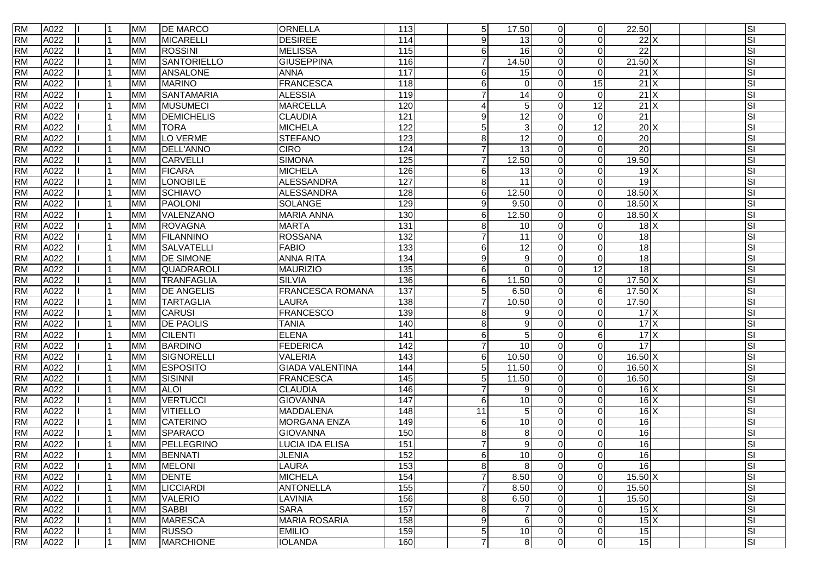| <b>RM</b> | A022 | 11  | <b>MM</b> | <b>DE MARCO</b>    | <b>ORNELLA</b>          | 113              | 5 <sub>5</sub>  | 17.50           | $\Omega$       | $\overline{0}$ | 22.50                     |  | SI |
|-----------|------|-----|-----------|--------------------|-------------------------|------------------|-----------------|-----------------|----------------|----------------|---------------------------|--|----|
| <b>RM</b> | A022 |     | <b>MM</b> | <b>MICARELLI</b>   | <b>DESIREE</b>          | 114              | 9               | 13              | $\Omega$       | $\Omega$       | $22$ $\times$             |  | SI |
| <b>RM</b> | A022 |     | <b>MM</b> | <b>ROSSINI</b>     | <b>MELISSA</b>          | 115              | 6               | 16              |                | $\Omega$       | $\overline{22}$           |  | SI |
| <b>RM</b> | A022 |     | <b>MM</b> | <b>SANTORIELLO</b> | <b>GIUSEPPINA</b>       | 116              | 7               | 14.50           | $\Omega$       | $\Omega$       | $21.50 \text{ X}$         |  | SI |
| <b>RM</b> | A022 |     | <b>MM</b> | <b>ANSALONE</b>    | <b>ANNA</b>             | 117              | 6               | 15              |                | $\Omega$       | 21X                       |  | SI |
| <b>RM</b> | A022 |     | <b>MM</b> | <b>MARINO</b>      | <b>FRANCESCA</b>        | 118              | 6               | $\Omega$        | $\Omega$       | 15             | $21$ X                    |  | SI |
| <b>RM</b> | A022 |     | <b>MM</b> | <b>SANTAMARIA</b>  | <b>ALESSIA</b>          | 119              |                 | 14              |                | $\Omega$       | $21$ X                    |  | SI |
| <b>RM</b> | A022 |     | <b>MM</b> | <b>MUSUMECI</b>    | <b>MARCELLA</b>         | 120              | 4               | 5               |                | 12             | 21X                       |  | SI |
| <b>RM</b> | A022 |     | <b>MM</b> | <b>DEMICHELIS</b>  | <b>CLAUDIA</b>          | 121              | 9               | 12              |                | $\Omega$       | $\overline{21}$           |  | SI |
| <b>RM</b> | A022 |     | <b>MM</b> | <b>TORA</b>        | <b>MICHELA</b>          | 122              | 5               | 3               |                | 12             | $20$ X                    |  | SI |
| <b>RM</b> | A022 |     | <b>MM</b> | LO VERME           | <b>STEFANO</b>          | 123              | 8               | $\overline{12}$ |                | $\mathbf 0$    | $\overline{20}$           |  | SI |
| <b>RM</b> | A022 |     | <b>MM</b> | <b>DELL'ANNO</b>   | <b>CIRO</b>             | 124              | $\overline{7}$  | $\overline{13}$ |                | $\Omega$       | 20                        |  | SI |
| <b>RM</b> | A022 |     | <b>MM</b> | <b>CARVELLI</b>    | <b>SIMONA</b>           | 125              | $\overline{7}$  | 12.50           |                | $\Omega$       | 19.50                     |  | SI |
| <b>RM</b> | A022 |     | <b>MM</b> | <b>FICARA</b>      | <b>MICHELA</b>          | 126              | 6               | 13              |                | $\Omega$       | 19X                       |  | SI |
| <b>RM</b> | A022 |     | <b>MM</b> | <b>LONOBILE</b>    | <b>ALESSANDRA</b>       | 127              | 8               | $\overline{11}$ | $\Omega$       | $\Omega$       | 19                        |  | SI |
| <b>RM</b> | A022 |     | <b>MM</b> | <b>SCHIAVO</b>     | <b>ALESSANDRA</b>       | 128              | $\,6$           | 12.50           | $\Omega$       | $\Omega$       | $18.50 \text{ X}$         |  | SI |
| <b>RM</b> | A022 |     | <b>MM</b> | <b>PAOLONI</b>     | SOLANGE                 | 129              | 9               | 9.50            | $\Omega$       | $\mathbf 0$    | $18.50 \text{ X}$         |  | SI |
| <b>RM</b> | A022 |     | <b>MM</b> | VALENZANO          | <b>MARIA ANNA</b>       | 130              | 6               | 12.50           | $\Omega$       | $\mathbf 0$    | 18.50 X                   |  | SI |
| <b>RM</b> | A022 |     | <b>MM</b> | <b>ROVAGNA</b>     | <b>MARTA</b>            | $\overline{131}$ | 8               | 10              | $\Omega$       | $\overline{0}$ | 18X                       |  | SI |
| <b>RM</b> | A022 |     | <b>MM</b> | <b>FILANNINO</b>   | <b>ROSSANA</b>          | 132              | 7               | 11              |                | $\Omega$       | 18                        |  | SI |
| <b>RM</b> | A022 |     | <b>MM</b> | SALVATELLI         | <b>FABIO</b>            | 133              | 6               | 12              | $\Omega$       | $\Omega$       | 18                        |  | SI |
| <b>RM</b> | A022 | 11  | <b>MM</b> | <b>DE SIMONE</b>   | <b>ANNA RITA</b>        | 134              | 9               | 9               |                | $\Omega$       | 18                        |  | SI |
| <b>RM</b> | A022 |     | <b>MM</b> | QUADRAROLI         | <b>MAURIZIO</b>         | 135              | 6               | $\Omega$        | $\Omega$       | 12             | 18                        |  | SI |
| <b>RM</b> | A022 |     | <b>MM</b> | <b>TRANFAGLIA</b>  | <b>SILVIA</b>           | 136              | $\,6$           | 11.50           |                | $\mathbf 0$    | $17.50 \text{ X}$         |  | SI |
| <b>RM</b> | A022 |     | <b>MM</b> | <b>DE ANGELIS</b>  | <b>FRANCESCA ROMANA</b> | 137              | 5               | 6.50            |                | 6              | $17.50 \text{ X}$         |  | SI |
| <b>RM</b> | A022 |     | <b>MM</b> | <b>TARTAGLIA</b>   | LAURA                   | 138              | $\overline{7}$  | 10.50           |                | $\mathbf 0$    | 17.50                     |  | SI |
| <b>RM</b> | A022 |     | <b>MM</b> | <b>CARUSI</b>      | <b>FRANCESCO</b>        | 139              | 8               | 9               | $\Omega$       | $\mathbf 0$    | 17X                       |  | SI |
| <b>RM</b> | A022 |     | <b>MM</b> | <b>DE PAOLIS</b>   | <b>TANIA</b>            | 140              | 8               | 9               |                | $\Omega$       | $17 \times$               |  | SI |
| <b>RM</b> | A022 |     | <b>MM</b> | <b>CILENTI</b>     | <b>ELENA</b>            | 141              | 6               | 5               |                | 6              | 17X                       |  | SI |
| <b>RM</b> | A022 |     | <b>MM</b> | <b>BARDINO</b>     | <b>FEDERICA</b>         | 142              |                 | 10              |                | $\Omega$       | $\overline{17}$           |  | SI |
| <b>RM</b> | A022 |     | <b>MM</b> | SIGNORELLI         | <b>VALERIA</b>          | 143              | 6               | 10.50           | $\Omega$       | $\Omega$       | 16.50 X                   |  | SI |
| <b>RM</b> | A022 |     | <b>MM</b> | <b>ESPOSITO</b>    | <b>GIADA VALENTINA</b>  | 144              | 5               | 11.50           | $\Omega$       | $\Omega$       | 16.50 X                   |  | SI |
| <b>RM</b> | A022 |     | <b>MM</b> | <b>SISINNI</b>     | <b>FRANCESCA</b>        | 145              | $5\phantom{.0}$ | 11.50           | $\Omega$       | $\Omega$       | 16.50                     |  | SI |
| <b>RM</b> | A022 |     | <b>MM</b> | <b>ALOI</b>        | <b>CLAUDIA</b>          | 146              | $\overline{7}$  | 9               |                | $\Omega$       | $16 \times$               |  | SI |
| <b>RM</b> | A022 |     | <b>MM</b> | <b>VERTUCCI</b>    | <b>GIOVANNA</b>         | 147              | 6               | 10              |                | $\mathbf 0$    | $16 \times$               |  | SI |
| <b>RM</b> | A022 |     | <b>MM</b> | <b>VITIELLO</b>    | <b>MADDALENA</b>        | 148              | 11              | 5               | $\Omega$       | $\Omega$       | $16 \times$               |  | SI |
| <b>RM</b> | A022 |     | <b>MM</b> | <b>CATERINO</b>    | <b>MORGANA ENZA</b>     | 149              | 6               | 10              |                | $\Omega$       | 16                        |  | SI |
| <b>RM</b> | A022 |     | <b>MM</b> | <b>SPARACO</b>     | <b>GIOVANNA</b>         | 150              | 8               | 8               |                | $\Omega$       | 16                        |  | SI |
| <b>RM</b> | A022 |     | <b>MM</b> | PELLEGRINO         | LUCIA IDA ELISA         | 151              | 7               | 9               |                | $\Omega$       | 16                        |  | SI |
| <b>RM</b> | A022 |     | <b>MM</b> | <b>BENNATI</b>     | <b>JLENIA</b>           | 152              | 6               | 10              | $\Omega$       | $\Omega$       | 16                        |  | SI |
| <b>RM</b> | A022 | 1   | <b>MM</b> | <b>MELONI</b>      | LAURA                   | 153              | $\bf 8$         | 8               | $\Omega$       | $\mathbf 0$    | 16                        |  | SI |
| <b>RM</b> | A022 |     | <b>MM</b> | <b>DENTE</b>       | <b>MICHELA</b>          | 154              | $\overline{7}$  | 8.50            | $\Omega$       | $\mathbf 0$    | $15.50 \text{ X}$         |  | SI |
| <b>RM</b> | A022 |     | <b>MM</b> | <b>LICCIARDI</b>   | <b>ANTONELLA</b>        | 155              | $\overline{7}$  | 8.50            | $\Omega$       | $\mathbf 0$    | 15.50                     |  | SI |
| <b>RM</b> | A022 |     | <b>MM</b> | <b>VALERIO</b>     | LAVINIA                 | 156              | 8               | 6.50            | $\Omega$       |                | 15.50                     |  | SI |
| <b>RM</b> | A022 |     | <b>MM</b> | <b>SABBI</b>       | <b>SARA</b>             | 157              | 8               | 7               | $\Omega$       | $\mathbf 0$    | 15X                       |  | SI |
| <b>RM</b> | A022 |     | <b>MM</b> | <b>MARESCA</b>     | <b>MARIA ROSARIA</b>    | 158              | 9               | 6               | $\Omega$       | $\mathbf 0$    | $15\overline{\mathrm{X}}$ |  | SI |
| <b>RM</b> | A022 | l 1 | <b>MM</b> | <b>RUSSO</b>       | <b>EMILIO</b>           | 159              | $\overline{5}$  | $10$            | $\Omega$       | $\mathbf 0$    | 15                        |  | SI |
| <b>RM</b> | A022 | l 1 | <b>MM</b> | <b>MARCHIONE</b>   | <b>IOLANDA</b>          | 160              | 7               | 8               | $\overline{0}$ | $\mathbf 0$    | 15                        |  | SI |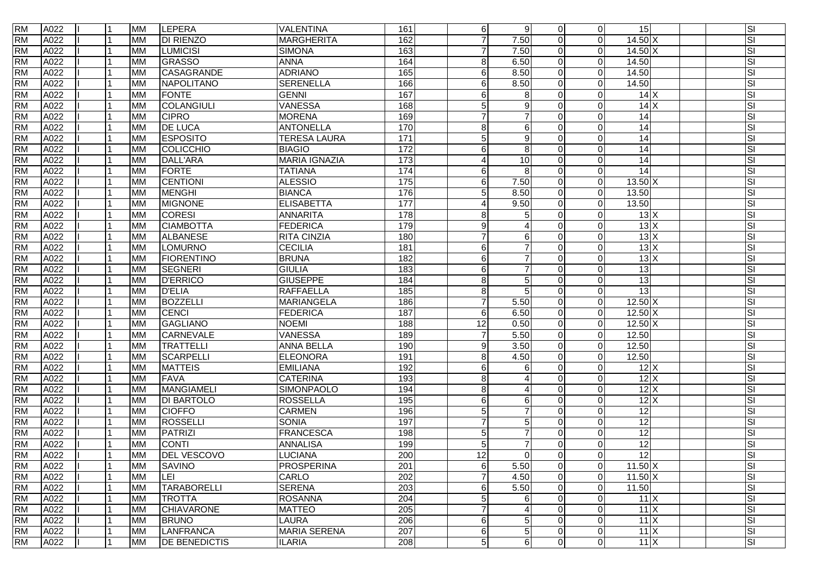| <b>RM</b> | A022 |   | <b>MM</b> | <b>LEPERA</b>        | VALENTINA            | 161               | $6 \overline{6}$ | 9                      | $\Omega$     | $\overline{0}$ | 15                |                           | SI                      |
|-----------|------|---|-----------|----------------------|----------------------|-------------------|------------------|------------------------|--------------|----------------|-------------------|---------------------------|-------------------------|
| <b>RM</b> | A022 |   | <b>MM</b> | <b>DI RIENZO</b>     | <b>MARGHERITA</b>    | 162               | $\overline{7}$   | 7.50                   | $\Omega$     | $\Omega$       | $14.50 \text{ X}$ |                           | SI                      |
| <b>RM</b> | A022 |   | <b>MM</b> | <b>LUMICISI</b>      | <b>SIMONA</b>        | 163               | 7                | 7.50                   |              | $\Omega$       | 14.50 X           |                           | SI                      |
| <b>RM</b> | A022 |   | <b>MM</b> | GRASSO               | <b>ANNA</b>          | 164               | 8                | 6.50                   | $\Omega$     | $\Omega$       | 14.50             |                           | SI                      |
| <b>RM</b> | A022 |   | <b>MM</b> | <b>CASAGRANDE</b>    | <b>ADRIANO</b>       | 165               | 6                | 8.50                   |              | $\Omega$       | 14.50             |                           | SI                      |
| <b>RM</b> | A022 |   | <b>MM</b> | NAPOLITANO           | <b>SERENELLA</b>     | 166               | 6                | 8.50                   | $\Omega$     | $\Omega$       | 14.50             |                           | SI                      |
| <b>RM</b> | A022 |   | <b>MM</b> | <b>FONTE</b>         | <b>GENNI</b>         | 167               | 6                | 8                      |              | $\Omega$       |                   | 14X                       | SI                      |
| <b>RM</b> | A022 |   | <b>MM</b> | <b>COLANGIULI</b>    | VANESSA              | 168               | 5                | 9                      |              | $\Omega$       |                   | 14X                       | SI                      |
| <b>RM</b> | A022 |   | <b>MM</b> | <b>CIPRO</b>         | <b>MORENA</b>        | 169               | $\overline{7}$   | $\overline{7}$         |              | $\Omega$       | 14                |                           | SI                      |
| <b>RM</b> | A022 |   | <b>MM</b> | <b>DE LUCA</b>       | <b>ANTONELLA</b>     | 170               | 8                | 6                      |              | $\Omega$       | 14                |                           | SI                      |
| <b>RM</b> | A022 |   | <b>MM</b> | <b>ESPOSITO</b>      | <b>TERESA LAURA</b>  | 171               | 5                | 9                      |              | $\Omega$       | 14                |                           | SI                      |
| <b>RM</b> | A022 |   | <b>MM</b> | COLICCHIO            | <b>BIAGIO</b>        | 172               | 6                | 8                      |              | $\Omega$       | 14                |                           | SI                      |
| <b>RM</b> | A022 |   | <b>MM</b> | <b>DALL'ARA</b>      | <b>MARIA IGNAZIA</b> | 173               | 4                | 10                     | $\Omega$     | $\Omega$       | 14                |                           | SI                      |
| <b>RM</b> | A022 |   | <b>MM</b> | <b>FORTE</b>         | <b>TATIANA</b>       | 174               | 6                | 8                      |              | $\Omega$       | 14                |                           | SI                      |
| <b>RM</b> | A022 |   | <b>MM</b> | <b>CENTIONI</b>      | <b>ALESSIO</b>       | $\frac{175}{175}$ | 6                | 7.50                   | $\Omega$     | $\Omega$       | $13.50 \text{ X}$ |                           | SI                      |
| <b>RM</b> | A022 |   | <b>MM</b> | <b>MENGHI</b>        | <b>BIANCA</b>        | 176               | 5                | 8.50                   |              | $\Omega$       | 13.50             |                           | SI                      |
| <b>RM</b> | A022 |   | <b>MM</b> | <b>MIGNONE</b>       | <b>ELISABETTA</b>    | 177               | 4                | 9.50                   | $\Omega$     | $\overline{0}$ | 13.50             |                           | SI                      |
| <b>RM</b> | A022 |   | <b>MM</b> | <b>CORESI</b>        | <b>ANNARITA</b>      | 178               | 8                | 5                      | $\Omega$     | $\mathbf 0$    |                   | $13\overline{\mathrm{X}}$ | SI                      |
| <b>RM</b> | A022 |   | <b>MM</b> | <b>CIAMBOTTA</b>     | <b>FEDERICA</b>      | 179               | 9                |                        |              | $\Omega$       |                   | 13X                       | SI                      |
| <b>RM</b> | A022 |   | <b>MM</b> | ALBANESE             | <b>RITA CINZIA</b>   | 180               | $\overline{7}$   | 6                      |              | $\Omega$       |                   | 13X                       | SI                      |
| <b>RM</b> | A022 |   | <b>MM</b> | LOMURNO              | <b>CECILIA</b>       | 181               | 6                | $\overline{7}$         | $\Omega$     | $\Omega$       |                   | 13X                       | SI                      |
| <b>RM</b> | A022 |   | <b>MM</b> | FIORENTINO           | <b>BRUNA</b>         | 182               | 6                | $\overline{7}$         |              | $\Omega$       |                   | 13X                       | SI                      |
| <b>RM</b> | A022 |   | <b>MM</b> | <b>SEGNERI</b>       | <b>GIULIA</b>        | 183               | 6                | 7                      | <sup>n</sup> | $\Omega$       | $\overline{13}$   |                           | SI                      |
| <b>RM</b> | A022 |   | <b>MM</b> | <b>D'ERRICO</b>      | <b>GIUSEPPE</b>      | 184               | 8                | 5                      |              | $\Omega$       | 13                |                           | SI                      |
| <b>RM</b> | A022 |   | <b>MM</b> | <b>D'ELIA</b>        | RAFFAELLA            | 185               | $\,8\,$          | 5                      | $\Omega$     | $\Omega$       | 13                |                           | SI                      |
| <b>RM</b> | A022 |   | <b>MM</b> | <b>BOZZELLI</b>      | <b>MARIANGELA</b>    | 186               | $\overline{7}$   | 5.50                   |              | $\Omega$       | $12.50 \text{ X}$ |                           | SI                      |
| <b>RM</b> | A022 |   | <b>MM</b> | CENCI                | <b>FEDERICA</b>      | 187               | 6                | 6.50                   | $\Omega$     | $\mathbf 0$    | $12.50 \text{ X}$ |                           | $\overline{\mathbf{s}}$ |
| <b>RM</b> | A022 |   | <b>MM</b> | <b>GAGLIANO</b>      | <b>NOEMI</b>         | 188               | $\overline{12}$  | 0.50                   |              | $\Omega$       | $12.50$ X         |                           | SI                      |
| <b>RM</b> | A022 |   | <b>MM</b> | <b>CARNEVALE</b>     | <b>VANESSA</b>       | 189               | $\overline{7}$   | 5.50                   | <sup>n</sup> | $\Omega$       | 12.50             |                           | SI                      |
| <b>RM</b> | A022 |   | <b>MM</b> | <b>TRATTELLI</b>     | <b>ANNA BELLA</b>    | 190               | 9                | 3.50                   |              | $\Omega$       | 12.50             |                           | SI                      |
| <b>RM</b> | A022 |   | <b>MM</b> | SCARPELLI            | ELEONORA             | 191               | 8                | 4.50                   | $\Omega$     | $\Omega$       | 12.50             |                           | SI                      |
| <b>RM</b> | A022 |   | <b>MM</b> | <b>MATTEIS</b>       | <b>EMILIANA</b>      | 192               | 6                | 6                      | ∩            | $\Omega$       |                   | $12$ $X$                  | SI                      |
| <b>RM</b> | A022 |   | <b>MM</b> | <b>FAVA</b>          | <b>CATERINA</b>      | 193               | 8                | Δ                      |              | $\Omega$       |                   | 12X                       | SI                      |
| <b>RM</b> | A022 |   | <b>MM</b> | MANGIAMELI           | SIMONPAOLO           | 194               | 8                | $\boldsymbol{\Lambda}$ |              | $\Omega$       |                   | 12X                       | SI                      |
| <b>RM</b> | A022 |   | <b>MM</b> | <b>DI BARTOLO</b>    | <b>ROSSELLA</b>      | 195               | 6                | 6                      |              | $\Omega$       |                   | 12X                       | SI                      |
| <b>RM</b> | A022 |   | <b>MM</b> | <b>CIOFFO</b>        | <b>CARMEN</b>        | 196               | 5                | 7                      | ∩            | $\Omega$       | 12                |                           | SI                      |
| <b>RM</b> | A022 |   | <b>MM</b> | ROSSELLI             | <b>SONIA</b>         | 197               | $\overline{7}$   | 5                      |              | $\Omega$       | $\overline{12}$   |                           | SI                      |
| <b>RM</b> | A022 |   | <b>MM</b> | PATRIZI              | FRANCESCA            | 198               | 5                | $\overline{7}$         |              | $\Omega$       | 12                |                           | SI                      |
| <b>RM</b> | A022 |   | <b>MM</b> | <b>CONTI</b>         | <b>ANNALISA</b>      | 199               | 5                | $\overline{7}$         |              | $\Omega$       | $\overline{12}$   |                           | SI                      |
| <b>RM</b> | A022 |   | <b>MM</b> | <b>DEL VESCOVO</b>   | LUCIANA              | 200               | 12 <sup>1</sup>  | $\Omega$               | $\Omega$     | $\Omega$       | 12                |                           | SI                      |
| <b>RM</b> | A022 |   | <b>MM</b> | <b>SAVINO</b>        | PROSPERINA           | 201               | 6                | 5.50                   | $\Omega$     | $\overline{0}$ | $11.50 \text{ X}$ |                           | SI                      |
| <b>RM</b> | A022 |   | <b>MM</b> | LEI                  | CARLO                | 202               | $\overline{7}$   | 4.50                   | $\Omega$     | $\overline{0}$ | $11.50 \text{ X}$ |                           | SI                      |
| <b>RM</b> | A022 |   | <b>MM</b> | <b>TARABORELLI</b>   | <b>SERENA</b>        | 203               | 6                | 5.50                   | $\Omega$     | $\overline{0}$ | 11.50             |                           | SI                      |
| <b>RM</b> | A022 |   | <b>MM</b> | <b>TROTTA</b>        | <b>ROSANNA</b>       | 204               | 5                | 6                      | $\Omega$     | $\mathbf 0$    |                   | $11 \times$               | SI                      |
| <b>RM</b> | A022 |   | <b>MM</b> | <b>CHIAVARONE</b>    | <b>MATTEO</b>        | 205               | $\overline{7}$   | 4                      | ∩            | $\mathbf 0$    |                   | $11 \times$               | SI                      |
| <b>RM</b> | A022 |   | <b>MM</b> | <b>BRUNO</b>         | LAURA                | 206               | 6                | 5                      | $\Omega$     | $\overline{0}$ |                   | $11 \times$               | SI                      |
| <b>RM</b> | A022 |   | <b>MM</b> | <b>LANFRANCA</b>     | <b>MARIA SERENA</b>  | 207               | 6                | 5                      | 0            | $\overline{0}$ |                   | $11 \times$               | SI                      |
| <b>RM</b> | A022 | 1 | <b>MM</b> | <b>DE BENEDICTIS</b> | <b>ILARIA</b>        | 208               | 5                | $\,6$                  | $\Omega$     | $\overline{0}$ |                   | $11 \times$               | SI                      |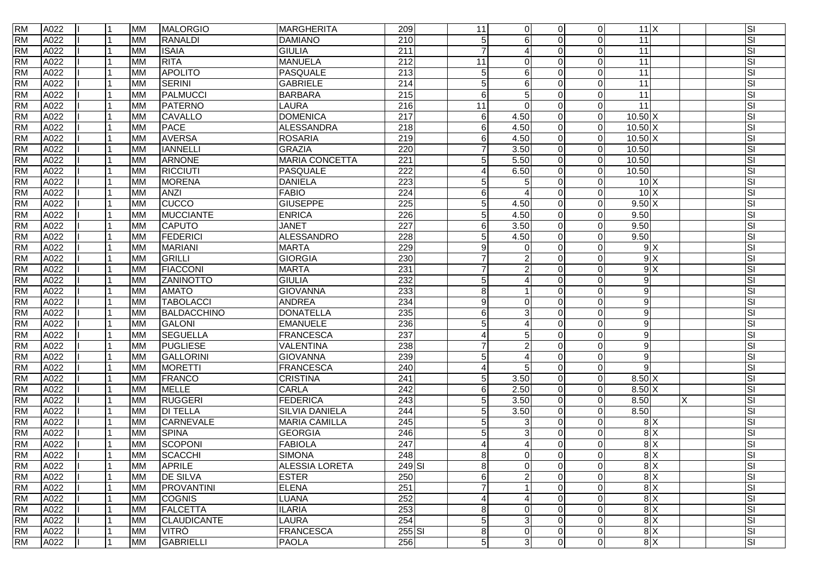| <b>RM</b> | A022 |   | <b>MM</b> | <b>MALORGIO</b>    | MARGHERITA            | 209              | 11               | $\overline{0}$         | $\Omega$ | $\overline{0}$ | $11 \times$       |               |   | SI |
|-----------|------|---|-----------|--------------------|-----------------------|------------------|------------------|------------------------|----------|----------------|-------------------|---------------|---|----|
| <b>RM</b> | A022 |   | <b>MM</b> | RANALDI            | <b>DAMIANO</b>        | 210              | 5 <sub>5</sub>   | 6                      | $\Omega$ | $\Omega$       | $\overline{11}$   |               |   | SI |
| <b>RM</b> | A022 |   | MM        | <b>ISAIA</b>       | <b>GIULIA</b>         | $\overline{211}$ |                  |                        |          | $\Omega$       | $\overline{11}$   |               |   | SI |
| <b>RM</b> | A022 |   | <b>MM</b> | <b>RITA</b>        | <b>MANUELA</b>        | $\overline{212}$ | 11               | $\Omega$               | ∩        | $\Omega$       | $\overline{11}$   |               |   | SI |
| <b>RM</b> | A022 |   | <b>MM</b> | <b>APOLITO</b>     | PASQUALE              | $\overline{213}$ | 5 <sub>5</sub>   | 6                      | ∩        | $\mathbf 0$    | $\overline{11}$   |               |   | SI |
| <b>RM</b> | A022 |   | MM        | <b>SERINI</b>      | <b>GABRIELE</b>       | $\overline{214}$ | 5 <sub>5</sub>   | 6                      | $\Omega$ | $\mathbf 0$    | 11                |               |   | SI |
| <b>RM</b> | A022 |   | <b>MM</b> | PALMUCCI           | <b>BARBARA</b>        | $\overline{215}$ | $6 \overline{6}$ | 5                      | ∩        | $\Omega$       | $\overline{11}$   |               |   | SI |
| <b>RM</b> | A022 |   | <b>MM</b> | PATERNO            | <b>LAURA</b>          | 216              | 11               | $\Omega$               | ∩        | $\Omega$       | 11                |               |   | SI |
| <b>RM</b> | A022 |   | <b>MM</b> | CAVALLO            | <b>DOMENICA</b>       | 217              | $6 \overline{6}$ | 4.50                   | $\Omega$ | $\mathbf 0$    | $10.50$ X         |               |   | SI |
| <b>RM</b> | A022 |   | <b>MM</b> | PACE               | <b>ALESSANDRA</b>     | 218              | $6 \overline{6}$ | 4.50                   | $\Omega$ | $\mathbf 0$    | $10.50$ X         |               |   | SI |
| <b>RM</b> | A022 |   | MM        | <b>AVERSA</b>      | <b>ROSARIA</b>        | 219              | 6                | 4.50                   | $\Omega$ | $\mathbf 0$    | $10.50 \text{ X}$ |               |   | SI |
| <b>RM</b> | A022 |   | <b>MM</b> | <b>IANNELLI</b>    | <b>GRAZIA</b>         | 220              | $\overline{7}$   | 3.50                   | ∩        | $\Omega$       | 10.50             |               |   | SI |
| <b>RM</b> | A022 |   | <b>MM</b> | ARNONE             | <b>MARIA CONCETTA</b> | $\overline{221}$ | 5 <sub>5</sub>   | 5.50                   | ∩        | $\mathbf 0$    | 10.50             |               |   | SI |
| <b>RM</b> | A022 |   | <b>MM</b> | <b>RICCIUTI</b>    | PASQUALE              | $\overline{222}$ | $\vert$          | 6.50                   | $\Omega$ | $\Omega$       | 10.50             |               |   | SI |
| <b>RM</b> | A022 |   | MM        | <b>MORENA</b>      | <b>DANIELA</b>        | 223              | 5                | 5                      | $\Omega$ | $\mathbf 0$    | 10X               |               |   | SI |
| <b>RM</b> | A022 |   | <b>MM</b> | <b>ANZI</b>        | <b>FABIO</b>          | 224              | $6 \overline{6}$ | $\overline{A}$         | $\Omega$ | $\Omega$       | 10X               |               |   | SI |
| <b>RM</b> | A022 |   | <b>MM</b> | <b>CUCCO</b>       | <b>GIUSEPPE</b>       | 225              | 5 <sup>1</sup>   | 4.50                   | $\Omega$ | $\mathbf 0$    | 9.50X             |               |   | SI |
| <b>RM</b> | A022 |   | <b>MM</b> | <b>MUCCIANTE</b>   | <b>ENRICA</b>         | 226              | 5 <sup>1</sup>   | 4.50                   | $\Omega$ | $\overline{0}$ | 9.50              |               |   | SI |
| <b>RM</b> | A022 |   | MM        | <b>CAPUTO</b>      | <b>JANET</b>          | $\overline{227}$ | 6                | 3.50                   | $\Omega$ | $\mathbf 0$    | 9.50              |               |   | SI |
| <b>RM</b> | A022 |   | <b>MM</b> | FEDERICI           | ALESSANDRO            | 228              | 5                | 4.50                   | ∩        | $\Omega$       | 9.50              |               |   | SI |
| <b>RM</b> | A022 |   | <b>MM</b> | <b>MARIANI</b>     | <b>MARTA</b>          | 229              | 9                | 0                      | $\Omega$ | $\mathbf 0$    |                   | 9X            |   | SI |
| <b>RM</b> | A022 |   | <b>MM</b> | GRILLI             | <b>GIORGIA</b>        | 230              | $\overline{7}$   | $\overline{2}$         | $\Omega$ | $\Omega$       |                   | 9X            |   | SI |
| <b>RM</b> | A022 |   | MM        | <b>FIACCONI</b>    | <b>MARTA</b>          | 231              | 7                | $\overline{2}$         | $\Omega$ | $\mathbf 0$    |                   | 9X            |   | SI |
| <b>RM</b> | A022 |   | <b>MM</b> | <b>ZANINOTTO</b>   | <b>GIULIA</b>         | 232              | 5 <sub>5</sub>   |                        | ∩        | $\Omega$       | 9                 |               |   | SI |
| <b>RM</b> | A022 |   | <b>MM</b> | <b>AMATO</b>       | <b>GIOVANNA</b>       | 233              | 8 <sup>1</sup>   |                        | ∩        | $\mathbf 0$    | $\overline{9}$    |               |   | SI |
| <b>RM</b> | A022 |   | <b>MM</b> | <b>TABOLACCI</b>   | <b>ANDREA</b>         | 234              | 9                | $\mathbf 0$            | $\Omega$ | $\mathbf 0$    | 9                 |               |   | SI |
| <b>RM</b> | A022 |   | <b>MM</b> | BALDACCHINO        | <b>DONATELLA</b>      | 235              | $6 \mid$         | 3                      | $\Omega$ | $\mathbf 0$    | $\overline{9}$    |               |   | SI |
| <b>RM</b> | A022 |   | <b>MM</b> | <b>GALONI</b>      | <b>EMANUELE</b>       | 236              | 5                |                        | ∩        | $\Omega$       | 9                 |               |   | SI |
| <b>RM</b> | A022 |   | <b>MM</b> | <b>SEGUELLA</b>    | FRANCESCA             | 237              | 4                | 5                      | ∩        | $\Omega$       | 9                 |               |   | SI |
| <b>RM</b> | A022 |   | <b>MM</b> | PUGLIESE           | VALENTINA             | 238              |                  |                        | ∩        | $\Omega$       | $\boldsymbol{9}$  |               |   | SI |
| <b>RM</b> | A022 |   | <b>MM</b> | GALLORINI          | <b>GIOVANNA</b>       | 239              | 5 <sub>5</sub>   | $\boldsymbol{\Lambda}$ | $\Omega$ | $\Omega$       | 9                 |               |   | SI |
| <b>RM</b> | A022 |   | MM        | <b>MORETTI</b>     | <b>FRANCESCA</b>      | 240              | 4                | 5                      | $\Omega$ | $\mathbf 0$    | 9                 |               |   | SI |
| <b>RM</b> | A022 |   | <b>MM</b> | FRANCO             | <b>CRISTINA</b>       | 241              | 5 <sup>1</sup>   | 3.50                   | $\Omega$ | $\overline{0}$ | $8.50 \times$     |               |   | SI |
| <b>RM</b> | A022 |   | <b>MM</b> | <b>MELLE</b>       | CARLA                 | 242              | $6 \overline{6}$ | 2.50                   | $\Omega$ | $\mathbf 0$    | $8.50 \times$     |               |   | SI |
| <b>RM</b> | A022 |   | <b>MM</b> | <b>RUGGERI</b>     | <b>FEDERICA</b>       | $\overline{243}$ | 5 <sub>5</sub>   | 3.50                   | $\Omega$ | $\mathbf 0$    | 8.50              |               | X | SI |
| <b>RM</b> | A022 |   | MM        | <b>DI TELLA</b>    | <b>SILVIA DANIELA</b> | 244              | 5                | 3.50                   | $\Omega$ | $\mathbf 0$    | 8.50              |               |   | SI |
| <b>RM</b> | A022 |   | <b>MM</b> | <b>CARNEVALE</b>   | <b>MARIA CAMILLA</b>  | $\overline{245}$ | 5 <sub>5</sub>   | 3                      | ∩        | $\Omega$       |                   | 8X            |   | SI |
| <b>RM</b> | A022 |   | <b>MM</b> | <b>SPINA</b>       | <b>GEORGIA</b>        | 246              | 5 <sub>5</sub>   | 3                      | ∩        | $\Omega$       |                   | 8X            |   | SI |
| <b>RM</b> | A022 |   | <b>MM</b> | SCOPONI            | <b>FABIOLA</b>        | $\overline{247}$ | $\vert$          | $\overline{4}$         | ∩        | $\Omega$       |                   | 8X            |   | SI |
| <b>RM</b> | A022 |   | <b>MM</b> | <b>SCACCHI</b>     | <b>SIMONA</b>         | 248              | 8 <sup>1</sup>   | $\Omega$               | $\Omega$ | $\Omega$       |                   | 8X            |   | SI |
| <b>RM</b> | A022 |   | <b>MM</b> | <b>APRILE</b>      | <b>ALESSIA LORETA</b> | $249$ SI         | 8 <sup>1</sup>   | $\mathsf{O}\xspace$    | $\Omega$ | $\overline{0}$ |                   | $\frac{8}{x}$ |   | SI |
| <b>RM</b> | A022 |   | <b>MM</b> | <b>DE SILVA</b>    | <b>ESTER</b>          | 250              | $6 \overline{6}$ | $\overline{c}$         | $\Omega$ | $\mathbf 0$    |                   | 8X            |   | SI |
| <b>RM</b> | A022 |   | <b>MM</b> | PROVANTINI         | <b>ELENA</b>          | 251              | $\overline{7}$   |                        | $\Omega$ | $\overline{0}$ |                   | $\frac{8}{x}$ |   | SI |
| <b>RM</b> | A022 |   | <b>MM</b> | <b>COGNIS</b>      | <b>LUANA</b>          | 252              | 4                | $\overline{A}$         | $\Omega$ | $\pmb{0}$      |                   | 8X            |   | SI |
| <b>RM</b> | A022 |   | MM        | <b>FALCETTA</b>    | <b>ILARIA</b>         | 253              | 8 <sup>1</sup>   | $\mathbf 0$            | O        | $\mathbf 0$    |                   | $\frac{8}{x}$ |   | SI |
| <b>RM</b> | A022 |   | <b>MM</b> | <b>CLAUDICANTE</b> | LAURA                 | 254              | 5 <sup>1</sup>   | 3                      | $\Omega$ | $\mathbf 0$    |                   | $\frac{8}{x}$ |   | SI |
| <b>RM</b> | A022 |   | <b>MM</b> | <b>VITRÒ</b>       | FRANCESCA             | $255$ SI         | $\bf 8$          | 0                      | $\Omega$ | $\overline{0}$ |                   | $\frac{8}{x}$ |   | SI |
| <b>RM</b> | A022 | 1 | <b>MM</b> | <b>GABRIELLI</b>   | PAOLA                 | 256              | 5 <sub>5</sub>   | 3                      | $\Omega$ | $\overline{0}$ |                   | 8X            |   | SI |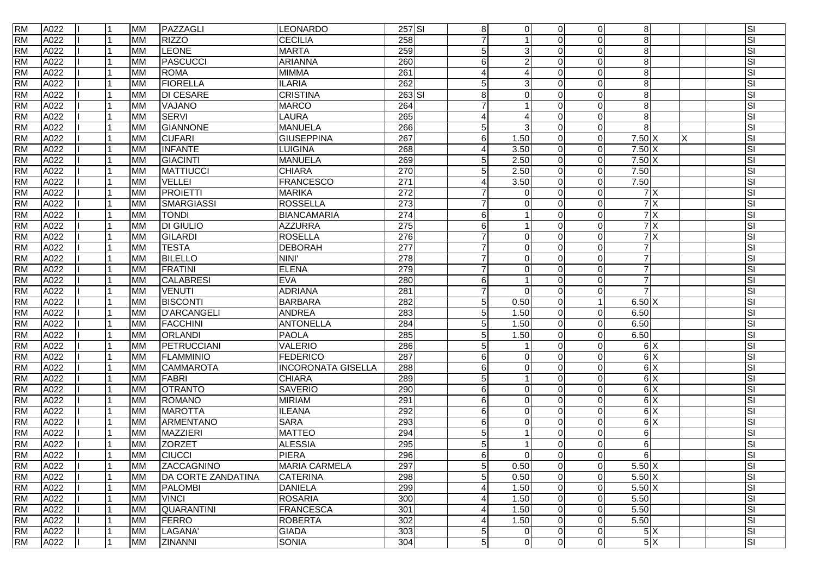| <b>RM</b> | A022 |  | MM        | PAZZAGLI           | LEONARDO                  | $257$ SI         | 8              | $\Omega$               | $\Omega$     | $\Omega$       | 8 <sup>1</sup>   |   | SI                      |
|-----------|------|--|-----------|--------------------|---------------------------|------------------|----------------|------------------------|--------------|----------------|------------------|---|-------------------------|
| <b>RM</b> | A022 |  | <b>MM</b> | <b>RIZZO</b>       | <b>CECILIA</b>            | 258              | $\overline{7}$ | 1                      | $\Omega$     | $\Omega$       | $\overline{8}$   |   | SI                      |
| <b>RM</b> | A022 |  | MM        | <b>LEONE</b>       | <b>MARTA</b>              | 259              | $\overline{5}$ | 3                      |              | $\Omega$       | $\bf 8$          |   | SI                      |
| <b>RM</b> | A022 |  | MM        | <b>PASCUCCI</b>    | <b>ARIANNA</b>            | 260              | 6              | $\overline{2}$         | $\Omega$     | $\Omega$       | $\bf 8$          |   | SI                      |
| <b>RM</b> | A022 |  | <b>MM</b> | <b>ROMA</b>        | <b>MIMMA</b>              | 261              | 4              | $\overline{A}$         |              | $\Omega$       | $\bf 8$          |   | SI                      |
| <b>RM</b> | A022 |  | <b>MM</b> | <b>FIORELLA</b>    | <b>ILARIA</b>             | 262              | 5              | 3                      | $\Omega$     | $\Omega$       | $\bf 8$          |   | SI                      |
| <b>RM</b> | A022 |  | ΜМ        | <b>DI CESARE</b>   | <b>CRISTINA</b>           | $263$ SI         | $\bf 8$        | $\Omega$               |              | $\Omega$       | $\bf 8$          |   | SI                      |
| <b>RM</b> | A022 |  | MM        | VAJANO             | <b>MARCO</b>              | 264              | $\overline{7}$ |                        | $\Omega$     | $\Omega$       | $\infty$         |   | SI                      |
| <b>RM</b> | A022 |  | <b>MM</b> | <b>SERVI</b>       | LAURA                     | 265              | 4              | $\boldsymbol{\Lambda}$ | $\Omega$     | $\Omega$       | 8 <sup>1</sup>   |   | SI                      |
| <b>RM</b> | A022 |  | <b>MM</b> | <b>GIANNONE</b>    | <b>MANUELA</b>            | 266              | 5              | 3                      | $\Omega$     | $\mathbf 0$    | $\infty$         |   | SI                      |
| <b>RM</b> | A022 |  | <b>MM</b> | <b>CUFARI</b>      | <b>GIUSEPPINA</b>         | 267              | 6              | 1.50                   |              | $\Omega$       | $7.50 \text{ X}$ | Х | SI                      |
| <b>RM</b> | A022 |  | MM        | <b>INFANTE</b>     | <b>LUIGINA</b>            | 268              | 4              | 3.50                   | $\Omega$     | $\Omega$       | $7.50 \text{ X}$ |   | SI                      |
| <b>RM</b> | A022 |  | <b>MM</b> | <b>GIACINTI</b>    | <b>MANUELA</b>            | 269              | 5              | 2.50                   | $\Omega$     | $\Omega$       | $7.50 \text{ X}$ |   | SI                      |
| <b>RM</b> | A022 |  | <b>MM</b> | <b>MATTIUCCI</b>   | <b>CHIARA</b>             | 270              | 5              | 2.50                   | $\Omega$     | $\Omega$       | 7.50             |   | SI                      |
| <b>RM</b> | A022 |  | MM        | <b>VELLEI</b>      | <b>FRANCESCO</b>          | 271              | 4              | 3.50                   | $\Omega$     | $\Omega$       | 7.50             |   | SI                      |
| <b>RM</b> | A022 |  | MM        | <b>PROIETTI</b>    | <b>MARIKA</b>             | $\overline{272}$ | $\overline{7}$ | $\Omega$               |              | $\Omega$       | 7X               |   | SI                      |
| <b>RM</b> | A022 |  | <b>MM</b> | <b>SMARGIASSI</b>  | ROSSELLA                  | 273              |                | 0                      | $\Omega$     | $\Omega$       | 7X               |   | SI                      |
| <b>RM</b> | A022 |  | <b>MM</b> | <b>TONDI</b>       | <b>BIANCAMARIA</b>        | 274              | 6              | $\overline{1}$         |              | $\mathbf 0$    | 7X               |   | SI                      |
| <b>RM</b> | A022 |  | ΜМ        | <b>DI GIULIO</b>   | <b>AZZURRA</b>            | $\overline{275}$ | 6              |                        | $\Omega$     | $\Omega$       | 7X               |   | SI                      |
| <b>RM</b> | A022 |  | МM        | <b>GILARDI</b>     | <b>ROSELLA</b>            | 276              | $\overline{7}$ | $\Omega$               |              | $\Omega$       | 7X               |   | SI                      |
| <b>RM</b> | A022 |  | <b>MM</b> | <b>TESTA</b>       | <b>DEBORAH</b>            | 277              | $\overline{7}$ | $\Omega$               | $\Omega$     | $\Omega$       | $\overline{7}$   |   | SI                      |
| <b>RM</b> | A022 |  | MM        | <b>BILELLO</b>     | <b>NINI</b>               | 278              | $\overline{7}$ | $\Omega$               |              | $\Omega$       | $\overline{7}$   |   | SI                      |
| <b>RM</b> | A022 |  | <b>MM</b> | <b>FRATINI</b>     | <b>ELENA</b>              | 279              |                | $\Omega$               | $\Omega$     | $\Omega$       | $\overline{7}$   |   | SI                      |
| <b>RM</b> | A022 |  | <b>MM</b> | <b>CALABRESI</b>   | <b>EVA</b>                | 280              | 6              |                        | <sup>0</sup> | $\Omega$       | $\overline{7}$   |   | SI                      |
| <b>RM</b> | A022 |  | <b>MM</b> | <b>VENUTI</b>      | <b>ADRIANA</b>            | 281              | $\overline{7}$ | $\Omega$               | $\Omega$     | $\Omega$       | $\overline{7}$   |   | SI                      |
| <b>RM</b> | A022 |  | MM        | <b>BISCONTI</b>    | <b>BARBARA</b>            | 282              | $\overline{5}$ | 0.50                   | $\Omega$     |                | 6.50X            |   | SI                      |
| <b>RM</b> | A022 |  | MM        | <b>D'ARCANGELI</b> | <b>ANDREA</b>             | 283              | 5              | 1.50                   | $\Omega$     | $\mathbf 0$    | 6.50             |   | $\overline{\mathbf{s}}$ |
| <b>RM</b> | A022 |  | MM        | <b>FACCHINI</b>    | <b>ANTONELLA</b>          | 284              | 5              | 1.50                   |              | $\Omega$       | 6.50             |   | SI                      |
| <b>RM</b> | A022 |  | MM        | ORLANDI            | <b>PAOLA</b>              | 285              | 5              | 1.50                   | $\Omega$     | $\Omega$       | 6.50             |   | SI                      |
| <b>RM</b> | A022 |  | <b>MM</b> | PETRUCCIANI        | <b>VALERIO</b>            | 286              | 5              | -1                     |              | $\Omega$       | 6X               |   | SI                      |
| <b>RM</b> | A022 |  | <b>MM</b> | <b>FLAMMINIO</b>   | FEDERICO                  | 287              | 6              | $\Omega$               | $\Omega$     | $\Omega$       | 6X               |   | SI                      |
| <b>RM</b> | A022 |  | MM        | <b>CAMMAROTA</b>   | <b>INCORONATA GISELLA</b> | 288              | 6              | $\Omega$               | <sup>0</sup> | $\Omega$       | 6X               |   | SI                      |
| <b>RM</b> | A022 |  | MM        | <b>FABRI</b>       | <b>CHIARA</b>             | 289              | $\overline{5}$ | $\overline{1}$         | ∩            | $\Omega$       | 6X               |   | SI                      |
| <b>RM</b> | A022 |  | <b>MM</b> | <b>OTRANTO</b>     | <b>SAVERIO</b>            | 290              | 6              | $\Omega$               |              | $\Omega$       | 6X               |   | SI                      |
| <b>RM</b> | A022 |  | <b>MM</b> | <b>ROMANO</b>      | <b>MIRIAM</b>             | 291              | 6              | $\Omega$               |              | $\Omega$       | 6X               |   | SI                      |
| <b>RM</b> | A022 |  | MM        | <b>MAROTTA</b>     | <b>ILEANA</b>             | 292              | 6              | 0                      | $\Omega$     | $\Omega$       | 6X               |   | SI                      |
| <b>RM</b> | A022 |  | МM        | <b>ARMENTANO</b>   | <b>SARA</b>               | 293              | 6              | $\Omega$               | $\Omega$     | $\Omega$       | $\frac{1}{6}$    |   | SI                      |
| <b>RM</b> | A022 |  | <b>MM</b> | <b>MAZZIERI</b>    | <b>MATTEO</b>             | 294              | 5              | -1                     |              | $\Omega$       | $\,6$            |   | SI                      |
| <b>RM</b> | A022 |  | MM        | <b>ZORZET</b>      | <b>ALESSIA</b>            | 295              | 5              | $\mathbf{1}$           |              | $\Omega$       | 6 <sup>1</sup>   |   | SI                      |
| <b>RM</b> | A022 |  | МM        | <b>CIUCCI</b>      | PIERA                     | 296              | 6              | $\Omega$               | $\Omega$     | $\Omega$       | 6 <sup>1</sup>   |   | $\overline{\mathsf{S}}$ |
| <b>RM</b> | A022 |  | <b>MM</b> | ZACCAGNINO         | <b>MARIA CARMELA</b>      | 297              | 5 <sub>5</sub> | 0.50                   | $\Omega$     | $\overline{0}$ | 5.50X            |   | SI                      |
| <b>RM</b> | A022 |  | <b>MM</b> | DA CORTE ZANDATINA | <b>CATERINA</b>           | 298              | 5 <sup>1</sup> | 0.50                   | $\Omega$     | $\mathbf 0$    | $5.50 \text{ X}$ |   | SI                      |
| <b>RM</b> | A022 |  | <b>MM</b> | <b>PALOMBI</b>     | <b>DANIELA</b>            | 299              | 4              | 1.50                   | $\Omega$     | $\overline{0}$ | $5.50$ X         |   | SI                      |
| <b>RM</b> | A022 |  | MM        | <b>VINCI</b>       | <b>ROSARIA</b>            | 300              | 4              | 1.50                   | $\Omega$     | $\mathbf 0$    | 5.50             |   | SI                      |
| <b>RM</b> | A022 |  | MM        | <b>QUARANTINI</b>  | <b>FRANCESCA</b>          | 301              | 4              | 1.50                   | $\Omega$     | $\mathbf 0$    | 5.50             |   | SI                      |
| <b>RM</b> | A022 |  | <b>MM</b> | <b>FERRO</b>       | <b>ROBERTA</b>            | 302              | 4              | 1.50                   | $\Omega$     | $\mathbf 0$    | 5.50             |   | SI                      |
| <b>RM</b> | A022 |  | MM        | LAGANA'            | <b>GIADA</b>              | 303              | $\mathbf 5$    | 0                      | 0            | $\mathbf 0$    | 5X               |   | SI                      |
| <b>RM</b> | A022 |  | MM        | ZINANNI            | <b>SONIA</b>              | 304              | 5              | $\overline{0}$         | $\Omega$     | $\overline{0}$ | 5X               |   | SI                      |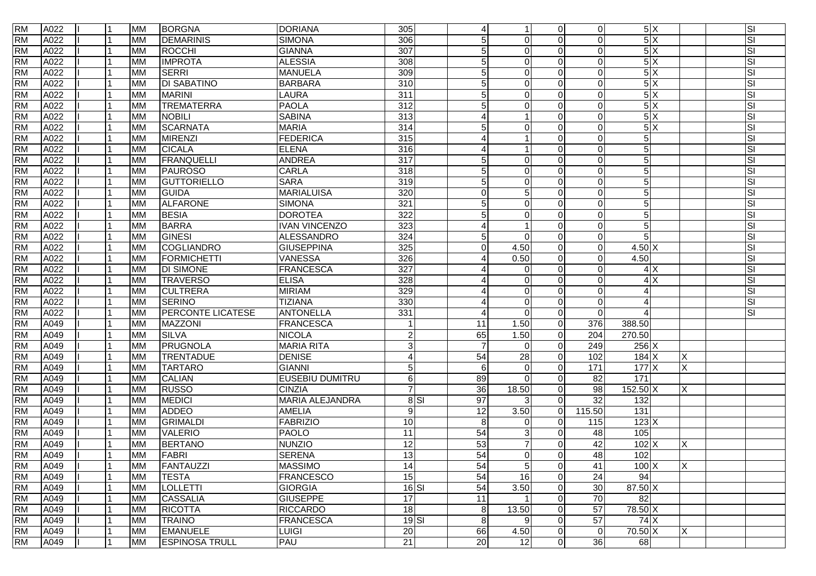| <b>RM</b> | A022 |  | MM        | <b>BORGNA</b>         | <b>DORIANA</b>         | 305              | $\overline{4}$  | $\mathbf{1}$    | $\Omega$ | $\overline{0}$  | 5X                       |   | SI |
|-----------|------|--|-----------|-----------------------|------------------------|------------------|-----------------|-----------------|----------|-----------------|--------------------------|---|----|
| <b>RM</b> | A022 |  | <b>MM</b> | <b>DEMARINIS</b>      | <b>SIMONA</b>          | 306              | 5               | $\Omega$        | $\Omega$ | $\Omega$        | 5X                       |   | SI |
| <b>RM</b> | A022 |  | MM        | ROCCHI                | <b>GIANNA</b>          | 307              | $\sqrt{5}$      | $\Omega$        |          | $\Omega$        | 5X                       |   | SI |
| <b>RM</b> | A022 |  | MM        | <b>IMPROTA</b>        | <b>ALESSIA</b>         | 308              | 5               | $\Omega$        | $\Omega$ | $\Omega$        | $\overline{\frac{5}{X}}$ |   | SI |
| <b>RM</b> | A022 |  | <b>MM</b> | <b>SERRI</b>          | <b>MANUELA</b>         | 309              | 5               | $\Omega$        |          | $\Omega$        | 5X                       |   | SI |
| <b>RM</b> | A022 |  | <b>MM</b> | <b>DI SABATINO</b>    | <b>BARBARA</b>         | $\overline{310}$ | 5               | $\Omega$        | $\Omega$ | $\Omega$        | 5X                       |   | SI |
| <b>RM</b> | A022 |  | <b>MM</b> | <b>MARINI</b>         | LAURA                  | 311              | $\sqrt{5}$      | $\Omega$        |          | $\Omega$        | 5X                       |   | SI |
| <b>RM</b> | A022 |  | MM        | <b>TREMATERRA</b>     | <b>PAOLA</b>           | 312              | $\overline{5}$  | $\Omega$        | $\Omega$ | $\Omega$        | 5X                       |   | SI |
| <b>RM</b> | A022 |  | <b>MM</b> | <b>NOBILI</b>         | <b>SABINA</b>          | 313              | 4               | $\overline{1}$  | $\Omega$ | $\Omega$        | 5X                       |   | SI |
| <b>RM</b> | A022 |  | <b>MM</b> | <b>SCARNATA</b>       | <b>MARIA</b>           | 314              | 5               | $\Omega$        | $\Omega$ | $\Omega$        | 5X                       |   | SI |
| <b>RM</b> | A022 |  | <b>MM</b> | <b>MIRENZI</b>        | <b>FEDERICA</b>        | 315              | 4               |                 |          | $\Omega$        | $\sqrt{5}$               |   | SI |
| <b>RM</b> | A022 |  | MM        | <b>CICALA</b>         | <b>ELENA</b>           | 316              | 4               | $\overline{1}$  | $\Omega$ | $\Omega$        | $\overline{5}$           |   | SI |
| <b>RM</b> | A022 |  | <b>MM</b> | <b>FRANQUELLI</b>     | <b>ANDREA</b>          | $\overline{317}$ | 5               | $\Omega$        | U        | $\Omega$        | $\sqrt{5}$               |   | SI |
| <b>RM</b> | A022 |  | <b>MM</b> | <b>PAUROSO</b>        | <b>CARLA</b>           | 318              | $\overline{5}$  | $\Omega$        |          | $\Omega$        | 5 <sub>5</sub>           |   | SI |
| <b>RM</b> | A022 |  | MM        | <b>GUTTORIELLO</b>    | <b>SARA</b>            | 319              | $\overline{5}$  | 0               | $\Omega$ | $\Omega$        | $\overline{5}$           |   | SI |
| <b>RM</b> | A022 |  | MM        | <b>GUIDA</b>          | <b>MARIALUISA</b>      | 320              | $\overline{0}$  | 5               | ∩        | $\Omega$        | 5 <sub>5</sub>           |   | SI |
| <b>RM</b> | A022 |  | <b>MM</b> | <b>ALFARONE</b>       | <b>SIMONA</b>          | 321              | $\overline{5}$  | $\mathbf 0$     | $\Omega$ | $\Omega$        | $\overline{5}$           |   | SI |
| <b>RM</b> | A022 |  | <b>MM</b> | <b>BESIA</b>          | <b>DOROTEA</b>         | 322              | 5               | $\Omega$        |          | $\mathbf 0$     | $\overline{5}$           |   | SI |
| <b>RM</b> | A022 |  | <b>MM</b> | <b>BARRA</b>          | <b>IVAN VINCENZO</b>   | $\overline{323}$ | 4               |                 |          | $\mathbf 0$     | $\overline{5}$           |   | SI |
| <b>RM</b> | A022 |  | МM        | <b>GINESI</b>         | <b>ALESSANDRO</b>      | 324              | 5               | $\Omega$        |          | $\Omega$        | 5                        |   | SI |
| <b>RM</b> | A022 |  | <b>MM</b> | <b>COGLIANDRO</b>     | GIUSEPPINA             | 325              | $\Omega$        | 4.50            | $\Omega$ | $\Omega$        | $4.50$ X                 |   | SI |
| <b>RM</b> | A022 |  | MM        | <b>FORMICHETTI</b>    | VANESSA                | 326              | 4               | 0.50            | $\Omega$ | $\Omega$        | 4.50                     |   | SI |
| <b>RM</b> | A022 |  | <b>MM</b> | <b>DI SIMONE</b>      | <b>FRANCESCA</b>       | 327              | 4               | $\Omega$        | $\Omega$ | $\Omega$        | 4X                       |   | SI |
| <b>RM</b> | A022 |  | ΜМ        | <b>TRAVERSO</b>       | <b>ELISA</b>           | 328              | 4               | $\Omega$        |          | $\Omega$        | 4X                       |   | SI |
| <b>RM</b> | A022 |  | <b>MM</b> | <b>CULTRERA</b>       | <b>MIRIAM</b>          | 329              |                 | $\Omega$        | $\Omega$ | $\Omega$        | 4                        |   | SI |
| <b>RM</b> | A022 |  | <b>MM</b> | <b>SERINO</b>         | <b>TIZIANA</b>         | 330              | ⊿               | $\Omega$        | $\Omega$ | $\Omega$        | $\overline{4}$           |   | SI |
| <b>RM</b> | A022 |  | MM        | PERCONTE LICATESE     | <b>ANTONELLA</b>       | 331              | 4               | $\Omega$        | $\Omega$ | $\Omega$        | 4                        |   | SI |
| <b>RM</b> | A049 |  | MM        | <b>MAZZONI</b>        | <b>FRANCESCA</b>       |                  | 11              | 1.50            | $\Omega$ | 376             | 388.50                   |   |    |
| <b>RM</b> | A049 |  | <b>MM</b> | <b>SILVA</b>          | NICOLA                 | $\overline{a}$   | 65              | 1.50            | $\Omega$ | 204             | 270.50                   |   |    |
| <b>RM</b> | A049 |  | <b>MM</b> | <b>PRUGNOLA</b>       | <b>MARIA RITA</b>      | 3                |                 | $\Omega$        | $\Omega$ | 249             | $256$ X                  |   |    |
| <b>RM</b> | A049 |  | <b>MM</b> | <b>TRENTADUE</b>      | <b>DENISE</b>          | $\overline{4}$   | 54              | 28              | $\Omega$ | 102             | $184$ X                  | X |    |
| <b>RM</b> | A049 |  | MM        | <b>TARTARO</b>        | GIANNI                 | $5\phantom{.0}$  | 6               | $\Omega$        | $\Omega$ | 171             | 177 X                    | X |    |
| <b>RM</b> | A049 |  | MM        | <b>CALIAN</b>         | <b>EUSEBIU DUMITRU</b> | 6                | 89              | $\Omega$        | $\Omega$ | 82              | $\frac{1}{171}$          |   |    |
| <b>RM</b> | A049 |  | <b>MM</b> | <b>RUSSO</b>          | <b>CINZIA</b>          | $\overline{7}$   | 36              | 18.50           | $\Omega$ | 98              | 152.50 X                 | X |    |
| <b>RM</b> | A049 |  | <b>MM</b> | <b>MEDICI</b>         | <b>MARIA ALEJANDRA</b> | 8S               | 97              | 3               | $\Omega$ | $\overline{32}$ | $\overline{132}$         |   |    |
| <b>RM</b> | A049 |  | MM        | <b>ADDEO</b>          | AMELIA                 | 9                | 12              | 3.50            | $\Omega$ | 115.50          | $\overline{131}$         |   |    |
| <b>RM</b> | A049 |  | MM        | <b>GRIMALDI</b>       | FABRIZIO               | $\overline{10}$  | 8               | $\Omega$        | $\Omega$ | 115             | $123$ X                  |   |    |
| <b>RM</b> | A049 |  | <b>MM</b> | <b>VALERIO</b>        | PAOLO                  | $\overline{11}$  | $\overline{54}$ | 3               | U        | 48              | 105                      |   |    |
| <b>RM</b> | A049 |  | MM        | <b>BERTANO</b>        | <b>NUNZIO</b>          | $\overline{12}$  | 53              | $\overline{7}$  |          | 42              | $102$ X                  | Χ |    |
| <b>RM</b> | A049 |  | MM        | <b>FABRI</b>          | <b>SERENA</b>          | 13               | 54              | $\Omega$        | $\Omega$ | 48              | 102                      |   |    |
| <b>RM</b> | A049 |  | <b>MM</b> | <b>FANTAUZZI</b>      | <b>MASSIMO</b>         | 14               | 54              | 5               | $\Omega$ | 41              | $100$ $X$                | X |    |
| <b>RM</b> | A049 |  | <b>MM</b> | <b>TESTA</b>          | <b>FRANCESCO</b>       | 15               | 54              | 16              | $\Omega$ | 24              | 94                       |   |    |
| <b>RM</b> | A049 |  | <b>MM</b> | <b>LOLLETTI</b>       | GIORGIA                | $16$ SI          | 54              | 3.50            | $\Omega$ | 30              | 87.50 X                  |   |    |
| <b>RM</b> | A049 |  | MM        | <b>CASSALIA</b>       | <b>GIUSEPPE</b>        | $\overline{17}$  | 11              |                 | $\Omega$ | 70              | 82                       |   |    |
| <b>RM</b> | A049 |  | MM        | <b>RICOTTA</b>        | <b>RICCARDO</b>        | 18               | 8               | 13.50           | $\Omega$ | $\overline{57}$ | 78.50 X                  |   |    |
| <b>RM</b> | A049 |  | <b>MM</b> | <b>TRAINO</b>         | FRANCESCA              | $19$ $SI$        | 8               | 9               | $\Omega$ | 57              | 74X                      |   |    |
| <b>RM</b> | A049 |  | <b>MM</b> | <b>EMANUELE</b>       | LUIGI                  | 20               | 66              | 4.50            | $\Omega$ | $\mathbf 0$     | 70.50 X                  | X |    |
| <b>RM</b> | A049 |  | MM        | <b>ESPINOSA TRULL</b> | PAU                    | 21               | 20              | $\overline{12}$ | $\Omega$ | 36              | 68                       |   |    |
|           |      |  |           |                       |                        |                  |                 |                 |          |                 |                          |   |    |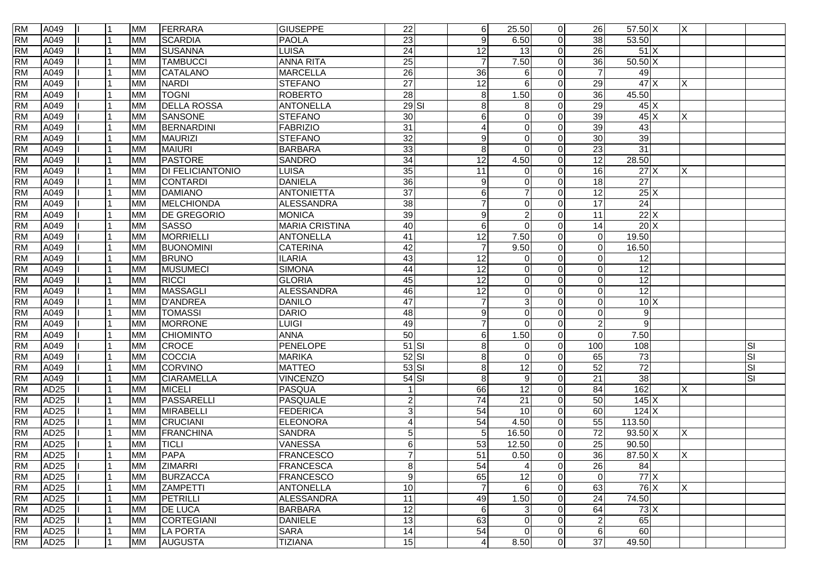| <b>RM</b> | A049             | 1              | <b>MM</b> | FERRARA                 | <b>GIUSEPPE</b>       | $\overline{22}$         | 6               | 25.50           | $\overline{0}$ | 26              | 57.50 X           | ΙX |           |
|-----------|------------------|----------------|-----------|-------------------------|-----------------------|-------------------------|-----------------|-----------------|----------------|-----------------|-------------------|----|-----------|
| <b>RM</b> | A049             |                | <b>MM</b> | <b>SCARDIA</b>          | <b>PAOLA</b>          | $\overline{23}$         | 9               | 6.50            | $\overline{0}$ | 38              | 53.50             |    |           |
| <b>RM</b> | A049             |                | <b>MM</b> | <b>SUSANNA</b>          | <b>LUISA</b>          | 24                      | $\overline{12}$ | $\overline{13}$ | $\overline{0}$ | $\overline{26}$ | 51X               |    |           |
| <b>RM</b> | A049             |                | <b>MM</b> | <b>TAMBUCCI</b>         | <b>ANNA RITA</b>      | 25                      | $\overline{7}$  | 7.50            | $\Omega$       | 36              | $50.50 \text{ X}$ |    |           |
| <b>RM</b> | A049             |                | <b>MM</b> | CATALANO                | <b>MARCELLA</b>       | $\overline{26}$         | $\overline{36}$ | 6               | $\Omega$       | $\overline{7}$  | 49                |    |           |
| <b>RM</b> | A049             |                | <b>MM</b> | <b>NARDI</b>            | <b>STEFANO</b>        | $\overline{27}$         | 12              | 6               | $\Omega$       | 29              | 47X               | Х  |           |
| <b>RM</b> | A049             |                | <b>MM</b> | <b>TOGNI</b>            | <b>ROBERTO</b>        | 28                      | 8               | 1.50            | $\Omega$       | $\overline{36}$ | 45.50             |    |           |
| <b>RM</b> | A049             |                | <b>MM</b> | <b>DELLA ROSSA</b>      | <b>ANTONELLA</b>      | $29$ $SI$               | 8               | 8               | $\Omega$       | 29              | 45X               |    |           |
| <b>RM</b> | A049             |                | <b>MM</b> | SANSONE                 | <b>STEFANO</b>        | 30                      | 6               | $\mathbf 0$     | $\Omega$       | 39              | 45X               | X  |           |
| <b>RM</b> | A049             |                | <b>MM</b> | BERNARDINI              | <b>FABRIZIO</b>       | 31                      | 4               | $\mathbf 0$     | $\Omega$       | 39              | 43                |    |           |
| <b>RM</b> | A049             |                | <b>MM</b> | MAURIZI                 | <b>STEFANO</b>        | $\overline{32}$         | 9               | 0               | $\Omega$       | 30              | 39                |    |           |
| <b>RM</b> | A049             |                | <b>MM</b> | <b>MAIURI</b>           | <b>BARBARA</b>        | 33                      | 8               | $\Omega$        | $\Omega$       | 23              | 31                |    |           |
| <b>RM</b> | A049             |                | <b>MM</b> | <b>PASTORE</b>          | <b>SANDRO</b>         | $\overline{34}$         | $\overline{12}$ | 4.50            | $\Omega$       | $\overline{12}$ | 28.50             |    |           |
| <b>RM</b> | A049             |                | <b>MM</b> | <b>DI FELICIANTONIO</b> | LUISA                 | 35                      | 11              | $\Omega$        | $\Omega$       | 16              | 27X               | X  |           |
| <b>RM</b> | A049             |                | <b>MM</b> | <b>CONTARDI</b>         | <b>DANIELA</b>        | 36                      | 9               | $\mathbf 0$     | $\Omega$       | $\overline{18}$ | 27                |    |           |
| <b>RM</b> | A049             |                | <b>MM</b> | <b>DAMIANO</b>          | <b>ANTONIETTA</b>     | $\overline{37}$         | 6               | $\overline{7}$  | $\Omega$       | 12              | 25X               |    |           |
| <b>RM</b> | A049             |                | <b>MM</b> | MELCHIONDA              | <b>ALESSANDRA</b>     | 38                      | 7               | $\mathbf 0$     | $\overline{0}$ | 17              | 24                |    |           |
| <b>RM</b> | A049             |                | <b>MM</b> | <b>DE GREGORIO</b>      | <b>MONICA</b>         | 39                      | 9               | $\overline{2}$  | $\Omega$       | $\overline{11}$ | 22X               |    |           |
| <b>RM</b> | A049             |                | <b>MM</b> | <b>SASSO</b>            | <b>MARIA CRISTINA</b> | 40                      | 6               | $\mathbf 0$     | $\Omega$       | 14              | 20X               |    |           |
| <b>RM</b> | A049             |                | <b>MM</b> | MORRIELLI               | <b>ANTONELLA</b>      | 41                      | 12              | 7.50            | $\Omega$       | $\Omega$        | 19.50             |    |           |
| <b>RM</b> | A049             |                | <b>MM</b> | <b>BUONOMINI</b>        | <b>CATERINA</b>       | 42                      | $\overline{7}$  | 9.50            | $\overline{0}$ | $\Omega$        | 16.50             |    |           |
| <b>RM</b> | A049             |                | <b>MM</b> | <b>BRUNO</b>            | <b>ILARIA</b>         | 43                      | 12              | $\Omega$        | $\Omega$       | $\Omega$        | 12                |    |           |
| <b>RM</b> | A049             |                | <b>MM</b> | <b>MUSUMECI</b>         | <b>SIMONA</b>         | 44                      | 12              | 0               | $\Omega$       | $\Omega$        | $\overline{12}$   |    |           |
| <b>RM</b> | A049             |                | <b>MM</b> | <b>RICCI</b>            | <b>GLORIA</b>         | 45                      | $\overline{12}$ | 0               | $\Omega$       | $\Omega$        | $\overline{12}$   |    |           |
| <b>RM</b> | A049             |                | <b>MM</b> | MASSAGLI                | <b>ALESSANDRA</b>     | 46                      | 12              | $\mathbf 0$     | $\Omega$       | $\Omega$        | 12                |    |           |
| <b>RM</b> | A049             |                | <b>MM</b> | <b>D'ANDREA</b>         | <b>DANILO</b>         | 47                      | $\overline{7}$  | 3               | $\Omega$       | $\Omega$        | 10X               |    |           |
| <b>RM</b> | A049             |                | <b>MM</b> | <b>TOMASSI</b>          | <b>DARIO</b>          | 48                      | 9               | 0               | $\Omega$       | $\Omega$        | 9                 |    |           |
| <b>RM</b> | A049             |                | <b>MM</b> | <b>MORRONE</b>          | <b>LUIGI</b>          | 49                      | 7               | $\Omega$        | $\Omega$       | $\overline{2}$  | 9                 |    |           |
| <b>RM</b> | A049             |                | <b>MM</b> | <b>CHIOMINTO</b>        | <b>ANNA</b>           | 50                      | 6               | 1.50            | $\Omega$       | $\Omega$        | 7.50              |    |           |
| <b>RM</b> | A049             |                | <b>MM</b> | <b>CROCE</b>            | <b>PENELOPE</b>       | $51$ SI                 | 8               | $\Omega$        | $\Omega$       | 100             | 108               |    | ΙSΙ       |
| <b>RM</b> | A049             |                | <b>MM</b> | COCCIA                  | <b>MARIKA</b>         | $52$ $SI$               | 8               | $\mathbf 0$     | $\Omega$       | 65              | 73                |    | <b>SI</b> |
| <b>RM</b> | A049             |                | <b>MM</b> | <b>CORVINO</b>          | <b>MATTEO</b>         | $53$ $SI$               | 8               | 12              | $\Omega$       | 52              | $\overline{72}$   |    | <b>SI</b> |
| <b>RM</b> | A049             |                | <b>MM</b> | <b>CIARAMELLA</b>       | <b>VINCENZO</b>       | $54$ $SI$               | 8               | $9\,$           | $\Omega$       | 21              | 38                |    | <b>SI</b> |
| <b>RM</b> | AD25             |                | <b>MM</b> | <b>MICELI</b>           | PASQUA                |                         | 66              | $\overline{12}$ | $\overline{0}$ | 84              | 162               | X  |           |
| <b>RM</b> | AD25             |                | <b>MM</b> | PASSARELLI              | <b>PASQUALE</b>       | $\mathbf{2}$            | $\overline{74}$ | $\overline{21}$ | $\overline{0}$ | 50              | 145X              |    |           |
| <b>RM</b> | AD25             |                | <b>MM</b> | <b>MIRABELLI</b>        | <b>FEDERICA</b>       | 3                       | 54              | 10              | $\overline{0}$ | $\overline{60}$ | 124X              |    |           |
| <b>RM</b> | AD25             |                | <b>MM</b> | <b>CRUCIANI</b>         | <b>ELEONORA</b>       | $\overline{\mathbf{4}}$ | 54              | 4.50            | $\Omega$       | 55              | 113.50            |    |           |
| <b>RM</b> | AD25             |                | <b>MM</b> | FRANCHINA               | <b>SANDRA</b>         | 5 <sup>1</sup>          | 5               | 16.50           | $\overline{0}$ | $\overline{72}$ | $93.50 \text{ X}$ | X  |           |
| <b>RM</b> | AD25             |                | <b>MM</b> | <b>TICLI</b>            | <b>VANESSA</b>        | $6 \overline{6}$        | 53              | 12.50           | 0              | 25              | 90.50             |    |           |
| <b>RM</b> | AD <sub>25</sub> | $\overline{1}$ | <b>MM</b> | PAPA                    | <b>FRANCESCO</b>      | $\overline{7}$          | $\overline{51}$ | 0.50            | $\Omega$       | 36              | 87.50 X           | ΙX |           |
| <b>RM</b> | AD <sub>25</sub> | $\overline{1}$ | <b>MM</b> | <b>ZIMARRI</b>          | <b>FRANCESCA</b>      | 8                       | 54              | $\overline{4}$  | $\overline{0}$ | 26              | 84                |    |           |
| <b>RM</b> | AD <sub>25</sub> |                | <b>MM</b> | <b>BURZACCA</b>         | <b>FRANCESCO</b>      | 9                       | 65              | 12              | $\overline{0}$ | $\overline{0}$  | $77 \times$       |    |           |
| <b>RM</b> | AD <sub>25</sub> |                | <b>MM</b> | <b>ZAMPETTI</b>         | <b>ANTONELLA</b>      | 10                      | $\overline{7}$  | 6               | $\overline{0}$ | 63              | $76$ $X$          | X  |           |
| <b>RM</b> | AD <sub>25</sub> |                | <b>MM</b> | PETRILLI                | <b>ALESSANDRA</b>     | $\overline{11}$         | 49              | 1.50            | $\overline{0}$ | $\overline{24}$ | 74.50             |    |           |
| <b>RM</b> | AD <sub>25</sub> |                | <b>MM</b> | <b>DE LUCA</b>          | <b>BARBARA</b>        | 12                      | 6               | 3               | $\overline{0}$ | 64              | 73 X              |    |           |
| <b>RM</b> | AD <sub>25</sub> |                | <b>MM</b> | CORTEGIANI              | <b>DANIELE</b>        | 13                      | 63              | 0               | $\overline{0}$ | $\overline{2}$  | 65                |    |           |
| <b>RM</b> | AD25             |                | <b>MM</b> | <b>LA PORTA</b>         | <b>SARA</b>           | 14                      | 54              | $\mathbf 0$     | $\overline{0}$ | 6               | 60                |    |           |
| <b>RM</b> | AD25             | $\overline{1}$ | <b>MM</b> | <b>AUGUSTA</b>          | <b>TIZIANA</b>        | 15                      | 4               | 8.50            | $\overline{0}$ | 37              | 49.50             |    |           |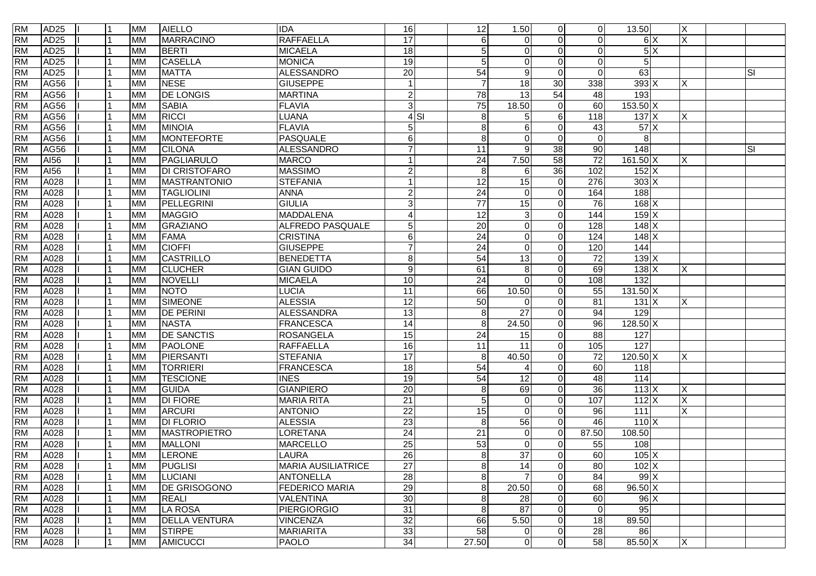| <b>RM</b> | AD25             | l 1 | <b>MM</b> | <b>AIELLO</b>        | <b>IDA</b>                | 16               |        | 12               | 1.50            | $\overline{0}$  | $\overline{0}$  | 13.50             | X                       |           |
|-----------|------------------|-----|-----------|----------------------|---------------------------|------------------|--------|------------------|-----------------|-----------------|-----------------|-------------------|-------------------------|-----------|
| <b>RM</b> | AD25             |     | <b>MM</b> | <b>MARRACINO</b>     | <b>RAFFAELLA</b>          | 17               |        | 6                | $\Omega$        | $\Omega$        | $\Omega$        | 6X                | $\overline{\mathsf{x}}$ |           |
| <b>RM</b> | AD25             |     | <b>MM</b> | <b>BERTI</b>         | <b>MICAELA</b>            | $\frac{1}{8}$    |        | 5                | $\Omega$        | $\Omega$        | $\Omega$        | 5X                |                         |           |
| <b>RM</b> | <b>AD25</b>      |     | <b>MM</b> | <b>CASELLA</b>       | <b>MONICA</b>             | 19               |        | 5                | $\Omega$        | $\Omega$        | $\Omega$        | 5                 |                         |           |
| <b>RM</b> | AD <sub>25</sub> |     | <b>MM</b> | <b>MATTA</b>         | <b>ALESSANDRO</b>         | $\overline{20}$  |        | 54               | 9               | $\Omega$        | $\Omega$        | 63                |                         | <b>SI</b> |
| <b>RM</b> | AG56             |     | <b>MM</b> | <b>NESE</b>          | <b>GIUSEPPE</b>           | $\overline{1}$   |        | $\overline{7}$   | 18              | 30              | 338             | 393X              | ΙX                      |           |
| <b>RM</b> | AG56             |     | <b>MM</b> | <b>DE LONGIS</b>     | <b>MARTINA</b>            | $\overline{c}$   |        | $\overline{78}$  | $\overline{13}$ | 54              | 48              | 193               |                         |           |
| <b>RM</b> | <b>AG56</b>      |     | <b>MM</b> | <b>SABIA</b>         | <b>FLAVIA</b>             | دی               |        | 75               | 18.50           | $\Omega$        | 60              | 153.50 X          |                         |           |
| <b>RM</b> | AG56             |     | <b>MM</b> | <b>RICCI</b>         | LUANA                     |                  | $4$ SI | $\boldsymbol{8}$ | 5               | 6               | 118             | $137$ X           | X                       |           |
| <b>RM</b> | AG56             |     | <b>MM</b> | <b>MINOIA</b>        | <b>FLAVIA</b>             | 5                |        | 8                | 6               | $\Omega$        | 43              | 57X               |                         |           |
| <b>RM</b> | AG56             |     | <b>MM</b> | MONTEFORTE           | PASQUALE                  | 6                |        | 8                | $\Omega$        | $\Omega$        | $\Omega$        | 8                 |                         |           |
| <b>RM</b> | <b>AG56</b>      |     | <b>MM</b> | <b>CILONA</b>        | <b>ALESSANDRO</b>         | $\overline{7}$   |        | 11               | 9               | 38              | 90              | 148               |                         | ΙSΙ       |
| <b>RM</b> | AI56             |     | <b>MM</b> | PAGLIARULO           | <b>MARCO</b>              |                  |        | $\overline{24}$  | 7.50            | $\overline{58}$ | $\overline{72}$ | $161.50 \times$   | X                       |           |
| <b>RM</b> | AI56             |     | <b>MM</b> | <b>DI CRISTOFARO</b> | <b>MASSIMO</b>            | $\overline{a}$   |        | 8                | 6               | 36              | 102             | $152$ X           |                         |           |
| <b>RM</b> | A028             |     | <b>MM</b> | <b>MASTRANTONIO</b>  | <b>STEFANIA</b>           | 1                |        | 12               | 15              | $\Omega$        | 276             | $303 \vert X$     |                         |           |
| <b>RM</b> | A028             |     | <b>MM</b> | <b>TAGLIOLINI</b>    | <b>ANNA</b>               | $\overline{c}$   |        | $\overline{24}$  | $\Omega$        | $\Omega$        | 164             | 188               |                         |           |
| <b>RM</b> | A028             |     | <b>MM</b> | PELLEGRINI           | <b>GIULIA</b>             | 3                |        | $\overline{77}$  | 15              | $\overline{0}$  | 76              | $168$ X           |                         |           |
| <b>RM</b> | A028             |     | <b>MM</b> | <b>MAGGIO</b>        | <b>MADDALENA</b>          | $\overline{4}$   |        | 12               | 3               | $\Omega$        | 144             | 159X              |                         |           |
| <b>RM</b> | A028             |     | <b>MM</b> | GRAZIANO             | ALFREDO PASQUALE          | $\overline{5}$   |        | $\overline{20}$  | $\mathbf 0$     | $\Omega$        | 128             | $148$ X           |                         |           |
| <b>RM</b> | A028             |     | <b>MM</b> | FAMA                 | <b>CRISTINA</b>           | $\,6$            |        | 24               | $\Omega$        | $\Omega$        | 124             | $148$ $X$         |                         |           |
| <b>RM</b> | A028             |     | <b>MM</b> | <b>CIOFFI</b>        | <b>GIUSEPPE</b>           | $\overline{7}$   |        | $\overline{24}$  | $\Omega$        | $\Omega$        | 120             | 144               |                         |           |
| <b>RM</b> | A028             |     | <b>MM</b> | CASTRILLO            | <b>BENEDETTA</b>          | $\bf 8$          |        | 54               | 13              | $\Omega$        | 72              | $139$ $X$         |                         |           |
| <b>RM</b> | A028             |     | <b>MM</b> | <b>CLUCHER</b>       | <b>GIAN GUIDO</b>         | $\boldsymbol{9}$ |        | 61               | 8               | $\Omega$        | 69              | 138X              | X                       |           |
| <b>RM</b> | A028             |     | <b>MM</b> | <b>NOVELLI</b>       | <b>MICAELA</b>            | 10               |        | 24               | $\Omega$        | $\Omega$        | 108             | 132               |                         |           |
| <b>RM</b> | A028             |     | <b>MM</b> | <b>NOTO</b>          | LUCIA                     | 11               |        | 66               | 10.50           | $\Omega$        | 55              | $131.50 \times$   |                         |           |
| <b>RM</b> | A028             |     | <b>MM</b> | <b>SIMEONE</b>       | <b>ALESSIA</b>            | $\overline{12}$  |        | 50               | $\Omega$        | $\Omega$        | $\overline{81}$ | 131 X             | X                       |           |
| <b>RM</b> | A028             |     | <b>MM</b> | <b>DE PERINI</b>     | <b>ALESSANDRA</b>         | 13               |        | $\boldsymbol{8}$ | $\overline{27}$ | $\Omega$        | 94              | 129               |                         |           |
| <b>RM</b> | A028             |     | <b>MM</b> | <b>NASTA</b>         | <b>FRANCESCA</b>          | $\overline{14}$  |        | 8                | 24.50           | $\Omega$        | 96              | $128.50 \times$   |                         |           |
| <b>RM</b> | A028             |     | <b>MM</b> | <b>DE SANCTIS</b>    | <b>ROSANGELA</b>          | 15               |        | $\overline{24}$  | 15              | $\Omega$        | 88              | 127               |                         |           |
| <b>RM</b> | A028             |     | <b>MM</b> | <b>PAOLONE</b>       | <b>RAFFAELLA</b>          | 16               |        | 11               | 11              | $\Omega$        | 105             | $\overline{127}$  |                         |           |
| <b>RM</b> | A028             |     | <b>MM</b> | PIERSANTI            | <b>STEFANIA</b>           | $\overline{17}$  |        | 8                | 40.50           | $\Omega$        | 72              | 120.50 X          | X                       |           |
| <b>RM</b> | A028             |     | <b>MM</b> | <b>TORRIERI</b>      | <b>FRANCESCA</b>          | 18               |        | 54               | Δ               | $\Omega$        | 60              | 118               |                         |           |
| <b>RM</b> | A028             |     | <b>MM</b> | <b>TESCIONE</b>      | <b>INES</b>               | 19               |        | 54               | 12              | $\Omega$        | 48              | 114               |                         |           |
| <b>RM</b> | A028             |     | <b>MM</b> | <b>GUIDA</b>         | <b>GIANPIERO</b>          | $\overline{20}$  |        | $\bf 8$          | 69              | $\Omega$        | 36              | $113$ X           | Χ                       |           |
| <b>RM</b> | A028             |     | <b>MM</b> | <b>DI FIORE</b>      | <b>MARIA RITA</b>         | $\overline{21}$  |        | 5                | $\mathbf 0$     | $\Omega$        | 107             | $112$ X           | X                       |           |
| <b>RM</b> | A028             |     | <b>MM</b> | <b>ARCURI</b>        | <b>ANTONIO</b>            | $\overline{22}$  |        | 15               | $\Omega$        | $\Omega$        | 96              | $\overline{111}$  | Χ                       |           |
| <b>RM</b> | A028             |     | <b>MM</b> | <b>DI FLORIO</b>     | <b>ALESSIA</b>            | $\overline{23}$  |        | $\boldsymbol{8}$ | 56              | $\Omega$        | 46              | 110X              |                         |           |
| <b>RM</b> | A028             |     | <b>MM</b> | <b>MASTROPIETRO</b>  | <b>LORETANA</b>           | $\overline{24}$  |        | 21               | $\Omega$        | $\Omega$        | 87.50           | 108.50            |                         |           |
| <b>RM</b> | A028             |     | <b>MM</b> | <b>MALLONI</b>       | <b>MARCELLO</b>           | 25               |        | 53               | $\mathbf 0$     | $\Omega$        | 55              | 108               |                         |           |
| <b>RM</b> | A028             |     | <b>MM</b> | LERONE               | LAURA                     | 26               |        | $\infty$         | 37              | $\Omega$        | 60              | 105X              |                         |           |
| <b>RM</b> | A028             |     | <b>MM</b> | <b>PUGLISI</b>       | <b>MARIA AUSILIATRICE</b> | $\overline{27}$  |        | 8 <sup>1</sup>   | 14              | $\overline{0}$  | 80              | 102 X             |                         |           |
| <b>RM</b> | A028             |     | <b>MM</b> | <b>LUCIANI</b>       | <b>ANTONELLA</b>          | 28               |        | 8                |                 | $\overline{0}$  | 84              | 99X               |                         |           |
| <b>RM</b> | A028             |     | <b>MM</b> | <b>DE GRISOGONO</b>  | <b>FEDERICO MARIA</b>     | 29               |        | $\bf 8$          | 20.50           | $\overline{0}$  | 68              | $96.50 \text{ X}$ |                         |           |
| <b>RM</b> | A028             |     | <b>MM</b> | <b>REALI</b>         | VALENTINA                 | 30               |        | 8                | 28              | $\overline{0}$  | 60              | $96$ $\times$     |                         |           |
| <b>RM</b> | A028             |     | <b>MM</b> | <b>LA ROSA</b>       | <b>PIERGIORGIO</b>        | 31               |        | 8                | 87              | $\overline{0}$  | $\overline{0}$  | 95                |                         |           |
| <b>RM</b> | A028             |     | <b>MM</b> | <b>DELLA VENTURA</b> | <b>VINCENZA</b>           | 32               |        | 66               | 5.50            | $\overline{0}$  | 18              | 89.50             |                         |           |
| <b>RM</b> | A028             |     | <b>MM</b> | <b>STIRPE</b>        | <b>MARIARITA</b>          | 33               |        | 58               | 0               | $\overline{0}$  | 28              | 86                |                         |           |
| <b>RM</b> | A028             |     | <b>MM</b> | <b>AMICUCCI</b>      | <b>PAOLO</b>              | 34               |        | 27.50            | $\mathbf 0$     | $\overline{0}$  | 58              | 85.50 X           | $\mathsf{X}$            |           |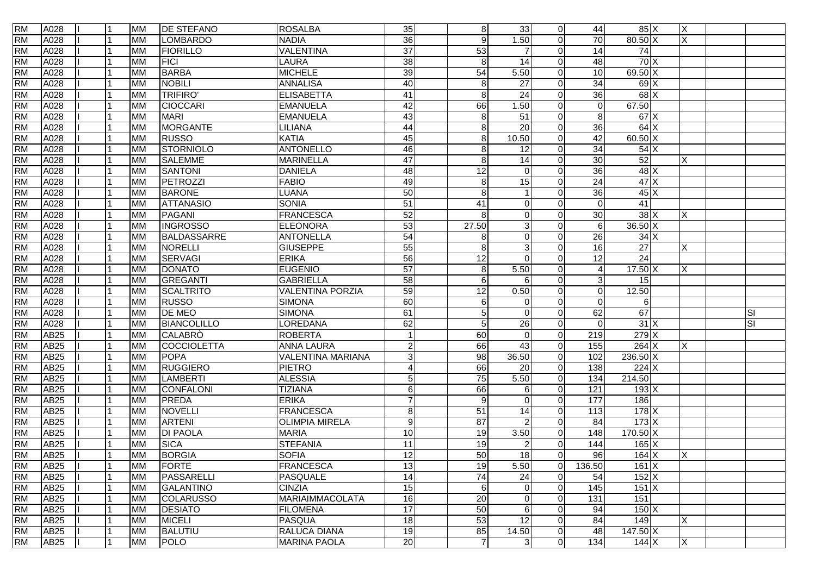| <b>RM</b> | A028             |  | <b>MM</b> | <b>DE STEFANO</b> | <b>ROSALBA</b>          | 35               | 8 <sup>1</sup>   | 33                      | $\overline{0}$ | 44               | 85 X                       | X            |                         |
|-----------|------------------|--|-----------|-------------------|-------------------------|------------------|------------------|-------------------------|----------------|------------------|----------------------------|--------------|-------------------------|
| <b>RM</b> | A028             |  | <b>MM</b> | <b>LOMBARDO</b>   | <b>NADIA</b>            | 36               | 9                | 1.50                    | $\Omega$       | 70               | $80.50 \text{ X}$          | X            |                         |
| <b>RM</b> | A028             |  | <b>MM</b> | <b>FIORILLO</b>   | <b>VALENTINA</b>        | $\overline{37}$  | 53               |                         | $\Omega$       | 14               | $\overline{74}$            |              |                         |
| <b>RM</b> | A028             |  | <b>MM</b> | <b>FICI</b>       | <b>LAURA</b>            | $\overline{38}$  | 8                | $\overline{14}$         | $\Omega$       | 48               | 70X                        |              |                         |
| <b>RM</b> | A028             |  | <b>MM</b> | <b>BARBA</b>      | <b>MICHELE</b>          | 39               | 54               | 5.50                    | $\Omega$       | 10               | $69.50 \text{ X}$          |              |                         |
| <b>RM</b> | A028             |  | <b>MM</b> | <b>NOBILI</b>     | <b>ANNALISA</b>         | 40               | 8                | 27                      | $\Omega$       | $\overline{34}$  | 69X                        |              |                         |
| <b>RM</b> | A028             |  | <b>MM</b> | <b>TRIFIRO'</b>   | <b>ELISABETTA</b>       | 41               | $\boldsymbol{8}$ | $\overline{24}$         | $\Omega$       | $\overline{36}$  | $68$ $\times$              |              |                         |
| <b>RM</b> | A028             |  | <b>MM</b> | <b>CIOCCARI</b>   | <b>EMANUELA</b>         | $\overline{42}$  | 66               | 1.50                    | $\Omega$       | $\Omega$         | 67.50                      |              |                         |
| <b>RM</b> | A028             |  | <b>MM</b> | <b>MARI</b>       | <b>EMANUELA</b>         | 43               | $\boldsymbol{8}$ | 51                      | $\Omega$       | 8 <sup>1</sup>   | 67X                        |              |                         |
| <b>RM</b> | A028             |  | <b>MM</b> | MORGANTE          | LILIANA                 | 44               | 8                | 20                      | $\Omega$       | 36               | 64X                        |              |                         |
| <b>RM</b> | A028             |  | <b>MM</b> | <b>RUSSO</b>      | <b>KATIA</b>            | 45               | 8                | 10.50                   | $\Omega$       | 42               | 60.50 X                    |              |                         |
| <b>RM</b> | A028             |  | <b>MM</b> | STORNIOLO         | <b>ANTONELLO</b>        | 46               | 8                | 12                      | $\Omega$       | 34               | 54X                        |              |                         |
| <b>RM</b> | A028             |  | <b>MM</b> | <b>SALEMME</b>    | <b>MARINELLA</b>        | 47               | $\boldsymbol{8}$ | 14                      | $\Omega$       | 30               | 52                         | Χ            |                         |
| <b>RM</b> | A028             |  | <b>MM</b> | <b>SANTONI</b>    | <b>DANIELA</b>          | 48               | $\overline{12}$  | $\Omega$                | $\Omega$       | $\overline{36}$  | 48X                        |              |                         |
| <b>RM</b> | A028             |  | <b>MM</b> | PETROZZI          | <b>FABIO</b>            | 49               | 8                | 15                      | $\Omega$       | $\overline{24}$  | 47X                        |              |                         |
| <b>RM</b> | A028             |  | <b>MM</b> | <b>BARONE</b>     | <b>LUANA</b>            | 50               | 8                |                         | $\Omega$       | 36               | $45\overline{\phantom{a}}$ |              |                         |
| <b>RM</b> | A028             |  | <b>MM</b> | <b>ATTANASIO</b>  | <b>SONIA</b>            | 51               | 41               | $\mathbf 0$             | $\Omega$       | $\Omega$         | 41                         |              |                         |
| <b>RM</b> | A028             |  | <b>MM</b> | PAGANI            | <b>FRANCESCA</b>        | 52               | 8                | $\mathbf 0$             | $\Omega$       | 30               | $38$ $\times$              | X            |                         |
| <b>RM</b> | A028             |  | <b>MM</b> | <b>INGROSSO</b>   | <b>ELEONORA</b>         | 53               | 27.50            | 3                       | $\Omega$       | $6 \overline{6}$ | 36.50 X                    |              |                         |
| <b>RM</b> | A028             |  | <b>MM</b> | BALDASSARRE       | <b>ANTONELLA</b>        | 54               | 8                | $\Omega$                | $\Omega$       | 26               | 34X                        |              |                         |
| <b>RM</b> | A028             |  | <b>MM</b> | NORELLI           | <b>GIUSEPPE</b>         | 55               | 8                | 3                       | $\Omega$       | 16               | $\overline{27}$            | X            |                         |
| <b>RM</b> | A028             |  | <b>MM</b> | <b>SERVAGI</b>    | <b>ERIKA</b>            | 56               | 12               | $\Omega$                | $\Omega$       | 12               | 24                         |              |                         |
| <b>RM</b> | A028             |  | <b>MM</b> | <b>DONATO</b>     | <b>EUGENIO</b>          | $\overline{57}$  | 8                | 5.50                    | $\Omega$       | 4                | 17.50 X                    | ΙX.          |                         |
| <b>RM</b> | A028             |  | <b>MM</b> | GREGANTI          | <b>GABRIELLA</b>        | 58               | 6                | 6                       | $\Omega$       | 3                | 15                         |              |                         |
| <b>RM</b> | A028             |  | <b>MM</b> | <b>SCALTRITO</b>  | <b>VALENTINA PORZIA</b> | 59               | 12               | 0.50                    | $\Omega$       | $\Omega$         | 12.50                      |              |                         |
| <b>RM</b> | A028             |  | <b>MM</b> | <b>RUSSO</b>      | <b>SIMONA</b>           | 60               | 6                | $\Omega$                | $\Omega$       | $\Omega$         | 6                          |              |                         |
| <b>RM</b> | A028             |  | <b>MM</b> | <b>DE MEO</b>     | <b>SIMONA</b>           | 61               | 5                | $\Omega$                | $\Omega$       | 62               | 67                         |              | <b>SI</b>               |
| <b>RM</b> | A028             |  | <b>MM</b> | BIANCOLILLO       | LOREDANA                | 62               | 5                | 26                      | $\Omega$       | $\Omega$         | 31X                        |              | $\overline{\mathbf{s}}$ |
| <b>RM</b> | AB <sub>25</sub> |  | <b>MM</b> | <b>CALABRO</b>    | <b>ROBERTA</b>          |                  | 60               | $\Omega$                | $\Omega$       | 219              | 279X                       |              |                         |
| <b>RM</b> | AB <sub>25</sub> |  | <b>MM</b> | COCCIOLETTA       | <b>ANNA LAURA</b>       | $\overline{c}$   | 66               | 43                      | $\Omega$       | 155              | 264X                       | X            |                         |
| <b>RM</b> | AB <sub>25</sub> |  | <b>MM</b> | <b>POPA</b>       | VALENTINA MARIANA       | $\mathbf{3}$     | 98               | 36.50                   | $\Omega$       | 102              | 236.50 X                   |              |                         |
| <b>RM</b> | AB25             |  | <b>MM</b> | <b>RUGGIERO</b>   | <b>PIETRO</b>           | 4                | 66               | 20                      | $\Omega$       | 138              | 224 X                      |              |                         |
| <b>RM</b> | AB25             |  | <b>MM</b> | <b>LAMBERTI</b>   | <b>ALESSIA</b>          | $\overline{5}$   | 75               | 5.50                    | $\Omega$       | 134              | 214.50                     |              |                         |
| <b>RM</b> | AB25             |  | <b>MM</b> | CONFALONI         | <b>TIZIANA</b>          | $\,6$            | 66               | 6                       | $\Omega$       | 121              | $193$ X                    |              |                         |
| <b>RM</b> | AB <sub>25</sub> |  | <b>MM</b> | PREDA             | <b>ERIKA</b>            | $\overline{7}$   | 9                | $\Omega$                | $\Omega$       | 177              | 186                        |              |                         |
| <b>RM</b> | <b>AB25</b>      |  | <b>MM</b> | <b>NOVELLI</b>    | <b>FRANCESCA</b>        | 8                | 51               | 14                      | $\Omega$       | 113              | 178X                       |              |                         |
| <b>RM</b> | <b>AB25</b>      |  | <b>MM</b> | <b>ARTENI</b>     | <b>OLIMPIA MIRELA</b>   | $\boldsymbol{9}$ | $\overline{87}$  | $\overline{2}$          | $\Omega$       | 84               | $173 \mathrm{X}$           |              |                         |
| <b>RM</b> | AB <sub>25</sub> |  | <b>MM</b> | <b>DI PAOLA</b>   | <b>MARIA</b>            | 10               | 19               | 3.50                    | $\Omega$       | 148              | $170.50 \times$            |              |                         |
| <b>RM</b> | AB <sub>25</sub> |  | <b>MM</b> | <b>SICA</b>       | <b>STEFANIA</b>         | $\overline{11}$  | 19               | $\overline{\mathbf{c}}$ | $\Omega$       | 144              | $165$ X                    |              |                         |
| <b>RM</b> | AB <sub>25</sub> |  | <b>MM</b> | <b>BORGIA</b>     | <b>SOFIA</b>            | 12               | 50               | $\overline{18}$         | $\Omega$       | 96               | $164$ X                    | ΙX           |                         |
| <b>RM</b> | AB <sub>25</sub> |  | <b>MM</b> | <b>FORTE</b>      | <b>FRANCESCA</b>        | 13               | 19               | 5.50                    | $\overline{0}$ | 136.50           | 161 X                      |              |                         |
| <b>RM</b> | AB25             |  | <b>MM</b> | PASSARELLI        | PASQUALE                | $\overline{14}$  | $\overline{74}$  | 24                      | $\overline{0}$ | 54               | $152$ X                    |              |                         |
| <b>RM</b> | AB25             |  | <b>MM</b> | <b>GALANTINO</b>  | <b>CINZIA</b>           | 15               | $\,6$            | 0                       | $\overline{0}$ | 145              | $151$ X                    |              |                         |
| <b>RM</b> | <b>AB25</b>      |  | <b>MM</b> | <b>COLARUSSO</b>  | MARIAIMMACOLATA         | 16               | $\overline{20}$  | $\mathbf 0$             | $\overline{0}$ | 131              | 151                        |              |                         |
| <b>RM</b> | AB25             |  | <b>MM</b> | <b>DESIATO</b>    | <b>FILOMENA</b>         | 17               | 50               | 6                       | $\overline{0}$ | 94               | $150$ $X$                  |              |                         |
| <b>RM</b> | <b>AB25</b>      |  | <b>MM</b> | <b>MICELI</b>     | <b>PASQUA</b>           | 18               | 53               | 12                      | $\overline{0}$ | 84               | 149                        | $\times$     |                         |
| <b>RM</b> | <b>AB25</b>      |  | <b>MM</b> | <b>BALUTIU</b>    | RALUCA DIANA            | $\overline{19}$  | 85               | 14.50                   | $\overline{0}$ | 48               | $147.50 \times$            |              |                         |
| <b>RM</b> | AB25             |  | <b>MM</b> | <b>POLO</b>       | <b>MARINA PAOLA</b>     | 20               | $\overline{7}$   | 3                       | $\overline{0}$ | 134              | $144$ X                    | $\mathsf{X}$ |                         |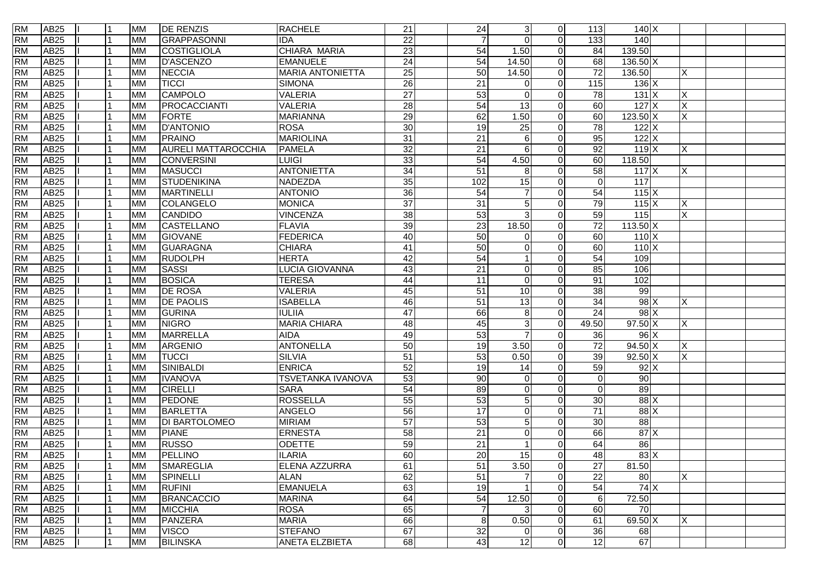| <b>RM</b> | AB25             | l 1 | <b>MM</b> | <b>DE RENZIS</b>           | <b>RACHELE</b>          | 21              | 24              | 3               | $\overline{0}$ | 113             | 140X                               |          |  |
|-----------|------------------|-----|-----------|----------------------------|-------------------------|-----------------|-----------------|-----------------|----------------|-----------------|------------------------------------|----------|--|
| <b>RM</b> | AB <sub>25</sub> |     | <b>MM</b> | GRAPPASONNI                | <b>IDA</b>              | $\overline{22}$ | $\overline{7}$  | $\Omega$        | $\Omega$       | 133             | 140                                |          |  |
| <b>RM</b> | AB <sub>25</sub> |     | <b>MM</b> | COSTIGLIOLA                | CHIARA MARIA            | $\overline{23}$ | 54              | 1.50            | $\overline{0}$ | 84              | 139.50                             |          |  |
| <b>RM</b> | AB <sub>25</sub> |     | <b>MM</b> | <b>D'ASCENZO</b>           | <b>EMANUELE</b>         | $\overline{24}$ | $\overline{54}$ | 14.50           | $\Omega$       | 68              | $136.50 \times$                    |          |  |
| <b>RM</b> | AB <sub>25</sub> |     | <b>MM</b> | <b>NECCIA</b>              | <b>MARIA ANTONIETTA</b> | $\overline{25}$ | 50              | 14.50           | $\Omega$       | $\overline{72}$ | 136.50                             | X        |  |
| <b>RM</b> | AB <sub>25</sub> |     | <b>MM</b> | <b>TICCI</b>               | <b>SIMONA</b>           | 26              | 21              | $\Omega$        | $\Omega$       | 115             | $136 \times$                       |          |  |
| <b>RM</b> | <b>AB25</b>      |     | <b>MM</b> | <b>CAMPOLO</b>             | <b>VALERIA</b>          | $\overline{27}$ | 53              | $\Omega$        | $\Omega$       | 78              | 131X                               | Х        |  |
| <b>RM</b> | AB25             |     | <b>MM</b> | PROCACCIANTI               | <b>VALERIA</b>          | $\overline{28}$ | 54              | 13              | $\Omega$       | 60              | 127X                               | X        |  |
| <b>RM</b> | AB25             |     | <b>MM</b> | <b>FORTE</b>               | <b>MARIANNA</b>         | 29              | 62              | 1.50            | $\Omega$       | 60              | $123.50 \times$                    | X        |  |
| <b>RM</b> | <b>AB25</b>      |     | <b>MM</b> | <b>D'ANTONIO</b>           | <b>ROSA</b>             | $\overline{30}$ | 19              | 25              | $\Omega$       | $\overline{78}$ | $122$ X                            |          |  |
| <b>RM</b> | <b>AB25</b>      |     | <b>MM</b> | <b>PRAINO</b>              | <b>MARIOLINA</b>        | 31              | 21              | 6               | $\Omega$       | 95              | $122$ X                            |          |  |
| <b>RM</b> | <b>AB25</b>      |     | <b>MM</b> | <b>AURELI MATTAROCCHIA</b> | <b>PAMELA</b>           | 32              | 21              | 6               | $\Omega$       | 92              | 119X                               | X        |  |
| <b>RM</b> | AB <sub>25</sub> |     | <b>MM</b> | <b>CONVERSINI</b>          | <b>LUIGI</b>            | 33              | $\overline{54}$ | 4.50            | $\Omega$       | 60              | 118.50                             |          |  |
| <b>RM</b> | AB <sub>25</sub> |     | <b>MM</b> | <b>MASUCCI</b>             | <b>ANTONIETTA</b>       | 34              | 51              | 8               | $\Omega$       | 58              | 117X                               | X        |  |
| <b>RM</b> | <b>AB25</b>      |     | <b>MM</b> | STUDENIKINA                | NADEZDA                 | 35              | 102             | 15              | $\Omega$       | $\Omega$        | $\frac{117}{117}$                  |          |  |
| <b>RM</b> | <b>AB25</b>      |     | <b>MM</b> | <b>MARTINELLI</b>          | <b>ANTONIO</b>          | 36              | $\overline{54}$ |                 | $\Omega$       | 54              | 115X                               |          |  |
| <b>RM</b> | <b>AB25</b>      |     | <b>MM</b> | COLANGELO                  | <b>MONICA</b>           | $\overline{37}$ | 31              | 5               | $\Omega$       | 79              | 115X                               | X        |  |
| <b>RM</b> | <b>AB25</b>      |     | <b>MM</b> | <b>CANDIDO</b>             | <b>VINCENZA</b>         | 38              | 53              | 3               | $\Omega$       | 59              | 115                                | X        |  |
| <b>RM</b> | AB25             |     | <b>MM</b> | CASTELLANO                 | <b>FLAVIA</b>           | 39              | 23              | 18.50           | $\Omega$       | $\overline{72}$ | $113.50$ X                         |          |  |
| <b>RM</b> | AB25             |     | <b>MM</b> | <b>GIOVANE</b>             | <b>FEDERICA</b>         | 40              | 50              | $\Omega$        | $\Omega$       | 60              | 110X                               |          |  |
| <b>RM</b> | AB <sub>25</sub> |     | <b>MM</b> | GUARAGNA                   | <b>CHIARA</b>           | 41              | 50              | $\Omega$        | $\Omega$       | 60              | 110X                               |          |  |
| <b>RM</b> | AB <sub>25</sub> |     | <b>MM</b> | <b>RUDOLPH</b>             | <b>HERTA</b>            | 42              | 54              |                 | $\Omega$       | 54              | 109                                |          |  |
| <b>RM</b> | AB <sub>25</sub> |     | <b>MM</b> | <b>SASSI</b>               | LUCIA GIOVANNA          | 43              | 21              | $\Omega$        | $\Omega$       | 85              | 106                                |          |  |
| <b>RM</b> | <b>AB25</b>      |     | <b>MM</b> | <b>BOSICA</b>              | <b>TERESA</b>           | 44              | 11              | $\Omega$        | $\Omega$       | 91              | 102                                |          |  |
| <b>RM</b> | <b>AB25</b>      |     | <b>MM</b> | <b>DE ROSA</b>             | <b>VALERIA</b>          | 45              | $\overline{51}$ | $\overline{10}$ | $\Omega$       | 38              | 99                                 |          |  |
| <b>RM</b> | <b>AB25</b>      |     | <b>MM</b> | <b>DE PAOLIS</b>           | <b>ISABELLA</b>         | 46              | 51              | $\overline{13}$ | $\Omega$       | $\overline{34}$ | $98$ $\times$                      | X        |  |
| <b>RM</b> | AB <sub>25</sub> |     | <b>MM</b> | <b>GURINA</b>              | <b>IULIIA</b>           | $\overline{47}$ | 66              | 8               | $\Omega$       | $\overline{24}$ | $98$ $\times$                      |          |  |
| <b>RM</b> | <b>AB25</b>      |     | <b>MM</b> | <b>NIGRO</b>               | <b>MARIA CHIARA</b>     | 48              | 45              | 3               | $\Omega$       | 49.50           | $97.50 \text{ X}$                  | X        |  |
| <b>RM</b> | AB <sub>25</sub> |     | <b>MM</b> | <b>MARRELLA</b>            | <b>AIDA</b>             | 49              | 53              |                 | $\Omega$       | 36              | 96X                                |          |  |
| <b>RM</b> | AB <sub>25</sub> |     | <b>MM</b> | <b>ARGENIO</b>             | <b>ANTONELLA</b>        | 50              | 19              | 3.50            | $\Omega$       | $\overline{72}$ | $94.50 \text{ X}$                  | X        |  |
| <b>RM</b> | AB <sub>25</sub> |     | <b>MM</b> | <b>TUCCI</b>               | <b>SILVIA</b>           | 51              | 53              | 0.50            | $\Omega$       | 39              | $92.50 \text{ X}$                  | ΙX.      |  |
| <b>RM</b> | AB25             |     | <b>MM</b> | SINIBALDI                  | <b>ENRICA</b>           | 52              | 19              | 14              | $\Omega$       | 59              | $92\overline{X}$                   |          |  |
| <b>RM</b> | AB25             |     | <b>MM</b> | <b>IVANOVA</b>             | TSVETANKA IVANOVA       | 53              | $90\,$          | $\Omega$        | $\Omega$       | $\Omega$        | 90                                 |          |  |
| <b>RM</b> | AB25             |     | <b>MM</b> | <b>CIRELLI</b>             | <b>SARA</b>             | 54              | 89              | $\mathbf 0$     | $\Omega$       | $\Omega$        | 89                                 |          |  |
| <b>RM</b> | <b>AB25</b>      |     | <b>MM</b> | PEDONE                     | <b>ROSSELLA</b>         | 55              | 53              | 5               | $\Omega$       | 30              | $88$ $\times$                      |          |  |
| <b>RM</b> | <b>AB25</b>      |     | <b>MM</b> | <b>BARLETTA</b>            | <b>ANGELO</b>           | 56              | 17              | 0               | $\Omega$       | $\overline{71}$ | 88X                                |          |  |
| <b>RM</b> | <b>AB25</b>      |     | <b>MM</b> | <b>DI BARTOLOMEO</b>       | <b>MIRIAM</b>           | 57              | 53              | 5               | $\Omega$       | 30              | $\overline{88}$                    |          |  |
| <b>RM</b> | AB <sub>25</sub> |     | <b>MM</b> | <b>PIANE</b>               | <b>ERNESTA</b>          | $\overline{58}$ | 21              | $\Omega$        | $\Omega$       | 66              | 87X                                |          |  |
| <b>RM</b> | AB <sub>25</sub> |     | <b>MM</b> | <b>RUSSO</b>               | <b>ODETTE</b>           | 59              | $\overline{21}$ |                 | $\Omega$       | 64              | 86                                 |          |  |
| <b>RM</b> | AB <sub>25</sub> |     | <b>MM</b> | PELLINO                    | <b>ILARIA</b>           | 60              | 20              | 15              | $\Omega$       | $\overline{48}$ | $83\overline{\smash{\mid X \mid}}$ |          |  |
| <b>RM</b> | AB25             |     | <b>MM</b> | <b>SMAREGLIA</b>           | ELENA AZZURRA           | 61              | 51              | 3.50            | $\overline{0}$ | $\overline{27}$ | 81.50                              |          |  |
| <b>RM</b> | <b>AB25</b>      |     | <b>MM</b> | SPINELLI                   | <b>ALAN</b>             | 62              | 51              |                 | $\overline{0}$ | 22              | 80                                 | $\times$ |  |
| <b>RM</b> | <b>AB25</b>      |     | <b>MM</b> | <b>RUFINI</b>              | <b>EMANUELA</b>         | 63              | 19              |                 | $\overline{0}$ | 54              | 74X                                |          |  |
| <b>RM</b> | AB25             |     | <b>MM</b> | <b>BRANCACCIO</b>          | <b>MARINA</b>           | 64              | 54              | 12.50           | $\overline{0}$ | $6 \,$          | 72.50                              |          |  |
| <b>RM</b> | AB25             |     | <b>MM</b> | <b>MICCHIA</b>             | <b>ROSA</b>             | 65              | $\overline{7}$  | 3               | $\overline{0}$ | 60              | 70                                 |          |  |
| <b>RM</b> | <b>AB25</b>      |     | <b>MM</b> | PANZERA                    | <b>MARIA</b>            | 66              | 8               | 0.50            | $\overline{0}$ | 61              | 69.50 X                            | X        |  |
| <b>RM</b> | <b>AB25</b>      |     | <b>MM</b> | <b>VISCO</b>               | <b>STEFANO</b>          | 67              | $\overline{32}$ | 0               | $\overline{0}$ | 36              | 68                                 |          |  |
| <b>RM</b> | AB25             | l 1 | <b>MM</b> | <b>BILINSKA</b>            | <b>ANETA ELZBIETA</b>   | 68              | 43              | 12              | $\overline{0}$ | 12              | 67                                 |          |  |
|           |                  |     |           |                            |                         |                 |                 |                 |                |                 |                                    |          |  |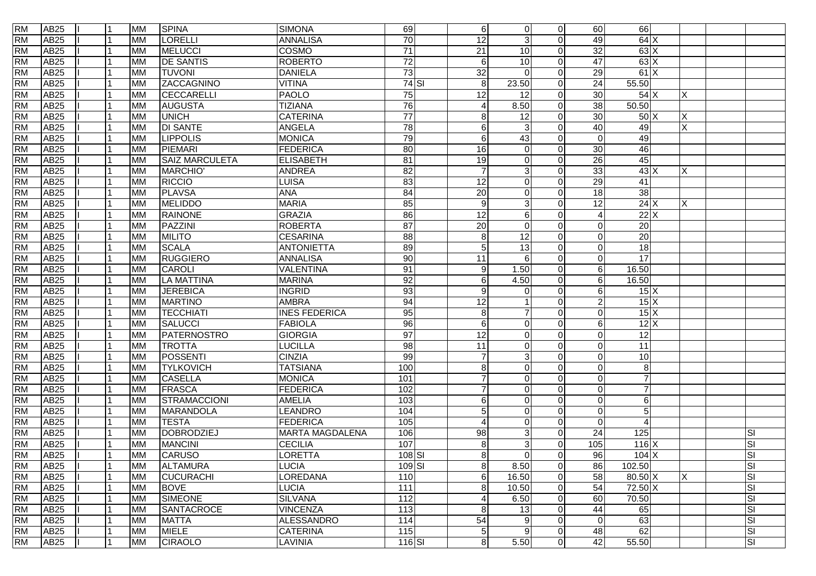| <b>RM</b> | AB <sub>25</sub> | 11  | <b>MM</b> | <b>SPINA</b>          | <b>SIMONA</b>          | 69              | $6 \overline{6}$ | $\overline{0}$  | $\Omega$     | 60                       | 66                        |   |           |    |
|-----------|------------------|-----|-----------|-----------------------|------------------------|-----------------|------------------|-----------------|--------------|--------------------------|---------------------------|---|-----------|----|
| <b>RM</b> | <b>AB25</b>      |     | <b>MM</b> | <b>LORELLI</b>        | <b>ANNALISA</b>        | 70              | $\overline{12}$  | $\mathbf{3}$    | $\Omega$     | 49                       | 64X                       |   |           |    |
| <b>RM</b> | AB <sub>25</sub> |     | <b>MM</b> | <b>MELUCCI</b>        | COSMO                  | $\overline{71}$ | $\overline{21}$  | 10              | $\Omega$     | 32                       | 63X                       |   |           |    |
| <b>RM</b> | <b>AB25</b>      |     | <b>MM</b> | <b>DE SANTIS</b>      | <b>ROBERTO</b>         | 72              | 6                | 10              | $\Omega$     | 47                       | 63X                       |   |           |    |
| <b>RM</b> | AB <sub>25</sub> |     | <b>MM</b> | <b>TUVONI</b>         | <b>DANIELA</b>         | 73              | $\overline{32}$  | $\Omega$        | $\Omega$     | 29                       | 61X                       |   |           |    |
| <b>RM</b> | AB <sub>25</sub> |     | <b>MM</b> | <b>ZACCAGNINO</b>     | <b>VITINA</b>          | $74$ $SI$       | 8                | 23.50           | $\Omega$     | 24                       | 55.50                     |   |           |    |
| <b>RM</b> | <b>AB25</b>      |     | <b>MM</b> | CECCARELLI            | <b>PAOLO</b>           | 75              | 12               | 12              | $\Omega$     | 30                       | 54X                       | х |           |    |
| <b>RM</b> | AB25             |     | <b>MM</b> | <b>AUGUSTA</b>        | <b>TIZIANA</b>         | 76              | 4                | 8.50            | $\Omega$     | 38                       | 50.50                     |   |           |    |
| <b>RM</b> | AB25             |     | <b>MM</b> | <b>UNICH</b>          | <b>CATERINA</b>        | $\overline{77}$ | 8                | $\overline{12}$ | $\Omega$     | 30                       | 50X                       | X |           |    |
| <b>RM</b> | AB25             |     | <b>MM</b> | <b>DI SANTE</b>       | ANGELA                 | 78              | 6                | $\mathbf{3}$    | $\Omega$     | 40                       | 49                        | X |           |    |
| <b>RM</b> | AB25             |     | <b>MM</b> | <b>LIPPOLIS</b>       | <b>MONICA</b>          | 79              | 6                | 43              | $\Omega$     | $\mathbf 0$              | 49                        |   |           |    |
| <b>RM</b> | <b>AB25</b>      |     | <b>MM</b> | <b>PIEMARI</b>        | <b>FEDERICA</b>        | 80              | $\overline{16}$  | $\Omega$        | $\Omega$     | 30                       | 46                        |   |           |    |
| <b>RM</b> | AB <sub>25</sub> |     | <b>MM</b> | <b>SAIZ MARCULETA</b> | <b>ELISABETH</b>       | 81              | $\overline{19}$  | $\Omega$        | $\Omega$     | 26                       | 45                        |   |           |    |
| <b>RM</b> | AB <sub>25</sub> |     | <b>MM</b> | MARCHIO'              | <b>ANDREA</b>          | 82              |                  | 3               | $\Omega$     | 33                       | $43 \times$               | X |           |    |
| <b>RM</b> | AB <sub>25</sub> |     | <b>MM</b> | <b>RICCIO</b>         | LUISA                  | 83              | 12               | $\mathbf 0$     | $\Omega$     | 29                       | 41                        |   |           |    |
| <b>RM</b> | <b>AB25</b>      |     | <b>MM</b> | <b>PLAVSA</b>         | <b>ANA</b>             | 84              | $\overline{20}$  | $\overline{0}$  | <sup>n</sup> | $\overline{18}$          | 38                        |   |           |    |
| <b>RM</b> | <b>AB25</b>      | l 1 | <b>MM</b> | <b>MELIDDO</b>        | <b>MARIA</b>           | 85              | 9                | $\mathbf{3}$    | $\Omega$     | $\overline{12}$          | 24X                       | X |           |    |
| <b>RM</b> | <b>AB25</b>      | l 1 | <b>MM</b> | <b>RAINONE</b>        | <b>GRAZIA</b>          | 86              | $\overline{12}$  | $\,6$           | $\Omega$     | $\boldsymbol{\varDelta}$ | 22X                       |   |           |    |
| <b>RM</b> | <b>AB25</b>      |     | <b>MM</b> | PAZZINI               | <b>ROBERTA</b>         | 87              | $\overline{20}$  | $\overline{0}$  | $\Omega$     | $\Omega$                 | $\overline{20}$           |   |           |    |
| <b>RM</b> | <b>AB25</b>      |     | <b>MM</b> | <b>MILITO</b>         | <b>CESARINA</b>        | 88              | 8                | $\overline{12}$ |              | $\Omega$                 | 20                        |   |           |    |
| <b>RM</b> | <b>AB25</b>      |     | <b>MM</b> | <b>SCALA</b>          | <b>ANTONIETTA</b>      | 89              | 5                | 13              | $\Omega$     | $\Omega$                 | $\overline{18}$           |   |           |    |
| <b>RM</b> | AB25             |     | <b>MM</b> | <b>RUGGIERO</b>       | <b>ANNALISA</b>        | 90              | 11               | 6               | $\Omega$     | $\Omega$                 | 17                        |   |           |    |
| <b>RM</b> | <b>AB25</b>      |     | <b>MM</b> | <b>CAROLI</b>         | <b>VALENTINA</b>       | 91              | 9                | 1.50            | $\Omega$     | 6                        | 16.50                     |   |           |    |
| <b>RM</b> | <b>AB25</b>      |     | <b>MM</b> | <b>LA MATTINA</b>     | <b>MARINA</b>          | 92              | 6                | 4.50            | 0            | 6                        | 16.50                     |   |           |    |
| <b>RM</b> | <b>AB25</b>      |     | <b>MM</b> | <b>JEREBICA</b>       | <b>INGRID</b>          | 93              | 9                | $\Omega$        | $\Omega$     | 6                        | $15\overline{\text{X}}$   |   |           |    |
| <b>RM</b> | <b>AB25</b>      | l 1 | <b>MM</b> | <b>MARTINO</b>        | <b>AMBRA</b>           | 94              | $\overline{12}$  |                 | $\Omega$     | $\overline{2}$           | 15X                       |   |           |    |
| <b>RM</b> | <b>AB25</b>      |     | <b>MM</b> | <b>TECCHIATI</b>      | <b>INES FEDERICA</b>   | 95              | 8                | $\overline{7}$  | $\Omega$     | $\Omega$                 | $15\overline{\mathrm{X}}$ |   |           |    |
| <b>RM</b> | <b>AB25</b>      |     | <b>MM</b> | <b>SALUCCI</b>        | <b>FABIOLA</b>         | 96              | 6                | $\mathbf 0$     | $\Omega$     | 6                        | 12X                       |   |           |    |
| <b>RM</b> | <b>AB25</b>      |     | <b>MM</b> | PATERNOSTRO           | <b>GIORGIA</b>         | 97              | $\overline{12}$  | $\Omega$        | $\Omega$     | $\Omega$                 | 12                        |   |           |    |
| <b>RM</b> | <b>AB25</b>      |     | <b>MM</b> | <b>TROTTA</b>         | <b>LUCILLA</b>         | $\overline{98}$ | 11               | $\overline{0}$  | $\Omega$     | $\Omega$                 | $\overline{11}$           |   |           |    |
| <b>RM</b> | AB25             |     | <b>MM</b> | POSSENTI              | <b>CINZIA</b>          | 99              | $\overline{7}$   | $\mathbf{3}$    | $\Omega$     | $\Omega$                 | $10$                      |   |           |    |
| <b>RM</b> | AB25             |     | <b>MM</b> | <b>TYLKOVICH</b>      | <b>TATSIANA</b>        | 100             | 8                | $\overline{0}$  | $\Omega$     | $\Omega$                 | $\bf 8$                   |   |           |    |
| <b>RM</b> | AB25             |     | <b>MM</b> | <b>CASELLA</b>        | <b>MONICA</b>          | 101             | $\overline{7}$   | $\overline{0}$  | $\Omega$     | $\Omega$                 | $\overline{7}$            |   |           |    |
| <b>RM</b> | <b>AB25</b>      |     | <b>MM</b> | FRASCA                | <b>FEDERICA</b>        | 102             | 7                | $\mathbf 0$     | $\Omega$     | $\Omega$                 | $\overline{7}$            |   |           |    |
| <b>RM</b> | <b>AB25</b>      |     | <b>MM</b> | STRAMACCIONI          | <b>AMELIA</b>          | 103             | 6                | $\overline{0}$  | $\Omega$     | $\Omega$                 | $\,6$                     |   |           |    |
| <b>RM</b> | <b>AB25</b>      |     | <b>MM</b> | <b>MARANDOLA</b>      | <b>LEANDRO</b>         | 104             | 5                | $\overline{0}$  | $\Omega$     | 0                        | $\overline{5}$            |   |           |    |
| <b>RM</b> | <b>AB25</b>      |     | <b>MM</b> | <b>TESTA</b>          | <b>FEDERICA</b>        | 105             | Δ                | $\Omega$        | $\Omega$     | $\Omega$                 | $\overline{A}$            |   |           |    |
| <b>RM</b> | AB <sub>25</sub> |     | <b>MM</b> | DOBRODZIEJ            | <b>MARTA MAGDALENA</b> | 106             | 98               | 3               | $\Omega$     | 24                       | 125                       |   | SI        |    |
| <b>RM</b> | AB <sub>25</sub> |     | <b>MM</b> | <b>MANCINI</b>        | <b>CECILIA</b>         | 107             | 8                | 3               | $\Omega$     | 105                      | $116$ X                   |   | SI        |    |
| <b>RM</b> | <b>AB25</b>      | l 1 | <b>MM</b> | <b>CARUSO</b>         | <b>LORETTA</b>         | 108 SI          | 8                | $\Omega$        | $\Omega$     | 96                       | 104X                      |   | <b>SI</b> |    |
| <b>RM</b> | AB25             |     | MM        | <b>ALTAMURA</b>       | <b>LUCIA</b>           | 109 SI          | 8                | 8.50            | $\Omega$     | 86                       | 102.50                    |   |           | SI |
| <b>RM</b> | AB25             |     | <b>MM</b> | <b>CUCURACHI</b>      | LOREDANA               | 110             | 6                | 16.50           | $\Omega$     | 58                       | $80.50$ X                 | X | SI        |    |
| <b>RM</b> | AB25             |     | <b>MM</b> | <b>BOVE</b>           | <b>LUCIA</b>           | 111             | 8                | 10.50           | $\Omega$     | 54                       | 72.50 X                   |   | SI        |    |
| <b>RM</b> | AB <sub>25</sub> |     | <b>MM</b> | <b>SIMEONE</b>        | <b>SILVANA</b>         | 112             | 4                | 6.50            | $\Omega$     | 60                       | 70.50                     |   | SI        |    |
| <b>RM</b> | AB25             |     | <b>MM</b> | SANTACROCE            | <b>VINCENZA</b>        | 113             | 8                | 13              | $\Omega$     | 44                       | 65                        |   | SI        |    |
| <b>RM</b> | AB25             |     | <b>MM</b> | <b>MATTA</b>          | <b>ALESSANDRO</b>      | 114             | 54               | 9               | $\Omega$     | $\mathbf 0$              | 63                        |   | SI        |    |
| <b>RM</b> | <b>AB25</b>      |     | <b>MM</b> | <b>MIELE</b>          | <b>CATERINA</b>        | $\boxed{115}$   | 5 <sup>1</sup>   | 9               | $\Omega$     | 48                       | 62                        |   | SI        |    |
| <b>RM</b> | AB <sub>25</sub> | l 1 | <b>MM</b> | <b>CIRAOLO</b>        | LAVINIA                | $116$ $SI$      | 8 <sup>1</sup>   | 5.50            | $\Omega$     | 42                       | 55.50                     |   |           | SI |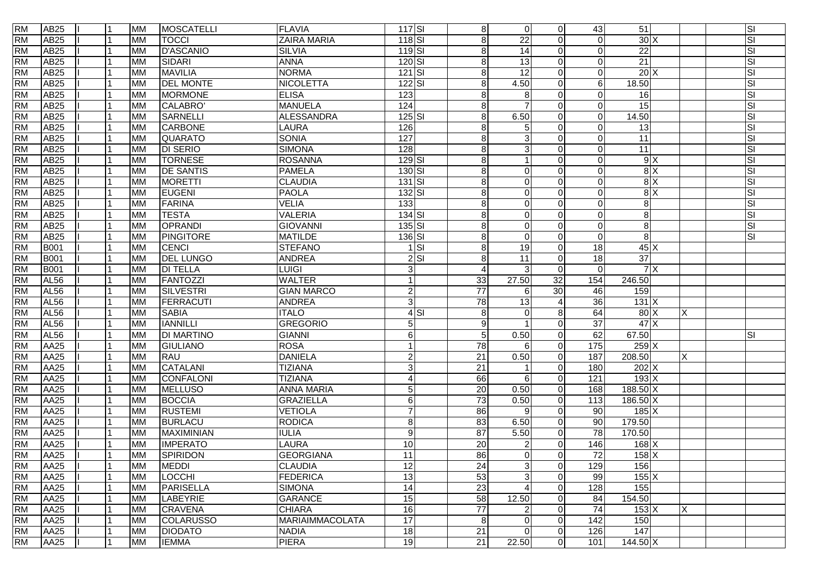| <b>RM</b> | AB25             | 11  | <b>MM</b> | <b>MOSCATELLI</b> | <b>FLAVIA</b>          | $117$ $SI$         |          | 8 <sup>1</sup>  | $\overline{0}$ | $\Omega$ | 43              | 51                 |   | SI                      |
|-----------|------------------|-----|-----------|-------------------|------------------------|--------------------|----------|-----------------|----------------|----------|-----------------|--------------------|---|-------------------------|
| <b>RM</b> | <b>AB25</b>      |     | <b>MM</b> | <b>TOCCI</b>      | <b>ZAIRA MARIA</b>     | 118 SI             |          | 8               | 22             | $\Omega$ | $\Omega$        | 30X                |   | SI                      |
| <b>RM</b> | <b>AB25</b>      |     | <b>MM</b> | <b>D'ASCANIO</b>  | <b>SILVIA</b>          | $119$ $SI$         |          | 8               | 14             | $\Omega$ | $\Omega$        | $\overline{22}$    |   | SI                      |
| <b>RM</b> | <b>AB25</b>      |     | <b>MM</b> | SIDARI            | <b>ANNA</b>            | $120$ $SI$         |          | 8               | 13             | $\Omega$ | $\Omega$        | $\overline{21}$    |   | SI                      |
| <b>RM</b> | <b>AB25</b>      |     | <b>MM</b> | <b>MAVILIA</b>    | <b>NORMA</b>           | $121$ SI           |          | 8               | 12             | $\Omega$ | $\Omega$        | 20X                |   | SI                      |
| <b>RM</b> | <b>AB25</b>      |     | <b>MM</b> | <b>DEL MONTE</b>  | <b>NICOLETTA</b>       | $122$ SI           |          | 8               | 4.50           | $\Omega$ | 6               | 18.50              |   | SI                      |
| <b>RM</b> | <b>AB25</b>      |     | <b>MM</b> | <b>MORMONE</b>    | <b>ELISA</b>           | 123                |          | 8               | 8              | 0        | $\Omega$        | 16                 |   | SI                      |
| <b>RM</b> | AB25             |     | <b>MM</b> | CALABRO'          | <b>MANUELA</b>         | 124                |          | 8               |                | $\Omega$ | $\Omega$        | 15                 |   | SI                      |
| <b>RM</b> | AB25             |     | <b>MM</b> | <b>SARNELLI</b>   | <b>ALESSANDRA</b>      | $125$ $SI$         |          | 8               | 6.50           | $\Omega$ | $\Omega$        | 14.50              |   | SI                      |
| <b>RM</b> | AB25             |     | <b>MM</b> | <b>CARBONE</b>    | LAURA                  | 126                |          | 8               | 5              | $\Omega$ | $\Omega$        | 13                 |   | SI                      |
| <b>RM</b> | <b>AB25</b>      |     | <b>MM</b> | <b>QUARATO</b>    | <b>SONIA</b>           | 127                |          | 8               | 3              | $\Omega$ | $\Omega$        | 11                 |   | SI                      |
| <b>RM</b> | <b>AB25</b>      |     | <b>MM</b> | <b>DI SERIO</b>   | <b>SIMONA</b>          | 128                |          | 8               | 3              | $\Omega$ | $\Omega$        | $\overline{11}$    |   | SI                      |
| <b>RM</b> | AB <sub>25</sub> |     | <b>MM</b> | <b>TORNESE</b>    | <b>ROSANNA</b>         | $129$ $SI$         |          | 8               | -1             | $\Omega$ | $\Omega$        | 9X                 |   | $\overline{\mathsf{S}}$ |
| <b>RM</b> | AB <sub>25</sub> |     | <b>MM</b> | <b>DE SANTIS</b>  | <b>PAMELA</b>          | $130$ $SI$         |          | 8               | $\overline{0}$ | $\Omega$ | $\Omega$        | $\overline{8}$ X   |   | SI                      |
| <b>RM</b> | AB <sub>25</sub> |     | <b>MM</b> | <b>MORETTI</b>    | <b>CLAUDIA</b>         | $131$ $SI$         |          | 8               | $\overline{0}$ | $\Omega$ | $\Omega$        | 8X                 |   | SI                      |
| <b>RM</b> | <b>AB25</b>      |     | <b>MM</b> | <b>EUGENI</b>     | <b>PAOLA</b>           | $132$ $SI$         |          | 8               | $\overline{0}$ | 0        | $\Omega$        | $\overline{8}$ X   |   | SI                      |
| <b>RM</b> | <b>AB25</b>      | l 1 | <b>MM</b> | <b>FARINA</b>     | <b>VELIA</b>           | $\overline{133}$   |          | 8               | $\overline{0}$ | $\Omega$ | $\Omega$        | $\overline{8}$     |   | SI                      |
| <b>RM</b> | <b>AB25</b>      | l 1 | <b>MM</b> | <b>TESTA</b>      | <b>VALERIA</b>         | 134 SI             |          | 8               | $\overline{0}$ | $\Omega$ | $\Omega$        | $\overline{8}$     |   | SI                      |
| <b>RM</b> | <b>AB25</b>      |     | <b>MM</b> | OPRANDI           | <b>GIOVANNI</b>        | $135\overline{SI}$ |          | 8               | $\overline{0}$ |          | $\Omega$        | 8                  |   | SI                      |
| <b>RM</b> | <b>AB25</b>      |     | <b>MM</b> | <b>PINGITORE</b>  | <b>MATILDE</b>         | $136$ $SI$         |          | 8               | $\overline{0}$ |          | $\Omega$        | 8                  |   | SI                      |
| <b>RM</b> | <b>B001</b>      |     | <b>MM</b> | <b>CENCI</b>      | <b>STEFANO</b>         |                    | $1$ $SI$ | 8               | 19             | $\Omega$ | 18              | 45X                |   |                         |
| <b>RM</b> | <b>B001</b>      |     | <b>MM</b> | <b>DEL LUNGO</b>  | <b>ANDREA</b>          |                    | $2$ $SI$ | 8               | 11             | $\Omega$ | 18              | $\overline{37}$    |   |                         |
| <b>RM</b> | <b>B001</b>      |     | <b>MM</b> | <b>DI TELLA</b>   | <b>LUIGI</b>           | 3                  |          | 4               | 3              | $\Omega$ | $\Omega$        | 7X                 |   |                         |
| <b>RM</b> | <b>AL56</b>      |     | <b>MM</b> | FANTOZZI          | <b>WALTER</b>          | $\mathbf{1}$       |          | 33              | 27.50          | 32       | 154             | 246.50             |   |                         |
| <b>RM</b> | <b>AL56</b>      |     | <b>MM</b> | <b>SILVESTRI</b>  | <b>GIAN MARCO</b>      | $\mathbf{2}$       |          | $\overline{77}$ | 6              | 30       | 46              | 159                |   |                         |
| <b>RM</b> | <b>AL56</b>      | l 1 | <b>MM</b> | <b>FERRACUTI</b>  | <b>ANDREA</b>          | 3                  |          | 78              | 13             |          | $\overline{36}$ | $131$ X            |   |                         |
| <b>RM</b> | <b>AL56</b>      |     | <b>MM</b> | <b>SABIA</b>      | <b>ITALO</b>           |                    | $4$ SI   | 8               | $\overline{0}$ | 8        | 64              | 80X                | X |                         |
| <b>RM</b> | <b>AL56</b>      |     | <b>MM</b> | <b>IANNILLI</b>   | <b>GREGORIO</b>        | $\overline{5}$     |          | 9               |                | $\Omega$ | 37              | 47X                |   |                         |
| <b>RM</b> | AL <sub>56</sub> |     | <b>MM</b> | <b>DI MARTINO</b> | <b>GIANNI</b>          | $6 \overline{6}$   |          | 5               | 0.50           | $\Omega$ | 62              | 67.50              |   | SI                      |
| <b>RM</b> | <b>AA25</b>      |     | <b>MM</b> | <b>GIULIANO</b>   | <b>ROSA</b>            | $\mathbf{1}$       |          | 78              | 6              | $\Omega$ | 175             | $259$ X            |   |                         |
| <b>RM</b> | AA25             |     | <b>MM</b> | <b>RAU</b>        | <b>DANIELA</b>         | $\mathbf{2}$       |          | 21              | 0.50           | $\Omega$ | 187             | 208.50             | X |                         |
| <b>RM</b> | <b>AA25</b>      |     | <b>MM</b> | <b>CATALANI</b>   | <b>TIZIANA</b>         | $\overline{3}$     |          | 21              |                | $\Omega$ | 180             | 202 X              |   |                         |
| <b>RM</b> | AA25             |     | <b>MM</b> | <b>CONFALONI</b>  | <b>TIZIANA</b>         | $\overline{4}$     |          | 66              | 6              | $\Omega$ | 121             | 193X               |   |                         |
| <b>RM</b> | <b>AA25</b>      |     | <b>MM</b> | <b>MELLUSO</b>    | <b>ANNA MARIA</b>      | 5 <sub>5</sub>     |          | 20              | 0.50           | $\Omega$ | 168             | 188.50 X           |   |                         |
| <b>RM</b> | <b>AA25</b>      |     | <b>MM</b> | <b>BOCCIA</b>     | <b>GRAZIELLA</b>       | $6 \overline{6}$   |          | $\overline{73}$ | 0.50           | $\Omega$ | 113             | $186.50 \text{ X}$ |   |                         |
| <b>RM</b> | <b>AA25</b>      |     | <b>MM</b> | <b>RUSTEMI</b>    | <b>VETIOLA</b>         | $\overline{7}$     |          | 86              | 9              | $\Omega$ | 90              | 185X               |   |                         |
| <b>RM</b> | <b>AA25</b>      |     | <b>MM</b> | <b>BURLACU</b>    | <b>RODICA</b>          | 8 <sup>1</sup>     |          | 83              | 6.50           | $\Omega$ | 90              | 179.50             |   |                         |
| <b>RM</b> | <b>AA25</b>      |     | <b>MM</b> | MAXIMINIAN        | <b>IULIA</b>           | $\overline{9}$     |          | $\overline{87}$ | 5.50           | $\Omega$ | $\overline{78}$ | 170.50             |   |                         |
| <b>RM</b> | <b>AA25</b>      |     | <b>MM</b> | <b>IMPERATO</b>   | LAURA                  | 10                 |          | 20              | $\overline{2}$ | $\Omega$ | 146             | $168$ X            |   |                         |
| <b>RM</b> | <b>AA25</b>      | l 1 | <b>MM</b> | <b>SPIRIDON</b>   | <b>GEORGIANA</b>       | 11                 |          | 86              | $\Omega$       | $\Omega$ | $\overline{72}$ | $158$ X            |   |                         |
| <b>RM</b> | AA25             |     | <b>MM</b> | <b>MEDDI</b>      | <b>CLAUDIA</b>         | 12                 |          | 24              | 3              | $\Omega$ | 129             | 156                |   |                         |
| <b>RM</b> | AA25             |     | <b>MM</b> | LOCCHI            | <b>FEDERICA</b>        | 13                 |          | 53              | $\mathbf{3}$   | $\Omega$ | 99              | 155 X              |   |                         |
| <b>RM</b> | AA25             |     | <b>MM</b> | PARISELLA         | <b>SIMONA</b>          | 14                 |          | 23              | $\overline{4}$ | $\Omega$ | 128             | 155                |   |                         |
| <b>RM</b> | <b>AA25</b>      |     | <b>MM</b> | <b>LABEYRIE</b>   | <b>GARANCE</b>         | 15                 |          | 58              | 12.50          | $\Omega$ | 84              | 154.50             |   |                         |
| <b>RM</b> | AA25             |     | <b>MM</b> | <b>CRAVENA</b>    | <b>CHIARA</b>          | 16                 |          | 77              | $\overline{2}$ | $\Omega$ | 74              | $153$ X            | X |                         |
| <b>RM</b> | AA25             |     | <b>MM</b> | <b>COLARUSSO</b>  | <b>MARIAIMMACOLATA</b> | 17                 |          | 8               | $\mathbf 0$    | $\Omega$ | 142             | 150                |   |                         |
| <b>RM</b> | AA25             |     | <b>MM</b> | <b>DIODATO</b>    | <b>NADIA</b>           | 18                 |          | 21              | $\overline{0}$ | $\Omega$ | 126             | 147                |   |                         |
| <b>RM</b> | AA25             | l 1 | <b>MM</b> | <b>IEMMA</b>      | <b>PIERA</b>           | 19                 |          | 21              | 22.50          | $\Omega$ | 101             | 144.50 X           |   |                         |
|           |                  |     |           |                   |                        |                    |          |                 |                |          |                 |                    |   |                         |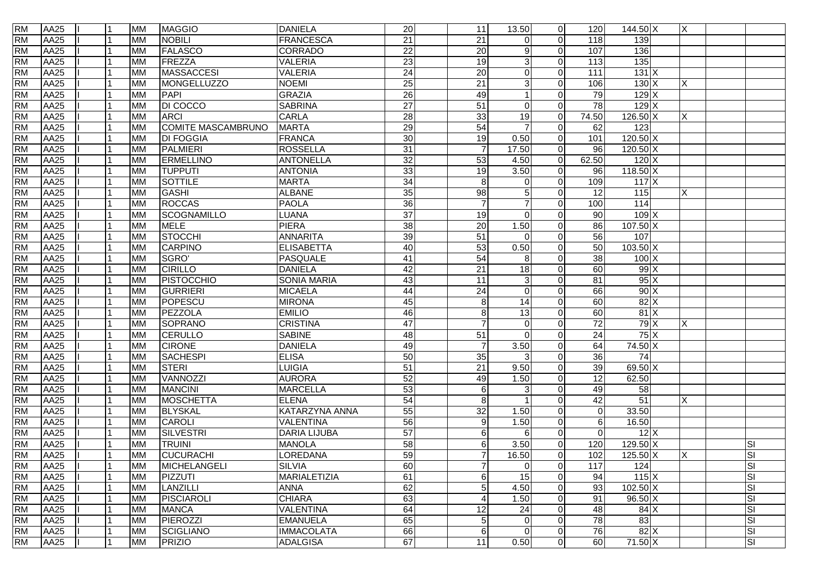| <b>RM</b> | AA25             | 11  | <b>MM</b> | <b>MAGGIO</b>      | <b>DANIELA</b>        | 20              | 11              | 13.50           | $\overline{0}$ | 120             | $144.50\overline{X}$ | ΙX       |                         |
|-----------|------------------|-----|-----------|--------------------|-----------------------|-----------------|-----------------|-----------------|----------------|-----------------|----------------------|----------|-------------------------|
| <b>RM</b> | AA25             |     | <b>MM</b> | <b>NOBILI</b>      | <b>FRANCESCA</b>      | $\overline{21}$ | $\overline{21}$ | $\mathbf 0$     | $\overline{0}$ | 118             | 139                  |          |                         |
| <b>RM</b> | AA25             |     | <b>MM</b> | <b>FALASCO</b>     | <b>CORRADO</b>        | $\overline{22}$ | $\overline{20}$ | 9               | $\Omega$       | 107             | 136                  |          |                         |
| <b>RM</b> | <b>AA25</b>      |     | <b>MM</b> | FREZZA             | <b>VALERIA</b>        | $\overline{23}$ | $\overline{19}$ | 3               | $\Omega$       | 113             | 135                  |          |                         |
| <b>RM</b> | <b>AA25</b>      |     | <b>MM</b> | MASSACCESI         | <b>VALERIA</b>        | $\overline{24}$ | 20              | $\mathbf 0$     | $\Omega$       | 111             | 131X                 |          |                         |
| <b>RM</b> | AA25             |     | <b>MM</b> | MONGELLUZZO        | <b>NOEMI</b>          | 25              | 21              | 3               | $\overline{0}$ | 106             | 130X                 | X        |                         |
| <b>RM</b> | <b>AA25</b>      |     | <b>MM</b> | PAPI               | <b>GRAZIA</b>         | 26              | 49              |                 | $\Omega$       | 79              | 129X                 |          |                         |
| <b>RM</b> | AA25             |     | <b>MM</b> | <b>DI COCCO</b>    | <b>SABRINA</b>        | $\overline{27}$ | $\overline{51}$ | $\Omega$        | $\Omega$       | $\overline{78}$ | 129X                 |          |                         |
| <b>RM</b> | <b>AA25</b>      |     | <b>MM</b> | <b>ARCI</b>        | CARLA                 | 28              | 33              | 19              | $\Omega$       | 74.50           | $126.50 \times$      | Χ        |                         |
| <b>RM</b> | AA25             |     | <b>MM</b> | COMITE MASCAMBRUNO | <b>MARTA</b>          | 29              | 54              |                 | $\Omega$       | 62              | 123                  |          |                         |
| <b>RM</b> | <b>AA25</b>      |     | <b>MM</b> | <b>DI FOGGIA</b>   | <b>FRANCA</b>         | 30              | 19              | 0.50            | $\overline{0}$ | 101             | $120.50$ X           |          |                         |
| <b>RM</b> | <b>AA25</b>      |     | <b>MM</b> | <b>PALMIERI</b>    | <b>ROSSELLA</b>       | 31              | $\overline{7}$  | 17.50           | $\Omega$       | 96              | $120.50 \times$      |          |                         |
| <b>RM</b> | <b>AA25</b>      |     | <b>MM</b> | <b>ERMELLINO</b>   | <b>ANTONELLA</b>      | $\overline{32}$ | 53              | 4.50            | $\overline{0}$ | 62.50           | $120$ X              |          |                         |
| <b>RM</b> | <b>AA25</b>      |     | <b>MM</b> | <b>TUPPUTI</b>     | <b>ANTONIA</b>        | 33              | 19              | 3.50            | $\Omega$       | 96              | $118.50 \times$      |          |                         |
| <b>RM</b> | <b>AA25</b>      |     | <b>MM</b> | SOTTILE            | <b>MARTA</b>          | 34              | 8               | 0               | $\Omega$       | 109             | 117X                 |          |                         |
| <b>RM</b> | <b>AA25</b>      |     | <b>MM</b> | GASHI              | <b>ALBANE</b>         | 35              | $\overline{98}$ | 5               | $\Omega$       | $\overline{12}$ | 115                  | X        |                         |
| <b>RM</b> | <b>AA25</b>      |     | <b>MM</b> | <b>ROCCAS</b>      | <b>PAOLA</b>          | 36              | $\overline{7}$  | $\overline{7}$  | $\overline{0}$ | 100             | 114                  |          |                         |
| <b>RM</b> | <b>AA25</b>      |     | <b>MM</b> | SCOGNAMILLO        | LUANA                 | $\overline{37}$ | $\overline{19}$ | $\mathbf 0$     | $\Omega$       | $\overline{90}$ | 109X                 |          |                         |
| <b>RM</b> | <b>AA25</b>      |     | <b>MM</b> | <b>MELE</b>        | <b>PIERA</b>          | 38              | 20              | 1.50            | $\overline{0}$ | 86              | $107.50 \times$      |          |                         |
| <b>RM</b> | <b>AA25</b>      |     | <b>MM</b> | STOCCHI            | <b>ANNARITA</b>       | 39              | 51              | $\Omega$        | $\Omega$       | 56              | 107                  |          |                         |
| <b>RM</b> | <b>AA25</b>      |     | <b>MM</b> | CARPINO            | <b>ELISABETTA</b>     | 40              | 53              | 0.50            | $\overline{0}$ | 50              | $103.50$ X           |          |                         |
| <b>RM</b> | AA25             |     | <b>MM</b> | SGRO'              | <b>PASQUALE</b>       | 41              | 54              | 8               | $\Omega$       | 38              | $100 \times$         |          |                         |
| <b>RM</b> | <b>AA25</b>      |     | <b>MM</b> | <b>CIRILLO</b>     | <b>DANIELA</b>        | 42              | 21              | $\overline{18}$ | $\Omega$       | 60              | 99X                  |          |                         |
| <b>RM</b> | <b>AA25</b>      |     | <b>MM</b> | PISTOCCHIO         | <b>SONIA MARIA</b>    | 43              | 11              | 3               | $\Omega$       | 81              | 95X                  |          |                         |
| <b>RM</b> | <b>AA25</b>      |     | <b>MM</b> | <b>GURRIERI</b>    | <b>MICAELA</b>        | 44              | 24              | $\overline{0}$  | $\Omega$       | 66              | 90X                  |          |                         |
| <b>RM</b> | <b>AA25</b>      |     | <b>MM</b> | POPESCU            | <b>MIRONA</b>         | 45              | 8               | $\overline{14}$ | $\Omega$       | 60              | 82X                  |          |                         |
| <b>RM</b> | <b>AA25</b>      |     | <b>MM</b> | PEZZOLA            | <b>EMILIO</b>         | 46              | 8               | 13              | $\Omega$       | 60              | $81 \times$          |          |                         |
| <b>RM</b> | <b>AA25</b>      |     | <b>MM</b> | SOPRANO            | <b>CRISTINA</b>       | 47              | 7               | 0               | $\Omega$       | $\overline{72}$ | 79X                  | Χ        |                         |
| <b>RM</b> | <b>AA25</b>      |     | <b>MM</b> | <b>CERULLO</b>     | <b>SABINE</b>         | 48              | 51              | $\Omega$        | $\Omega$       | $\overline{24}$ | 75X                  |          |                         |
| <b>RM</b> | <b>AA25</b>      |     | <b>MM</b> | <b>CIRONE</b>      | <b>DANIELA</b>        | 49              | $\overline{7}$  | 3.50            | $\Omega$       | 64              | 74.50 X              |          |                         |
| <b>RM</b> | <b>AA25</b>      |     | <b>MM</b> | <b>SACHESPI</b>    | <b>ELISA</b>          | 50              | 35              | 3               | $\Omega$       | 36              | 74                   |          |                         |
| <b>RM</b> | <b>AA25</b>      |     | <b>MM</b> | <b>STERI</b>       | LUIGIA                | $\overline{51}$ | 21              | 9.50            | $\Omega$       | 39              | 69.50 X              |          |                         |
| <b>RM</b> | AA25             |     | <b>MM</b> | VANNOZZI           | <b>AURORA</b>         | 52              | 49              | 1.50            | $\Omega$       | 12              | 62.50                |          |                         |
| <b>RM</b> | <b>AA25</b>      |     | <b>MM</b> | <b>MANCINI</b>     | <b>MARCELLA</b>       | 53              | 6               | 3               | $\Omega$       | 49              | 58                   |          |                         |
| <b>RM</b> | <b>AA25</b>      |     | <b>MM</b> | <b>MOSCHETTA</b>   | <b>ELENA</b>          | 54              | 8               |                 | $\Omega$       | $\overline{42}$ | 51                   | X        |                         |
| <b>RM</b> | <b>AA25</b>      |     | <b>MM</b> | <b>BLYSKAL</b>     | <b>KATARZYNA ANNA</b> | 55              | $\overline{32}$ | 1.50            | $\overline{0}$ | $\mathbf 0$     | 33.50                |          |                         |
| <b>RM</b> | <b>AA25</b>      |     | <b>MM</b> | CAROLI             | <b>VALENTINA</b>      | 56              | 9               | 1.50            | $\Omega$       | 6               | 16.50                |          |                         |
| <b>RM</b> | <b>AA25</b>      |     | <b>MM</b> | <b>SILVESTRI</b>   | <b>DARIA LIJUBA</b>   | 57              | 6               | 6               | $\Omega$       | $\Omega$        | $12$ $\times$        |          |                         |
| <b>RM</b> | <b>AA25</b>      |     | <b>MM</b> | <b>TRUINI</b>      | <b>MANOLA</b>         | 58              | 6               | 3.50            | $\overline{0}$ | 120             | $129.50 \times$      |          | SI                      |
| <b>RM</b> | <b>AA25</b>      |     | <b>MM</b> | <b>CUCURACHI</b>   | LOREDANA              | 59              | $\overline{7}$  | 16.50           | $\Omega$       | 102             | $125.50\times$       | $\times$ | <b>SI</b>               |
| <b>RM</b> | AA25             |     | <b>MM</b> | MICHELANGELI       | <b>SILVIA</b>         | 60              | $\overline{7}$  | 0               | $\overline{0}$ | 117             | 124                  |          | SI                      |
| <b>RM</b> | AA25             |     | <b>MM</b> | PIZZUTI            | <b>MARIALETIZIA</b>   | 61              | 6               | 15              | $\overline{0}$ | 94              | $115$ X              |          | SI                      |
| <b>RM</b> | AA25             |     | <b>MM</b> | LANZILLI           | <b>ANNA</b>           | 62              | 5               | 4.50            | $\overline{0}$ | 93              | $102.50 \times$      |          | SI                      |
| <b>RM</b> | AA25             |     | <b>MM</b> | PISCIAROLI         | <b>CHIARA</b>         | 63              | 4               | 1.50            | $\overline{0}$ | 91              | $96.50\overline{X}$  |          | SI                      |
| <b>RM</b> | AA25             |     | <b>MM</b> | <b>MANCA</b>       | VALENTINA             | 64              | 12              | 24              | $\Omega$       | 48              | 84X                  |          | SI                      |
| <b>RM</b> | AA25             |     | <b>MM</b> | PIEROZZI           | <b>EMANUELA</b>       | 65              | 5               | $\mathbf 0$     | $\overline{0}$ | 78              | 83                   |          | SI                      |
| <b>RM</b> | AA <sub>25</sub> |     | <b>MM</b> | SCIGLIANO          | <b>IMMACOLATA</b>     | 66              | 6               | $\mathbf 0$     | $\overline{0}$ | 76              | $82$ X               |          | SI                      |
| <b>RM</b> | AA25             | l 1 | <b>MM</b> | <b>PRIZIO</b>      | <b>ADALGISA</b>       | 67              | 11              | 0.50            | $\overline{0}$ | 60              | $71.50 \text{ X}$    |          | $\overline{\mathbb{S}}$ |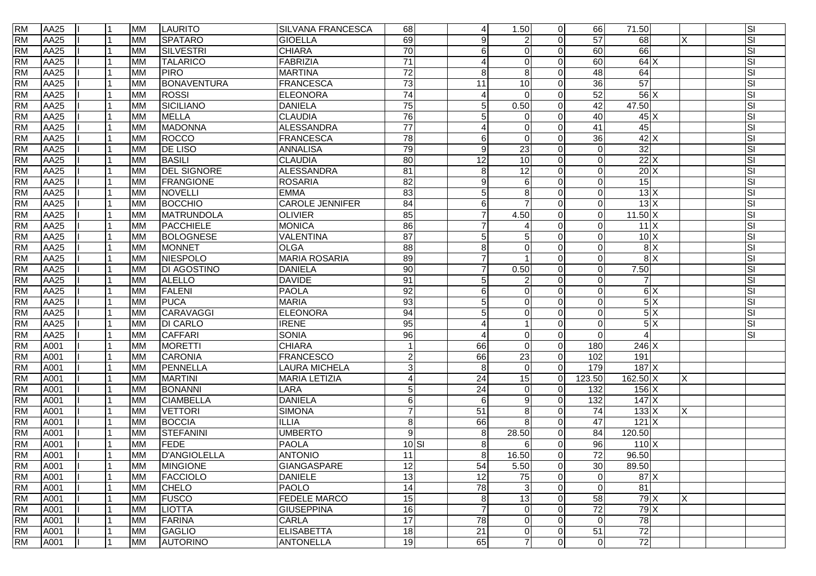| <b>RM</b> | AA25        |   | <b>MM</b> | <b>LAURITO</b>     | <b>SILVANA FRANCESCA</b> | 68               | 4               | 1.50                      | $\Omega$ | 66              | 71.50             |   | SI |
|-----------|-------------|---|-----------|--------------------|--------------------------|------------------|-----------------|---------------------------|----------|-----------------|-------------------|---|----|
| <b>RM</b> | AA25        |   | <b>MM</b> | <b>SPATARO</b>     | <b>GIOELLA</b>           | 69               | 9               | $\overline{c}$            | $\Omega$ | $\overline{57}$ | 68                | X | SI |
| <b>RM</b> | AA25        |   | <b>MM</b> | <b>SILVESTRI</b>   | <b>CHIARA</b>            | 70               | 6               | $\Omega$                  |          | 60              | 66                |   | SI |
| <b>RM</b> | <b>AA25</b> |   | <b>MM</b> | <b>TALARICO</b>    | FABRIZIA                 | $\overline{71}$  | 4               | $\Omega$                  |          | 60              | 64X               |   | SI |
| <b>RM</b> | AA25        |   | <b>MM</b> | <b>PIRO</b>        | <b>MARTINA</b>           | 72               | 8               | 8                         |          | 48              | 64                |   | SI |
| <b>RM</b> | <b>AA25</b> |   | <b>MM</b> | BONAVENTURA        | <b>FRANCESCA</b>         | 73               | 11              | 10                        | $\Omega$ | $\overline{36}$ | 57                |   | SI |
| <b>RM</b> | AA25        |   | <b>MM</b> | <b>ROSSI</b>       | <b>ELEONORA</b>          | 74               | 4               | $\Omega$                  |          | 52              | $56$ $X$          |   | SI |
| <b>RM</b> | AA25        |   | <b>MM</b> | SICILIANO          | <b>DANIELA</b>           | 75               | $\sqrt{5}$      | 0.50                      |          | 42              | 47.50             |   | SI |
| <b>RM</b> | <b>AA25</b> |   | <b>MM</b> | <b>MELLA</b>       | <b>CLAUDIA</b>           | 76               | 5               | $\Omega$                  |          | 40              | $45$ $X$          |   | SI |
| <b>RM</b> | <b>AA25</b> |   | <b>MM</b> | <b>MADONNA</b>     | <b>ALESSANDRA</b>        | 77               | Δ               | $\Omega$                  |          | 41              | 45                |   | SI |
| <b>RM</b> | AA25        |   | <b>MM</b> | <b>ROCCO</b>       | <b>FRANCESCA</b>         | 78               | 6               | $\Omega$                  |          | 36              | 42X               |   | SI |
| <b>RM</b> | <b>AA25</b> |   | <b>MM</b> | <b>DE LISO</b>     | <b>ANNALISA</b>          | 79               | 9               | $\overline{23}$           |          | $\Omega$        | 32                |   | SI |
| <b>RM</b> | <b>AA25</b> |   | <b>MM</b> | <b>BASILI</b>      | CLAUDIA                  | 80               | $\overline{12}$ | 10                        | 0        | $\Omega$        | 22X               |   | SI |
| <b>RM</b> | <b>AA25</b> |   | <b>MM</b> | <b>DEL SIGNORE</b> | <b>ALESSANDRA</b>        | $\overline{81}$  | 8               | 12                        | $\Omega$ | $\Omega$        | 20X               |   | SI |
| <b>RM</b> | AA25        |   | <b>MM</b> | <b>FRANGIONE</b>   | <b>ROSARIA</b>           | 82               | 9               | 6                         | $\Omega$ | $\Omega$        | 15                |   | SI |
| <b>RM</b> | <b>AA25</b> |   | <b>MM</b> | <b>NOVELLI</b>     | <b>EMMA</b>              | $\overline{83}$  | 5               | 8                         |          | $\Omega$        | 13X               |   | SI |
| <b>RM</b> | AA25        |   | <b>MM</b> | <b>BOCCHIO</b>     | <b>CAROLE JENNIFER</b>   | 84               | 6               | $\overline{7}$            | 0        | $\Omega$        | 13X               |   | SI |
| <b>RM</b> | AA25        |   | <b>MM</b> | <b>MATRUNDOLA</b>  | <b>OLIVIER</b>           | 85               | $\overline{7}$  | 4.50                      |          | $\overline{0}$  | $11.50 \text{ X}$ |   | SI |
| <b>RM</b> | AA25        |   | <b>MM</b> | PACCHIELE          | <b>MONICA</b>            | 86               | 7               |                           |          | $\Omega$        | $11 \times$       |   | SI |
| <b>RM</b> | AA25        |   | <b>MM</b> | <b>BOLOGNESE</b>   | VALENTINA                | $\overline{87}$  | 5               | 5                         |          | $\Omega$        | 10X               |   | SI |
| <b>RM</b> | <b>AA25</b> |   | <b>MM</b> | <b>MONNET</b>      | <b>OLGA</b>              | 88               | 8               | $\Omega$                  | $\Omega$ | $\Omega$        | $\frac{8}{x}$     |   | SI |
| <b>RM</b> | AA25        |   | <b>MM</b> | NIESPOLO           | <b>MARIA ROSARIA</b>     | 89               | $\overline{7}$  |                           | $\Omega$ | $\Omega$        | 8X                |   | SI |
| <b>RM</b> | <b>AA25</b> |   | <b>MM</b> | <b>DI AGOSTINO</b> | <b>DANIELA</b>           | 90               |                 | 0.50                      | $\Omega$ | $\Omega$        | 7.50              |   | SI |
| <b>RM</b> | AA25        |   | <b>MM</b> | <b>ALELLO</b>      | <b>DAVIDE</b>            | 91               | 5               | 2                         | ∩        | $\Omega$        | 7                 |   | SI |
| <b>RM</b> | AA25        |   | <b>MM</b> | FALENI             | <b>PAOLA</b>             | 92               | $\,6\,$         | $\Omega$                  | $\Omega$ | $\Omega$        | 6X                |   | SI |
| <b>RM</b> | AA25        |   | <b>MM</b> | <b>PUCA</b>        | <b>MARIA</b>             | 93               | 5               | $\overline{0}$            |          | $\Omega$        | 5X                |   | SI |
| <b>RM</b> | AA25        |   | <b>MM</b> | CARAVAGGI          | ELEONORA                 | 94               | 5               | $\mathbf 0$               | 0        | $\Omega$        | 5X                |   | SI |
| <b>RM</b> | <b>AA25</b> |   | <b>MM</b> | <b>DI CARLO</b>    | <b>IRENE</b>             | 95               |                 |                           |          | $\Omega$        | 5X                |   | SI |
| <b>RM</b> | <b>AA25</b> |   | <b>MM</b> | <b>CAFFARI</b>     | <b>SONIA</b>             | 96               | 4               | $\Omega$                  | $\Omega$ | $\Omega$        | $\overline{4}$    |   | SI |
| <b>RM</b> | A001        |   | <b>MM</b> | <b>MORETTI</b>     | <b>CHIARA</b>            |                  | 66              | $\Omega$                  | $\Omega$ | 180             | 246X              |   |    |
| <b>RM</b> | A001        |   | <b>MM</b> | CARONIA            | FRANCESCO                | $2 \overline{)}$ | 66              | 23                        | $\Omega$ | 102             | 191               |   |    |
| <b>RM</b> | A001        |   | <b>MM</b> | PENNELLA           | <b>LAURA MICHELA</b>     | $\overline{3}$   | 8               | $\mathbf 0$               | $\Omega$ | 179             | 187 X             |   |    |
| <b>RM</b> | A001        |   | <b>MM</b> | MARTINI            | <b>MARIA LETIZIA</b>     | $\overline{4}$   | 24              | $\overline{15}$           | $\Omega$ | 123.50          | $162.50 \times$   |   |    |
| <b>RM</b> | A001        |   | <b>MM</b> | <b>BONANNI</b>     | LARA                     | 5 <sup>1</sup>   | $\overline{24}$ | $\mathbf 0$               | 0        | 132             | $156$ X           |   |    |
| <b>RM</b> | A001        |   | <b>MM</b> | <b>CIAMBELLA</b>   | <b>DANIELA</b>           | $6 \overline{6}$ | 6               | 9                         | $\Omega$ | 132             | 147X              |   |    |
| <b>RM</b> | A001        |   | <b>MM</b> | <b>VETTORI</b>     | <b>SIMONA</b>            | $\overline{7}$   | 51              | 8                         | 0        | $\overline{74}$ | $133 \times$      | х |    |
| <b>RM</b> | A001        |   | <b>MM</b> | <b>BOCCIA</b>      | <b>ILLIA</b>             | 8 <sup>1</sup>   | 66              | 8                         | $\Omega$ | $\overline{47}$ | 121X              |   |    |
| <b>RM</b> | A001        |   | <b>MM</b> | STEFANINI          | <b>UMBERTO</b>           | $\overline{9}$   | 8               | 28.50                     | 0        | 84              | 120.50            |   |    |
| <b>RM</b> | A001        |   | <b>MM</b> | <b>FEDE</b>        | <b>PAOLA</b>             | $10$ $SI$        | 8               | 6                         |          | 96              | $110 \mathrm{X}$  |   |    |
| <b>RM</b> | A001        |   | MM        | D'ANGIOLELLA       | <b>ANTONIO</b>           | 11               | 8 <sup>1</sup>  | 16.50                     | $\Omega$ | 72              | 96.50             |   |    |
| <b>RM</b> | A001        | 1 | <b>MM</b> | <b>MINGIONE</b>    | GIANGASPARE              | 12               | 54              | 5.50                      | $\Omega$ | 30              | 89.50             |   |    |
| <b>RM</b> | A001        |   | <b>MM</b> | FACCIOLO           | <b>DANIELE</b>           | 13               | 12              | 75                        | $\Omega$ | $\overline{0}$  | 87 X              |   |    |
| <b>RM</b> | A001        |   | <b>MM</b> | <b>CHELO</b>       | PAOLO                    | $\overline{14}$  | $\overline{78}$ | $\ensuremath{\mathsf{3}}$ | $\Omega$ | $\mathbf 0$     | 81                |   |    |
| <b>RM</b> | A001        |   | <b>MM</b> | <b>FUSCO</b>       | <b>FEDELE MARCO</b>      | 15               | $\,8\,$         | 13                        | $\Omega$ | 58              | $79$ $X$          | X |    |
| <b>RM</b> | A001        |   | <b>MM</b> | <b>LIOTTA</b>      | GIUSEPPINA               | 16               | $\overline{7}$  | $\mathbf 0$               | $\Omega$ | 72              | $79$ $X$          |   |    |
| <b>RM</b> | A001        |   | <b>MM</b> | <b>FARINA</b>      | <b>CARLA</b>             | 17               | 78              | $\mathbf 0$               | $\Omega$ | $\mathbf 0$     | 78                |   |    |
| <b>RM</b> | A001        |   | <b>MM</b> | <b>GAGLIO</b>      | <b>ELISABETTA</b>        | 18               | 21              | $\mathbf 0$               | $\Omega$ | 51              | 72                |   |    |
| <b>RM</b> | A001        | 1 | <b>MM</b> | <b>AUTORINO</b>    | <b>ANTONELLA</b>         | 19               | 65              | $\overline{7}$            | $\Omega$ | $\overline{0}$  | 72                |   |    |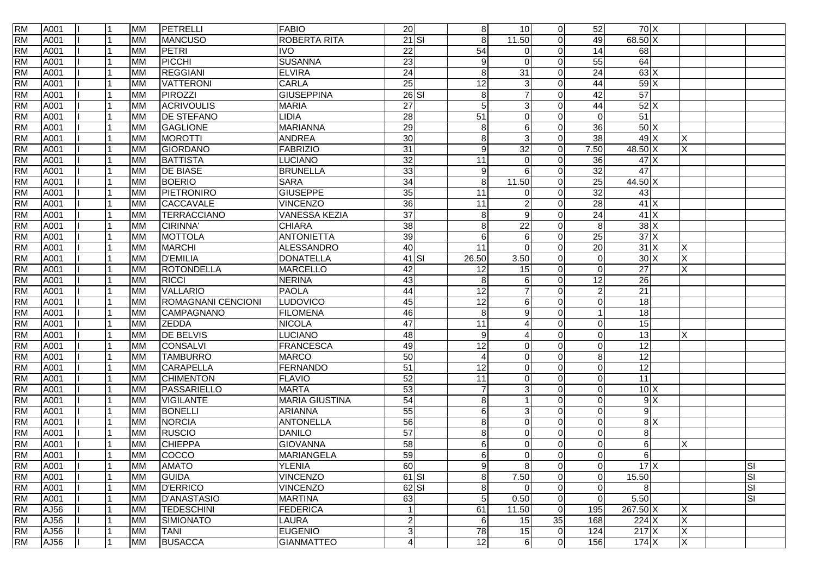| <b>RM</b> | A001 | 11  | <b>MM</b> | PETRELLI                  | <b>FABIO</b>          | 20              | 8               | 10                     | $\overline{0}$ | 52              | $70 \times$      |                         |    |
|-----------|------|-----|-----------|---------------------------|-----------------------|-----------------|-----------------|------------------------|----------------|-----------------|------------------|-------------------------|----|
| <b>RM</b> | A001 |     | <b>MM</b> | <b>MANCUSO</b>            | <b>ROBERTA RITA</b>   | $21$ SI         | 8               | 11.50                  | $\Omega$       | 49              | 68.50 X          |                         |    |
| <b>RM</b> | A001 |     | <b>MM</b> | PETRI                     | <b>IVO</b>            | $\overline{22}$ | 54              | $\Omega$               | $\Omega$       | 14              | 68               |                         |    |
| <b>RM</b> | A001 |     | <b>MM</b> | PICCHI                    | <b>SUSANNA</b>        | $\overline{23}$ | 9               | $\Omega$               | $\Omega$       | 55              | 64               |                         |    |
| <b>RM</b> | A001 |     | <b>MM</b> | <b>REGGIANI</b>           | <b>ELVIRA</b>         | $\overline{24}$ | 8               | 31                     | $\Omega$       | 24              | 63X              |                         |    |
| <b>RM</b> | A001 |     | <b>MM</b> | <b>VATTERONI</b>          | <b>CARLA</b>          | 25              | 12              | 3                      | $\Omega$       | 44              | 59X              |                         |    |
| <b>RM</b> | A001 |     | <b>MM</b> | PIROZZI                   | <b>GIUSEPPINA</b>     | $26$ SI         | 8               |                        | $\Omega$       | 42              | $\overline{57}$  |                         |    |
| <b>RM</b> | A001 |     | <b>MM</b> | <b>ACRIVOULIS</b>         | <b>MARIA</b>          | $\overline{27}$ | 5               | $\mathbf{3}$           | $\Omega$       | 44              | 52X              |                         |    |
| <b>RM</b> | A001 |     | <b>MM</b> | <b>DE STEFANO</b>         | LIDIA                 | $\overline{28}$ | 51              | $\Omega$               | $\Omega$       | $\Omega$        | 51               |                         |    |
| <b>RM</b> | A001 |     | <b>MM</b> | <b>GAGLIONE</b>           | <b>MARIANNA</b>       | 29              | 8               | 6                      | $\Omega$       | 36              | 50X              |                         |    |
| <b>RM</b> | A001 |     | <b>MM</b> | <b>MOROTTI</b>            | <b>ANDREA</b>         | 30              | 8               | 3                      | $\Omega$       | 38              | 49X              | X                       |    |
| <b>RM</b> | A001 |     | <b>MM</b> | <b>GIORDANO</b>           | <b>FABRIZIO</b>       | 31              | 9               | $\overline{32}$        | $\Omega$       | 7.50            | 48.50 X          | X                       |    |
| <b>RM</b> | A001 |     | <b>MM</b> | <b>BATTISTA</b>           | <b>LUCIANO</b>        | $\overline{32}$ | 11              | $\Omega$               | $\Omega$       | 36              | $47$ X           |                         |    |
| <b>RM</b> | A001 |     | <b>MM</b> | <b>DE BIASE</b>           | <b>BRUNELLA</b>       | 33              | 9               | 6                      | $\Omega$       | 32              | 47               |                         |    |
| <b>RM</b> | A001 |     | <b>MM</b> | <b>BOERIO</b>             | <b>SARA</b>           | 34              | 8               | 11.50                  | $\Omega$       | 25              | 44.50 X          |                         |    |
| <b>RM</b> | A001 |     | <b>MM</b> | PIETRONIRO                | <b>GIUSEPPE</b>       | 35              | 11              | $\Omega$               | $\Omega$       | $\overline{32}$ | 43               |                         |    |
| <b>RM</b> | A001 |     | <b>MM</b> | <b>CACCAVALE</b>          | <b>VINCENZO</b>       | 36              | $\overline{11}$ | $\overline{c}$         | $\Omega$       | $\overline{28}$ | $41 \times$      |                         |    |
| <b>RM</b> | A001 |     | <b>MM</b> | <b>TERRACCIANO</b>        | <b>VANESSA KEZIA</b>  | $\overline{37}$ | 8               | 9                      | $\Omega$       | $\overline{24}$ | $41 \times$      |                         |    |
| <b>RM</b> | A001 |     | <b>MM</b> | <b>CIRINNA</b>            | <b>CHIARA</b>         | $\overline{38}$ | 8               | 22                     | $\Omega$       | 8               | 38X              |                         |    |
| <b>RM</b> | A001 |     | <b>MM</b> | <b>MOTTOLA</b>            | <b>ANTONIETTA</b>     | 39              | 6               | $6\phantom{1}6$        | $\Omega$       | 25              | 37X              |                         |    |
| <b>RM</b> | A001 |     | <b>MM</b> | <b>MARCHI</b>             | <b>ALESSANDRO</b>     | 40              | 11              | $\Omega$               | $\Omega$       | 20              | $31 \times$      | Χ                       |    |
| <b>RM</b> | A001 |     | <b>MM</b> | <b>D'EMILIA</b>           | <b>DONATELLA</b>      | $41$ SI         | 26.50           | 3.50                   | $\Omega$       | $\mathbf{0}$    | 30X              | X                       |    |
| <b>RM</b> | A001 |     | <b>MM</b> | ROTONDELLA                | <b>MARCELLO</b>       | 42              | 12              | 15                     | $\Omega$       | $\mathbf{0}$    | 27               | Χ                       |    |
| <b>RM</b> | A001 |     | <b>MM</b> | <b>RICCI</b>              | <b>NERINA</b>         | 43              | 8               | 6                      | $\Omega$       | 12              | 26               |                         |    |
| <b>RM</b> | A001 |     | <b>MM</b> | <b>VALLARIO</b>           | <b>PAOLA</b>          | 44              | $\overline{12}$ | $\overline{7}$         | $\Omega$       | $\overline{2}$  | $\overline{21}$  |                         |    |
| <b>RM</b> | A001 |     | <b>MM</b> | <b>ROMAGNANI CENCIONI</b> | LUDOVICO              | 45              | 12              | 6                      | $\Omega$       | $\mathbf{0}$    | $\overline{18}$  |                         |    |
| <b>RM</b> | A001 |     | <b>MM</b> | CAMPAGNANO                | <b>FILOMENA</b>       | 46              | 8               | 9                      | $\Omega$       |                 | $\overline{18}$  |                         |    |
| <b>RM</b> | A001 |     | <b>MM</b> | <b>ZEDDA</b>              | <b>NICOLA</b>         | 47              | 11              | $\boldsymbol{\Lambda}$ | $\Omega$       | $\Omega$        | $\overline{15}$  |                         |    |
| <b>RM</b> | A001 |     | <b>MM</b> | <b>DE BELVIS</b>          | <b>LUCIANO</b>        | 48              | 9               | $\overline{A}$         | $\Omega$       | $\Omega$        | 13               | X                       |    |
| <b>RM</b> | A001 |     | <b>MM</b> | <b>CONSALVI</b>           | <b>FRANCESCA</b>      | 49              | $\overline{12}$ | $\Omega$               | $\Omega$       | $\Omega$        | 12               |                         |    |
| <b>RM</b> | A001 |     | <b>MM</b> | <b>TAMBURRO</b>           | <b>MARCO</b>          | $\overline{50}$ | 4               | $\Omega$               | $\Omega$       | 8               | 12               |                         |    |
| <b>RM</b> | A001 |     | <b>MM</b> | <b>CARAPELLA</b>          | <b>FERNANDO</b>       | 51              | 12              | 0                      | $\Omega$       | $\Omega$        | 12               |                         |    |
| <b>RM</b> | A001 |     | <b>MM</b> | <b>CHIMENTON</b>          | <b>FLAVIO</b>         | 52              | 11              | $\mathbf 0$            | $\Omega$       | $\Omega$        | $\overline{11}$  |                         |    |
| <b>RM</b> | A001 |     | <b>MM</b> | PASSARIELLO               | <b>MARTA</b>          | 53              | $\overline{7}$  | 3                      | $\Omega$       | $\Omega$        | 10X              |                         |    |
| <b>RM</b> | A001 |     | <b>MM</b> | <b>VIGILANTE</b>          | <b>MARIA GIUSTINA</b> | 54              | 8               |                        | $\Omega$       | $\mathbf{0}$    | $\overline{9}$   |                         |    |
| <b>RM</b> | A001 |     | <b>MM</b> | <b>BONELLI</b>            | <b>ARIANNA</b>        | 55              | 6               | 3                      | $\Omega$       | $\Omega$        | $\boldsymbol{9}$ |                         |    |
| <b>RM</b> | A001 |     | <b>MM</b> | <b>NORCIA</b>             | <b>ANTONELLA</b>      | 56              | 8               | $\Omega$               | $\Omega$       | $\Omega$        | 8X               |                         |    |
| <b>RM</b> | A001 |     | <b>MM</b> | <b>RUSCIO</b>             | <b>DANILO</b>         | $\overline{57}$ | 8               | $\Omega$               | $\Omega$       | $\Omega$        | 8                |                         |    |
| <b>RM</b> | A001 |     | <b>MM</b> | <b>CHIEPPA</b>            | <b>GIOVANNA</b>       | 58              | 6               | $\mathbf 0$            | 0              | $\Omega$        | 6                | Χ                       |    |
| <b>RM</b> | A001 |     | <b>MM</b> | <b>COCCO</b>              | <b>MARIANGELA</b>     | 59              | 6               | $\Omega$               | $\Omega$       | $\Omega$        | 6                |                         |    |
| <b>RM</b> | A001 |     | <b>MM</b> | <b>AMATO</b>              | <b>YLENIA</b>         | 60              | 9               | $\,8\,$                | $\overline{0}$ | $\mathbf{0}$    | $17 \times$      |                         | SI |
| <b>RM</b> | A001 |     | <b>MM</b> | <b>GUIDA</b>              | <b>VINCENZO</b>       | 61 SI           | 8               | 7.50                   | $\overline{0}$ | $\Omega$        | 15.50            |                         | SI |
| <b>RM</b> | A001 |     | <b>MM</b> | <b>D'ERRICO</b>           | <b>VINCENZO</b>       | $62$ SI         | 8               | $\mathbf 0$            | $\overline{0}$ | $\mathbf{0}$    | $\, 8$           |                         | SI |
| <b>RM</b> | A001 |     | <b>MM</b> | <b>D'ANASTASIO</b>        | <b>MARTINA</b>        | 63              | 5               | 0.50                   | $\overline{0}$ | $\mathbf 0$     | 5.50             |                         | SI |
| <b>RM</b> | AJ56 |     | <b>MM</b> | <b>TEDESCHINI</b>         | <b>FEDERICA</b>       |                 | 61              | 11.50                  | $\overline{0}$ | 195             | 267.50 X         | Χ                       |    |
| <b>RM</b> | AJ56 |     | <b>MM</b> | <b>SIMIONATO</b>          | <b>LAURA</b>          | $\mathbf{2}$    | 6               | 15                     | 35             | 168             | $224$ X          | $\overline{\mathsf{x}}$ |    |
| <b>RM</b> | AJ56 |     | <b>MM</b> | <b>TANI</b>               | <b>EUGENIO</b>        | $\mathbf{3}$    | 78              | 15                     | $\overline{0}$ | 124             | 217X             | Χ                       |    |
| <b>RM</b> | AJ56 | l 1 | <b>MM</b> | <b>BUSACCA</b>            | <b>GIANMATTEO</b>     | $\overline{4}$  | 12              | 6                      | $\overline{0}$ | 156             | 174X             | X                       |    |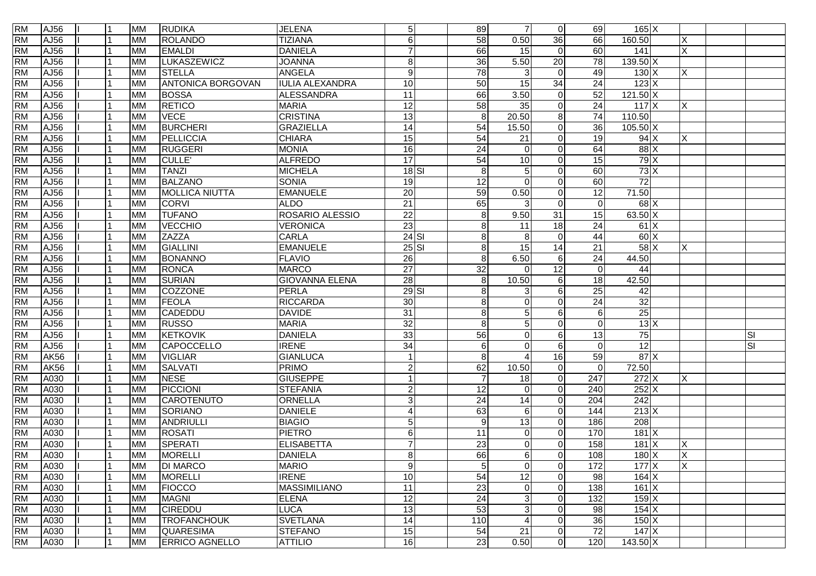| <b>RM</b> | AJ56        |  | <b>MM</b> | <b>RUDIKA</b>            | <b>JELENA</b>          | 5 <sub>5</sub>  | 89               | $\overline{7}$        | $\overline{0}$  | 69              | $165$ X           |          |            |
|-----------|-------------|--|-----------|--------------------------|------------------------|-----------------|------------------|-----------------------|-----------------|-----------------|-------------------|----------|------------|
| <b>RM</b> | AJ56        |  | <b>MM</b> | <b>ROLANDO</b>           | <b>TIZIANA</b>         | $\,6$           | 58               | 0.50                  | 36              | 66              | 160.50            | X        |            |
| <b>RM</b> | AJ56        |  | <b>MM</b> | <b>EMALDI</b>            | <b>DANIELA</b>         | $\overline{7}$  | 66               | 15                    | $\Omega$        | 60              | 141               | X        |            |
| <b>RM</b> | AJ56        |  | <b>MM</b> | LUKASZEWICZ              | <b>JOANNA</b>          | 8               | $\overline{36}$  | 5.50                  | $\overline{20}$ | 78              | $139.50 \times$   |          |            |
| <b>RM</b> | AJ56        |  | <b>MM</b> | <b>STELLA</b>            | <b>ANGELA</b>          | $9\,$           | $\overline{78}$  | 3                     | $\Omega$        | 49              | $130$ X           | X        |            |
| <b>RM</b> | AJ56        |  | <b>MM</b> | <b>ANTONICA BORGOVAN</b> | <b>IULIA ALEXANDRA</b> | 10              | 50               | 15                    | 34              | 24              | 123X              |          |            |
| <b>RM</b> | AJ56        |  | <b>MM</b> | <b>BOSSA</b>             | <b>ALESSANDRA</b>      | $\overline{11}$ | 66               | 3.50                  | $\Omega$        | $\overline{52}$ | $121.50 \times$   |          |            |
| <b>RM</b> | AJ56        |  | <b>MM</b> | <b>RETICO</b>            | <b>MARIA</b>           | $\overline{12}$ | 58               | 35                    | $\Omega$        | 24              | 117X              | X        |            |
| <b>RM</b> | AJ56        |  | <b>MM</b> | <b>VECE</b>              | <b>CRISTINA</b>        | 13              | 8                | 20.50                 | 8               | 74              | 110.50            |          |            |
| <b>RM</b> | AJ56        |  | <b>MM</b> | <b>BURCHERI</b>          | <b>GRAZIELLA</b>       | 14              | 54               | 15.50                 | $\Omega$        | 36              | $105.50$ X        |          |            |
| <b>RM</b> | AJ56        |  | <b>MM</b> | PELLICCIA                | <b>CHIARA</b>          | 15              | 54               | 21                    | $\Omega$        | 19              | 94X               | Χ        |            |
| <b>RM</b> | AJ56        |  | <b>MM</b> | <b>RUGGERI</b>           | <b>MONIA</b>           | 16              | $\overline{24}$  | $\Omega$              | $\Omega$        | 64              | $88$ $\times$     |          |            |
| <b>RM</b> | AJ56        |  | <b>MM</b> | CULLE <sup>®</sup>       | <b>ALFREDO</b>         | 17              | 54               | 10                    | $\Omega$        | 15              | 79X               |          |            |
| <b>RM</b> | AJ56        |  | <b>MM</b> | <b>TANZI</b>             | <b>MICHELA</b>         | $18$ $SI$       | 8                | 5                     | $\Omega$        | 60              | 73X               |          |            |
| <b>RM</b> | AJ56        |  | <b>MM</b> | <b>BALZANO</b>           | <b>SONIA</b>           | 19              | $\overline{12}$  | $\Omega$              | $\Omega$        | 60              | $\overline{72}$   |          |            |
| <b>RM</b> | AJ56        |  | <b>MM</b> | <b>MOLLICA NIUTTA</b>    | <b>EMANUELE</b>        | $\overline{20}$ | 59               | 0.50                  | $\Omega$        | $\overline{12}$ | 71.50             |          |            |
| <b>RM</b> | AJ56        |  | <b>MM</b> | <b>CORVI</b>             | <b>ALDO</b>            | $\overline{21}$ | 65               | 3                     | $\Omega$        | $\Omega$        | $68$ X            |          |            |
| <b>RM</b> | AJ56        |  | <b>MM</b> | <b>TUFANO</b>            | ROSARIO ALESSIO        | $\overline{22}$ | 8                | 9.50                  | $\overline{31}$ | 15              | $63.50\text{X}$   |          |            |
| <b>RM</b> | AJ56        |  | <b>MM</b> | VECCHIO                  | <b>VERONICA</b>        | 23              | 8                | 11                    | 18              | $\overline{24}$ | 61X               |          |            |
| <b>RM</b> | AJ56        |  | <b>MM</b> | <b>ZAZZA</b>             | <b>CARLA</b>           | $24$ SI         | 8                | 8                     | $\Omega$        | 44              | 60X               |          |            |
| <b>RM</b> | AJ56        |  | <b>MM</b> | GIALLINI                 | <b>EMANUELE</b>        | $25$ $SI$       | 8                | 15                    | 14              | 21              | $58$ $\times$     | $\times$ |            |
| <b>RM</b> | AJ56        |  | <b>MM</b> | <b>BONANNO</b>           | <b>FLAVIO</b>          | 26              | 8                | 6.50                  | 6               | 24              | 44.50             |          |            |
| <b>RM</b> | AJ56        |  | <b>MM</b> | RONCA                    | <b>MARCO</b>           | $\overline{27}$ | $\overline{32}$  | $\Omega$              | 12              | $\Omega$        | 44                |          |            |
| <b>RM</b> | AJ56        |  | <b>MM</b> | <b>SURIAN</b>            | <b>GIOVANNA ELENA</b>  | 28              | 8                | 10.50                 | 6               | 18              | 42.50             |          |            |
| <b>RM</b> | AJ56        |  | <b>MM</b> | COZZONE                  | <b>PERLA</b>           | $29$ SI         | 8                | 3                     | $6 \mid$        | 25              | 42                |          |            |
| <b>RM</b> | AJ56        |  | <b>MM</b> | FEOLA                    | <b>RICCARDA</b>        | $\overline{30}$ | 8                | $\Omega$              | $\Omega$        | $\overline{24}$ | 32                |          |            |
| <b>RM</b> | AJ56        |  | <b>MM</b> | CADEDDU                  | <b>DAVIDE</b>          | $\overline{31}$ | 8                | 5                     | 6               | $6 \,$          | $\overline{25}$   |          |            |
| <b>RM</b> | AJ56        |  | <b>MM</b> | <b>RUSSO</b>             | <b>MARIA</b>           | 32              | 8                | 5                     | 0               | $\Omega$        | 13X               |          |            |
| <b>RM</b> | AJ56        |  | <b>MM</b> | <b>KETKOVIK</b>          | <b>DANIELA</b>         | 33              | 56               | $\Omega$              | 6               | 13              | $\overline{75}$   |          | ΙSΙ        |
| <b>RM</b> | AJ56        |  | <b>MM</b> | CAPOCCELLO               | <b>IRENE</b>           | $\overline{34}$ | 6                | $\Omega$              | 6               | $\Omega$        | 12                |          | <u>isi</u> |
| <b>RM</b> | <b>AK56</b> |  | <b>MM</b> | <b>VIGLIAR</b>           | <b>GIANLUCA</b>        | $\mathbf{1}$    | 8                |                       | 16              | 59              | 87X               |          |            |
| <b>RM</b> | <b>AK56</b> |  | <b>MM</b> | <b>SALVATI</b>           | <b>PRIMO</b>           | $\overline{c}$  | 62               | 10.50                 | $\Omega$        | $\Omega$        | 72.50             |          |            |
| <b>RM</b> | A030        |  | <b>MM</b> | <b>NESE</b>              | <b>GIUSEPPE</b>        | $\overline{1}$  | $\overline{7}$   | 18                    | $\Omega$        | 247             | $272$ X           | X        |            |
| <b>RM</b> | A030        |  | <b>MM</b> | PICCIONI                 | <b>STEFANIA</b>        | $\overline{c}$  | $\overline{12}$  | $\Omega$              | $\Omega$        | 240             | $252$ X           |          |            |
| <b>RM</b> | A030        |  | <b>MM</b> | CAROTENUTO               | ORNELLA                | ω               | $\overline{24}$  | 14                    | $\overline{0}$  | 204             | 242               |          |            |
| <b>RM</b> | A030        |  | <b>MM</b> | SORIANO                  | <b>DANIELE</b>         | 4               | 63               | 6                     | $\Omega$        | 144             | 213X              |          |            |
| <b>RM</b> | A030        |  | <b>MM</b> | ANDRIULLI                | <b>BIAGIO</b>          | $\sqrt{5}$      | $\boldsymbol{9}$ | 13                    | $\Omega$        | 186             | 208               |          |            |
| <b>RM</b> | A030        |  | <b>MM</b> | ROSATI                   | <b>PIETRO</b>          | $\,6$           | 11               | $\Omega$              | $\Omega$        | 170             | $181 \times$      |          |            |
| <b>RM</b> | A030        |  | <b>MM</b> | SPERATI                  | <b>ELISABETTA</b>      | $\overline{7}$  | $\overline{23}$  | $\Omega$              | $\Omega$        | 158             | 181 X             | X        |            |
| <b>RM</b> | A030        |  | <b>MM</b> | MORELLI                  | DANIELA                | 8 <sup>1</sup>  | 66               | 6                     | $\Omega$        | 108             | 180X              | $\times$ |            |
| <b>RM</b> | A030        |  | <b>MM</b> | <b>DI MARCO</b>          | <b>MARIO</b>           | $9\,$           | 5 <sup>1</sup>   | $\mathbf 0$           | $\overline{0}$  | 172             | 177X              | X        |            |
| <b>RM</b> | A030        |  | <b>MM</b> | <b>MORELLI</b>           | <b>IRENE</b>           | $\overline{10}$ | 54               | 12                    | $\overline{0}$  | 98              | $164$ X           |          |            |
| <b>RM</b> | A030        |  | <b>MM</b> | <b>FIOCCO</b>            | MASSIMILIANO           | 11              | $\overline{23}$  | 0                     | $\overline{0}$  | 138             | $161 \, X$        |          |            |
| <b>RM</b> | A030        |  | <b>MM</b> | <b>MAGNI</b>             | <b>ELENA</b>           | $\overline{12}$ | $\overline{24}$  | 3                     | $\Omega$        | 132             | $159$ X           |          |            |
| <b>RM</b> | A030        |  | <b>MM</b> | CIREDDU                  | LUCA                   | 13              | 53               | 3                     | $\Omega$        | 98              | $154$ X           |          |            |
| <b>RM</b> | A030        |  | <b>MM</b> | <b>TROFANCHOUK</b>       | <b>SVETLANA</b>        | 14              | 110              | $\boldsymbol{\Delta}$ | $\overline{0}$  | 36              | $150 \text{ X}$   |          |            |
| <b>RM</b> | A030        |  | <b>MM</b> | <b>QUARESIMA</b>         | <b>STEFANO</b>         | 15              | 54               | 21                    | $\overline{0}$  | $\overline{72}$ | $147$ X           |          |            |
| <b>RM</b> | A030        |  | <b>MM</b> | <b>ERRICO AGNELLO</b>    | <b>ATTILIO</b>         | 16              | 23               | 0.50                  | $\overline{0}$  | 120             | $143.50 \times X$ |          |            |
|           |             |  |           |                          |                        |                 |                  |                       |                 |                 |                   |          |            |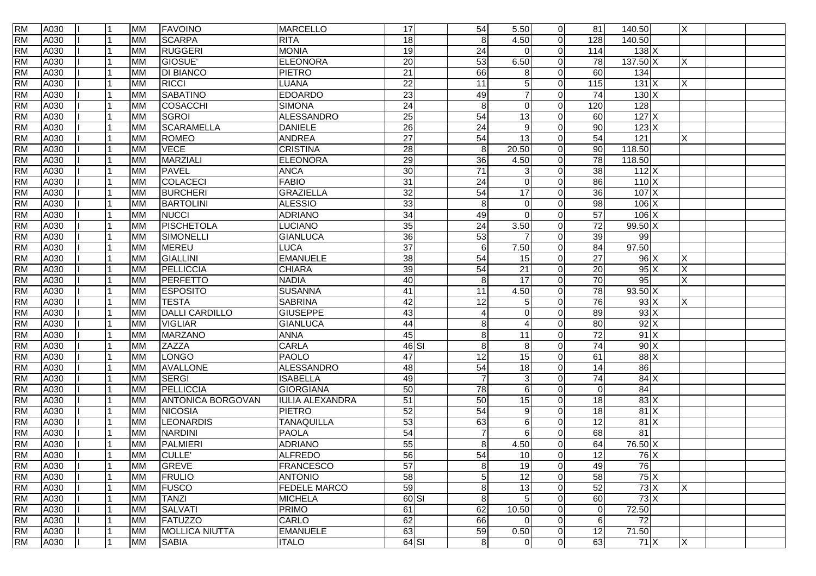| <b>RM</b> | A030 | l 1 | <b>MM</b> | <b>FAVOINO</b>           | <b>MARCELLO</b>        | 17              | 54               | 5.50            | $\overline{0}$ | 81                | 140.50            | X   |  |
|-----------|------|-----|-----------|--------------------------|------------------------|-----------------|------------------|-----------------|----------------|-------------------|-------------------|-----|--|
| <b>RM</b> | A030 |     | <b>MM</b> | <b>SCARPA</b>            | <b>RITA</b>            | 18              | 8 <sup>1</sup>   | 4.50            | $\overline{0}$ | 128               | 140.50            |     |  |
| <b>RM</b> | A030 |     | <b>MM</b> | <b>RUGGERI</b>           | <b>MONIA</b>           | 19              | 24               | $\Omega$        | $\Omega$       | 114               | 138X              |     |  |
| <b>RM</b> | A030 |     | <b>MM</b> | GIOSUE <sup>®</sup>      | <b>ELEONORA</b>        | $\overline{20}$ | 53               | 6.50            | $\Omega$       | $\overline{78}$   | $137.50 \times$   | X   |  |
| <b>RM</b> | A030 |     | <b>MM</b> | <b>DI BIANCO</b>         | <b>PIETRO</b>          | $\overline{21}$ | 66               | 8               | $\Omega$       | 60                | 134               |     |  |
| <b>RM</b> | A030 |     | <b>MM</b> | <b>RICCI</b>             | LUANA                  | $\overline{22}$ | 11               | 5               | $\Omega$       | $\frac{115}{115}$ | 131X              | ΙX. |  |
| <b>RM</b> | A030 |     | <b>MM</b> | <b>SABATINO</b>          | <b>EDOARDO</b>         | $\overline{23}$ | 49               |                 | $\Omega$       | $\overline{74}$   | 130X              |     |  |
| <b>RM</b> | A030 |     | <b>MM</b> | <b>COSACCHI</b>          | <b>SIMONA</b>          | 24              | $\infty$         | $\Omega$        | $\Omega$       | 120               | 128               |     |  |
| <b>RM</b> | A030 |     | <b>MM</b> | <b>SGROI</b>             | <b>ALESSANDRO</b>      | $\overline{25}$ | 54               | 13              | $\Omega$       | 60                | $127$ X           |     |  |
| <b>RM</b> | A030 |     | <b>MM</b> | SCARAMELLA               | <b>DANIELE</b>         | 26              | $\overline{24}$  | 9               | $\Omega$       | $90\,$            | $123$ X           |     |  |
| <b>RM</b> | A030 |     | <b>MM</b> | <b>ROMEO</b>             | <b>ANDREA</b>          | 27              | 54               | 13              | $\Omega$       | 54                | 121               | Χ   |  |
| <b>RM</b> | A030 |     | <b>MM</b> | <b>VECE</b>              | <b>CRISTINA</b>        | $\overline{28}$ | 8                | 20.50           | $\Omega$       | 90                | 118.50            |     |  |
| <b>RM</b> | A030 |     | <b>MM</b> | <b>MARZIALI</b>          | <b>ELEONORA</b>        | $\overline{29}$ | 36               | 4.50            | $\overline{0}$ | $\overline{78}$   | 118.50            |     |  |
| <b>RM</b> | A030 |     | <b>MM</b> | <b>PAVEL</b>             | <b>ANCA</b>            | 30              | 71               | 3               | $\Omega$       | 38                | $112$ X           |     |  |
| <b>RM</b> | A030 |     | <b>MM</b> | COLACECI                 | <b>FABIO</b>           | $\overline{31}$ | 24               | $\Omega$        | $\Omega$       | 86                | 110X              |     |  |
| <b>RM</b> | A030 |     | <b>MM</b> | <b>BURCHERI</b>          | <b>GRAZIELLA</b>       | 32              | 54               | $\overline{17}$ | $\Omega$       | 36                | 107X              |     |  |
| <b>RM</b> | A030 |     | <b>MM</b> | <b>BARTOLINI</b>         | <b>ALESSIO</b>         | 33              | $\infty$         | $\Omega$        | $\Omega$       | 98                | $106 \times$      |     |  |
| <b>RM</b> | A030 |     | <b>MM</b> | <b>NUCCI</b>             | <b>ADRIANO</b>         | 34              | 49               | $\Omega$        | $\Omega$       | 57                | $106 \times$      |     |  |
| <b>RM</b> | A030 |     | <b>MM</b> | PISCHETOLA               | <b>LUCIANO</b>         | 35              | $\overline{24}$  | 3.50            | $\overline{0}$ | $\overline{72}$   | 99.50 X           |     |  |
| <b>RM</b> | A030 |     | <b>MM</b> | SIMONELLI                | <b>GIANLUCA</b>        | 36              | 53               |                 | $\Omega$       | 39                | 99                |     |  |
| <b>RM</b> | A030 |     | <b>MM</b> | <b>MEREU</b>             | <b>LUCA</b>            | $\overline{37}$ | $\,6\,$          | 7.50            | $\overline{0}$ | 84                | 97.50             |     |  |
| <b>RM</b> | A030 |     | <b>MM</b> | <b>GIALLINI</b>          | <b>EMANUELE</b>        | 38              | 54               | 15              | $\Omega$       | 27                | 96X               | X   |  |
| <b>RM</b> | A030 |     | <b>MM</b> | PELLICCIA                | <b>CHIARA</b>          | 39              | 54               | 21              | $\Omega$       | $\overline{20}$   | 95X               | X   |  |
| <b>RM</b> | A030 |     | <b>MM</b> | <b>PERFETTO</b>          | <b>NADIA</b>           | 40              | $\boldsymbol{8}$ | 17              | $\Omega$       | 70                | 95                | X   |  |
| <b>RM</b> | A030 |     | <b>MM</b> | <b>ESPOSITO</b>          | <b>SUSANNA</b>         | 41              | $\overline{11}$  | 4.50            | $\Omega$       | 78                | $93.50 \text{ X}$ |     |  |
| <b>RM</b> | A030 |     | <b>MM</b> | <b>TESTA</b>             | <b>SABRINA</b>         | 42              | 12               | 5               | $\Omega$       | 76                | $93 \times$       | X   |  |
| <b>RM</b> | A030 |     | <b>MM</b> | <b>DALLI CARDILLO</b>    | <b>GIUSEPPE</b>        | 43              | 4                | $\Omega$        | $\Omega$       | 89                | $93 \times$       |     |  |
| <b>RM</b> | A030 |     | <b>MM</b> | <b>VIGLIAR</b>           | <b>GIANLUCA</b>        | $\overline{44}$ | 8                | Δ               | $\Omega$       | 80                | 92X               |     |  |
| <b>RM</b> | A030 |     | <b>MM</b> | <b>MARZANO</b>           | <b>ANNA</b>            | 45              | 8                | 11              | $\Omega$       | $\overline{72}$   | 91X               |     |  |
| <b>RM</b> | A030 |     | <b>MM</b> | ZAZZA                    | <b>CARLA</b>           | $46$ SI         | 8                | 8               | $\Omega$       | $\overline{74}$   | 90X               |     |  |
| <b>RM</b> | A030 |     | <b>MM</b> | LONGO                    | <b>PAOLO</b>           | 47              | 12               | 15              | $\Omega$       | 61                | 88 X              |     |  |
| <b>RM</b> | A030 |     | <b>MM</b> | <b>AVALLONE</b>          | <b>ALESSANDRO</b>      | 48              | 54               | 18              | $\Omega$       | 14                | 86                |     |  |
| <b>RM</b> | A030 |     | <b>MM</b> | SERGI                    | <b>ISABELLA</b>        | 49              | $\overline{7}$   | 3               | $\Omega$       | 74                | 84X               |     |  |
| <b>RM</b> | A030 |     | <b>MM</b> | PELLICCIA                | <b>GIORGIANA</b>       | 50              | $\overline{78}$  | 6               | $\Omega$       | $\Omega$          | 84                |     |  |
| <b>RM</b> | A030 |     | <b>MM</b> | <b>ANTONICA BORGOVAN</b> | <b>IULIA ALEXANDRA</b> | $\overline{51}$ | 50               | 15              | $\Omega$       | 18                | 83X               |     |  |
| <b>RM</b> | A030 |     | <b>MM</b> | <b>NICOSIA</b>           | <b>PIETRO</b>          | 52              | 54               | 9               | $\Omega$       | 18                | 81X               |     |  |
| <b>RM</b> | A030 |     | <b>MM</b> | <b>LEONARDIS</b>         | <b>TANAQUILLA</b>      | 53              | 63               | 6               | $\Omega$       | 12                | 81X               |     |  |
| <b>RM</b> | A030 |     | <b>MM</b> | <b>NARDINI</b>           | <b>PAOLA</b>           | 54              | $\overline{7}$   | 6               | $\Omega$       | 68                | 81                |     |  |
| <b>RM</b> | A030 |     | <b>MM</b> | PALMIERI                 | <b>ADRIANO</b>         | 55              | 8                | 4.50            | $\Omega$       | 64                | 76.50 X           |     |  |
| <b>RM</b> | A030 |     | <b>MM</b> | <b>CULLE</b>             | <b>ALFREDO</b>         | 56              | 54               | 10              | $\Omega$       | 12                | 76X               |     |  |
| <b>RM</b> | A030 |     | <b>MM</b> | <b>GREVE</b>             | <b>FRANCESCO</b>       | $\overline{57}$ | 8 <sup>1</sup>   | 19              | $\overline{0}$ | 49                | $\overline{76}$   |     |  |
| <b>RM</b> | A030 |     | <b>MM</b> | <b>FRULIO</b>            | <b>ANTONIO</b>         | $\overline{58}$ | $\sqrt{5}$       | $\overline{12}$ | $\overline{0}$ | 58                | $75 \times$       |     |  |
| <b>RM</b> | A030 |     | <b>MM</b> | <b>FUSCO</b>             | <b>FEDELE MARCO</b>    | 59              | 8                | 13              | $\overline{0}$ | 52                | 73X               | X   |  |
| <b>RM</b> | A030 |     | <b>MM</b> | <b>TANZI</b>             | <b>MICHELA</b>         | 60 SI           | 8                | 5               | $\overline{0}$ | 60                | $73 \times$       |     |  |
| <b>RM</b> | A030 |     | <b>MM</b> | <b>SALVATI</b>           | <b>PRIMO</b>           | 61              | 62               | 10.50           | $\overline{0}$ | $\overline{0}$    | 72.50             |     |  |
| <b>RM</b> | A030 |     | <b>MM</b> | <b>FATUZZO</b>           | CARLO                  | 62              | 66               | 0               | $\overline{0}$ | $6 \mid$          | 72                |     |  |
| <b>RM</b> | A030 |     | <b>MM</b> | <b>MOLLICA NIUTTA</b>    | <b>EMANUELE</b>        | 63              | 59               | 0.50            | $\overline{0}$ | $\overline{12}$   | 71.50             |     |  |
| <b>RM</b> | A030 |     | <b>MM</b> | <b>SABIA</b>             | <b>ITALO</b>           | $64$ SI         | $\boldsymbol{8}$ | $\overline{0}$  | $\overline{0}$ | 63                | 71X               | X   |  |
|           |      |     |           |                          |                        |                 |                  |                 |                |                   |                   |     |  |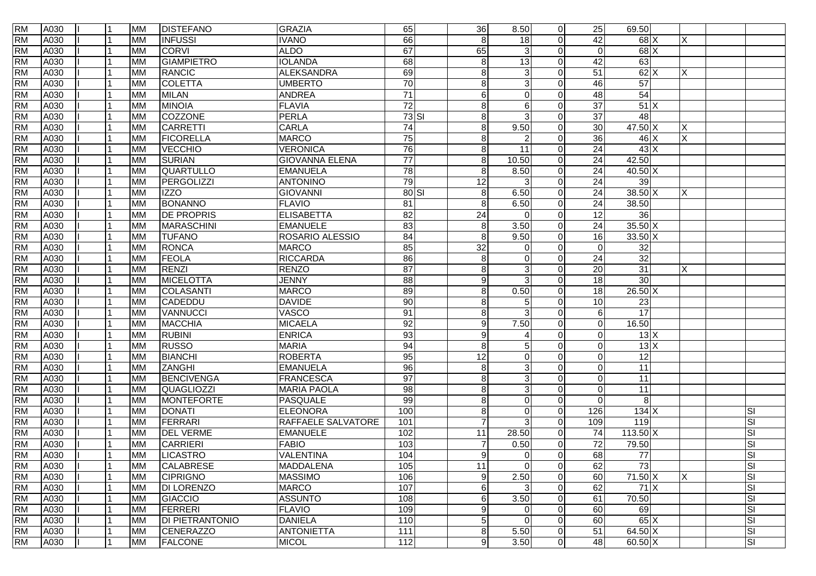| <b>RM</b> | A030 |  | <b>MM</b> | <b>DISTEFANO</b>       | <b>GRAZIA</b>         | 65              | 36              | 8.50            | 0              | 25              | 69.50             |             |                           |
|-----------|------|--|-----------|------------------------|-----------------------|-----------------|-----------------|-----------------|----------------|-----------------|-------------------|-------------|---------------------------|
| <b>RM</b> | A030 |  | <b>MM</b> | <b>INFUSSI</b>         | <b>IVANO</b>          | 66              | 8               | 18              | $\Omega$       | 42              | 68 X              | X           |                           |
| <b>RM</b> | A030 |  | <b>MM</b> | <b>CORVI</b>           | <b>ALDO</b>           | 67              | 65              | 3               | $\Omega$       | $\Omega$        | $68$ $\times$     |             |                           |
| <b>RM</b> | A030 |  | <b>MM</b> | <b>GIAMPIETRO</b>      | <b>IOLANDA</b>        | 68              | 8               | 13              | $\Omega$       | 42              | 63                |             |                           |
| <b>RM</b> | A030 |  | <b>MM</b> | <b>RANCIC</b>          | <b>ALEKSANDRA</b>     | 69              | 8               | 3               | $\Omega$       | 51              | $62$ $\times$     | X           |                           |
| <b>RM</b> | A030 |  | <b>MM</b> | <b>COLETTA</b>         | <b>UMBERTO</b>        | $\overline{70}$ | 8               | 3               | O              | 46              | 57                |             |                           |
| <b>RM</b> | A030 |  | <b>MM</b> | <b>MILAN</b>           | <b>ANDREA</b>         | $\overline{71}$ | 6               | $\Omega$        | 0              | 48              | 54                |             |                           |
| <b>RM</b> | A030 |  | <b>MM</b> | <b>MINOIA</b>          | <b>FLAVIA</b>         | 72              | 8               | 6               | $\Omega$       | $\overline{37}$ | 51X               |             |                           |
| <b>RM</b> | A030 |  | <b>MM</b> | COZZONE                | <b>PERLA</b>          | $73$ $SI$       | 8               | 3               | 0              | $\overline{37}$ | 48                |             |                           |
| <b>RM</b> | A030 |  | <b>MM</b> | <b>CARRETTI</b>        | <b>CARLA</b>          | $\overline{74}$ | 8               | 9.50            | $\Omega$       | 30              | 47.50 X           | X           |                           |
| <b>RM</b> | A030 |  | <b>MM</b> | <b>FICORELLA</b>       | <b>MARCO</b>          | 75              | 8               |                 | O              | 36              | 46 X              | $\mathsf X$ |                           |
| <b>RM</b> | A030 |  | <b>MM</b> | <b>VECCHIO</b>         | <b>VERONICA</b>       | 76              | 8               | $\overline{11}$ | $\Omega$       | 24              | $43 \times$       |             |                           |
| <b>RM</b> | A030 |  | <b>MM</b> | <b>SURIAN</b>          | <b>GIOVANNA ELENA</b> | $\overline{77}$ | 8               | 10.50           | $\Omega$       | $\overline{24}$ | 42.50             |             |                           |
| <b>RM</b> | A030 |  | <b>MM</b> | <b>QUARTULLO</b>       | <b>EMANUELA</b>       | 78              | 8               | 8.50            | $\Omega$       | 24              | 40.50 X           |             |                           |
| <b>RM</b> | A030 |  | <b>MM</b> | PERGOLIZZI             | <b>ANTONINO</b>       | 79              | $\overline{12}$ |                 | O              | $\overline{24}$ | 39                |             |                           |
| <b>RM</b> | A030 |  | <b>MM</b> | <b>IZZO</b>            | <b>GIOVANNI</b>       | $80$ $SI$       | 8               | 6.50            | $\Omega$       | 24              | $38.50\text{X}$   | X           |                           |
| <b>RM</b> | A030 |  | <b>MM</b> | <b>BONANNO</b>         | <b>FLAVIO</b>         | 81              | 8               | 6.50            | $\Omega$       | 24              | 38.50             |             |                           |
| <b>RM</b> | A030 |  | <b>MM</b> | <b>DE PROPRIS</b>      | <b>ELISABETTA</b>     | 82              | 24              | $\Omega$        | $\Omega$       | $\overline{12}$ | 36                |             |                           |
| <b>RM</b> | A030 |  | <b>MM</b> | <b>MARASCHINI</b>      | <b>EMANUELE</b>       | 83              | 8               | 3.50            | $\Omega$       | 24              | $35.50$ X         |             |                           |
| <b>RM</b> | A030 |  | <b>MM</b> | <b>TUFANO</b>          | ROSARIO ALESSIO       | 84              | 8               | 9.50            | $\Omega$       | 16              | $33.50$ X         |             |                           |
| <b>RM</b> | A030 |  | <b>MM</b> | <b>RONCA</b>           | <b>MARCO</b>          | 85              | $\overline{32}$ | $\Omega$        | $\Omega$       | $\Omega$        | 32                |             |                           |
| <b>RM</b> | A030 |  | <b>MM</b> | <b>FEOLA</b>           | <b>RICCARDA</b>       | 86              | 8               | $\Omega$        | $\Omega$       | 24              | 32                |             |                           |
| <b>RM</b> | A030 |  | <b>MM</b> | <b>RENZI</b>           | <b>RENZO</b>          | $\overline{87}$ | 8               | 3               | O              | 20              | 31                | X           |                           |
| <b>RM</b> | A030 |  | <b>MM</b> | MICELOTTA              | <b>JENNY</b>          | 88              | 9               | 3               | 0              | 18              | $\overline{30}$   |             |                           |
| <b>RM</b> | A030 |  | <b>MM</b> | COLASANTI              | <b>MARCO</b>          | 89              | 8               | 0.50            | $\Omega$       | $\overline{18}$ | $26.50 \text{ X}$ |             |                           |
| <b>RM</b> | A030 |  | <b>MM</b> | CADEDDU                | <b>DAVIDE</b>         | 90              | 8               | 5               | 0              | 10              | 23                |             |                           |
| <b>RM</b> | A030 |  | <b>MM</b> | VANNUCCI               | VASCO                 | $\overline{91}$ | 8               | 3               | O              | $6 \mid$        | 17                |             |                           |
| <b>RM</b> | A030 |  | <b>MM</b> | <b>MACCHIA</b>         | <b>MICAELA</b>        | 92              | 9               | 7.50            |                | $\Omega$        | 16.50             |             |                           |
| <b>RM</b> | A030 |  | <b>MM</b> | <b>RUBINI</b>          | <b>ENRICA</b>         | 93              | 9               |                 | $\Omega$       | $\Omega$        | 13X               |             |                           |
| <b>RM</b> | A030 |  | <b>MM</b> | <b>RUSSO</b>           | <b>MARIA</b>          | 94              | 8               | 5               | $\Omega$       | $\Omega$        | 13X               |             |                           |
| <b>RM</b> | A030 |  | <b>MM</b> | <b>BIANCHI</b>         | <b>ROBERTA</b>        | 95              | 12              | $\Omega$        | $\Omega$       | $\Omega$        | 12                |             |                           |
| <b>RM</b> | A030 |  | <b>MM</b> | <b>ZANGHI</b>          | <b>EMANUELA</b>       | 96              | 8               | 3               | 0              | $\Omega$        | 11                |             |                           |
| <b>RM</b> | A030 |  | <b>MM</b> | <b>BENCIVENGA</b>      | <b>FRANCESCA</b>      | 97              | 8               | 3               | $\Omega$       | $\Omega$        | 11                |             |                           |
| <b>RM</b> | A030 |  | <b>MM</b> | <b>QUAGLIOZZI</b>      | <b>MARIA PAOLA</b>    | $\overline{8}$  | 8               | 3               | $\Omega$       | $\Omega$        | $\overline{11}$   |             |                           |
| <b>RM</b> | A030 |  | <b>MM</b> | MONTEFORTE             | <b>PASQUALE</b>       | 99              | 8               | $\Omega$        | $\Omega$       | $\Omega$        | 8                 |             |                           |
| <b>RM</b> | A030 |  | <b>MM</b> | <b>DONATI</b>          | <b>ELEONORA</b>       | 100             | 8               | $\Omega$        | $\Omega$       | 126             | 134X              |             | <b>SI</b>                 |
| <b>RM</b> | A030 |  | <b>MM</b> | <b>FERRARI</b>         | RAFFAELE SALVATORE    | 101             | $\overline{7}$  | 3               | $\Omega$       | 109             | 119               |             | SI                        |
| <b>RM</b> | A030 |  | <b>MM</b> | <b>DEL VERME</b>       | <b>EMANUELE</b>       | 102             | $\overline{11}$ | 28.50           | $\Omega$       | $\overline{74}$ | $113.50 \times$   |             | <b>SI</b>                 |
| <b>RM</b> | A030 |  | <b>MM</b> | <b>CARRIERI</b>        | <b>FABIO</b>          | 103             | 7               | 0.50            | $\Omega$       | 72              | 79.50             |             | <b>SI</b>                 |
| <b>RM</b> | A030 |  | <b>MM</b> | <b>LICASTRO</b>        | <b>VALENTINA</b>      | 104             | $\mathbf{Q}$    | $\Omega$        | $\Omega$       | 68              | $\overline{77}$   |             | <b>SI</b>                 |
| <b>RM</b> | A030 |  | <b>MM</b> | <b>CALABRESE</b>       | MADDALENA             | 105             | 11              | $\overline{0}$  | $\mathbf 0$    | 62              | 73                |             | $ \overline{\mathbb{S}} $ |
| <b>RM</b> | A030 |  | <b>MM</b> | <b>CIPRIGNO</b>        | <b>MASSIMO</b>        | 106             | 9               | 2.50            | $\overline{0}$ | 60              | 71.50 X           | X           | $ \overline{s} $          |
| <b>RM</b> | A030 |  | <b>MM</b> | <b>DI LORENZO</b>      | <b>MARCO</b>          | 107             | 6               | 3               | $\Omega$       | 62              | 71X               |             | <b>SI</b>                 |
| <b>RM</b> | A030 |  | <b>MM</b> | GIACCIO                | <b>ASSUNTO</b>        | 108             | 6               | 3.50            | $\Omega$       | 61              | 70.50             |             | $ \overline{s} $          |
| <b>RM</b> | A030 |  | <b>MM</b> | FERRERI                | <b>FLAVIO</b>         | 109             | 9               | $\Omega$        | $\Omega$       | 60              | 69                |             | SI                        |
| <b>RM</b> | A030 |  | <b>MM</b> | <b>DI PIETRANTONIO</b> | <b>DANIELA</b>        | 110             | 5               | $\Omega$        | $\overline{0}$ | 60              | $65 \times$       |             | <b>SI</b>                 |
| <b>RM</b> | A030 |  | <b>MM</b> | <b>CENERAZZO</b>       | <b>ANTONIETTA</b>     | 111             | 8               | 5.50            | 0              | 51              | $64.50 \text{ X}$ |             | <b>SI</b>                 |
| <b>RM</b> | A030 |  | <b>MM</b> | <b>FALCONE</b>         | <b>MICOL</b>          | 112             | 9               | 3.50            | 0              | 48              | 60.50 X           |             | $ \overline{\mathbb{S}} $ |